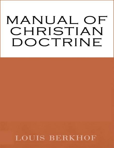# MANUAL OF CHRISTIAN DOCTRINE

# LOUIS BERKHOF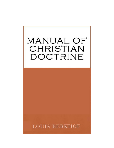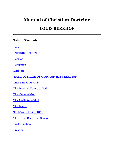# **Manual of Christian Doctrine**

# **LOUIS BERKHOF**

#### **Table of Contents:**

**[Preface](#page-5-0)** 

**[INTRODUCTION](#page-6-0)**

[Religion](#page-6-1)

[Revelation](#page-12-0)

**[Scripture](#page-21-0)** 

#### **THE [DOCTRINE](#page-30-0) OF GOD AND HIS CREATION**

THE [BEING](#page-30-1) OF GOD

The [Essential](#page-30-2) Nature of God

The [Names](#page-33-0) of God

The [Attributes](#page-36-0) of God

**The [Trinity](#page-44-0)** 

#### **THE [WORKS](#page-50-0) OF GOD**

The Divine [Decrees](#page-50-1) in General

[Predestination](#page-54-0)

**[Creation](#page-57-0)**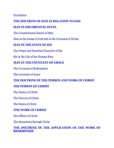[Providence](#page-67-0)

#### **THE [DOCTRINE](#page-72-0) OF MAN IN RELATION TO GOD**

#### **MAN IN HIS [ORIGINAL](#page-72-1) STATE**

The [Constitutional](#page-72-2) Nature of Man

Man as the Image of God and in the [Covenant](#page-76-0) of Works

#### **MAN IN THE [STATE](#page-81-0) OF SIN**

The Origin and Essential [Character](#page-82-0) of Sin

Sin in the Life of the [Human](#page-87-0) Race

**MAN IN THE [COVENANT](#page-92-0) OF GRACE**

The Covenant of [Redemption](#page-92-1)

The [Covenant](#page-96-0) of Grace

**THE [DOCTRINE](#page-107-0) OF THE PERSON AND WORK OF CHRIST**

#### **THE [PERSON](#page-107-1) OF CHRIST**

The [Names](#page-107-2) of Christ

The [Natures](#page-112-0) of Christ

The States of [Christ](#page-117-0)

#### **THE WORK OF [CHRIST](#page-125-0)**

The [Offices](#page-125-1) of Christ

The [Atonement](#page-132-0) through Christ

#### **THE DOCTRINE OF THE [APPLICATION](#page-138-0) OF THE WORK OF REDEMPTION**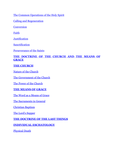The Common [Operations](#page-138-1) of the Holy Spirit

Calling and [Regeneration](#page-143-0)

**[Conversion](#page-150-0)** 

[Faith](#page-155-0)

**[Justification](#page-160-0)** 

**[Sanctification](#page-166-0)** 

[Perseverance](#page-172-0) of the Saints

#### **THE [DOCTRINE](#page-175-0) OF THE CHURCH AND THE MEANS OF GRACE**

#### **THE [CHURCH](#page-175-1)**

Nature of the [Church](#page-175-2)

The [Government](#page-182-0) of the Church

The Power of the [Church](#page-190-0)

#### **THE [MEANS](#page-194-0) OF GRACE**

The Word as a [Means](#page-194-1) of Grace

The [Sacraments](#page-197-0) in General

[Christian](#page-200-0) Baptism

The Lord's [Supper](#page-206-0)

#### **THE [DOCTRINE](#page-210-0) OF THE LAST THINGS**

#### **INDIVIDUAL [ESCHATOLOGY](#page-210-1)**

[Physical](#page-210-2) Death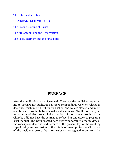The [Intermediate](#page-212-0) State

#### **GENERAL [ESCHATOLOGY](#page-216-0)**

The Second [Coming](#page-216-1) of Christ

The Millennium and the [Resurrection](#page-221-0)

The Last [Judgment](#page-226-0) and the Final State

## **PREFACE**

<span id="page-5-0"></span>After the publication of my Systematic Theology, the publisher requested me to prepare for publication a more compendious work on Christian doctrine, which might be fit for high school and college classes, and might also be used profitably by our older catechumens. Mindful of the great importance of the proper indoctrination of the young people of the Church, I did not have the courage to refuse, but undertook to prepare a brief manual. The work seemed particularly important to me in view of the widespread doctrinal indifference of the present day, of the resulting superficiality and confusion in the minds of many professing Christians of the insidious errors that are zealously propagated even from the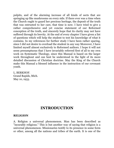pulpits, and of the alarming increase of all kinds of sects that are springing up like mushrooms on every side. If there ever was a time when the Church ought to guard her precious heritage, the deposit of the truth that was entrusted to her care, that time is now. I have tried to give a rather comprehensive and yet concise statement of our Reformed conception of the truth, and sincerely hope that its clarity may not have suffered through its brevity. At the end of every chapter I have given a list of questions which will help the student to test his knowledge of what it contains. In my references for further study I have been rather sparing, since I did not desire to overload the student in any way Moreover, I have limited myself almost exclusively to Reformed authors. I hope it will not seem presumptuous that I have invariably referred first of all to my own work on Systematic Theology, since this Manual is based on the larger work throughout and can best be understood in the light of its more detailed discussion of Christian doctrine. May the King of the Church make this Manual a blessed influence in the instruction of our covenant youth.

L. BERKHOF. Grand Rapids, Mich. May 10, 1933.

### **INTRODUCTION**

#### <span id="page-6-1"></span><span id="page-6-0"></span>**RELIGION**

A. Religion a universal phenomenon. Man has been described as "incurably religious." This is but another way of saying that religion is a universal phenomenon. Missionaries testify to its presence in some form or other, among all the nations and tribes of the earth. It is one of the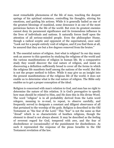most remarkable phenomena of the life of man, touching the deepest springs of his spiritual existence, controlling his thoughts, stirring his emotions, and guiding his actions. While it is generally hailed as one of the greatest blessings of mankind, some denounce it as one of the most pernicious factors in the life of the world. But even its greatest enemies cannot deny its paramount significance and its tremendous influence in the lives of individuals and nations. It naturally forces itself upon the attention of all serious-minded people. Even the philosopher Hume, though a radical sceptic and opponent of the supernatural, once said: "Look out for a people entirely void of religion, and if you find them at all, be assured that they are but a few degrees removed from the brutes."

B. The essential nature of religion. Just what is religion? In our day many seek an answer to this question by studying the religions of the world and the various manifestations of religion in human life. By a comparative study they would discover the real nature of religion, and insist on discovering a definition sufficiently broad to cover all the forms in which the religious life manifests itself among the nations of the world. But this is not the proper method to follow. While it may give us an insight into the present manifestations of the religious life of the world, it does not enable us to determine what is the real nature of religion. The Bible only enables us to get a proper conception of the ideal.

Religion is concerned with man's relation to God, and man has no right to determine the nature of this relation. It is God's prerogative to specify how man should be related to Him, and He does this in His divine Word. The word "religion" is in all probability derived from the Latin word relegere, meaning to re-read, to repeat, to observe carefully, and frequently served to designate a constant and diligent observance of all that pertained to the worship of the gods. Religion is described in the Old Testament as "the fear of the Lord." This "fear" is not the same as that "dread" which is so characteristic of heathen religions, though the element to dread is not always absent. It may be described as the feeling of reverent regard for God, tempered with awe, and the fear of disobedience or (occasionally) of the punishment for disobedience. As such it represented the response of the pious Israelite to the Old Testament revelation of the law.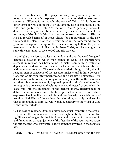In the New Testament the gospel message is prominently in the foreground, and man's response to the divine revelation assumes a somewhat different form, namely, the form of "faith." While there are other terms for religion in the New Testament, such as godliness, 1 Tim. 2:10, and godly fear, Heb. 5:7, the word "faith" generally serves to describe the religious attitude of man. By this faith we accept the testimony of God in His Word as true, and entrust ourselves to Him, as He has revealed Himself in Jesus Christ, for our salvation. In the New Testament the element of trust is very much in the foreground. To the glorious message of redemption there is an answering faith on the part of man, consisting in a childlike trust in Jesus Christ, and becoming at the same time a fountain of love to God and His service.

In the light of Scripture we learn to understand that the word "religion" denotes a relation in which man stands to God. The characteristic element in religion has been found in piety, fear, faith, a feeling of dependence, and so on. But these are all affections which are also felt with reference to man. The really characteristic thing in this, that in religion man is conscious of the absolute majesty and infinite power of God, and of his own utter insignificance and absolute helplessness. This does not mean, however, that religion is merely a matter of the emotions, nor that it is a necessity simply imposed upon him. Man's relation to God in religion is a conscious and voluntary one, and instead of enslaving him leads him into the enjoyment of the highest liberty. Religion may be defined as a conscious and voluntary spiritual relation to God, which expresses itself in life as a whole and particularly in certain acts of worship. God Himself determines the adoration, worship, and service that is acceptable to Him. All will-worship, contrary to the Word of God, is absolutely forbidden.

C. The seat of religion. Opinions differ very much respecting the seat of religion in the human soul. Some lose sight entirely of the central significance of religion in the life of man, and conceive of it as located in and functioning through just one of the faculties of the soul. Others stress the fact that the whole psychical nature of man is involved in the religious life.

1. ONE-SIDED VIEWS OF THE SEAT OF RELIGION. Some find the seat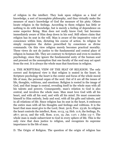of religion in the intellect. They look upon religion as a kind of knowledge, a sort of incomplete philosophy, and thus virtually make the measure of man's knowledge of God the measure of his piety. Others locate religion in the feelings. According to them religion has little or nothing to do with knowledge, but is merely a feeling of dependence on some superior Being. Man does not really know God, but becomes immediately aware of Him deep down in his soul. Still others claim that religion has its seat in the will. Man is aware of the imperative voice of conscience within him, dictating his course of action. In religion he simply recognizes the duties prescribed by conscience as divine commands. On this view religion merely becomes practical morality. These views do not do justice to the fundamental and central place of religion in human life. They are contrary to Scripture and even to modern psychology, since they ignore the fundamental unity of the human soul and proceed on the assumption that one faculty of the soul may act apart from the rest. It is always the whole man that functions in religion.

2. THE SCRIPTURAL VIEW OF THE SEAT OF RELIGION. The only correct and Scriptural view is that religion is seated in the heart. In Scripture psychology the heart is the center and focus of the whole moral life of man, the personal organ of the soul. Out of it are all the issues of life, thoughts, volitions, and emotions. Religion is rooted in the image of God, and that image is central, revealing itself in the whole man with all his talents and powers. Consequently, man's relation to God is also central, and involves the whole man. Man must love God with all his heart, and with all his soul, and with all his mind. He must consecrate himself to Him entirely, body and soul, with all his gifts and talents, and in all relations of life. Since religion has its seat in the heart, it embraces the entire man with all his thoughts and feelings and volitions. It is the heart that man must give to the Lord, Deut. 30:6; Prov. 23:26. In religion the heart controls the intellect, Rom. 10:13, 14; Heb. 11:6, the feelings, Ps. 28:7; 30:12, and the will, Rom. 2:10, 13; Jas. 1:27; 1 John 1:5–7. The whole man is made subservient to God in every sphere of life. This is the only view that does justice to religion, and recognizes its supreme importance in the life of man.

D. The Origin of Religion. The question of the origin of religion has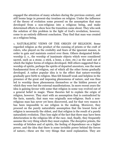engaged the attention of many scholars during the previous century, and still looms large in present-day treatises on religion. Under the influence of the theory of evolution some proceed on the assumption that man developed from a non-religious into a religious being, and make determined efforts to show how the transition came about. They who seek the solution of this problem in the light of God's revelation, however, come to an entirely different conclusion. They find that man was created as a religious being.

1. NATURALISTIC VIEWS OF THE ORIGIN OF RELIGION. Some regarded religion as the product of the cunning of priests or the craft of rulers, who played on the credulity and fears of the ignorant masses, in order to gain and maintain control over them. Others designated fetishworship (i. e., the worship of inanimate objects which were considered sacred, such as a stone, a stick, a bone, a claw, etc.) as the seed out of which the higher forms of religion developed. Still others suggested that a worship of spirits, perhaps the spirits of departed ancestors, was the most fundamental form of religion, out of which all the other forms gradually developed. A rather popular idea is to the effect that nature-worship gradually gave birth to religion. Man felt himself weak and helpless in the presence of the great and imposing phenomena of nature, and was thus led to worship these phenomena themselves or the hidden powers of which they were but the external manifestations. In more recent years the idea is gaining favour with some that religion in some way evolved out of a general belief in magic. These theories fail to explain the origin of religion, however. They start with an assumption that is contradicted by the facts, namely, that man was originally non-religious. Such a nonreligious man has never yet been discovered, and for that very reason it has been impossible to see religion in the making. Moreover, they proceed on the purely naturalistic assumption that the lowest form of religion is necessarily the oldest, and that religion is the result of a purely naturalistic evolution. They lose sight of the fact that there may have been deterioration in the religious life of the race. And, finally, they frequently assume the very thing which they must explain. The deceptive priests, the worship of fetishes and of spirits, the feeling of dependence on a higher power, and the idea that there is some invisible power behind the forces of nature,—these are the very things that need explanation. They are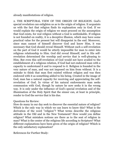already manifestations of religion.

2. THE SCRIPTURAL VIEW OF THE ORIGIN OF RELIGION. God's special revelation can enlighten us as to the origin of religion. It acquaints us with the fact that religion finds its explanation only in God. If we would explain the origin of religion we must proceed on the assumption that God exists, for real religion without a God is unthinkable. If religion is not founded on reality, it is a deceptive illusion, which may have some practical value for the present but will disappoint in the end. Moreover, since man cannot of himself discover God and know Him, it was necessary that God should reveal Himself. Without such a self-revelation on the part of God it would be utterly impossible for man to enter into religious relationship to Him. God did reveal Himself, and in His selfrevelation determined the worship and service that is well-pleasing to Him. But even this self-revelation of God would not have availed to the establishment of a religious relation, if God had not endowed man with a capacity to understand it and to respond to it. Religion is founded in the very nature of man, and was not imposed on him from without. It is a mistake to think that man first existed without religion and was then endowed with it as something added to his being. Created in the image of God, man has a natural capacity for receiving and appreciating the selfrevelation of God. In virtue of his natural endowments man seeks communion with God, though by nature he now seeks it in the wrong way. It is only under the influence of God's special revelation and of the illumination of the Holy Spirit that the sinner can, at least in principle, render to God the service that is his due.

#### Questions for Review:

How do many in our day seek to discover the essential nature of religion? Which is the only way in which we can learn to know this? What is the derivation of the word "religion"? What terms describe the religious attitude in the Old and in the New Testament? How would you define religion? What mistaken notions are there as to the seat of religion in man? What is the center of the religious life according to Scripture? What different explanations have been given of the origin of religion? Which is the only satisfactory explanation?

References for Further Study: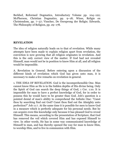Berkhof, Reformed Dogmatics, Introductory Volume pp. 104–122; McPherson, Christian Dogmatics, pp. 9–18; Wisse, Religie en Christendom, pp. 7–57; Visscher, De Oorsprong der Religie; Edwards, The Philosophy of Religion, pp. 29–178.

#### <span id="page-12-0"></span>**REVELATION**

The idea of religion naturally leads on to that of revelation. While many attempts have been made to explain religion apart from revelation, the conviction is now growing that all religion originates in revelation. And this is the only correct view of the matter. If God had not revealed Himself, man would not be in position to know Him at all, and all religion would be impossible.

A. Revelation in General. Before entering upon a discussion of the different kinds of revelation which God has given unto man, it is necessary to make a few remarks on revelation in general.

1. THE IDEA OF REVELATION. God is the incomprehensible One. Man cannot know Him as He is in the hidden depths of His divine being. Only the Spirit of God can search the deep things of God, 1 Cor. 1:10. It is impossible for man to have a perfect knowledge of God, for in order to possess this he would have to be greater than God. Job's question is a pointed denial of man's ability to comprehend the Infinite One: "Canst thou by searching find out God? Canst thou find out the Almighty unto perfection?" Job 11:7. At the same time it is possible for men to know God in a measure which is perfectly adequate for his personal needs. But he can acquire even this knowledge only because it has pleased God to reveal Himself. This means, according to the presentation of Scripture, that God has removed the veil which covered Him and has exposed Himself to view. In other words, He has in some way communicated knowledge of Himself to man, and has thereby opened the way for man to know Him, to worship Him, and to live in communion with Him.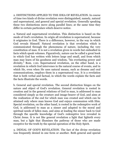2. DISTINCTIONS APPLIED TO THE IDEA OF REVELATION. In course of time two kinds of divine revelation were distinguished, namely, natural and supernatural, and general and special revelation. Generally speaking these two distinctions move along parallel lines; at the same time they differ in certain particulars which deserve notice.

a. Natural and supernatural revelation. This distinction is based on the mode of God's revelation. In origin all revelation is supernatural, because it originates in God. There is a difference, however, in the way in which God reveals Himself. Natural revelation is that revelation which is communicated through the phenomena of nature, including the very constitution of man. It is not a revelation given in words but embodied in facts which speak volumes. Figuratively, nature can be called a great book in which God has written with letters large and small, and from which man may learn of his goodness and wisdom, "his everlasting power and divinity," Rom. 1:20. Supernatural revelation, on the other hand, is a revelation in which God intervenes in the natural course of events, and in which He, even when He uses natural means, such as dreams and oral communications, employs them in a supernatural way. It is a revelation that is both verbal and factual, in which the words explain the facts and the facts illustrate the words.

b. General and special revelation. The second distinction hinges on the nature and object of God's revelation. General revelation is rooted in creation and in the general relations of God to man, is addressed to man considered simply as the creature and image-bearer of God, and aims at the realization of the end for which man was created and which can be attained only where man knows God and enjoys communion with Him. Special revelation, on the other hand, is rooted in the redemptive work of God, is addressed to man as a sinner and adapted to the moral and spiritual needs of fallen man, and aims at leading the sinner back to God through the specific knowledge of God's redemptive love revealed in Christ Jesus. It is not like general revelation a light that lighteth every man, but a light that illumines the pathway of those who are made receptive for the truth by the special operation of the Holy Spirit.

3. DENIAL OF GOD'S REVELATION. The fact of the divine revelation was frequently denied in one form or another. Both general and special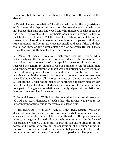revelation, but the former less than the latter, were the object of this denial.

a. Denial of general revelation. The atheist, who denies the very existence of God, naturally disputes all revelation. So does the agnostic, who does not believe that man can know God and who therefore speaks of Him as the great Unknowable One. Pantheists occasionally pretend to believe that God reveals Himself. Yet the idea of revelation does not fit in their system at all. They do not recognize the existence of a personal God, who can consciously and voluntarily reveal Himself; and even if they did, they would not know of any object outside of God to which He could make Himself known. With them God and man are one.

b. Denial of special revelation. Eighteenth century Deism, while acknowledging God's general revelation, denied the necessity, the possibility, and the reality of any special supernatural revelation. It regarded the general revelation of God as sufficient even for fallen man, and considered the assumption that it was not sufficient as a reflection on the wisdom or power of God. It would seem to imply that God was wanting either in the necessary wisdom or in the requisite power to create a world that would meet all the requirements of a divine revelation under all conditions. Under the influence of pantheistic Idealism present-day liberal theology also denies God's special revelation. It reduces the Bible to a part of His general revelation and simply wipes out the distinction between the natural and the supernatural.

B. General Revelation. While both the general and the special revelation of God now exist alongside of each other, the former was prior to the latter in point of time, and is therefore considered first.

1. THE IDEA OF GOD'S GENERAL REVELATION. General revelation does not come to man in the form of direct verbal communications. It consists in an embodiment of the divine thought in the phenomena of nature, in the general constitution of the human mind, and in the facts of experience or history. God speaks to man in His entire creation, in the forces and powers of nature, in the constitution of the human mind, in the voice of conscience, and in the providential government of the world in general and of the lives of individuals in particular. The poet sings: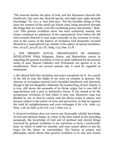"The heavens declare the glory of God; and the firmament showeth His handiwork. Day unto day uttereth speech, and night unto night showeth knowledge," Ps. 19:1, 2. And Paul says: "For the invisible things of Him since the creation of the world are clearly seen, being perceived through the things that are made, even His everlasting power and divinity," Rom. 1:20. This general revelation never has been exclusively natural, but always contained an admixture of the supernatural. Even before the fall God revealed Himself to man super-naturally in the covenant of works. And in the course of the history of revelation God frequently revealed Himself in a supernatural way outside of the sphere of special revelation, Gen. 20:3 ff.; 40:5 ff; 41:1 ff.; Judg. 7:13; Dan. 2:1 ff.

2. THE PRESENT ACTUAL INSUFFICIENCY OF GENERAL REVELATION. While Pelagians, Deists, and Rationalists concur in regarding the general revelation of God as quite sufficient for the present needs of man, Roman Catholics and Protestants are agreed as to its insufficiency. There are several reasons why it must be regarded as inadequate:

a. Sin altered both this revelation and man's receptivity for it. As a result of the fall of man the blight of sin rests on creation in general. The element of corruption entered God's beautiful handiwork and obscured, though it did not altogether obliterate, the handwriting of God. Nature, it is true, still shows the earmarks of its divine origin, but is now full of imperfections and a prey to destructive forces. It has ceased to be the perspicuous revelation of God which it once was. Moreover, man was blinded by sin, so that he cannot read the divine script in nature, and became subject to the power of error and perversion, so that he opposes the truth by unrighteousness and even exchanges it for a lie. John 1:5; Rom. 1:18, 25; Eph. 4:18; Col. 1:13; 1 John 2:9, 11.

b. General revelation does not convey any thoroughly reliable knowledge of God and spiritual things. In virtue of the facts stated in the preceding paragraph, the knowledge of God and of spiritual and eternal things conveyed by general revelation is too uncertain to form a trustworthy basis on which to build for eternity; and man cannot afford to pin his hopes for the future on uncertainties. The history of science and philosophy clearly shows that general revelation is no safe and certain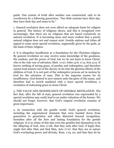guide. One system of truth after another was constructed, only to be overthrown by a following generation. "Our little systems have their day; they have their day and cease to be."

c. General revelation does not even afford an adequate basis for religion in general. The history of religions shows, and this is recognized ever increasingly, that there are no religions that are based exclusively on natural revelation. It is becoming more and more evident that a purely natural religion does not and cannot exist. Gentile nations and tribes all appeal to some more special revelation, supposedly given by the gods, as the basis of their religion.

d. It is altogether insufficient as a foundation for the Christian religion. By general revelation we may receive some knowledge of the goodness, the wisdom, and the power of God, but we do not learn to know Christ, who is the only way of salvation, Matt. 11:27; John 14:6; 17:3; Acts 4:12. It knows nothing of saving grace, of pardon and redemption, and therefore cannot lead sinners out of the slavery of sin into the glorious liberty of the children of God. It is not part of the redemptive process set in motion by God for the salvation of man. This is the supreme reason for its insufficiency. God desired to save sinners unto the glory of His name, and therefore had to enrich mankind with a more special revelation, a revelation of redeeming grace in Jesus Christ.

3. THE VALUE AND SIGNIFICANCE OF GENERAL REVELATION. The fact that, after the fall of man, general revelation was superseded by a special revelation may easily lead to an under-valuation of the former. We should not forget, however, that God's original revelation remains of great importance.

a. In connection with the gentile world. God's general revelation, including the supernatural elements that were handed down from generation to generation and often distorted beyond recognition, furnishes after all the firm and lasting foundation for the gentile religions. It is in virtue of this that even the gentiles feel themselves to be the offspring of God, Acts 17:28, that they seek after God, if haply they might feel after Him and find Him, Acts 17:27, that they see in nature God's everlasting power and divinity, Rom. 1:19, 20, and that they do by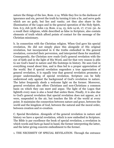nature the things of the law, Rom. 2:14. While they live in the darkness of ignorance and sin, pervert the truth by turning it into a lie, and serve gods which are no gods, but lies and vanity; yet they also share in the illumination of the Logos and in the general operation of the Holy Spirit, Gen. 6:3; Job 32:8; John 1:9; Rom. 2:14, 15; Acts 14:16, 17; 17:22–30. As a result their religions, while described as false in Scripture, also contain elements of truth which afford points of contact for the message of the Christian missionary.

b. In connection with the Christian religion. When God gave his special revelation, He did not simply place this alongside of His original revelation, but incorporated in it the truths embodied in His general revelation, corrected their perversion, and interpreted them for mankind. Consequently, the Christian now reads God's general revelation with the eye of faith and in the light of His Word, and for that very reason is able to see God's hand in nature and His footsteps in history. He sees God in everything round about him, and is thus led to a proper appreciation of the world. But if special revelation engenders a true appreciation of general revelation, it is equally true that general revelation promotes a proper understanding of special revelation. Scripture can be fully understood only against the background of God's revelation in nature. The latter frequently sheds a welcome light on the former. Moreover, general revelation also offers Christians and non-Christians a common basis on which they can meet and argue. The light of the Logos that lighteth every man is also a bond that unites them. Finally, it is also due to God's general revelation that special revelation does not appear, as it were, suspended in the air, but touches the life of the world at every point. It maintains the connection between nature and grace, between the world and the kingdom of God, between the natural and the moral order, between creation and re-creation.

C. Special Revelation. Alongside of the general revelation in nature and history we have a special revelation, which is now embodied in Scripture. The Bible is par excellence the book of special revelation, a revelation in which words and facts go hand in hand, the former interpreting the latter, and the latter giving concrete embodiment to the former.

1. THE NECESSITY OF SPECIAL REVELATION. Through the entrance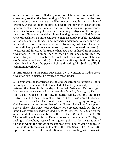of sin into the world God's general revelation was obscured and corrupted, so that the handwriting of God in nature and in the very constitution of man is not as legible now as it was in the morning of creation. Moreover, man became subject to the power of darkness and ignorance, of error and unbelief, and in his blindness and perverseness now fails to read aright even the remaining vestiges of the original revelation. He even takes delight in exchanging the truth of God for a lie. General revelation no more conveys to man absolutely reliable knowledge of God and spiritual things, is not properly understood by man, and does not avail to restore him to a condition of friendship with God. Therefore special divine operations were necessary, serving a fourfold purpose: (a) to correct and interpret the truths which are now gathered from general revelation; (b) to illumine man so that he can once more read the handwriting of God in nature; (c) to furnish man with a revelation of God's redemptive love; and (d) to change his entire spiritual condition by redeeming him from the power of sin and leading him back to a life in communion with God.

2. THE MEANS OF SPECIAL REVELATION. The means of God's special revelation can in general be reduced to three kinds:

a. Theophanies or manifestations of God. According to Scripture God is not only a God afar off, but also a God at hand. Symbolically, He dwelt between the cherubim in the days of the Old Testament, Ps. 80:1; 99:1. His presence was seen in fire and clouds of smoke, Gen. 15:17; Ex. 3:2; 19:9, 16 f.; 33:9; Ps. 78:14; 99:7, in stormy winds, Job 38:1; 40:6; Ps. 18:10–16, and in the gentle zephyr, 1 Kings 19:12. These were all tokens of His presence, in which He revealed something of His glory. Among the Old Testament appearances that of the "Angel of the Lord" occupies a special place. This Angel was evidently not a created angel. On the one hand He is distinguished from God, Ex. 23:20–23; Isa. 63:8, 9, but on the other hand He is also identified with God, Gen. 16:13; 31:11, 13; 32:28. The prevailing opinion is that He was the second person in the Trinity, cf. Mal. 3:1. Theophany reached its highest point in the incarnation of Christ, in whom the fulness of the godhead dwelt bodily, Col. 1:19; 2:9. In Him the Church becomes the temple of the Holy Spirit, 1 Cor. 3:16; 6:19; Eph. 2:21. An even fuller realization of God's dwelling with man will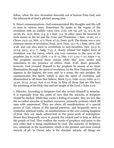follow, when the new Jerusalem descends out of heaven from God, and the tabernacle of God is pitched among men.

b. Direct communications. God communicated His thoughts and His will to man in various ways. Sometimes He spoke to the organs of His revelation with an audible voice, Gen. 2:16; 3:8–19; 4:6–15; 9:1, 8, 12; 32:26; Ex. 19:9; Deut. 5:4, 5; 1 Sam. 3:4. In other cases He resorted to such means as the lot and the Urim and Thummim, 1 Sam. 10:20, 21; 1 Chron. 24:5–31; Neh. 11:1; Num. 27:21; Deut. 33:8. The dream was a very common means of revelation, Num. 12:6; Deut. 13:1–6; 1 Sam. 28:6; Joel 2:28, and was also used in revelations to non-Israelites, Gen. 20:3–6; 31:24; 40:5; 41:1–7; Judg. 7:13. A closely related but higher form of revelation was the vision, which was very common in the case of the prophets, Isa. 6; 21:6f.; Ezek. 1–3; 8–11; Dan. 1:17; 2:19; 7–10; Amos 7–9. The prophets received these visions while they were awake and sometimes in the presence of others, Ezek. 8:1ff. More generally, however, God revealed Himself to the prophets by means of an inner illumination through the spirit of revelation. In the New Testament Christ appears as the highest, the true, and, in a sense, the only prophet. He communicates His Spirit, which is also the spirit of revelation and illumination to all those that believe, Mark 13:11; Luke 12:12; John 14:17; 15:26; 16:13; 20:22; Acts 6:10; 8:29. In Him all those that are His have the anointing of the Holy One and are taught of the Lord, 1 John 2:20.

c. Miracles. According to Scripture God also reveals Himself in miracles. It is especially from this point of view that the miracles of Scripture should be studied. While they excite a feeling of wonder, they are not, like the so-called miracles of heathen sorcerers, primarily portents which fill man with amazement. They are above all manifestations of a special power of God, tokens of His special presence, and frequently serve to symbolize spiritual truths. As manifestations of the ever-coming kingdom of God, they are made subservient to the great work of redemption. Hence they frequently serve to punish the wicked and to help or deliver the people of God. They confirm the words of prophecy and point to the new order that is being established by God. The miracles of Scripture, too, culminate in the incarnation, which is the greatest and most central miracle of all. In Christ, who is the absolute miracle, all things are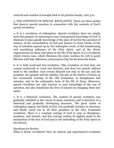restored and creation is brought back to its pristine beauty, Acts 3:21.

3. THE CONTENTS OF SPECIAL REVELATION. There are three points that deserve special mention in connection with the contents of God's special revelation.

a. It is a revelation of redemption. Special revelation does not simply serve the purpose of conveying to man some general knowledge of God. It discloses to man specific knowledge of the plan of God for the salvation of sinners, of the reconciliation of God and sinners in Jesus Christ, of the way of salvation opened up by His redemptive work, of the transforming and sanctifying influence of the Holy Spirit, and of the divine requirements for those who share in the life of the Spirit. It is a revelation which renews man, which illumines his mind, inclines his will to good, fills him with holy affections, and prepares him for his heavenly home.

b. It is both word-and fact-revelation. This revelation of God does not consist exclusively in word and doctrine, and does not merely address itself to the intellect. God reveals Himself not only in the law and the prophets, the gospels and the epistles, but also in the history of Israel, in the ceremonial worship of the Old Testament, in theophanies and miracles, and in the redemptive facts of the life of Jesus. Moreover, special revelation not only conveys to man knowledge of the way of salvation, but also transforms the lives of sinners by changing them into saints.

c. It is a historical revelation. The content of special revelation was gradually unfolded in the course of many centuries, and is therefore of a historical and gradually developing character. The great truths of redemption appear but dimly at first, but gradually increase in clearness, and finally stand out in all their grandeur in the New Testament revelation. There is a constant coming of God to man in theophany, prophecy, and miracle, and this coming reaches its highest point in the incarnation of the Son of God and in the indwelling of the Holy Spirit in the Church.

Questions for Review:

What is divine revelation? How do natural and supernatural revelation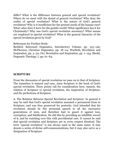differ? What is the difference between general and special revelation? Where do we meet with the denial of general revelation? Who deny the reality of special revelation? What is the nature of God's general revelation? Why is it insufficient for the present needs of the human race? What value does it have for the gentile world? What significance has it for Christianity? Why was God's special revelation necessary? What means are employed in special revelation? What is the general character of the special revelation given by God?

References for Further Study:

Berkhof, Reformed Dogmatics, Introductory Volume, pp. 123–146; McPherson, Christian Dogmatics, pp. 18–24; Warfield, Revelation and Inspiration, pp. 3–50; Orr, Revelation and Inspiration, pp. 1–154; Shedd, Dogmatic Theology, I, pp. 61–84.

#### <span id="page-21-0"></span>**SCRIPTURE**

From the discussion of special revelation we pass on to that of Scripture. The transition is natural and easy, since Scripture is the book of God's special revelation. Three points call for consideration here, namely, the relation of Scripture to special revelation, the inspiration of Scripture, and the perfections of Scripture.

A. The Relation Between Special Revelation and Scripture. In general it may be said that God's special revelation assumed a permanent form in Scripture, and was thus preserved for posterity. God intended that his revelation should be His perennial speech to all the successive generations of men, and therefore had to guard it against loss, corruption, and falsification. He did this by providing an infallible record of it, and by watching over this with providential care. It cannot be said that special revelation and Scripture are in every respect identical. The term "special revelation" is not always used in the same sense. It may denote a series of divine self-communications, but it may also serve as a designation of Scripture.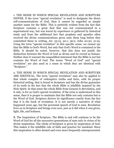1. THE SENSE IN WHICH SPECIAL REVELATION AND SCRIPTURE DIFFER. If the term "special revelation" is used to designate the direct self-communications of God, then it cannot be regarded as simply another name for the Bible. This is perfectly evident from the fact that Scripture contains a great deal that was not communicated in a supernatural way, but was learnt by experience or gathered by historical study and from the additional fact that prophets and apostles often received the divine communications given unto them long before they committed these to writing, Jer. 25:13; 30:1; 36:2; John 20:30; 21:25. Using the term "special revelation" in this specific sense, we cannot say that the Bible is God's Word, but only that God's Word is contained in the Bible. It should be noted, however, that this does not justify the distinction between the Word of God as divine and its record as human. Neither does it warrant the unqualified statement that the Bible is not but contains the Word of God. The terms "Word of God" and "special revelation" are also used in a sense in which they are identical with "Scripture."

2. THE SENSE IN WHICH SPECIAL REVELATION AND SCRIPTURE ARE IDENTICAL. The term "special revelation" may also be applied to that whole complex of redemptive truths and facts, with its proper historical setting, that is found in Scripture and has the divine guarantee of its truth in the fact that the whole Bible is infallibly inspired by the Holy Spirit. In that sense the whole Bible from Genesis to Revelation, and it only, is for us God's special revelation. If the term is understood in this sense, then it is proper to maintain that the Bible not only contains but is the Word of God. Scripture derives its significance exactly from the fact that it is the book of revelation. It is not merely a narrative of what happened years ago, but the perennial speech of God to man. Revelation lives on in Scripture and brings even now, just as it did when it was given, light, life, and holiness.

B. The Inspiration of Scripture. The Bible is and will continue to be the Word of God for all the successive generations of man only in virtue of its divine inspiration. The whole of Scripture is given by inspiration of God. This makes it the infallible rule of faith and practice for mankind. Since this inspiration is often denied and even more frequently misrepresented,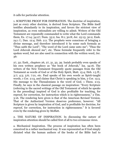it calls for particular attention.

1. SCRIPTURE PROOF FOR INSPIRATION. The doctrine of inspiration, just as every other doctrine, is derived from Scripture. The Bible itself testifies abundantly to its inspiration, and favors the strictest view of inspiration, as even rationalists are willing to admit. Writers of the Old Testament are repeatedly commanded to write what the Lord commands them, Ex. 17:14; 34:27; Num. 33:2; Isa. 8:1; 30:8; Jer. 25:13; 30:2; Ezek. 24:1 f.; Dan. 12:4; Heb. 2:2. The prophets were conscious of bringing a divine message, and therefore introduced it by some such formula as "Thus saith the Lord"; "The word of the Lord came unto me"; "Thus the Lord Jehovah showed me"; etc. These formulæ frequently refer to the spoken word, but are also used in connection with the written word, Jer. 36:

27, 32; Ezek., chapters 26, 27, 31, 32, 39. Isaiah probably even speaks of his own written prophecy as "the book of Jehovah," Isa. 34:16. The writers of the New Testament frequently quote passages from the Old Testament as words of God or of the Holy Spirit, Matt. 15:4; Heb. 1:5 ff.; 3:7; 4:3; 5:6; 7:21, etc. Paul speaks of his own words as Spirit-taught words, 1 Cor. 2:13, and claims that Christ is speaking in him, 2 Cor. 13:3. His message to the Thessalonians is the word of God. 1 Thess. 2:13. Finally, he says in the classical passage on inspiration: "Every Scripture (referring to the sacred writings of the Old Testament of which he speaks in the preceding) inspired of God is also profitable for teaching, for reproof, for correction, for instruction which is in righteousness," 2 Tim. 3:16. The rendering here given is that of the American Revised Version. That of the Authorized Version deserves preference, however: "All Scripture is given by inspiration of God, and is profitable for doctrine, for reproof, for correction, for instruction in righteousness." It is favored even by the rendering given by Moffatt.

2. THE NATURE OF INSPIRATION. In discussing the nature of inspiration attention should be called first of all to two erroneous views.

a. Mechanical Inspiration. The process of inspiration has often been conceived in a rather mechanical way. It was represented as if God simply dictated what the human authors of the books of the Bible had to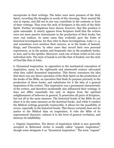incorporate in their writings. The latter were mere penmen of the Holy Spirit, recording His thoughts in words of His choosing. Their mental life was in repose, and did not in any way contribute to the contents or form of their writings. Thus even the style of Scripture is the style of the Holy Spirit. Further investigations have shown, however, that this position is quite untenable. It clearly appears from Scripture itself that the writers were not mere passive instruments in the production of their books, but were real authors. In some cases they evidently gave the fruits of historical investigations, for they refer to these investigations, Luke 1:1–4, and sometimes even mention their sources, as in the books of Samuel, Kings, and Chronicles. In other cases they record their own personal experiences, as in the psalms and frequently also in the prophetic books, in Acts, and in the epistles. Moreover, each one of them writes in his own individual style. The style of Isaiah is not like that of Ezekiel, nor the style of Paul like that of John.

b. Dynamical Inspiration. In opposition to the mechanical conception of inspiration, many in the eighteenth and nineteenth century advocated what they called dynamical inspiration. This theory renounces the idea that there was any direct operation of the Holy Spirit on the production of the books of the Bible, an operation that finds its purpose precisely in the production of those books; and substitutes for it the idea of a general inspiration of the writers. This inspiration was a permanent characteristic of the writers, and therefore incidentally also influenced their writings. It does not differ essentially but only in degree from the spiritual enlightenment of believers in general. It penetrates all parts of Scripture, but not all in the same measure. The historical books of the Bible do not share it in the same measure as the doctrinal books. And while it renders the Biblical writings generally trustworthy, it allows for the possibility of errors, especially in the historical books. This theory certainly does not do justice to the Biblical data on inspiration. It robs the Bible of its supernatural character, reduces it to the level of general revelation, and destroys its infallibility.

c. Organic Inspiration. The theory of inspiration which is now generally accepted in Reformed circles is usually called "organic inspiration," though some designate it as "dynamical inspiration." The term "organic"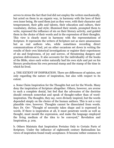serves to stress the fact that God did not employ the writers mechanically, but acted on them in an organic way, in harmony with the laws of their own inner being. He used them just as they were, with their character and temperament, their gifts and talents, their education and culture, their vocabulary, diction, and style; illumined their minds, prompted them to write, repressed the influence of sin on their literary activity, and guided them in the choice of their words and in the expression of their thoughts. This view is clearly most in harmony with the representations of Scripture. It represents the writers of Scripture not as mere amanuenses but as real authors who, while sometimes recording direct communications of God, yet on other occasions set down in writing the results of their own historical investigations or register their experiences of sin and forgiveness, of joy and sorrow, of threatening dangers and gracious deliverances. It also accounts for the individuality of the books of the Bible, since each writer naturally had his own style and put on his literary productions his own personal stamp and the stamp of the time in which he lived.

3. THE EXTENT OF INSPIRATION. There are differences of opinion, not only regarding the nature of inspiration, but also with respect to its extent.

a. Some Claim Inspiration for the Thoughts but not for the Words. Many deny the inspiration of Scripture altogether. Others, however, are averse to such a complete denial, but feel that the advocates of the doctrine should retrench somewhat and speak of thought-rather than of wordinspiration. The thoughts, they say, were divinely inspired, but the words depended simply on the choice of the human authors. This is not a very plausible view, however. Thoughts cannot be dissociated from words. Says Dr. Orr: "Thought of necessity takes shape and is expressed in words. If there is inspiration at all, it must penetrate words as well as thought, must mould the expression, and make the language employed the living medium of the idea to be conveyed," Revelation and Inspiration, p. 209.

b. Others Maintain that Inspiration Pertains Only to Certain Parts of Scripture. Under the influence of eighteenth century Rationalism lax views of inspiration found ready acceptance. It became rather common to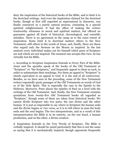deny the inspiration of the historical books of the Bible, and to limit it to the doctrinal writings. And even the inspiration claimed for the doctrinal books, though at first still regarded as supernatural in character, was finally conceived as a purely natural process, consisting in a special spiritual enlightenment. It had the effect of making the writers trustworthy witnesses in moral and spiritual matters, but offered no guarantee against all kinds of historical, chronological, and scientific mistakes. There is no agreement in the camp as to the exact extent of inspiration. Some limit it to doctrinal matters others to the New Testament, still others to the words of Jesus, and, finally, there are those who regard only the Sermon on the Mount as inspired. In the last analysis every individual makes out for himself which parts of Scripture are and which are not inspired. The moment one accepts this view, he has virtually lost his Bible.

c. According to Scripture Inspiration Extends to Every Part of the Bible. Jesus and the apostles speak of the books of the Old Testament as "Scripture" or "the Scriptures," and frequently appeal to them as such, in order to substantiate their teachings. For them an appeal to "Scripture" is clearly equivalent to an appeal to God. It is the end of all controversy. Besides, as we have seen in the preceding, some of the New Testament writers repeatedly quote passages of the Old Testaments as words of God or of the Holy Spirit. This is especially the case in the Epistle to the Hebrews. Moreover, Peter places the epistles of Paul on a level with the writings of the Old Testament. And, finally, the New Testament contains quotations from twenty-five Old Testament books all regarded as "Scripture," though some of them are taken from historical books. We cannot divide Scripture into two parts, the one divine and the other human. It is just as impossible to say where in Scripture the human ends and the divine begins or vice versa, as it is to tell where in man the body ends and the soul begins. The two interpenetrate, and as a result of this interpenetration the Bible is in its entirety, on the one hand, a human production, and on the other, a divine creation.

d. Inspiration Extends to the Very Words of Scripture. The Bible is verbally inspired. It should be noted particularly that this is not the same as saying that it is mechanically inspired, though opponents frequently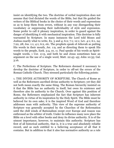insist on identifying the two. The doctrine of verbal inspiration does not assume that God dictated the words of the Bible, but that He guided the writers of the Biblical books in the choice of their words and expressions so as to keep them from errors, without in any way disregarding their vocabulary or suppressing their individuality of style and expression. Some prefer to call it plenary inspiration, in order to guard against the danger of identifying it with mechanical inspiration. This doctrine is fully warranted by Scripture. In many instances the Lord told Moses and Joshua exactly what to write, Ex. 3 and 4; 6:2; 7:1; 12:1; Lev. 4:1; 6:1, 24; 7:22, 28; Jos. 1:1; 4:1; 6:2, etc. The prophets speak of Jehovah as putting His words in their mouth, Jer. 1:9, and as directing them to speak His words to the people, Ezek. 3:4, 10, 11. Paul speaks of his words as Spirittaught words, 1 Cor. 2:13, and both he and Jesus sometimes base an argument on the use of a single word, Matt. 22:43–45; John 10:35; Gal. 3:16.

C. The Perfections of Scripture. The Reformers deemed it necessary to develop the doctrine of Scripture, in order to off-set the errors of the Roman Catholic Church. They stressed particularly the following points:

1. THE DIVINE AUTHORITY OF SCRIPTURE. The Church of Rome as well as the Reformers ascribed divine authority to Scripture; yet they did not both mean exactly the same thing. The Roman hierarchy insisted on it that the Bible has no authority in itself, but owes its existence and therefore also its authority to the Church. Over against this position of Rome, the Reformers emphasized the fact that Scripture has inherent authority in virtue of its inspiration by the Holy Spirit. The Bible must be believed for its own sake; it is the inspired Word of God and therefore addresses man with authority. This view of the supreme authority of Scripture was generally accepted by the Churches of the Reformation until the chill winds of Rationalism swept over Europe and reason was enthroned as the arbiter of truth. Under its influence many now place the Bible on a level with other books and deny its divine authority. It is of the utmost importance, however, to maintain this authority. Scripture has first of all historical authority, that is, it is a true and absolutely reliable record, and as such entitled to a believing acceptance of all that it contains. But in addition to that it also has normative authority as a rule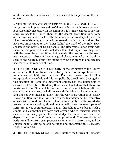of life and conduct, and as such demands absolute subjection on the part of man.

2. THE NECESSITY OF SCRIPTURE. While the Roman Catholic Church recognizes the importance and usefulness of Scripture, it does not regard it as absolutely necessary. In its estimation it is more correct to say that Scripture needs the Church than that the Church needs Scripture. Some of the mystical sects, such as the Montanists, the Anabaptists, and the Libertines of Geneva, also denied the necessity of Scripture, and ascribed far more importance to the "inner light," the word of the Holy Spirit spoken in the hearts of God's people. The Reformers joined issue with them on this point. They did not deny that God might have dispensed with the use of the written Word, but defended the position that the Word was necessary in virtue of the divine good pleasure to make the Word the seed of the Church. From that point of view Scripture is and remains necessary to the very end of time.

3. THE PERSPICUITY OF SCRIPTURE. In the estimation of the Church of Rome the Bible is obscure and is badly in need of interpretation even in matters of faith and practice. For that reason an infallible interpretation is needed, and this is supplied by the Church. Over against this position of Rome the Reformers emphasized the perspicuity or clearness of Scripture. By doing this they did not deny that there are mysteries in the Bible which the human mind cannot fathom, did not claim that man can very well dispense with the labours of commentators, and did not even mean to assert that the way of salvation is so clearly revealed in Scripture that every one can easily understand it, irrespective of his spiritual condition. Their contention was simply that the knowledge necessary unto salvation, though not equally clear on every page of Scripture, is yet communicated to man throughout the Bible in such a simple and comprehensive form that anyone who is earnestly seeking salvation can easily gather this knowledge for himself, and need not depend for it on the Church or the priesthood. The perspicuity of Scripture follows from such passages as Ps. 19:7, 8; 119:105, 130, and the spiritual man is said to be able to judge and understand it, 1 Cor. 2:15; 10:15; 1 John 2:20.

4. THE SUFFICIENCY OF SCRIPTURE. Neither the Church of Rome nor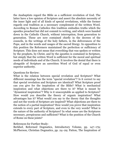the Anabaptists regard the Bible as a sufficient revelation of God. The latter have a low opinion of Scripture and assert the absolute necessity of the inner light and of all kinds of special revelations, while the former regards oral tradition as a necessary complement of the written Word. According to Roman Catholics this tradition embodies truths which the apostles preached but did not commit to writing, and which were handed down in the Catholic Church, without interruption, from generation to generation. These are now contained chiefly in the decrees of the councils, in the writings of the holy fathers, in the deliverances of the Pope, and in the words and usages of the sacred liturgy. In opposition to this position the Reformers maintained the perfection or sufficiency of Scripture. This does not mean that everything that was spoken or written by the prophets, by Christ, and by the apostles is contained in Scripture, but simply that the written Word is sufficient for the moral and spiritual needs of individuals and of the Church. It involves the denial that there is alongside of Scripture an unwritten Word of God of equal or even superior authority.

#### Questions for Review:

What is the relation between special revelation and Scripture? What different meanings has the term "special revelation"? Is it correct to say that special revelation and Scripture are identical? What Scripture proof can you give for the inspiration of the Bible? What is mechanical inspiration and what objections are there to it? What is meant by "dynamical inspiration"? Why is it unacceptable as applied to Scripture? How would you describe the theory of organic inspiration? What advantages has it? What would you say to the theory that the thoughts and not the words of Scripture are inspired? What objections are there to the notion of a partial inspiration? How would you prove that inspiration extends to every part of Scripture, and even to the very words? What is the nature of the authority of Scripture? In what sense are the Scriptures necessary, perspicuous and sufficient? What is the position of the Church of Rome on these joints?

#### References for Further Study:

Berkhof, Reformed Dogmatics, Introductory Volume, pp. 147–179; McPherson, Christian Dogmatics, pp. 24–29; Patton, The Inspiration of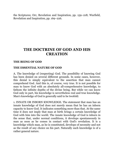the Scriptures; Orr, Revelation and Inspiration, pp. 159–218; Warfield, Revelation and Inspiration, pp. 169–226.

# <span id="page-30-0"></span>**THE DOCTRINE OF GOD AND HIS CREATION**

#### <span id="page-30-1"></span>**THE BEING OF GOD**

#### <span id="page-30-2"></span>**THE ESSENTIAL NATURE OF GOD**

A. The knowledge of (respecting) God. The possibility of knowing God has been denied on several different grounds. In some cases, however, this denial is simply equivalent to the assertion that man cannot comprehend God. And this is, of course, very true. It is not possible for man to know God with an absolutely all-comprehensive knowledge, to fathom the infinite depths of the divine being. But while we can know God only in part, his knowledge is nevertheless real and true knowledge. Man's knowledge of God is generally said to be twofold:

1. INNATE OR INBORN KNOWLEDGE. The statement that man has an innate knowledge of God does not merely mean that he has an inborn capacity to know God. It indicates something more than that. At the same time it does not imply that man at birth brings a certain knowledge of God with him into the world. The innate knowledge of God is inborn in the sense that, under normal conditions, it develops spontaneously in man as soon as he comes in contact with God's revelation. It is a knowledge which man, as he is constituted, develops of necessity and not as the result of any choice on his part. Naturally such knowledge is of a rather general nature.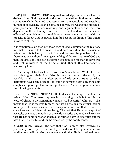2. ACQUIRED KNOWLEDGE. Acquired knowledge, on the other hand, is derived from God's general and special revelation. It does not arise spontaneously in the mind, but results from the conscious and sustained pursuit of knowledge. It can be obtained only by the wearisome process of perception and reflection, reasoning and argumentation, and therefore depends on the voluntary direction of the will and on the persistent efforts of man. While it is possible only because man is born with the capacity to know God, it carries him far beyond the limits of his innate knowledge of God.

It is sometimes said that our knowledge of God is limited to the relations in which He stands to His creatures, and does not extend to His essential being; but this is hardly correct. It would not even be possible to know these relations without knowing something of the very nature of God and man. In virtue of God's self-revelation it is possible for man to have true and real knowledge of the being of God, though this knowledge is necessarily limited.

B. The being of God as known from God's revelation. While it is not possible to give a definition of God in the strict sense of the word, it is possible to give a general description of His being. Many so-called definitions have been given of God, but it is perhaps best to describe Him simply as a pure Spirit of infinite perfections. This description contains the following elements:

1. GOD IS A PURE SPIRIT. The Bible does not attempt to define the being of God. The nearest approach to anything like it is found in the word of Christ to the Samaritan woman: "God is spirit," John 4:24. This means that He is essentially spirit, so that all the qualities which belong to the perfect idea of spirit are necessarily found in Him; that He is a selfconscious and self-determining being. The fact that He is pure spirit of necessity excludes the notion of the early Gnostics and medieval Mystics, that He has some sort of an ethereal or refined body. It also rules out the idea that He is visible and can be discerned by the bodily senses.

2. GOD IS PERSONAL. The fact that God is spirit also involves his personality, for a spirit is an intelligent and moral being, and when we ascribe personality to God, we mean exactly that He is a rational being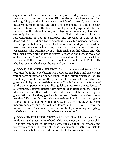capable of self-determination. In the present day many deny the personality of God and speak of Him as the unconscious cause of all existing things, as the all-pervasive principle of the world, or as the allinclusive purpose of the universe. The personality of God is clearly indicated, however, in the traces of intelligent and purposeful action in the world; in the rational, moral, and religious nature of man, all of which can only be the product of a personal God; and above all in the representations of God in Scripture. The presence of God, as it is described in the Old and New Testament, is clearly a personal presence. He is represented as a personal God, who comes and goes, with whom men can converse, whom they can trust, who enters into their experiences, who sustains them in their trials and difficulties, and who fills their hearts with the joy of victory. Moreover, the highest revelation of God in the New Testament is a personal revelation. Jesus Christ reveals the Father in such a perfect way that He could say to Philip: "He who hath seen me hath seen the Father," John 14:9.

3. GOD IS INFINITELY PERFECT. God is distinguished from all His creatures by infinite perfection. He possesses His being and His virtues without any limitation or imperfection. As the infinitely perfect God, He is not only boundless or limitless, but is exalted above all His creatures in grand sublimity and in ineffable majesty. This infinity is characteristic of all the divine perfections, and distinguishes these from the attributes of all creatures, however exalted they may be. It is extolled in the song of Moses at the Red Sea: "Who is like unto thee, O Jehovah, among the gods? Who is like thee, glorious in holiness, fearful in praises, doing wonders," Ex. 15:11. Further references to it are found in such passages as 1 Kings 8:27; Ps. 96:4–6; 97:9; 99:2, 3, 147:5; Isa. 57:15; Jer. 23:24. Some modern scholars, such as William James and H. G. Wells, deny the infinity of God. They conceive of God as "finite, developing, struggling, suffering, sharing with man his defeats and victories."

4. GOD AND HIS PERFECTIONS ARE ONE. Simplicity is one of the fundamental characteristics of God. This means not only that, as a spirit, He is not composed of different parts, but also that His essence and properties are one. The being of God is not something existing by itself, to which His attributes are added; the whole of His essence is in each one of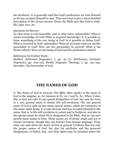the attributes. It is generally said that God's perfections are God Himself as He has revealed Himself to man. They serve but to give a more detailed description of His divine essence. Hence the Bible says that God is truth, life, light, love, etc.

Questions for Review:

In what sense is God knowable, and in what sense unknowable? What is innate knowledge of God? What is acquired knowledge? Is it possible to know something of the very being of God? Is it possible to define God? What is involved in God's spirituality? What do we mean when we ascribe personality to God? How can His personality be proved? What is the divine infinity? How are the being of God and His perfections related?

References for Further Study:

Berkhof, Reformed Dogmatics, I, pp. 22–27; McPherson, Christian Dogmatics, pp. 104–123; Shedd, Dogmatic Theology, I, pp. 151–194; Snowden, The Personality of God.

# **THE NAMES OF GOD**

<span id="page-33-0"></span>A. The Name of God in General. The Bible often speaks of the name of God in the singular, as, for instance in Ex. 20:7 and Ps. 8:1. When it does this, it does not refer to any special designation of God, but uses the term in a very general sense to denote His self-revelation. The one general name of God is split up into many special names, which are expressive of His many-sided being. It is only because God has revealed Himself in His name, that is, in His self-revelation in nature and in Scripture, and also in the special names by which He is designated in the Bible, that we can now ascribe these names to Him. These names are of divine origin and not of human invention, though they are derived from human language. From what was said about the name of God in general it follows that not only the proper names of God, but also his attributes and the personal designations of Father, Son, and Holy Spirit may be included under the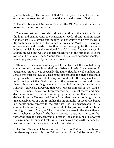general heading, "The Names of God." In the present chapter we limit ourselves, however, to a discussion of the personal names of God.

B. The Old Testament Names of God. Of the Old Testament names the following are the most important:

1. There are certain names which direct attention to the fact that God is the high and exalted One, the transcendent God. 'El and 'Elohim stress the fact that He is strong and mighty, and therefore to be feared, while 'Elyon directs attention to His exalted nature as the Most High, the object of reverence and worship. Another name belonging to this class is 'Adonai, which is usually rendered "Lord." It was frequently used in addressing God and was an explicit recognition of the fact that He is the owner and ruler of all men. Among Israel, the ancient covenant people, it was largely supplanted by the name Jehovah.

2. There are other names which point to the fact that this exalted being condescended to enter into relations of friendship with His creatures. In patriarchal times it was especially the name Shaddai or El-Shaddai that served this purpose, Ex. 6:3. This name also stresses the divine greatness, but primarily as a source of blessing and comfort for the people of God. It indicates the fact that God controls all the powers of nature and makes them subservient to his gracious purposes. It is especially in the name Jehovah (Yahweh), however, that God reveals Himself as the God of grace. This name has always been regarded as His most sacred and most distinctive name. On the basis of Ex. 3:14 it may be said that the name is derived from the Hebrew verb "to be," and that it serves to designate the unchangeableness of God. It implies the immutability of the divine being, but points more directly to the fact that God is unchangeable in His covenant relationship, that He is mindful of His promises and faithful in keeping His word, Mal. 3:6. The name often appears in the strengthened form "Jehovah of hosts." The hosts referred to are nor the stars, but rather the angelic hosts. Jehovah of hosts is God as the King of glory, who is surrounded by angelic hosts, who rules heaven and earth in behalf of his people, and receives glory from all His creatures.

C. The New Testament Names of God. The New Testament simply uses the Greek equivalents for the Hebrew names of the Old Testament. The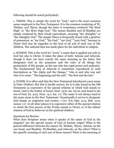following should be noted particularly:

1. THEOS. This is simply the word for "God," and is the most common name employed in the New Testament. It is the common rendering of 'El, 'Elohim, and 'Elyon, though the latter is sometimes rendered "the Most High" or "the Most High God." The names Shaddai and El-Shaddai are simply rendered by their Greek equivalents, meaning "the Almighty" or "the Almighty God." The simple Theos is frequently found with a genitive of possession, as "my God," "thy God," "our God," "your God," because in Christ God may be regarded as the God of all and of each one of His children. The national idea has made place for the individual in religion.

2. KURIOS. This is the word for "Lord," a name that is applied not only to God but also to Christ. It takes the place of both 'Adonai and Jehovah, though it does not have exactly the same meaning as the latter, but designates God as the possessor and the ruler of all things but particularly of His people, as the one who has regal power and authority. The fundamental idea of Jehovah is sometimes reproduced in such descriptions as "the Alpha and the Omega," "who is and who was and who is to come," "the beginning and the end," "the first and the last."

3. PATER. It is often said that the New Testament introduced a new name in Pater (Father). But this is hardly correct, for it is also found in the Old Testament as expressive of the special relation in which God stands to Israel. God is the Father of Israel, Deut. 32:6, Isa. 63:16, and Israel is the son of God, Ex. 4:22, Deut. 14:1; Isa. 1:2. The name is not always used in the same sense in the New Testament. Occasionally it serves to designate God simply as originator and creator, 1 Cor. 8:6; Eph. 3:14; Heb. 12:9; James 1:17. In all other places it is expressive either of the special relation in which the first person of the Trinity stands to Christ, or of the ethical relation of God to believers as his spiritual children.

Questions for Review:

What does Scripture mean when it speaks of the name of God in the singular? Are the special names of God of human origin? What is the general difference between the names 'El, 'Elohim, 'Elyon, 'Adonai, on the one hand, and Shaddai, 'El-Shaddai, and Jehovah, on the other? What is the specific meaning of each one of these names? What is the meaning of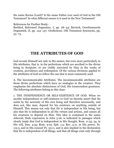the name Kurios (Lord)? Is the name Father ever used of God in the Old Testament? In what different senses is it used in the New Testament?

References for Further Study:

Berkhof, Reformed Dogmatics, I, pp. 28–34; Bavinck, Gereformeerde Dogmatiek, II, pp. 124–137; Girdlestone, Old Testament Synonyms, pp. 32–73.

## **THE ATTRIBUTES OF GOD**

God reveals Himself not only in His names, but even more particularly in His attributes, that is, in the perfections which are ascribed to the divine being in Scripture, or are visibly exercised by Him in the works of creation, providence and redemption. Of the various divisions applied to the attributes of God we follow the one that is most commonly used.

A. The Incommunicable Attributes. The incommunicable attributes are those divine perfections which have no analogies in the creature. They emphasize the absolute distinctness of God, His transcendent greatness. The following attributes belong to this class:

1. THE INDEPENDENCE OR SELF-EXISTENCE OF GOD. When we ascribe independence or self-existence to God we thereby assert that He exists by the necessity of His own being and therefore necessarily, and does not, like man, depend for his existence on anything outside of Himself. This means not only that He is independent in His being, but also that He is independent in all His virtues and actions, and causes all his creatures to depend on Him. This idea is contained in the name Jehovah, finds expression in John 5:26, is indicated in passages which clearly imply that God is independent in His thought, Rom. 11:33, 34, in His will, Dan. 4:35; Rom. 9:19; Eph. 1:5; Rev. 4:11, in His power, Ps. 115:3, and in His counsel Ps. 33:11, and is also implied in the declaration that He is independent of all things, and that all things exist only through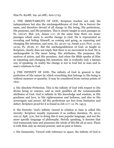Him Ps. 84:8ff.; Isa. 40:18ff.; Acts 17:25.

2. THE IMMUTABILITY OF GOD. Scripture teaches not only the independence but also the unchangeableness of God. He is forever the same, and therefore devoid of all change in His being, His perfections, His purposes, and His promises. This is clearly taught in such passages as Ps. 102:27; Mal. 3:6; James 1:17. At the same time there are many passages which seem to ascribe change to God. He is represented as revealing and hiding Himself, as coming and going, as repenting and changing His intention, and soon, Ex. 32:10–15; Jonah 3:10; Prov. 11:20; 12:22; Ps. 18:26, 27. But the unchangeableness of God, as taught in Scripture, clearly does not imply that there is no movement in God. He is unchangeable in His inner being, His attributes, His purposes, His motives of action, and His promises. And when the Bible speaks of Him as repenting and changing His intention, this is evidently only a human way of speaking. In reality the change is not in God but in man and in man's relations to God.

3. THE INFINITY OF GOD. The infinity of God in general is that perfection of His nature by which everything that belongs to His being is without measure or quantity. It may be considered from various points of view:

a. His Absolute Perfection. This is the infinity of God with respect to His divine being or essence, and as such qualifies all the communicable attributes of God. God is infinite in His knowledge and wisdom, in His goodness and love, in His righteousness and holiness, and also in His sovereignty and power. All His perfections are free from limitation and defect. Scripture proof for it is found in Job 11:7–11; Ps. 145:3.

b. His Eternity. God's infinity viewed in relation to time is called His eternity. Scripture usually represents it as endless duration, Ps. 90:2; 102:12; Eph. 3:21, but in doing this it uses popular language, and not the more specific language of philosophy. Strictly speaking, it denotes that God transcends time and possesses the whole of His life all at once. There is with Him only an eternal present, and no past or future.

c. His Immensity. Viewed with reference to space, the infinity of God is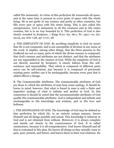called His immensity. In virtue of this perfection He transcends all space, and at the same time is present in every point of space with His whole being. He is not partly in our country and partly in other countries, but fills every part of space with His entire being. This is also called His omnipresence. God is immanent in all His creatures and in His entire creation, but is in no way bounded by it. This perfection of God is also clearly revealed in Scripture, 1 Kings 8:27; Isa. 66:1; Ps. 139:7–10; Jer. 23:23, 24; Acts 7:48, 49; 17:27, 28.

4. THE SIMPLICITY OF GOD. By ascribing simplicity to God we assert that He is not composite, and is not susceptible of division in any sense of the word. It implies, among other things, that the three persons in the Godhead are not so many parts of which the divine essence is composed, that God's essence and attributes are not distinct, and that the attributes are not superadded to the essence of God. While the simplicity of God is not directly asserted by Scripture, it clearly follows from His selfexistence and immutability. That which is composed of different parts never can be self-existent, just because it is composed of previously existing parts; neither can it be unchangeable, because every part that is added effects a change.

B. The Communicable Attributes. The communicable attributes of God are those to which the attributes of man bear some analogy. It should be borne in mind, however, that what is found in man is only a finite and imperfect analogy of what is infinite and perfect in God. In this connection it should be noted that the incommunicable attributes of God qualify His communicable attributes. God is independent and infinite and unchangeable in His knowledge and wisdom, and in His love and holiness.

1. THE KNOWLEDGE OF GOD. The knowledge of God may be defined as that perfection by which He, in an entirely unique manner, knows Himself and all things possible and actual. This knowledge is inherent in God and is not obtained from without. Moreover, it is always complete and stands out clearly in the consciousness of God. It is called omniscience, because it is all-comprehensive. God knows Himself and all that is contained in His plan. He knows all things as they actually come to pass, past, present, and future, and knows them in their real relations. He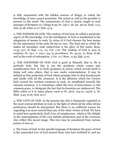is fully acquainted with the hidden essence of things, to which the knowledge of man cannot penetrate. The actual as well as the possible is present to His mind. The omniscience of God is clearly taught in such passages of Scripture as 1 Kings 8:39; Ps. 139:1–16; Isa. 46:10; Ezek. 11:5; Acts 15:18; John 21:17; Heb. 4:13.

2. THE WISDOM OF GOD. The wisdom of God may be called a particular aspect of His knowledge. It is the intelligence of God as manifested in the adaptation of means to ends. In virtue of it God chooses the best means for the attainment of the ends He has in view. The final end to which He makes all secondary ends subservient is the glory of His name, Rom. 11:33 14:7, 8; Eph. 1:11, 12; Col. 1:16. The wisdom of God is seen in creation, Ps. 19:1–7; 104:1–34; in providence, Ps. 33:10, 11; Rom. 8:28, and in the work of redemption, 1 Cor. 2:7; Rom. 11:33; Eph. 3:10.

3. THE GOODNESS OF GOD. God is good in Himself; that is, He is perfectly holy; but this is not the goodness which comes into consideration here. It is God's goodness in action, which reveals itself in doing well unto others, that is now under contemplation. It may be defined as that perfection of God which prompts Him to deal bounteously and kindly with all His creatures. It is the affection which the Creator feels toward the sentient creatures as such. As manifested towards His rational creatures, it is sometimes called His love of benevolence or His common grace, to designate the fact that its bounties are undeserved. The Bible refers to it in many places, such as Ps. 36:6; 104:21; 145:8, 9, 16; Matt. 5:45; 6:26; Acts 14:17.

4. THE LOVE OF GOD. In the present day this is frequently regarded as the most central attribute in God, in the light of which all the other divine perfections should be interpreted. But there is no sufficient reason for regarding it as more central than any of the other virtues of God. We have in mind here particularly God's love of complacency, which is His delight in the contemplation of His own infinite perfections and of the creatures who reflect His moral image. This love may be considered from various points of view as:

a. The Grace of God. In the specific language of Scripture the grace of God is the unmerited love of God toward those who have forfeited it, and are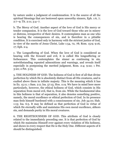by nature under a judgment of condemnation. It is the source of all the spiritual blessings that are bestowed upon unworthy sinners, Eph. 1:6, 7; 2:7–9; Tit. 2:11; 3:4–7.

b. The Mercy of God. Another aspect of the love of God is His mercy or tender compassion. It is the love of God toward those who are in misery or distress, irrespective of their desires. It contemplates man as one who is bearing the consequences of sin, and is therefore in a pitiable condition. It is exercised only in harmony with the strictest justice of God, in view of the merits of Jesus Christ, Luke 1:54, 72, 78; Rom. 15:9; 9:16, 17; Eph. 2:4.

c. The Longsuffering of God. When the love of God is considered as bearing with the froward and evil, it is called His longsuffering or forbearance. This contemplates the sinner as continuing in sin, notwithstanding repeated admonitions and warnings, and reveals itself especially in postponing the merited judgment, Rom. 2:4; 9:22; 1 Pet. 3:20; 2 Pet. 3:15.

5. THE HOLINESS OF GOD. The holiness of God is first of all that divine perfection by which He is absolutely distinct from all His creatures, and is exalted above them in infinite majesty. This is the meaning which it has in Ex. 15:11; 1 Sam. 2:2; Isa. 57:15; Hos. 11:9. We have in mind here more particularly, however, the ethical holiness of God, which consists in His separation from moral evil, that is, from sin. While the fundamental idea in this holiness is that of separation, it also denotes something positive, namely, the moral excellence or ethical perfection of God. In its presence man feels himself burdened with a consciousness of sin. Job 34:10; Hab. 1:13; Isa. 6:5. It may be defined as that perfection of God in virtue of which He eternally wills and maintains His own moral excellence, abhors sin, and demands purity in His moral creatures.

6. THE RIGHTEOUSNESS OF GOD. This attribute of God is closely related to the immediately preceding one. It is that perfection of God by which He maintains Himself over against every violation of His holiness, and shows in every respect that He is the Holy One. Different aspects of it should be distinguished.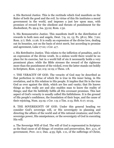a. His Rectoral Justice. This is the rectitude which God manifests as the Ruler of both the good and the evil. In virtue of this He institutes a moral government in the world, and imposes a just law upon man, with promises of reward for the obedient and threats of punishment for the disobedient, Ps. 99:4; Isa. 33:22; Rom. 1:32.

b. His Remunerative Justice. This manifests itself in the distribution of rewards to both men and angels, Deut. 7:9, 12, 13; Ps. 58:11; Mic. 7:20; Rom. 2:7; Heb. 11:26. It is really an expression of the divine love, dealing out its bounties, not on the basis of strict merit, but according to promise and agreement, Luke 17:10; 1 Cor. 4:7.

c. His Retributive Justice. This relates to the infliction of penalties, and is an expression of the divine wrath. In a sinless world there would be no place for its exercise, but in a world full of sin it necessarily holds a very prominent place. while the Bible stresses the reward of the righteous more than the punishment of the wicked, even the latter stands out boldly in Scripture, Rom. 1:32; 2:9; 12:19; 2 Thess. 1:8.

7. THE VERACITY OF GOD. The veracity of God may be described as that perfection in virtue of which He is true in His inner being, in His revelation, and in His relation to His people. It implies that He is the true God as over against the idols, which are lies and vanity; that He knows things as they really are and also enables man to know the reality of things; and that He faithfully fulfils all His covenant promises. This last aspect of God's veracity is usually called His faithfulness. It is the ground of His people's confidence, the foundation of their hope, and the cause of their rejoicing, Num. 23:19; 1 Cor. 1:9; 2 Tim. 2:13; Heb. 6:17; 10:23.

8. THE SOVEREIGNTY OF GOD. Under this general heading we consider God's sovereign will, or His sovereignty in planning and directing the affairs of the world and of His rational creatures; and God's sovereign power, His omnipotence, or the sovereignty of God in executing His will.

a. The Sovereign Will of God. The will of God is represented in Scripture as the final cause of all things: of creation and preservation, Rev. 4:11, of government, Prov. 21:1; Dan. 4:35; Eph. 1:11, of the sufferings of Christ,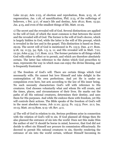Luke 22:42; Acts 2:23, of election and reprobation, Rom. 9:15, 16, of regeneration, Jas. 1:18, of sanctification, Phil. 2:13, of the sufferings of believers, 1 Pet. 3:17, of man's life and destiny, Acts 18:21; Rom. 15:32; Jas. 4:15, and even of the smallest things of life, Matt. 10:29.

1) The secret and the revealed will of God. Several distinctions are applied to the will of God, of which the most common is that between the secret and the revealed will of God. The former is the will of God's decree, which is largely hidden in God, while the latter is the will of His precept, which is revealed in the law and in the gospel. This distinction is based on Deut. 29:29. The secret will of God is mentioned in Ps. 115:3; Dan. 4:17; Rom. 9:18, 19; 11:33, 34; Eph. 1:5, 9, 11; and His revealed will in Matt. 7:21; 12:50; John 4:34; 7:17; Rom. 12:2. The former pertains to all things which God wills either to effect or to permit, and which are therefore absolutely certain. The latter has reference to the duties which God prescribes to man, represents the way in which man can enjoy the divine blessing, and is frequently frustrated.

2) The freedom of God's will. There are certain things which God necessarily wills. He cannot but love Himself and take delight in the contemplation of His own perfections. And yet He is under no compulsion even here, but acts according to the law of His inner being. No such necessity characterizes God's will with reference to His creatures. God chooses voluntarily what and whom He will create, and the times, places, and circumstances of their lives. He marks out the paths of all His rational creatures, determines their destiny, and uses them for His purposes. And while He endows them with freedom, yet His will controls their actions. The Bible speaks of the freedom of God's will in the most absolute terms, Job 11:10; 33:13; Ps. 115:3; Prov. 21:1; Isa. 10:15; Matt. 20:15 Rom. 9:15–18; Rev. 4:11.

3) The will of God in relation to sin. Serious problems arise in connection with the relation of God's will to sin. If God planned all things then He also planned the entrance of sin into the world. Does not this make Him the author of sin? It should be borne in mind, however, that God did not decide to effect sin Himself nor procure its commission efficaciously. He decreed to permit His rational creatures to sin, thereby rendering the entrance of sin into the world certain, without Himself becoming its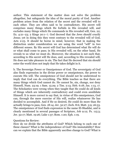author. This statement of the matter does not solve the problem altogether, but safeguards the idea of the moral purity of God. Another problem arises from the relation of the secret and the revealed will to each other. They are often said to be contradictory. His secret will comprises many things which He forbids in His revealed will, and excludes many things which He commands in His revealed will, Gen. 22; Ex.  $4:21-23$ ; 2 Kings  $20:1-7$ . God decreed that the Jews should crucify Jesus; yet in doing this they went contrary to the revealed will of God, Acts 2:23. It should be borne in mind, however, that in making the distinction under consideration we are using the word "will" in two different senses. By His secret will God has determined what He will do or what shall come to pass; in His revealed will, on the other hand, He reveals to us what we must do. Moreover, the situation is not such that, according to His secret will He does, and, according to His revealed will, He does not take pleasure in sin. The fact that He decreed that sin should enter the world does not imply that He takes delight in it.

b. The Sovereign Power or Omnipotence of God. The sovereignty of God also finds expression in the divine power or omnipotence, the power to execute His will. The omnipotence of God should not be understood to imply that God can do everything. The Bible teaches us that there are many things which God cannot do. He cannot lie, sin, change, nor deny Himself, Num. 23:19; 1 Sam. 15:29; 2 Tim. 2:13; Heb. 6:18; Jas. 1:13, 17. The Scholastics were wrong when they taught that He could do all kinds of things which are inherently contradictory and could even annihilate Himself. It is more correct to say that, in virtue of His omnipotence, God can, through the mere exercise of His will, realize whatsoever He has decided to accomplish. And if He so desired, He could do more than He actually brings to pass, Gen. 18:14; Jer. 32:27; Zech. 8:6; Matt. 3:9; 26:53. The omnipotence of God finds expression in the name El-Shaddai, and is clearly mentioned in several passages of Scripture, Job 9:12; Ps. 115:3; Jer. 32:17; Matt. 19:26; Luke 1:37; Rom. 1:20; Eph. 1:19.

#### Questions for Review:

How do we divide the attributes of God? Which belong to each one of these classes? What is the independence of God? His immutability? How can we explain that the Bible apparently ascribes change to God? What is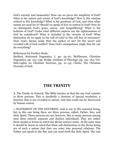God's eternity and immensity? How can we prove the simplicity of God? What is the nature and extent of God's knowledge? How is His wisdom related to His knowledge? What is the goodness of God, and what other names are used for it? Should we speak of love as central in God? How do we distinguish God's grace, mercy, and Iongsuffering? What is the holiness of God? Under what different aspects can the righteousness of God be considered? What is included in the veracity of God? What distinction do we apply to the will of God? Is His will free or necessary? Does God's decree make Him the author of sin? Do the secret and revealed will of God conflict? Does God's omnipotence imply that He can do everything?

References for Further Study:

Berkhof, Reformed Dogmatics, I, pp. 35–61; McPherson, Christian Dogmatics, pp. 123–139; Hodge, Outlines of Theology, pp. 135–163; Orr, Side-Lights on Christian Doctrine, pp. 21–34; Clarke, The Christian Doctrine of God.

# **THE TRINITY**

A. The Trinity in General. The Bible teaches us that the one God consists in three persons. This is decidedly a doctrine of special revelation, a doctrine that is not revealed in nature, and that could not be discovered by human reason.

1. STATEMENT OF THE DOCTRINE. God is one in His essential being, but in this one being there are three persons, called, Father, Son, and Holy Spirit. These persons are not, however, like so many persons among men three entirely separate and distinct individuals. They are rather three modes or forms in which the divine essence exists. At the same time it should be borne in mind that these self-distinctions in the divine being are of such a nature that they can enter into personal relations. The Father can speak to the Son and can send forth the Holy Spirit. The real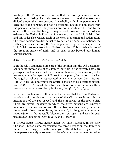mystery of the Trinity consists in this that the three persons are one in their essential being. And this does not mean that the divine essence is divided among the three persons. It is wholly, with all its perfections, in each one of the persons, and has no existence outside of and apart from the persons. Moreover, the persons are not subordinate the one to the other in their essential being. It may be said, however, that in order of existence the Father is first, the Son second, and the Holy Spirit third, and this order also reflects itself in the work of creation and redemption. The three persons are distinguished by certain personal distinctions: the Father generates the Son, the Son is generated by the Father, and the Holy Spirit proceeds from both Father and Son. This doctrine is one of the great mysteries of faith, and as such is far beyond our human comprehension.

### 2. SCRIPTURE PROOF FOR THE TRINITY.

a. In the Old Testament. Some are of the opinion that the Old Testament contains no indications of the Trinity, but this is not correct. There are passages which indicate that there is more than one person in God, as for instance, where God speaks of Himself in the plural, Gen. 1:26; 11:7, when the angel of Jehovah is represented as a divine person, Gen. 16:7–13; 18:1–21; 19:1–22, and where the Spirit is spoken of as a distinct person, Isa. 48:16; 63:10. In addition to these there are some in which three persons are more or less clearly indicated, Isa. 48:16; 61:1; 63:9, 10.

b. In the New Testament. It is perfectly natural that the New Testament proofs should be clearer than those of the Old, since it records the incarnation of the Son of God and the outpouring of the Holy Spirit. There are several passages in which the three persons are expressly mentioned, as in connection with the baptism of Jesus, Luke 3:21, 22, in the farewell discourses of Jesus, John 14–16, in the great commission, Matt. 28:19, in the apostolic blessing, 2 Cor. 13:13, and also in such passages as Luke 1:35; 1 Cor. 12:4–6, and 1 Peter 1:2.

3. ERRONEOUS REPRESENTATIONS OF THE TRINITY. In the early Christian Church some represented the three persons in the Trinity as three divine beings, virtually three gods. The Sabellians regarded the three persons merely as so many modes of divine action or manifestation,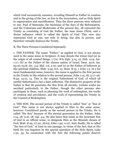which God successively assumes, revealing Himself as Father in creation and in the giving of the law, as Son in the incarnation, and as Holy Spirit in regeneration and sanctification. Thus the three persons were reduced to one. Paul of Samosata, the Socinians of the days of the Reformation, and the Unitarians and Modernists of the present day, all represent the Trinity as consisting of God the Father, the man Jesus Christ, and a divine influence which is called the Spirit of God. This view also represents God as one, not only in being, but also in person, and therefore virtually destroys the Trinity.

B. The Three Persons Considered Separately.

1. THE FATHER. The name "Father," as applied to God, is not always used in the same sense in Scripture. It may denote the triune God (a) as the origin of all created things, 1 Cor. 8:6; Eph. 3:14, 15; Heb. 12:9; Jas. 1:17; (b) as the Father of the chosen nation of Israel, Deut. 32:6; Isa. 63:16; 64:8; Jer. 3:4; Mal. 1:6; 2:10; and (c) as the Father of believers as His spiritual children, Matt. 5:45; 6:6–15; Rom. 8:15; 1 John 1:3. In a far more fundamental sense, however, the name is applied to the first person in the Trinity in His relation to the second person, John 1:14, 18; 5:17–26; 8:54; 14:12, 13. This is the original Fatherhood of God, of which all earthly fatherhood is but a faint reflection. The distinctive property of the Father is that He generates the Son from all eternity. Certain works are ascribed particularly to the Father, though the other persons also participate in them, such as planning the work of redemption, the works of creation and providence, and the work of representing the Trinity in the Counsel of Redemption.

2. THE SON. The second person of the Trinity is called "Son" or "Son of God." This name is not always applied to Him in the same sense, however. Considered purely as the second person in the Trinity, He is called "the Son" because of His eternal generation by the Father, John 1:14, 18; 3:16, 18; Gal. 4:4. He also bears that name as the incarnate Son of God in an official sense, to designate Him as the Messiah chosen of God, Matt. 8:29; 27:40; 26:63; John 1:49; 11:27. And, finally, He is called "the Son of God," at least in one passage, in virtue of the fact, that at His birth He was begotten by the special operation of the Holy Spirit, Luke 1:32, 35. In connection with the Son the following points deserve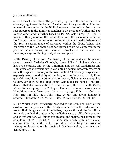particular attention:

a. His Eternal Generation. The personal property of the Son is that He is eternally begotten of the Father. The doctrine of the generation of the Son is naturally suggested by the Biblical representation of the first and the second person in the Trinity as standing in the relation of Father and Son to each other, and is further based on Ps. 2:7; Acts 13:33; Heb. 1:5. By means of this generation the Father does not call the essential nature of the Son into being, but becomes the cause of the personal subsistence of the Son—a second mode of existence—within the divine being. This generation of the Son should not be regarded as an act completed in the past, but as a necessary and therefore eternal act of the Father. It is timeless, always continuing, and yet ever completed.

b. The Divinity of the Son. The divinity of the Son is denied by several sects in the early Christian Church, by a host of liberal scholars during the last two centuries, and by the Unitarians and the real Modernists and Humanists of the present day. It can only be denied, however, by setting aside the explicit testimony of the Word of God. There are passages which expressly assert the divinity of the Son, such as John 1:1; 20:28; Rom. 9:5; Phil. 2:6; Tit. 2:13; 1 John 5:20. Moreover, divine names are applied to Him, Jer. 23:5, 6; Joel 2:32 (comp. Acts 2:21); Isa. 9:6; 1 Tim. 3:16; divine attributes are ascribed to Him, Isa. 9:6; Rev. 1:8; Matt. 18:20; 28:20; John 2:24, 25; 21:17; Phil. 3:21; Rev. 1:8; divine works are done by Him, Matt. 9:2–7; Luke 10:22; John 1:3, 10; 3:35; Eph. 1:22; Col. 1:17; Heb. 1:10–12; Phil. 3:21; John 5:22, 25–30; and divine honour is accorded Him, John 5:22, 23; 14:1; 1 Cor. 15:19; 2 Cor. 13:13; Heb. 1:6.

c. The Works More Particularly Ascribed to the Son. The order of the existence of the persons in the Trinity is reflected in the order of their works. If all things are out of the Father, they are through the Son. If the former is the final, the latter is the mediating cause of all both in creation and in redemption. All things are created and maintained through the Son, John 1:3, 10; Heb. 1:2, 3. He is the light which lighteth every man coming into the world, John 1:9. More particularly the work of redemption is carried out by the Son in His incarnation, sufferings, and death, Eph. 1:3–14.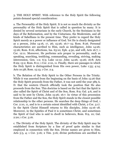3. THE HOLY SPIRIT. With reference to the Holy Spirit the following points demand special consideration:

a. The Personality of the Holy Spirit. It is not so much the divinity as the personality of the Holy Spirit that is called in question by many. It is denied by several sectarians in the early Church, by the Socinians in the days of the Reformation, and by the Unitarians, the Modernists, and all kinds of Sabellians in the present time. They prefer to regard the Holy Spirit merely as a power or influence of God. Yet He is clearly designated as a person, John 14:16, 17, 26; 15:26; 16:7–15; Rom. 8:26. Personal characteristics are ascribed to Him, such as intelligence, John 14:26; 15:26; Rom. 8:16, affections, Isa. 63:10; Eph. 4:30, and will, Acts 16:7; 1 Cor. 12:11. Moreover, He performs acts proper to personality, such as speaking, searching, testifying, commanding, revealing, striving, making intercession, Gen. 1:2; 6:3; Luke 12:12; John 14:26; 15:26; 16:8; Acts 8:29; 13:2; Rom. 8:11; 1 Cor. 2:10, 11. Finally, there are passages in which the Holy Spirit is distinguished from His own power, Luke 1:35; 4:14; Acts 10:38; Rom. 15:13; 1 Cor. 2:4.

b. The Relation of the Holy Spirit to the Other Persons in the Trinity. While it was asserted from the beginning on the basis of John 15:26 that the Holy Spirit proceeds from the Father, it was not until the year 589 A. D. that the western Church officially took the position that He also proceeds from the Son. This doctrine is based on the fact that the Spirit is also called the Spirit of Christ and of the Son, Rom. 8:9; Gal. 4:6, and is said to be sent by Christ, John 15:26; 16:7. In virtue of this procession from the Father and the Son, the Holy Spirit stands in the closest possible relationship to the other persons. He searches the deep things of God, 1 Cor. 2:10, 11, and is to a certain extent identified with Christ, 2 Cor. 3:17. In the Spirit Christ Himself returns to His disciples, John 15:16–18. Moreover, in the Epistles of Paul it is sometimes Christ, and sometimes the Spirit of God who is said to dwell in believers, Rom. 8:9, 10; Gal. 2:20; 1 Cor. 3:16.

c. The Divinity of the Holy Spirit. The divinity of the Holy Spirit may be established from Scripture by a line of proof quite similar to that employed in connection with the Son. Divine names are given to Him, Acts 5:3, 4; 1 Cor. 3:16; 2 Tim. 3:16; divine perfections are ascribed to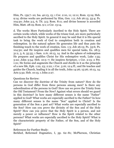Him, Ps. 139:7–10; Isa. 40:13, 15; 1 Cor. 2:10, 11; 12:11; Rom. 15:19; Heb. 9:14; divine works are performed by Him, Gen. 1:2; Job 26:13; 33:4; Ps. 104:30; John 3:5, 6; Tit. 3:5; Rom. 8:11; and divine honour is accorded Him, Matt. 28:19; Rom. 9:1; 2 Cor. 13:14.

d. The works More Particularly Ascribed to the Holy Spirit. There are certain works which, while works of the triune God, are more particularly ascribed to the Holy Spirit. In general it may be said that it is His special task to bring the work of God to completion both in creation and redemption. In the natural sphere He generates life and thus puts the finishing touch to the work of creation, Gen. 1:3; Job 26:13; Ps. 33:6; Ps. 104:30; and He inspires and qualifies men for special tasks, Ex. 28:3; 31:2, 3, 6; 35:35; 1 Sam. 11:6; 16:13, 14. And in the sphere of redemption He prepares and qualifies Christ for His redemptive work, Luke 1:35; 3:22; John 3:34; Heb. 10:5–7; He inspires Scripture, 1 Cor. 2:13; 2 Pet. 1:21; He forms and augments the Church and dwells in it as the principle of a new life, Eph. 1:22, 23; 2:22; 1 Cor. 3:16; 12:4 ff.; and He teaches and guides the Church, leading it in all the truth, John 14:26; 15:26; 16:13, 14; Acts 5:32; Heb. 10:15; 1 John 2:27.

### Questions for Review:

Can we discover the doctrine of the Trinity from nature? How do the persons in God differ from three persons among men? Is there any subordination of the persons in God? How can we prove the Trinity from the Old Testament? From the New? Against what errors should we guard in this doctrine? In how many different senses is the name "Father" applied to God? What works are especially ascribed to the Father? In how many different senses is the name "Son" applied to Christ? Is the generation of the Son a past act? What works are especially ascribed to the Son? How can you prove the divinity of the Son and of the Holy Spirit? How can you prove that the Holy Spirit is a person, and not merely a power or influence? How is the Spirit related to the other persons? What works are especially ascribed to the Holy Spirit? What is the characteristic property of the Father, of the Son, and of the Holy Spirit?

### References for Further Study:

Berkhof, Reformed Dogmatics, I, pp. 62–81; McPherson, Christian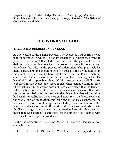Dogmatics, pp. 139–162; Hodge, Outlines of Theology, pp. 164–199; Orr, Side-Lights on Christian Doctrine, pp. 37–51; Steenstra, The Being of God as Unity and Trinity.

## **THE WORKS OF GOD**

### **THE DIVINE DECREES IN GENERAL**

A. The Nature of the Divine Decrees. The decree of God is His eternal plan or purpose, in which He has foreordained all things that come to pass. It is but natural that God, who controls all things, should have a definite plan according to which He works, not only in creation and providence, but also in the process of redemption. This plan includes many particulars, and therefore we often speak of the divine decrees in the plural, though in reality there is but a single decree. For the material contents of His decree God drew on the boundless knowledge which He has of all kinds of possible things. Of this great store of possibilities He embodied in His decree only those things which actually come to pass. Their inclusion in the decree does not necessarily mean that He Himself will actively bring them into existence, but means in some cases that, with the divine permission and according to the divine plan, they will certainly be brought to realization by His rational creatures. The decree covers all the works of God in creation and redemption, and also embraces the actions of His free moral beings, not excluding their sinful actions. But while the entrance of sin into the world and its various manifestations in the lives of angels and men were thus rendered certain, this does not mean that God decided to effectuate these Himself. God's decree with reference to sin is a permissive decree.

B. The Characteristics of the Divine Decree. The decree of God has several characteristics:

1. IT IS FOUNDED IN DIVINE WISDOM. This is implied in the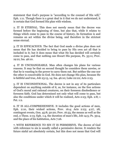statement that God's purpose is "according to the counsel of His will," Eph. 1:11. Though there is a great deal in it that we do not understand, it is certain that God formed His plan with wisdom.

2. IT IS ETERNAL. This does not merely mean that the decree was formed before the beginning of time, but also that, while it relates to things which come to pass in the course of history, its formation is and remains an act within the divine being, and therefore in the strictest sense eternal.

3. IT IS EFFICACIOUS. The fact that God made a divine plan does not mean that He has decided to bring to pass by His own act all that is included in it; but it does mean that what He has decided will certainly come to pass, and that nothing can thwart His purpose, Ps. 33:11; Prov. 19:21; Isa. 46:10.

4. IT IS UNCHANGEABLE. Man often changes his plans for various reasons. It may be that on second thought he considers them unwise, or that he is wanting in the power to carry them out. But neither the one nor the other is conceivable in God. He does not change His plan, because He is faithful and true, Job 23:13, 14; Isa. 46:10; Luke 22:22; Acts 2:23.

5. IT IS UNCONDITIONAL. The decree is not in any of its particulars dependent on anything outside of it, as, for instance, on the free actions of God's moral and rational creatures, on their foreseen disobedience or foreseen faith. God has determined not only what will come to pass, but also the conditions under which it will be realized, Acts 2:23; Eph. 2:8; 1 Pet. 1:2.

6. IT IS ALL-COMPREHENSIVE. It includes the good actions of men, Eph. 2:10, their wicked actions, Prov. 16:4; Acts 2:23; 4:27, 28, contingent events, Gen. 45:8; 50:20; Prov. 16:33, the means as well as the end, 2 Thess. 2:13; Eph. 1:4, the duration of man's life, Job 14:5; Ps. 39:4, and the place of his habitation, Acts 7:26.

7. WITH REFERENCE TO SIN IT IS PERMISSIVE. The decree of God with reference to sin is usually called a permissive decree. It renders the future sinful act absolutely certain, but this does not mean that God will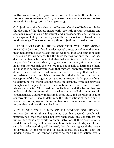by His own act bring it to pass. God decreed not to hinder the sinful act of the creature's self-determination, but nevertheless to regulate and control its result, Ps. 78:29; 106:15; Acts 14:16; 17:30.

C. Objections to the Doctrine of the Decrees. Outside of Reformed circles the doctrine of the decrees meets with very little favour. Pelagians and Socinians reject it as un-Scriptural and unreasonable, and Arminians either ignore it altogether, or represent the decree of God as based on His foreknowledge. There are especially three objections to the doctrine:

1. IT IS DECLARED TO BE INCONSISTENT WITH THE MORAL FREEDOM OF MAN. If God has decreed all the actions of man, then man must necessarily act as he acts and do what he does, and cannot be held responsible for his actions. But the Bible teaches not only that God has decreed the free acts of man, but also that man is none the less free and responsible for his acts, Gen. 50:19, 20; Acts 2:23; 4:27, 28; and it makes no attempt to reconcile the two. We may not be able to harmonize them, but that does not necessarily mean that they are inherently contradictory. Some conceive of the freedom of the will in a way that makes it inconsistent with the divine decree, but theirs is not the proper conception of the free agency of man. Moral freedom is the power of man to determine his moral actions freely in harmony with his previous thoughts and judgments, with his inclinations and desires, and even with his very character. This freedom has its laws, and the better they are understood the more certain it is what a man will do under certain circumstances. God fully understands these laws, and therefore it is quite conceivable that He should determine the future actions of man in such a way as not to impinge on the moral freedom of man, even if we do not fully understand how this can be done.

2. IT IS SAID TO ROB MEN OF ALL MOTIVES FOR SEEKING SALVATION. If all things happen as God has decreed, people will naturally feel that they need not give themselves any concern for the future, nor make any efforts to obtain salvation. If their destruction is predetermined, they will be lost in spite of their best efforts; and if their salvation is decreed, they will be saved, though they neglect all the means of salvation. In answer to this objection it may be said, (a) That the hidden decree of God cannot possibly be man's rule of action; this is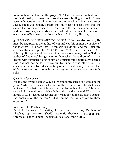found only in the law and the gospel. (b) That God has not only decreed the final destiny of man, but also the means leading up to it. It was absolutely certain that all who were in the vessel with Paul were to be saved, but it was equally certain that, in order to secure this end, the sailors had to remain aboard. (c) That, since the decree connects means and ends together, and ends are decreed only as the result of means, it encourages effort instead of discouraging it, Eph. 2:10; Phil. 2:13.

3. IT MAKES GOD THE AUTHOR OF SIN. If God has decreed sin, He must be regarded as the author of sin; and yet this cannot be in view of the fact that He is holy, that He himself forbids sin, and that Scripture stresses His moral purity, Ps. 92:15; Eccl. 7:29; Hab. 1:13; Jas. 1:13; 1 John 1:5. It may be said, however, that the decree merely makes God the author of free moral beings who are themselves the authors of sin. The decree with reference to sin is not an efficient but a permissive decree. God did not decree to produce sin by direct divine efficiency. This consideration, it is true, does not fully remove the difficulty. The problem of God's relation to sin remains a mystery for us, which we cannot fully solve.

### Questions for Review:

What is the divine decree? Why do we sometimes speak of decrees in the plural? Which are the characteristics of the divine decree? In what sense is it eternal? What does it imply that the decree is efficacious? In what sense is it unconditional? What is included in the decree? What is the nature of God's decree respecting sin? What objections are raised against the doctrine of the decrees? What can be said in answer to these objections?

### References for Further Study:

Berkhof, Reformed Dogmatics, I, pp. 82–92; Hodge, Outlines of Theology, pp. 200–213; Shedd, Dogmatic Theology, I, pp. 393–415; Girardeau, The Will in its Theological Relations, pp. 17–409.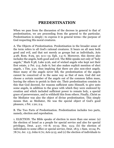## **PREDESTINATION**

When we pass from the discussion of the decrees in general to that of predestination, we are proceeding from the general to the particular. Predestination is simply—to express it in general terms—the purpose of God respecting His moral creatures.

A. The Objects of Predestination. Predestination in the broader sense of the term refers to all God's rational creatures. It bears on all men both good and evil, and that not merely as groups but as individuals, Acts 4:28; Rom. 8:29, 30; 9:11–13; Eph. 1:4–6. Moreover, this decree also includes the angels, both good and evil. The Bible speaks not only of "holy angels," Mark 8:38; Luke 9:26, and of wicked angels who kept not their first estate, 2 Pet. 2:4; Jude 6; but also makes explicit mention of elect angels, 1 Tim. 5:21, thus implying that there are also non-elect angels. Since many of the angels never fell, the predestination of the angels cannot be conceived of in the same way as that of men. God did not choose a certain number of the angels out of the common fallen mass, leaving the others to perish in their sin. Their predestination consists in this that God decreed, for reasons sufficient unto Himself, to give unto some angels, in addition to the grace with which they were endowed by creation and which included sufficient power to remain holy, a special grace of perseverance, and to withhold this from others. Finally, Christ as the Mediator was also the object of divine predestination. This simply means that, as Mediator, He was the special object of God's good pleasure, 1 Pet. 1:20; 2:4.

B. The Two Parts of Predestination. Predestination includes two parts, namely, election and reprobation.

1. ELECTION. The Bible speaks of election in more than one sense: (a) the election of Israel as a people for special service and also for special privileges, Deut. 4:37; 7:6–8; 10:15; Hos. 13:5; (b) the election of individuals to some office or special service, Deut. 18:5; 1 Sam. 10:24; Ps. 78:70; Jer. 1:5; John 6:70; Acts 9:15; and (c) the election of individuals to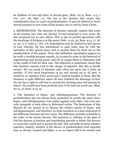be children of God and heirs of eternal glory, Matt. 22:14; Rom. 11:5; 1 Cor. 1:27, 28; Eph. 1:4. The last is the election that comes into consideration here as a part of predestination. It may be defined as God's eternal purpose to save some of the human race in and by Jesus Christ.

2. REPROBATION. The doctrine of election naturally implies that some of the human race were not elected. If God purposed to save some, He also purposed not to save others. This is also in perfect agreement with the teachings of Scripture on this point, Matt. 11:25, 26; Rom. 9:13, 17, 18, 21, 23; 11:7; Jude 4; 1 Pet. 2:8. Reprobation may be defined as that decree of God whereby He has determined to pass some men by with the operation of His special grace and to punish them for their sin to the manifestation of His justice. From this definition reprobation appears to be really a twofold purpose namely, (a) to pass by some in the bestowal of regenerating and saving grace; and (b) to assign them to dishonour and to the wrath of God for their sins. The objection is sometimes raised that this doctrine exposes God to the charge of injustice. But this is hardly correct. We can speak of injustice only when one party has a claim on another. If God owed forgiveness of sin and eternal me to all men, it would be an injustice if He saved only a limited number of them. But the situation is quite different where all have forfeited the blessings of God. No one has a right to call God to account for electing some and passing by others. He would have been perfectly just, if He had not saved any, Matt. 20:14, 15; Rom. 9:14, 15.

C. The Question of Supra- and Infralapsarianism. The doctrine of predestination has not always been presented in exactly the same form. Supra- and Infralapsarians were pitted against each other, and even now exist alongside of each other in Reformed circles. The limitations of this Manual do not permit us to discuss the relative merits of Supra- and Infralapsarianism, and therefore we limit ourselves to a bare statement of the difference between the two views. The difference pertains primarily to the order of the divine decrees. The question is, whether in the plan of God the decrees of election and reprobation precede or follow the decrees to create the world and to permit the fall. This naturally involves another question, namely, whether in the decree of predestination God regarded man as already created and fallen, or as an object still to be created and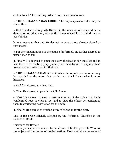certain to fall. The resulting order in both cases is as follows:

1. THE SUPRALAPSARIAN ORDER. The supralapsarian order may be stated thus:

a. God first decreed to glorify Himself in the salvation of some and in the damnation of other men, who at this stage existed in His mind only as possibilities.

b. As a means to that end, He decreed to create those already elected or reprobated.

c. For the consummation of the plan so far formed, He further decreed to permit man to fall.

d. Finally, He decreed to open up a way of salvation for the elect and to lead them to everlasting glory, passing the others by and consigning them to everlasting destruction for their sin.

2. THE INFRALAPSARIAN ORDER. While the supralapsarian order may be regarded as the more ideal of the two, the infralapsarian is more historical.

a. God first decreed to create man.

b. Then He decreed to permit the fall of man.

c. Next He decreed to elect a certain number of the fallen and justly condemned race to eternal life, and to pass the others by, consigning them to everlasting destruction for their sin.

d. Finally, He decreed to provide a way of salvation for the elect.

This is the order officially adopted by the Reformed Churches in the Canons of Dordt.

Questions for Review:

How is predestination related to the decree of God in general? Who are the objects of the decree of predestination? How should we conceive of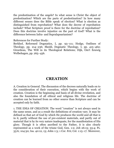the predestination of the angels? In what sense is Christ the object of predestination? Which are the parts of predestination? In how many different senses does the Bible speak of election? What is election as distinguished from reprobation? What does the decree of reprobation include? What Scripture proof is there for the doctrine of reprobation? Does this doctrine involve injustice on the part of God? What is the difference between Infra- and Supralapsarianism?

References for Further Study:

Berkhof, Reformed Dogmatics, I, pp. 93–111; Hodge, Outlines of Theology, pp. 214–236; Shedd, Dogmatic Theology, I, pp. 415–462; Girardeau, The Will in its Theological Relations; Dijk, Om't Eeuwig Welbehagen, pp. 265–456.

## **CREATION**

A. Creation in General. The discussion of the decrees naturally leads on to the consideration of their execution, which begins with the work of creation. Creation is the beginning and basis of all divine revelation, and also the foundation of all ethical and religious life. The doctrine of creation can be learned from no other source than Scripture and can be accepted only by faith.

1. THE IDEA OF CREATION. The word "creation" is not always used in the same sense, and as a result the definitions of creation vary. It may be defined as that act of God by which He produces the world and all that is in it, partly without the use of pre-existent materials, and partly out of material that is by its very nature inadequate, for the manifestation of His glory. Though it is often ascribed to the Father, it is also clearly represented as a work of the triune God, Gen. 1:2; Job 26:13; 33:4; Ps. 33:6; 104:30; Isa. 40:12, 13; John 1:3; 1 Cor. 8:6; Col. 1:15–17. Moreover,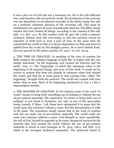it was a free act of God and not a necessary act. He is the self-sufficient One, and therefore did not need the world. His production of the universe was not dependent on an inherent necessity in the divine being, but only on a perfectly voluntary decision of His sovereign will. This must be maintained over against all sorts of pantheistic theories. The Bible clearly teaches that God created all things, according to the counsel of His will, Eph. 1:11; Rev. 4:11. By His creative work He gave the world a separate existence, distinct from His own being, so that the universe cannot be regarded as itself God or even a part of God. At the same time He constituted the world so that it is always dependent on Him and must be upheld from day to day by His almighty power. He is never distant from, but ever present in His entire creation, Ps. 139:7–10; Jer. 23:24.

2. THE TIME OF CREATION. In speaking of the time of creation the Bible employs the ordinary language of daily life. It begins with the very simple statement: "In the beginning God created the heavens and the earth," Gen. 1:1. The "beginning" to which this statement refers is the beginning of all temporal things, and even of time itself. It would not be correct to assume that time was already in existence when God created the world, and that He at some point in that existing time, called "the beginning," brought forth the universe. The world was created with time rather than in time. Back of the beginning mentioned in Gen 1:1 lies a beginningless eternity.

3. THE MANNER OF CREATION. In the strictest sense of the word "to create" means to bring forth something out of nothing or without the use of pre-existent materials. The expression "to create or bring forth out of nothing" is not found in Scripture, but only in one of the apocryphal books, namely, II Macc. 7:28. Some have interpreted it to mean that the world came into existence without a cause. But this interpretation is wide of the mark. The expression simply means that in the work of creation God did not make use of pre-existent materials. The world could not come into existence without a cause. God Himself or, more specifically, the will of God, should be regarded as its cause. Scriptural warrant for the doctrine that God created the world without the use of pre-existent materials is found in such passages as Ps. 33:9; 148:5, and Heb. 11:3, which is the strongest Scriptural expression. The statement found in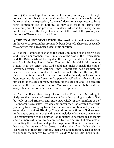Rom. 4:17 does not speak of the work of creation, but may yet be brought to bear on the subject under consideration. It should be borne in mind, however, that the expression, "to create" does not always mean to bring forth something out of nothing. It may also mean to bring forth something out of some pre-existent material which is by its very nature unfit. God created the body of Adam out of the dust of the ground, and the body of Eve out of a rib of Adam.

4. THE FINAL END OF CREATION. The question of the final end of God in the work of creation has frequently been debated. There are especially two answers that have been given to this question:

a. That the Happiness of Man is the Final End. Some of the early Greek and Roman philosophers, the Humanists of the days of the Reformation, and the Rationalists of the eighteenth century, found the final end of creation in the happiness of man. The best form in which this theory is stated, is to the effect that God could not make Himself the end of creation, because He is sufficient unto Himself and has absolutely no need of His creatures. And if He could not make Himself the end, then this can be found only in the creature, and ultimately in its supreme happiness. But it would seem to be perfectly self-evident that God does not exist for the sake of man, but man for the sake of God. The creature cannot be the final end of creation. Moreover, it can hardly be said that everything in creation ministers to human happiness.

b. That the Declarative Glory of God is the Final End. According to Scripture the true end of creation is not found in anything outside of God, but only in God Himself, and more particularly in the manifestation of His inherent excellency. This does not mean that God created the world primarily to receive glory from His creatures in adoration and praise, but especially to manifest His glory. The glorious perfections of God are seen in the entire creation. But this final end includes other subordinate ends. The manifestation of the glory of God in nature is not intended as empty show, a mere exhibition to be admired by the creature, but also aims at promoting their welfare and perfect happiness. It seeks to attune their hearts to the praises of the Creator, and to elicit from their souls the expressions of their gratefulness, their love, and adoration. This doctrine is abundantly supported by Scripture, Isa. 43:7; 60:21; 61:3; Ezek. 36:21,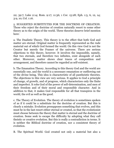22; 39:7; Luke 2:14; Rom. 9:17; 11:36; 1 Cor. 15:28; Eph. 1:5, 6, 12, 14; 3:9, 10; Col. 1:16.

5. SUGGESTED SUBSTITUTES FOR THE DOCTRINE OF CREATION. Those who reject the doctrine of creation naturally resort to some other theory as to the origin of the world. Three theories deserve brief mention here:

a. The Dualistic Theory. This theory is to the effect that both God and matter are eternal. Original matter is frequently represented as the rude material out of which God formed the world. On this view God is not the Creator but merely the Framer of the universe. There are serious objections to this theory, however. It involves the impossible, namely, that two eternals, and therefore two infinites, exist alongside of each other. Moreover, matter shows clear traces of composition and arrangement, and therefore cannot be regarded as self-existent.

b. The Emanation Theory. According to this theory God and the world are essentially one, and the world is a necessary emanation or outflowing out of the divine being. This idea is characteristic of all pantheistic theories. The objections to this view are very serious. It applies to God a principle of change, of growth, and of progress, which characterizes only the finite and imperfect. It robs God of the power of self-determination, and men of their freedom and of their moral and responsible character. And in addition to that, it makes God responsible for all that transpires in the world, the evil as well as the good.

c. The Theory of Evolution. The theory of evolution is sometimes spoken of as if it could be a substitute for the doctrine of creation. But this is clearly a mistake. Evolution presupposes something that evolves, and this must be in the last resort either eternal or created, so that the evolutionist must choose between the theory that matter is eternal and the doctrine of creation. Some seek to escape the difficulty by adopting what they call theistic or creative evolution. But this is really a contradiction in terms. It is neither the Biblical doctrine of creation, nor a consistent theory of evolution.

B. The Spiritual World. God created not only a material but also a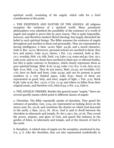spiritual world, consisting of the angels, which calls for a brief consideration at this point.

1. THE EXISTENCE AND NATURE OF THE ANGELS. All religions recognize the existence of a spiritual world. Many prominent philosophers even admitted the possibility of the existence of a world of angels and sought to prove this by pure reason. This is quite impossible, however, and therefore modern liberal theology has largely discarded the belief in such spiritual beings. The Bible assumes the existence of angels throughout and ascribes to them real personality. They are represented as having intelligence, 2 Sam. 14:20; Matt. 24:36, and a moral character, Jude 6; Rev. 14:10. Moreover, personal actions are ascribed to them: they love and rejoice, Luke 15:10, desire, 1 Pet. 1:12, contend, Jude 9; Rev. 12:7, worship, Heb. 1:6, talk, Zech. 1:9; Luke 1:13, come and go, Gen. 19:1; Luke 9:26, and so on. Some have ascribed to them airy or ethereal bodies, but this is quite contrary to Scripture, which clearly represents them as pure spiritual beings, Matt. 8:16; 12:45; Luke 7:21; 8:2; 11:26; Acts 19:12; Eph. 6:12; Heb. 1:14. They do not marry, Matt. 22:30, are invisible, Col. 1:16, have no flesh and bone, Luke 24:39, and can be present in great numbers in a very limited space, Luke 8:30. Some of them are represented as good, holy, and elect, angels of light, 1 Tim. 5:21; Mark 8:38; Luke 9:26; Rev. 14:10; 2 Cor. 11:14; and others as fallen from their original estate, and therefore evil, John 8:44; 2 Pet. 2:4; Jude 6.

2. THE ANGELIC ORDERS. Besides the general name "angels," there are several specific names which point to different classes of angels:

a. Cherubim. The Bible repeatedly speaks of cherubim. They guard the entrance of paradise, Gen. 3:24, are represented as looking down on the mercy-seat, Ex. 25:18, and constitute the chariot on which God descends to the earth, 2 Sam. 22:11; Ps. 18:10. God is said to dwell between the cherubim in tabernacle and temple, Ps. 80:1; 99:1; Isa. 37:16. They reveal the power, majesty, and glory of God, and guard His holiness in the garden of Eden, in tabernacle and temple, and at the descent of God to the earth.

b. Seraphim. A related class of angels are the seraphim, mentioned in Isa. 6:2, 3, 6. Like the cherubim, they are also represented symbolically in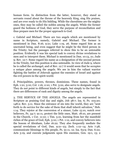human form. In distinction from the latter, however, they stand as servants round about the throne of the heavenly King, sing His praises, and are ever ready to do His bidding. While the cherubims are the mighty ones, they may be called the nobles among the angels. While the former guard the holiness of God, they serve the purpose of reconciliation and thus prepare men for the proper approach to God.

c. Gabriel and Michael. There are two angels which are mentioned by name in Scripture, namely, Gabriel and Michael. The former is mentioned in Dan. 8:16; 9:21; Luke 1:19, 26. Some regard him as an uncreated being, and even suggest that he might be the third person in the Trinity; but the passages referred to show this to be an untenable position. Evidently it was his special task to convey divine revelations to men and to interpret them. Michael is mentioned in Dan. 10:13, 21; Jude 9; Rev. 12:7. Some regard his name as a designation of the second person in the Trinity, but this position is also untenable. In view of Jude 9, where he is called the archangel, and of Rev. 12:7 it would seem that he occupies a unique place among the angels. We see in him the valiant warrior fighting the battles of Jehovah against the enemies of Israel and against the evil powers in the spirit-world.

d. Principalities, powers, thrones, dominions. These names, found in Eph. 1:21; 3:10; Col. 1:16; 2:10; 1 Pet. 3:22, also serve to designate angels. They do not point to different kinds of angels, but simply to the fact that there are differences of rank and dignity among the angels.

3. THE SERVICE OF THE ANGELS. The angels are represented in Scripture as praising God day and night, Job 38:7; Isa. 6; Ps. 103:20; 148:2; Rev. 5:11. Since the entrance of sin into the world, they are "sent forth to do service for the sake of them that shall inherit salvation," Heb. 1:14. They rejoice at the conversion of a sinner, Luke 15:10, watch over believers, Ps. 34:7; 91:11, protect the little ones, Matt. 18:10, are present in the Church, 1 Cor. 11:10; 1 Tim. 5:21, learning from her the manifold riches of the grace of God, Eph. 3:10; 1 Pet. 1:12, and convey believers into the bosom of Abraham, Luke 16:22. They also frequently mediate the special revelations of God, Dan. 9:21–23; Zech. 1:12–14; Acts 7:38, communicate blessings to His people, Ps. 91:11, 12; Isa. 63:9; Dan. 6:22; Acts 5:19, and execute judgments upon His enemies, Gen. 19:1, 13; 2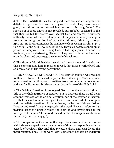Kings 19:35; Matt. 13:41.

4. THE EVIL ANGELS. Besides the good there are also evil angels, who delight in opposing God and destroying His work. They were created good, but did not retain their original position, 2 Pet. 2:4; Jude 6. The special sin of these angels is not revealed, but probably consisted in this that they exalted themselves over against God and aspired to supreme authority. Satan, who was evidently one of the princes among the angels, became the recognized head of those that fell away, Matt. 25:41; 9:34; Eph. 2:2. He is represented as the originator of sin, Gen. 3:1; John 8:44; 2 Cor. 11:3; 1 John 3:8; Rev. 12:9; 20:2, 10. They also possess superhuman power, but employ this in cursing God, in battling against Him and His Anointed, and in destroying His work. They seek to blind and mislead even the elect, and encourage the sinner in his evil way.

C. The Material World. Besides the spiritual there is a material world, and this is contemplated here in relation to God, that is, as a work of God and as a revelation of His divine perfections.

1. THE NARRATIVE OF CREATION. The story of creation was revealed to Moses or to one of the earlier patriarchs. If it was pre-Mosaic, it must have passed in tradition, oral or written, from one generation to another, and was finally penned by Moses under the guidance of the Holy Spirit.

a. The Original Creation. Some regard Gen. 1:1 as the superscription or title of the whole narrative of creation. But in that case there would be no account whatever of the original creation, nor of the creation of heaven. For that reason it is better to regard Gen. 1:1 as the record of the original and immediate creation of the universe, called in Hebrew fashion "heaven and earth." In this expression the word "heaven" refers to that invisible order of things in which the glory of God reveals itself in the most perfect manner. The second verse describes the original condition of the earth (comp. Ps. 104:5, 6).

b. The Completion of Creation in Six Days. Some assume that the days of which Genesis 1 speaks were long periods of time, corresponding with the periods of Geology. They find that Scripture allows and even favors this interpretation, since (1) the word "day" sometimes denotes an indefinite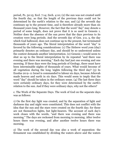period, Ps. 50:15; Eccl. 7:14; Zech. 4:10; (2) the sun was not created until the fourth day, so that the length of the previous days could not be determined by the earth's relation to the sun; and (3) the seventh day continues up to the present time, and is therefore already more than six thousand years long. However, the fact that the word "day" may denote a period of some length, does not prove that it is so used in Genesis 1. Neither does the absence of the sun prove that the days previous to its creation were long periods. And the seventh day of Gen. 2:2, 3, the day which God hallowed, does not continue up to the present, but terminated thousands of years ago. The literal interpretation of the word "day" is favored by the following considerations: (1) The Hebrew word yom (day) primarily denotes an ordinary day, and should be so understood unless the context demands another interpretation. (2) Genesis 1 would seem to shut us up to the literal interpretation by its repeated "and there was evening and there was morning." Each day had just one evening and one morning. If these days were the long periods of Geology, there must have been interminable nights of thousands of years. What would become of all vegetation during the long 'nights following the third day? (3) In Exodus 20:9–11 Israel is commanded to labour six days, because Jehovah made heaven and earth in six days. This would seem to imply that the word "day" should be taken in the ordinary sense. (4) The last three days were certainly ordinary days, for they were determined by the earth's relation to the sun. And if they were ordinary days, why not the others?

c. The Work of the Separate Days. The work of God on the separate days was as follows:

1) On the first day light was created, and by the separation of light and darkness day and night were constituted. This does not conflict with the idea that the sun and the stars were created on the fourth day; for these are not themselves lights, but light-bearers. The account of each day's work closes with the words, "and there was evening and there was morning." The days are reckoned from morning to morning. After twelve hours there was evening, and after another twelve hours there was morning.

2) The work of the second day was also a work of separation: the firmament was established by dividing the waters above and the waters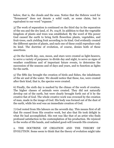below, that is, the clouds and the seas. Notice that the Hebrew word for "firmament" does not denote a solid vault, as some claim, but is equivalent to our word "expanse."

3) The work of separation is continued on the third day in the separation of the sea and the dry land, cf. Ps. 104:8. In addition to that the vegetable kingdom of plants and trees was established. By the word of His power God caused the earth to bring forth flowerless plants, vegetables, and fruit-trees, each yielding fruit according to its kind. God evidently created the different species of plants, and each one of these could reproduce only its kind. The doctrine of evolution, of course, denies both of these assertions.

4) On the fourth day, sun, moon, and stars were created as light-bearers, to serve a variety of purposes: to divide day and night, to serve as signs of weather conditions and of important future events, to determine the succession of the seasons and of days and years, and to function as lights for the earth.

5) The fifth day brought the creation of birds and fishes, the inhabitants of the air and of the water. We should notice that these, too, were created after their kind, that is, the species were created.

6) Finally, the sixth day is marked by the climax of the work of creation. The higher classes of animals were created. They did not naturally develop out of the earth, but were clearly brought forth out of it by the creative fiat of God. The whole creative work was crowned by the creation of man, made in the image of God. His body was formed out of the dust of the earth, while his soul was an immediate creation of God.

7) God rested from His labours on the seventh day. This means first of all that He ceased from His creative work, but also that He took delight in what He had accomplished. His rest was like that of an artist who finds profound satisfaction in the contemplation of his production. He rejoiced in the works of His hands, and radiated good-will towards His creatures.

2. THE DOCTRINE OF CREATION AND THE THEORY OF EVOLUTION. Some seem to think that the theory of evolution might take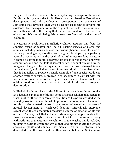the place of the doctrine of creation in explaining the origin of the world. But this is clearly a mistake, for it offers no such explanation. Evolution is development, and all development presupposes the existence of something that develops. That which does not exist cannot develop into existence. For the explanation of the origin of the world, the evolutionist must either resort to the theory that matter is eternal, or to the doctrine of creation. We should distinguish between two forms of the doctrine of evolution:

a. Naturalistic Evolution. Naturalistic evolution assumes that from the simplest forms of matter and life all existing species of plants and animals (including man), and also the various phenomena of life, such as sentiency, intelligence, morality, and religion, developed by a perfectly natural process, purely as the result of natural forces resident in nature. It should be borne in mind, however, that this is as yet only an unproved assumption, and one that fails at several points. It cannot explain how the inorganic changed into the organic, nor how the brute changed into a rational, moral, and religious being. Some evolutionists themselves admit that it has failed to produce a single example of one species producing another distinct species. Moreover, it is absolutely in conflict with the narrative of creation as to the origin of species and of man, as to the original condition of man, and as to his fall in sin and consequent deterioration.

b. Theistic Evolution. Due to the failure of naturalistic evolution to give an adequate explanation of things, some Christian scholars take refuge in what is called "theistic" or "creative evolution." This postulates God as the almighty Worker back of the whole process of development. It amounts to this that God created the world by a process of evolution, a process of natural development, in which God does not miraculously intervene, except when this is absolutely necessary, as in the origination of life and of man. The very fact that it has a certain religious appeal makes this theory a dangerous hybrid. As a matter of fact it is no more in harmony with Scripture than naturalistic evolution. It, too, teaches that it took God millions of years to create the world, that God did not create the various species of plants and animals, that man at least on his physical side descended from the brute, and that there was no fall in the Biblical sense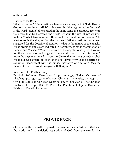#### of the word.

#### Questions for Review:

What is creation? Was creation a free or a necessary act of God? How is God related to the world? What is meant by "the beginning" in Gen. 1:1? Is the word "create" always used in the same sense in Scripture? How can we prove that God created the world without the use of pre-existent material? What two views are there as to the final end of creation? In what sense is the glory of God the final end? What substitutes have been suggested for the doctrine of creation? What is the nature of the angels? What orders of angels are indicated in Scripture? What is the function of Gabriel and Michael? What is the work of the angels? What proof have we for the existence of evil angels? How should Gen. 1:1 be interpreted? Were the days mentioned in Gen. 1 ordinary days or long periods? Why? What did God create on each of the six days? Why is the doctrine of evolution inconsistent with the Biblical narrative of creation? Does the theory of creative evolution agree with Scripture?

#### References for Further Study:

Berkhof, Reformed Dogmatics, I, pp. 113–151; Hodge, Outlines of Theology, pp. 237–257; McPherson, Christian Dogmatics, pp. 163–174; Orr, Side-Lights on Christian Doctrine, pp. 55–66; Clarke, The Christian Doctrine of God, pp. 135–153; Price, The Phantom of Organic Evolution; Fairhurst, Theistic Evolution.

### **PROVIDENCE**

Christian faith is equally opposed to a pantheistic confusion of God and the world, and to a deistic separation of God from the world. This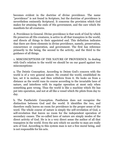becomes evident in the doctrine of divine providence. The name "providence" is not found in Scripture, but the doctrine of providence is nevertheless eminently Scriptural. It concerns the provision which God makes for attaining the ends of His government, and the care which He manifests for all creatures.

A. Providence in General. Divine providence is that work of God by which He preserves all His creatures, is active in all that transpires in the world, and directs all things to their appointed end. This definition indicates that there are three elements in divine providence, namely, preservation, concurrence or cooperation, and government. The first has reference primarily to the being, the second to the activity, and the third to the guidance of all things.

1. MISCONCEPTIONS OF THE NATURE OF PROVIDENCE. In dealing with God's relation to the world we should be on our guard against two misconceptions:

a. The Deistic Conception. According to Deism God's concern with the world is of a very general nature. He created the world, established its law, set it in motion, and then withdrew from it. He looks on from a distance as the world runs its course according to the invariable laws of nature, and interferes with its regular operation at most only when something goes wrong. Thus the world is like a machine which He has put into operation, and not at all like a vessel which He pilots from day to day.

b. The Pantheistic Conception. Pantheism does not recognize the distinction between God and the world. It identifies the two, and therefore really leaves no room for providence in the proper sense of the word. The whole course of nature is simply the self-revelation of God, a self-revelation that leaves no room for the independent operation of secondary causes. The so-called laws of nature are simply modes of the direct activity of God. He is in a very direct sense the author of all that transpires in the world. Even the acts which we ascribe to man are really acts of God. According to this system man is not a free moral being, and is not responsible for his acts.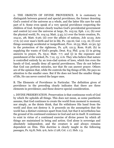2. THE OBJECTS OF DIVINE PROVIDENCE. It is customary to distinguish between general and special providence, the former denoting God's control of the universe as a whole, and the latter His care for each part of it. Some even speak of a very special providence respecting the children of God. Scripture clearly teaches God's providential government and control (a) over the universe at large, Ps. 103:19; Eph. 1:11; (b) over the physical world, Ps. 104:14; Matt. 5:45; (c) over the brute creation, Ps. 104:21, 28; Matt. 6:26; (d) over the affairs of nations, Job 12:23; Acts 17:6; (e) over man's birth and lot in life, Ps. 139:16; Gal. 1:15, 16; (f) over things seemingly accidental or insignificant, Prov. 16:33; Matt. 10:30; (g) in the protection of the righteous, Ps. 4:8; 121:3; Rom. 8:28; (h) in supplying the wants of God's people, Deut. 8:3; Phil. 4:19; (i) in giving answers to prayer, Ps. 65:2; Matt. 7:7; and (j) in the exposure and punishment of the wicked, Ps. 7:12, 13; 11:6. They who believe that nature is controlled entirely by an iron-clad system of laws, which ties even the hands of God, usually deny all special providences. They do not believe that God can perform miracles, nor that He can answer prayer. Others are of the opinion that, while He controls the big things of life, He pays no attention to the smaller ones. But if He does not heed the smaller things of life, He can never control the larger ones.

B. The Elements of Providence in Particular. The definition given of providence in the preceding clearly indicates that there are three elements in providence; and these deserve special consideration.

1. DIVINE PRESERVATION. Preservation is that continuous work of God by which He upholds all things. This does not mean, as some pantheists assume, that God continues to create the world from moment to moment, nor simply, as the deists think, that He withdraws His hand from the world and does not destroy it. It proceeds on the assumption that the world has a distinct existence apart from God, but that it nevertheless has the ground of its continued existence in God and not in itself. It continues to exist in virtue of a continued exercise of divine power by which all things are maintained in being and action. God alone is sovereign and absolutely independent, and the creature is and always remains dependent on Him. This doctrine is clearly taught in the following passages, Ps. 63:8; Neh. 9:6; Acts 17:28; Col. 1:17; Heb. 1:3.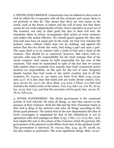2. DIVINE CONCURRENCE. Concurrence may be defined as that work of God by which He co-operates with all His creatures and causes them to act precisely as they do. This means that there are real causes in the world, such as the forces of nature and the will of man, but that these causes do not work independently of God. God is operative in every act of His creature, not only in their good but also in their evil acts. He stimulates them to action, accompanies their action at every moment, and makes this action effective. We should guard against the idea that God and man have an equal part in the work, for God ever remains the primary cause, without which man can do nothing; and against the notion that the two divide the work, God doing a part and man a part. The same deed is in its entirety both a deed of God and a deed of the creature. This should be so conceived, however, that where God cooperates with man the responsibility for the deed remains that of the moral creature. God cannot be held responsible for the sins of His creatures. This must be maintained in spite of the fact that we cannot fully explain what is certainly true, namely, that God's concurrent action involves no responsibility on His part for the evil of man. Scripture plainly teaches that God works in the entire creation and in all His creatures, Ps. 104:20, 21, 30; Amos 3:6; Deut. 8:18, Matt. 5:45; 10:29; Acts 14:17. It is also clear that sinful acts are under divine control, Gen. 45:5; 50:20; Ex. 14:17; Isa. 66:4; Rom. 2:4; 9:22; 2 Thess. 2:11 that God restrains the sinful works of the sinner, Gen. 6:3; Job 1:12; 2:6; Ps. 76:10; Isa. 10:15; Acts 7:51; and that He overrules evil for good, Gen. 50:20; Ps. 76:10; Acts 3:13.

3. DIVINE GOVERNMENT. The divine government is the continued activity of God whereby He rules all things, so that they answer to the purpose of their existence. Both the Old and the New Testament teach us that God is King of the universe and rules all things according to His divine good pleasure. The notion that in the new dispensation the idea of God's sovereignty is supplanted by that of His Fatherhood, is not in agreement with such passages as Matt. 6:33; 1 Tim. 1:17; 6:15; Rev. 19:6; God adapts His rule to the nature of the creatures which He governs; His government of the physical world differs from that of the spiritual world. This government is universal, Ps. 103:19; Dan. 4:34, 35; Ps. 22:28, 29, but also relates to particulars. The most significant things, Matt. 10:29–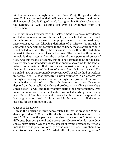31, that which is seemingly accidental, Prov. 16:33, the good deeds of man, Phil. 2:13, as well as their evil deeds, Acts 14:16—they are all under divine control. God is King of Israel, Isa. 33:22, but He also rules among the nations, Ps. 47:9. Nothing can ever be withdrawn from His government.

C. Extraordinary Providences or Miracles. Among the special providences of God we may also reckon the miracles, in which God does not work through secondary causes or employs them in an unusual way. McPherson gives the following definition of a miracle: "A miracle is something done without recourse to the ordinary means of production, a result called forth directly by the first cause (God) without the mediation, at least in the usual way, of second causes." The distinctive thing in the miracle is that it results from the exercise of the supernatural power of God. And this means, of course, that it is not brought about in the usual way by means of secondary causes that operate according to the laws of nature. Some maintain that miracles are impossible on the ground that they imply a violation of the laws of nature. But this is not the case. The so-called laws of nature merely represent God's usual method of working in nature. It is His good pleasure to work ordinarily in an orderly way through secondary causes, that is, through the powers of nature or through the activity of man. But this does not mean that He cannot depart from the established order and produce extraordinary effects by a single act of His will, and that without violating the order of nature. Even man can counteract the laws of nature without disturbing them in any way. He can lift up his hand and throw a ball into the air in spite of the law of gravitation. And if this is possible for man, it is all the more possible for the omnipotent God.

### Questions for Review:

How is the doctrine of providence related to that of creation? What is divine providence? What is the deistic view of God's relation to the world? How does the pantheist conceive of this relation? What is the difference between general and special providence? Why do some deny special providence? Which are the objects of divine providence? What is meant by divine preservation? By divine concurrence? How should we conceive of this concurrence? To what difficult problem does it give rise?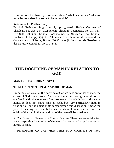How far does the divine government extend? What is a miracle? Why are miracles considered by some to be impossible?

#### References for Further Study:

Berkhof, Reformed Dogmatics, I, pp. 152–168: Hodge, Outlines of Theology, pp. 258–295; McPherson, Christian Dogmatics, pp. 174–184; Orr, Side-Lights on Christian Doctrine, pp. 66–71; Clarke, The Christian Doctrine of God, pp. 174–212; Thomson, The Christian Miracles and the Conclusions of Science; Bruin, Het Christelijk Geloof en de Beoefening der Natuurwetenschap, pp. 110–138.

## **THE DOCTRINE OF MAN IN RELATION TO GOD**

### **MAN IN HIS ORIGINAL STATE**

### **THE CONSTITUTIONAL NATURE OF MAN**

From the discussion of the doctrine of God we pass on to that of man, the crown of God's handiwork. The study of man in theology should not be confused with the science of anthropology, though it bears the same name. It does not make man as such, but very particularly man in relation to God the object of its consideration and discussion. Under the present heading the essential constituents of human nature, and the origin of the soul in the individuals of the race will be considered.

A. The Essential Elements of Human Nature. There are especially two views respecting the number of elements that go to make up the essential nature of man.

1. DICHOTOMY OR THE VIEW THAT MAN CONSISTS OF TWO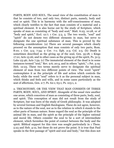PARTS, BODY AND SOUL. The usual view of the constitution of man is that he consists of two, and only two, distinct parts, namely, body and soul or spirit. This is in harmony with the self-consciousness of man, which clearly testifies to the fact that man consists of a material and a spiritual element. It is also borne out by the study of Scripture, which speaks of man as consisting of "body and soul," Matt. 6:25; 10:28, or of "body and spirit," Eccl. 12:7; 1 Cor. 5:3, 5. The two words, "soul" and "spirit" do not denote two different elements in man, but serve to designate the one spiritual substance of man. This is proved by the following consideration: (a) There are several passages which clearly proceed on the assumption that man consists of only two parts, Rom. 8:10; 1 Cor. 5:5; 7:34; 2 Cor. 7:1; Eph. 2:3; Col. 2:5. (b) Death is sometimes described as the giving up of the soul, Gen. 35:18; 1 Kings 17:21; Acts 15:26; and in other cases as the giving up of the spirit, Ps. 31:5; Luke 23:46; Acts 7:59. (c) The immaterial element of the dead is in some instances termed "soul," Rev. 9:6; 20:4, and in others "spirit," 1 Pet. 3:19; Heb. 12:23. These two terms merely serve to designate the spiritual element of man from two different points of view. The word "spirit" contemplates it as the principle of life and action which controls the body; while the word "soul" refers to it as the personal subject in man, which thinks and feels and wills, and in some cases particularly as the seat of affections, Gen. 2:7; Ps. 62:1; 63:1; Ps. 103:1, 2.

2. TRICHOTOMY, OR THE VIEW THAT MAN CONSISTS OF THREE PARTS, BODY, SOUL, AND SPIRIT. Alongside of the usual view another one arose, which conceives of man as consisting of three parts, body, soul, and spirit. This conception of man did not result from the study of Scripture, but was born of the study of Greek philosophy. It was adopted by several German and English theologians. These do not agree, however, as to the nature of the soul, nor as to the relation in which it stands to the other parts of human nature. Some regard the soul as the principle of the animal life in man, and the spirit as the principle of the higher rational and moral life. Others consider the soul to be a sort of intermediate element, which furnishes the point of contact between the body and the spirit. Biblical support for this view was sought particularly in 1 Thess. 5:23 and Heb. 4:12, but these do not prove the point. It is true that Paul speaks in the first passage of "spirit and soul and body," but this does not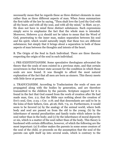necessarily mean that he regards these as three distinct elements in man rather than as three different aspects of man. When Jesus summarizes the first table of the law by saying, "Thou shalt love the Lord thy God with all thy heart, and with all thy soul, and with all thy mind," in Matt. 22:37, He does not have in mind three distinct substances. Such expressions simply serve to emphasize the fact that the whole man is intended. Moreover, Hebrews 4:12 should not be taken to mean that the Word of God, penetrating to the inner man, makes separation between his soul and his spirit, which would naturally imply that these two are different substances; but simply that it brings about a separation in both of these aspects of man between the thoughts and intents of the heart.

B. The Origin of the Soul in Each Individual. There are three theories respecting the origin of the soul in each individual.

1. PRE-EXISTENTIANISM. Some speculative theologians advocated the theory that the souls of men existed in a previous state, and that certain occurrences in that former state account for the condition in which those souls are now found. It was thought to afford the most natural explanation of the fact that all men are born as sinners. This theory meets with little favor at present.

2. TRADUCIANISM. According to Traducianism the souls of men are propagated along with the bodies by generation, and are therefore transmitted to the children by the parents. Scripture support for it is found in the fact that God ceased from the work of creation after He had made man, Gen. 2:2; that the Bible says nothing about the creation of Eve's soul, Gen. 2:23; 1 Cor. 11:8; and that descendants are said to be in the loins of their fathers, Gen. 46:26; Heb. 7:9, 10. Furthermore, it would seem to be favored (a) by the analogy of the animal world, where both body and soul are passed on from the old to the young; (b) by the inheritance of mental peculiarities and family traits which inhere in the soul rather than in the body; and (c) by the inheritance of moral depravity or sin, which is a matter of the soul rather than of the body. This theory is burdened with certain difficulties, however, of which the following are the most important: (a) It either makes the parents in some sense creators of the soul of the child, or proceeds on the assumption that the soul of the parents can split itself up into several souls, which is contrary to the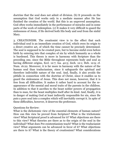doctrine that the soul does not admit of division. (b) It proceeds on the assumption that God works only in a mediate manner after He has finished the creation of the world. But this is an unproved assumption. God often works immediately in the performance of miracles and in some parts of the work of redemption. (c) It makes it very difficult to guard the sinlessness of Jesus, if He derived both His body and soul from the sinful Mary.

3. CREATIONISM. The creationist view is to the effect that each individual soul is an immediate creation of God, which owes its origin to a direct creative act, of which the time cannot be precisely determined. The soul is supposed to be created pure, but to become sinful even before birth by entering into that complex of sin by which humanity as a whole is burdened. This theory is more in harmony with Scripture than the preceding one, since the Bible throughout represents body and soul as having different origins, Eccl. 12:7; Isa. 42:5; Zech. 12:1; Heb. 12:9; cf. Num. 16:22. Moreover, it is far more in harmony with the nature of the human soul than traducianism, since it safeguards the spiritual and therefore indivisible nature of the soul. And, finally, it also avoids the pitfalls in connection with the doctrine of Christ, since it enables us to guard the sinlessness of Jesus. This does not mean, however, that it is free from all difficulties. It makes it rather hard to account for the reappearance of the mental and moral traits of the parents in the children. In addition to that it ascribes to the beast nobler powers of propagation than to man, for the beast multiplies itself after its kind. And, finally, it is in danger of making God at least indirectly responsible for sin, since He puts a pure soul into a complex which will inevitably corrupt it. In spite of these difficulties, however, it deserves the preference.

#### Questions for Review:

What is the dichotomic view of the essential elements of human nature? How can this view be proved from Scripture? What is the trichotomic view? What Scriptural proof is advanced for it? What objections are there to this view? What theories are there as to the origin of the soul in the individual? What does Pre-existentianism teach? What is the traducianist view? What arguments can be advanced in favor of it? What objections are there to it? What is the theory of creationism? What considerations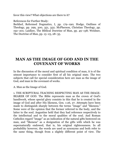favor this view? What objections are there to it?

References for Further Study:

Berkhof, Reformed Dogmatics, I, pp. 179–190; Hodge, Outlines of Theology, pp. 299, 300, 351, 352; McPherson, Christian Theology, pp. 192–201; Laidlaw, The Biblical Doctrine of Man, pp. 49–138; Weidner, The Doctrine of Man, pp. 13–23, 28–35.

## **MAN AS THE IMAGE OF GOD AND IN THE COVENANT OF WORKS**

In the discussion of the moral and spiritual condition of man, it is of the utmost importance to consider first of all his original state. The two subjects that call for special consideration here are man as the image of God, and man in the covenant of works.

A. Man as the Image of God.

1. THE SCRIPTURAL TEACHING RESPECTING MAN AS THE IMAGE-BEARER OF GOD. The Bible represents man as the crown of God's handiwork, whose special glory consists in this that he is created in the image of God and after His likeness, Gen. 1:26, 27. Attempts have been made to distinguish sharply between the terms "image" and "likeness." Some were of the opinion that the former referred to the body, and the latter to the soul. Augustine held that they had reference respectively to the intellectual and to the moral qualities of the soul. And Roman Catholics regard "image" as an indication of the natural gifts bestowed on man, and "likeness" as a designation of the gifts with which he was supernaturally endowed, that is, his original righteousness. In all probability however, the words are used as synonyms and both refer to the same thing, though from a slightly different point of view. The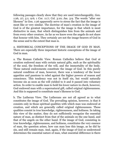following passages clearly show that they are used interchangeably, Gen. 1:26, 27; 5:1; 9:6; 1 Cor. 11:7; Col. 3:10; Jas. 3:9. The words "after our likeness" in Gen. 1:26 apparently serve to stress the fact that the image is most like or very similar. The doctrine of man's creation in the image of God is of the greatest importance, for the image is that which is most distinctive in man, that which distinguishes him from the animals and from every other creature. As far as we know even the angels do not share that honour with him. They certainly are not the image-bearers of God in the sense and to the extent that man is.

2. HISTORICAL CONCEPTIONS OF THE IMAGE OF GOD IN MAN. There are especially three important historic conceptions of the image of God in man.

a. The Roman Catholic View. Roman Catholics believe that God at creation endowed man with certain natural gifts, such as the spirituality of the soul, the freedom of the will, and the immortality of the body. These natural endowments constitute the image of God. In this purely natural condition of man, however, there was a tendency of the lower appetites and passions to rebel against the higher powers of reason and conscience. This tendency was not in itself sin, but would naturally become sin as soon as the will yielded to it and it passed into voluntary action. In order to enable man to hold his lower nature in check, however, God endowed man with a supernatural gift, called original righteousness. And this is supposed to constitute man's likeness to God.

b. The Lutheran View. The Lutherans are not all agreed as to what constitutes the image of God. The prevailing opinion, however, is that it consists only in those spiritual qualities with which man was endowed at creation, and which are generally called original righteousness. These qualities consist in true knowledge, righteousness, and holiness. In taking this view of the matter, they do not sufficiently recognize the essential nature of man, as distinct from that of the animals on the one hand, and that of the angels on the other hand. If the image of God, consisting in true knowledge, righteousness, and holiness, constitutes the very essence of man, the question arises, how can man lose this image, as he did by sin, and still remain man. And, again, if the image of God so understood determines the essential nature of man, what essential difference is there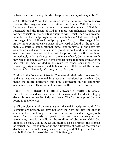between men and the angels, who also possess these spiritual qualities?

c. The Reformed View. The Reformed have a far more comprehensive view of the image of God than either the Roman Catholics or the Lutherans. They usually distinguish between the image of God in a restricted, and the image of God in a more comprehensive sense. The former consists in the spiritual qualities with which man was created, namely, true knowledge, righteousness and holiness. That these belong to the image of God, follows from Eph. 4:24 and Col. 3:10. The image of God in the more comprehensive sense of the word is found in the fact that man is a spiritual being, rational, moral, and immortal, in the body, not as a material substance, but as the organ of the soul, and in his dominion over the lower creation. Notice that Scripture links up this dominion immediately with man's creation in the image of God, Gen. 1:26. It is only in virtue of the image of God in this broader sense that man, even after he has lost the image of God in the restricted sense, consisting in true knowledge, righteousness, and holiness, can still be called the imagebearer of God, Gen. 9:6; 1 Cor. 11:7; 15:49; Jas. 3:9.

B. Man in the Covenant of Works. The natural relationship between God and man was supplemented by a covenant relationship, in which God made the future perfection and bliss contingent on the temporary obedience of man. This covenant is known as the covenant of works.

1. SCRIPTURE PROOF FOR THE COVENANT OF WORKS. In view of the fact that some deny the existence of the covenant of works, it is highly desirable to examine its Scriptural basis. The Scripture proof for it is found in the following:

a. All the elements of a covenant are indicated in Scripture; and if the elements are present, we have not only the right but also the duty to combine them and to give the doctrine so construed an appropriate name. There are clearly two parties, God and man, entering into an agreement; there is a condition, the condition of obedience, which God imposes on man, Gen. 2:16, 17; and there is also a promise, the promise of eternal life. This is implied in the alternative of death as the result of disobedience, in such passages as Rom. 10:5 and Gal. 3:12, and in the symbolical significance of the tree of life, Gen. 3:22.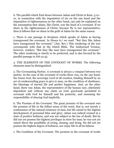b. The parallel which Paul draws between Adam and Christ in Rom. 5:12– 21, in connection with the imputation of sin on the one hand and the imputation of righteousness on the other hand, can only be explained on the assumption that Adam, like Christ, was the head of a covenant. If we share in the righteousness of Christ, because He is our representative, then it follows that we share in the guilt of Adam for the same reason.

c. There is one passage in Scripture which speaks of Adam as having transgressed the covenant. In Hosea 6:7 we read: "But they like Adam have transgressed the covenant." (Am. Rev.) This rendering of the text corresponds with that in the Dutch Bible. The Authorized Version, however, renders: "But they like men have transgressed the covenant." The other rendering is clearly to be preferred, and is also favored by the parallel passage in Job 31:33.

2. THE ELEMENTS OF THE COVENANT OF WORKS. The following elements must be distinguished.

a. The Covenanting Parties. A covenant is always a compact between two parties. In the case of the covenant of works there was, on the one hand, the triune God, the sovereign Lord of all creation, binding Himself by an act of condescending grace to give to man, on the condition of obedience, the blessings of eternal life and perfect happiness. And, on the other hand, there was Adam, the representative of the human race, absolutely dependent and without any claim on God, graciously permitted to covenant with God for himself and his posterity, and assuming the responsibility of obeying God implicitly.

b. The Promise of the Covenant. The great promise of the covenant was the promise of life in the fullest sense of the word, that is, not merely a continuance of the natural existence of man, but life raised to the highest development of perennial bliss and glory. Adam was indeed created in a state of positive holiness, and was not subject to the law of death. But he did not yet possess the highest privileges in store for man; he was not yet raised above the possibility of erring, sinning, and dying. He did not yet possess the highest degree of holiness, nor enjoy life in all its fulness.

c. The Condition of the Covenant. The promise in the covenant of works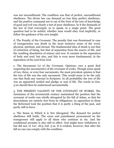was not unconditional. The condition was that of perfect, unconditional obedience. The divine law can demand no less than perfect obedience, and the positive command not to eat of the fruit of the tree of knowledge of good and evil was clearly a test of pure obedience. In it the demands of the law of God converged, so to speak, in a single point. The great question had to be settled, whether man would obey God implicitly, or follow the guidance of his own insight.

d. The Penalty of the Covenant. The penalty that was threatened in case of transgression was death in the most inclusive sense of the word, physical, spiritual, and eternal. The fundamental idea of death is not that of extinction of being, but that of separation from the source of life, and the resulting dissolution of misery and woe. It consists in the separation of body and soul; but also, and this is even more fundamental, in the separation of the soul from God.

e. The Sacrament (s) of the Covenant. Opinions vary a great deal respecting the sacrament(s) of the covenant of works. Though some speak of two, three, or even four sacraments, the most prevalent opinion is that the tree of life was the only sacrament. This would seem to be the only one that finds any warrant in Scripture. In all probability the tree of life was an appointed symbol and pledge or seal of life. The words in Gen. 3:22 should then be understood sacramentally.

3. THE PRESENT VALIDITY OF THE COVENANT OF WORKS. The Arminians of the seventeenth century maintained the position that the covenant of works was wholly abrogated by the fall of Adam, so that his descendants are entirely free from its obligations. In opposition to them the Reformed took the position that it is partly a thing of the past, and partly still in force.

a. The Sense in Which it is Not Abrogated. The demand for perfect obedience still holds. The curse and punishment pronounced on the transgressor still apply to all those who continue in sin. And the conditional promise is also still in effect. God might have withdrawn it, but did not, cf. Lev. 18:5; Gal. 3:12. It is evident, however, that after the fall no one can comply with the condition.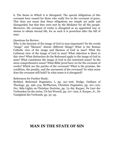b. The Sense in Which it is Abrogated. The special obligations of this covenant have ceased for those who really live in the covenant of grace. This does not mean that these obligations are simply set aside and disregarded, but that they were met by the Mediator for all His people. Moreover, the covenant of works is abrogated as an appointed way or means to obtain eternal life, for as such it is powerless after the fall of man.

#### Questions for Review:

Why is the doctrine of the image of God in man important? Do the words "image" and "likeness" denote different things? What is the Roman Catholic view of the image and likeness of God in man? What the Lutheran view of the image of God in man? What objection is there to this view? What distinction do the Reformed apply to the image of God in man? What constitutes the image of God in the restricted sense? In the more comprehensive sense? What Bible proof have we for the covenant of works? Which are the parties of the covenant? What is the promise, the condition, the penalty, and the sacrament of the covenant? In what sense does the covenant still hold? In what sense is it abrogated?

References for Further Study:

Berkhof, Reformed Dogmatics, I, pp. 191–206; Hodge, Outlines of Theology, pp. 296–314; McPherson, Christian Dogmatics, pp. 201–210; Orr, Side-Lights on Christian Doctrine, pp. 75–89; Kuyper, De Leer der Verbonden (in the series, Uit het Woord), pp. 107–229; A. Kuyper, Jr., De Vastigheid des Verbonds, pp. 33–45.

## **MAN IN THE STATE OF SIN**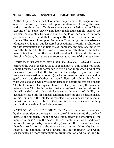### **THE ORIGIN AND ESSENTIAL CHARACTER OF SIN**

A. The Origin of Sin in the Fall of Man. The problem of the origin of sin is one that necessarily forces itself upon the attention of thoughtful men, and still continues to baffle those who are not satisfied with the Biblical account of it. Some earlier and later theologians simply pushed the problem back a step by saying that the souls of men sinned in some previous existence, and that consequently all men are now born as sinners. The great philosopher, Immanuel Kant, recognized the existence of radical evil in man, but despaired of explaining its origin. Evolutionists find its explanation in the tendencies, impulses, and passions inherited from the brute. The Bible, however, directs our attention to the fall of man. It teaches us that the root of all moral evil in the world lies in the first sin of Adam, the natural and representative head of the human race.

1. THE NATURE OF THE FIRST SIN. The first sin consisted in man's eating of the tree of the knowledge of good and evil. This eating was sinful simply because God had forbidden it. We do not know what kind of tree this was. It was called "the tree of the knowledge of good and evil," because it was destined to reveal (a) whether man's future state would be good or evil; and (b) whether man would allow God to determine for him what was good and evil, or would undertake to determine this for himself. The first sin was of a typical character, clearly revealing the essential nature of sin. This lies in the fact that man refused to subject himself to the will of God and to have God determine the course of his life, and decided to settle this for himself. Different elements can be distinguished in this first sin. In the intellect it revealed itself as unbelief and pride, in the will as the desire to be like God, and in the affections as an unholy satisfaction in eating of the forbidden fruit.

2. THE OCCASION OF THE FIRST SIN. The fall of man was occasioned by the temptation of the serpent, who sowed in man's mind the seeds of distrust and unbelief. Though it was undoubtedly the intention of the tempter to cause Adam, the head of the covenant, to fall, yet he addressed himself to Eve, probably because she (a) was not the covenant head and therefore would not have the same sense of responsibility; (b) had not received the command of God directly but only indirectly, and would consequently be more susceptible to argumentation and doubt; and (c)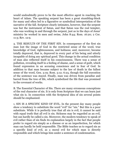would undoubtedly prove to be the most effective agent in reaching the heart of Adam. The speaking serpent has been a great stumbling-block for many and often led to a figurative or symbolical interpretation of the narrative of the fall. Scripture clearly intimates, however, that the serpent was but the instrument of Satan, and that Satan was the real tempter, who was working in and through the serpent, just as in the days of Jesus' ministry he worked in men and swine, John 8:44; Rom. 16:20; 2 Cor. 11:3; Rev. 12:9.

3. THE RESULTS OF THE FIRST SIN. In consequence of the first sin man lost the image of God in the restricted sense of the word, true knowledge of God, righteousness, and holiness; and, moreover, became totally depraved, that is, depraved in every part of his being and utterly incapable of doing any spiritual good. This change in the actual condition of man also reflected itself in his consciousness. There was a sense of pollution, revealing itself in a feeling of shame, and a sense of guilt, which found expression in an accusing conscience and in fear of God. In addition to that man became subject to the law of death in the fullest sense of the word, Gen. 3:19; Rom. 5:12; 6:23, though the full execution of the sentence was stayed. Finally, man was driven from paradise and barred from the tree of life, which symbolized the life that was promised in the covenant of works.

B. The Essential Character of Sin. There are many erroneous conceptions of the real character of sin. It is only from Scripture that we can learn just what sin is. In connection with the Scriptural idea of sin several points should be emphasized.

1. SIN IS A SPECIFIC KIND OF EVIL. In the present day many people show a tendency to substitute the word "evil" for "sin." But this is a poor substitute. While it is perfectly true that all sin is evil, it cannot be said with equal truth that all evil is sin. Sickness may be regarded as an evil, but can hardly be called a sin. Moreover, the modern tendency to speak of evil rather than of sin finds its explanation largely in the fact that people prefer to regard sin simply as a disease or as an imperfection, for which man can hardly be held responsible. The Bible teaches us to regard sin as a specific kind of evil, as a moral evil for which man is directly responsible and which brings him under a sentence of condemnation.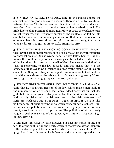2. SIN HAS AN ABSOLUTE CHARACTER. In the ethical sphere the contrast between good and evil is absolute. There is no neutral condition between the two. This is the clear teaching of Scripture. He who does not love God from the heart, is thereby already characterized as evil. The Bible knows of no position of moral neutrality. It urges the wicked to turn to righteousness, and frequently speaks of the righteous as falling into evil; but it does not contain a single indication that either the one or the other ever lands in a neutral position. Man is either on the right or on the wrong side, Matt. 10:32, 33; 12:30; Luke 11:23; Jas. 2:10.

3. SIN ALWAYS HAS RELATION TO GOD AND HIS WILL. Modern theology insists on interpreting sin in a social way, that is, with reference to one's fellow-men. Sin is wrong done to one's fellow-beings. But this misses the point entirely, for such a wrong can be called sin only in view of the fact that it is contrary to the will of God. Sin is correctly defined as "lack of conformity to the law of God," and this means that it is the opposite of that love to God which is required by the divine law. It is quite evident that Scripture always contemplates sin in relation to God, and the law, either as written on the tablets of man's heart or as given by Moses, Rom. 1:32; 2:12–14; 4:15; 5:13; Jas. 2:9, 10; 1 John 3:4.

4. SIN INCLUDES BOTH GUILT AND POLLUTION. Sin is first of all guilt, that is, it is a transgression of the law, which makes men liable to the punishment of a righteous God. Many indeed deny that sin includes guilt, but this denial goes contrary to the fact that the sinner is threatened and actually visited with punishment, and to the plain statements of Scripture, such as Matt. 6:12; Rom. 3:19; 5:18; Eph. 2:3. Sin is also pollution, an inherent corruption to which every sinner is subject. Guilt always carries pollution with it. Everyone who is guilty in Adam is, as a result, also born with a corrupt nature. The pollution of sin is clearly taught in such passages as Job 14:4; Jer. 17:9; Matt. 7:15–20; Rom. 8:5– 8; Eph. 4:17–19.

5. SIN HAS ITS SEAT IN THE HEART. Sin does not reside in any one faculty of the soul, but in the heart, which in the psychology of Scripture is the central organ of the soul, out of which are the issues of life, Prov. 4:23. And from this center its influence and operations spread to the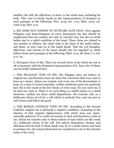intellect, the will, the affections, in short, to the whole man, including his body. This view is clearly based on the representations of Scripture in such passages as the following: Prov. 4:23; Jer. 17:9; Matt. 15:19, 20; Luke 6:45; Heb. 3:12.

6. SIN DOES NOT CONSIST IN OUTWARD ACTS ONLY. Over against Pelagians and Semi-Pelagians of every description the fact should be emphasized that sin consists not only in outward acts, but also in sinful habits and in a sinful condition of the heart. These three are related to one another as follows: the sinful state is the basis of the sinful habits, and these, in turn, lead on to the sinful deeds. That the evil thoughts, affections, and intents of the heart should also be regarded as sinful follows from such passages as the following: Matt. 5:22, 28; Rom 7:7; Gal. 5:17, 24.

C. Divergent Views of Sin. There are several views of sin which are not at all in harmony with the Scriptural representation of it. Just a few of these can be briefly indicated here.

1. THE PELAGIAN VIEW OF SIN. The Pelagian does not believe in original sin, and therefore does not share the conviction that every man is born as a sinner. Adam was created, and every one of his descendants is born, in a state of moral neutrality, neither positively good nor positively bad. Sin is the result of the free choice of every man. No one need sin, if he does not want to. There is no such thing as a sinful nature or a sinful character; neither are there sinful dispositions. Sin consists only in a deliberate choice of evil by a will which is perfectly free, and can just as well choose and follow the good.

2. THE ROMAN CATHOLIC VIEW OF SIN. According to the Roman Catholics original sin is primarily a negative condition, consisting in the absence of that original righteousness with which man was supernaturally endowed. It is a state of aversion to God, and therefore a state of sin. Actual sin consists only in those actions of man which are the result of a deliberate choice of the will. The unholy disposition, desires, and affections that lie back of these deeds may be of a sinful nature and tend to produce sin, but cannot themselves be considered as sin in the strictest sense of the word.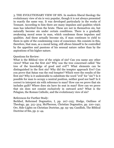3. THE EVOLUTIONARY VIEW OF SIN. In modern liberal theology the evolutionary view of sin is very popular, though it is not always presented in exactly the same way. It was developed particularly in the works of Tennant. According to him there are many impulses and qualities which man has inherited from the brute. These are not in themselves sin, but naturally become sin under certain conditions. There is a gradually awakening moral sense in man, which condemns those impulses and qualities. And these actually become sin, if man continues to yield to them in spite of the condemning voice of conscience. Sin consists in this, therefore, that man, as a moral being, still allows himself to be controlled by the appetites and passions of his sensual nature rather than by the aspirations of his higher nature.

#### Questions for Review:

What is the Biblical view of the origin of sin? Can you name any other views? What was the first sin? Why was the tree concerned called "the tree of the knowledge of good and evil"? What elements can be distinguished in the first sin? Why did the tempter approach Eve? Can you prove that Satan was the real tempter? Which were the results of the first sin? Why is it undesirable to substitute the word "evil" for "sin"? Is it possible for man to occupy a neutral position, neither good nor bad? Is it correct to interpret sin with reference to man? How can we prove that sin includes guilt? Where does sin have its seat in man? How can we prove that sin does not consist exclusively in outward acts? What is the Pelagian, the Roman Catholic, and the evolutionary view of sin?

#### References for Further Study:

Berkhof, Reformed Dogmatics, I, pp. 207–225; Hodge, Outlines of Theology, pp. 315–324; McPherson, Christian Dogmatics, pp. 220–242; Orr, Side-Lights on Christian Doctrine, pp. 93–99; Candlish, The Biblical Doctrine of Sin, pp. 9–44.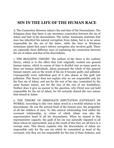# **SIN IN THE LIFE OF THE HUMAN RACE**

A. The Connection Between Adam's Sin and that of His Descendants. The Pelagians deny that there is any necessary connection between the sin of Adam and that of his descendants. The earlier Arminians maintain that man has inherited his natural corruption from Adam, but is in no sense responsible for the sin of the latter, while the later or Wesleyan Arminians admit that man's inborn corruption also involves guilt. There are especially three different ways of explaining the connection between the sin of Adam and that of his descendants.

1. THE REALISTIC THEORY. The earliest of the three is the realistic theory, which is to the effect that God originally created one general human nature, which in course of time is divided into as many parts as there are human individuals. Adam possessed the whole of this general human nature; and as the result of his sin it became guilty and polluted. Consequently every individual part of it also shares in this guilt and pollution. This theory does not explain why we are responsible only for the first sin of Adam, and not for the rest of his sins, committed by the same human nature, nor for the sins of the rest of our forefathers. Neither does it give an answer to the question, why Christ was not held responsible for the sin of Adam, for He certainly shared the very nature that sinned in Adam.

2. THE THEORY OF IMMEDIATE IMPUTATION (COVENANT OF WORKS). According to this view Adam stood in a twofold relation to his descendants. He was the natural head of the human race, the progenitor of all the children of men. To this natural relationship God added the covenant relationship, in virtue of which Adam was also the representative head of all his descendants. When he sinned in this representative capacity, the guilt of his sin was naturally imputed to all those whom he represented; and as the result of this they are all born in a corrupt state. This theory explains why the descendants of Adam are responsible only for the one sin which he committed as head of the covenant, why they are not responsible for the sins of their forbears, and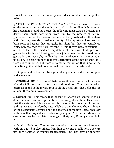why Christ, who is not a human person, does not share in the guilt of Adam.

3. THE THEORY OF MEDIATE IMPUTATION. The last theory proceeds on the assumption that the guilt of Adam's sin is not directly imputed to his descendants, and advocates the following idea: Adam's descendants derive their innate corruption from him by the process of natural generation; and on the basis of that inherent depravity which they share with him they are also considered guilty of his apostasy. They are not born corrupt because they are guilty in Adam, but they are considered guilty because they are born corrupt. If this theory were consistent, it ought to teach the mediate imputation of the sins of all previous generations to those following, for their joint corruption is passed on by generation. Moreover, by holding that our moral corruption is imputed to us as sin, it clearly implies that this corruption would not be guilt, if it were not so imputed; but there is no moral corruption that is not at the same time guilt and that does not make one liable to punishment.

B. Original and Actual Sin. In a general way sin is divided into original and actual sin.

1. ORIGINAL SIN. In virtue of their connection with Adam all men are, after the fall, born in a sinful state and condition. This state is called original sin and is the inward root of all the actual sins that defile the life of man. It contains two elements:

a. Original Guilt. This means that the guilt of Adam's sin is imputed to us. Since he sinned as our representative, we are guilty in him. This means that the state in which we are born is one of wilful violation of the law, and that we are therefore by nature liable to punishment. The Arminians of the seventeenth century and the advocates of modern liberal theology both deny that original sin involves original guilt. Yet this is certainly the case according to the plain teachings of Scripture, Rom. 5:12–19; Eph. 2:3.

b. Original Pollution. The descendants of Adam are not only burdened with his guilt, but also inherit from him their moral pollution. They are not only deprived of original righteousness, but also have an inherent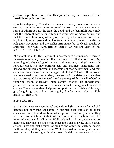positive disposition toward sin. This pollution may be considered from two different points of view:

1) As total depravity. This does not mean that every man is as bad as he can be, cannot do good in any sense of the word, and has absolutely no sense of admiration for the true, the good, and the beautiful; but simply that the inherent corruption extends to every part of man's nature, and that there is in him no spiritual good, that is good in relation to God, at all, but only moral perversion. The total depravity of man is denied by Pelagians, Socinians, and the earlier Arminians, but is clearly taught by Scripture, John 5:42; Rom. 7:18, 23; 8:7; 2 Cor. 7:1; Eph. 4:18; 2 Tim. 3:2–4; Tit. 1:15; Heb. 3:12.

2) As total inability. Here, again, it is necessary to distinguish. Reformed theologians generally maintain that the sinner is still able to perform (a) natural good; (b) civil good or civil righteousness; and (c) externally religious good. He may perform acts and manifest sentiments that deserve the sincere approval and gratitude of their fellow-men, and that even meet in a measure with the approval of God. Yet when these works are considered in relation to God, they are radically defective, since they are not prompted by love to God, nor by any regard for the will of God as requiring them. Moreover, man cannot change his fundamental preference for sin to love for God, nor even make an approach to such a change. There is abundant Scriptural support for this doctrine, John 1:13; 3:5; 6:44; 8:34; 15:4, 5; Rom. 7:18, 24; 8:7, 8; 1 Cor. 2:14; 2 Cor. 3:5; Eph. 2:1, 8–10; Heb. 11:6.

2. ACTUAL SIN.

a. The Difference Between Actual and Original Sin. The term "actual sin" denotes not only sins consisting in outward acts, but also all those conscious thoughts and volitions which proceed from original sin. They are the sins which an individual performs, in distinction from his inherited nature and inclination. While original sin is one, actual sins are manifold. They may be sins of the inner life, such as pride, envy, hatred, sensual lusts and evil desires; or sins of the outer life, such as deceit, theft, murder, adultery, and so on. While the existence of original sin has met and is still meeting with widespread denial, the presence of actual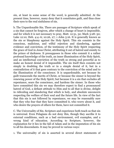sin, at least in some sense of the word, is generally admitted. At the present time, however, many deny that it constitutes guilt, and thus close their eyes to the real sinfulness of sin.

b. The Unpardonable Sin. There are passages of Scripture which speak of a sin that cannot be forgiven, after which a change of heart is impossible, and for which it is not necessary to pray, Matt. 12:31, 32; Mark 3:28–30; Luke 12:10; Heb. 4:4–6; 10:26, 27; 1 John 5:16. It is generally known as the sin or blasphemy against the Holy Spirit. This sin consists in the conscious, malicious, and wilful rejection and slandering, against evidence and conviction, of the testimony of the Holy Spirit respecting the grace of God in Jesus Christ, attributing it out of hatred and enmity to the prince of darkness. It presupposes in those who commit it a rather profound knowledge of the truth, an inner illumination of the Holy Spirit, and an intellectual conviction of the truth so strong and powerful as to make an honest denial of it impossible. The sin itself then consists not simply in doubting the truth or in a simple denial of it, but in a contradiction of it that goes contrary to the conviction of the mind and to the illumination of the conscience. It is unpardonable, not because its guilt transcends the merits of Christ, or because the sinner is beyond the renewing power of the Holy Spirit; but because it is a sin that excludes all repentance, sears the conscience, and hardens the sinner. In those who have committed this sin we may therefore expect to find a pronounced hatred of God, a defiant attitude to Him and to all that is divine, delight in ridiculing and slandering that which is holy, and absolute unconcern respecting the welfare of their soul and the future life. In view of the fact that this sin is not followed by repentance, we may be reasonably sure that they who fear that they have committed it, who worry about it, and who desire the prayers of others for them, have not committed it.

C. The Universality of Sin. Scripture and experience both teach us that sin is universal. Even Pelagians do not deny this, though they ascribe it to external conditions, such as a bad environment, evil examples, and a wrong kind of education. According to Scripture, however, the explanation for it lies in the fall of Adam and in the imputation of his sin to all his descendants. It may be proved in various ways:

1. The universality of sin is asserted in several direct statements of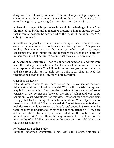Scripture. The following are some of the most important passages that come into consideration here: 1 Kings 8:46; Ps. 143:2; Prov. 20:9; Eccl. 7:20; Rom. 3:1–12, 19, 20, 23; Gal. 3:22; Jas. 3:2; 1 John 1:8, 10.

2. Several passages of Scripture teach that sin is the heritage of man from the time of his birth, and is therefore present in human nature so early that it cannot possibly be considered as the result of imitation, Ps. 51:5; Job 14:4; John 3:6.

3. Death as the penalty of sin is visited even upon those who have never exercised a personal and conscious choice, Rom. 5:12–14. This passage implies that sin exists, in the case of infants, prior to moral consciousness. Since infants die, and therefore the effect of sin is present in their case, it is but natural to assume that the cause is also present.

4. According to Scripture all men are under condemnation and therefore need the redemption which is in Christ Jesus. Children are never made an exception to this rule. This follows from the passages quoted under (1), and also from John 3:3, 5; Eph. 2:3; 1 John 5:12. They all need the regenerating power of the Holy Spirit unto salvation.

Questions for Review:

What different opinions are there respecting the connection between Adam's sin and that of his descendants? What is the realistic theory, and why is it objectionable? How does the doctrine of the covenant of works conceive of the connection between the sin of Adam and our sinful condition? What advantages has this view? What solution of the problem is suggested by the theory of mediate imputation? What objections are there to this solution? What is original sin? What two elements does it include? How should we conceive of man's total depravity? How must his total inability be understood? What is included in actual sin? How does actual sin differ from original sin? What is the nature of the unpardonable sin? Can there be any reasonable doubt as to the universality of sin? What explanation do some offer for this? How does the Bible account for it?

References for Further Study: Berkhof, Reformed Dogmatics, I, pp. 226–242; Hodge, Outlines of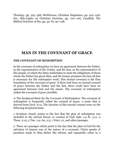Theology, pp. 325–366; McPherson, Christian Dogmatics, pp. 242–256; Orr, Side-Lights on Christian Doctrine, pp. 100–106; Candlish, The Biblical Doctrine of Sin, pp. 55–81, 90–128.

# **MAN IN THE COVENANT OF GRACE**

### **THE COVENANT OF REDEMPTION**

In the covenant of redemption we have an agreement between the Father, as the representative of the Trinity, and the Son, as the representative of His people, in which the latter undertakes to meet the obligations of those whom the Father has given Him, and the former promises the Son all that is necessary for His redemptive work. This eternal covenant is the firm foundation of the covenant of grace. If there had been no eternal counsel of peace between the Father and the Son, there could have been no agreement between God and the sinner. The covenant of redemption makes the covenant of grace possible.

A. The Scriptural Basis for the Covenant of Redemption. The covenant of redemption is frequently called the counsel of peace, a name that is derived from Zech. 6:13. The doctrine of this eternal counsel rests on the following Scriptural basis:

1. Scripture clearly points to the fact that the plan of redemption was included in the eternal decree or counsel of God, Eph. 1:4 ff.; 3:11; 2 Thess. 2:13; 2 Tim. 1:9; Jas. 2:5; 1 Peter 1:2, and other passages.

2. There are passages which point to the fact that the plan of God for the salvation of sinners was of the nature of a covenant. Christ speaks of promises made to Him before His advent, and repeatedly refers to a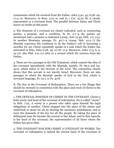commission which He received from the Father, John 5:30, 43; 6:38–40; 17:4–12. Moreover, in Rom. 5:12–21 and in 1 Cor. 15:22 He is clearly represented as a covenant head. The parallel between Adam and Christ leaves no doubt on this point.

3. The elements of a covenant are clearly indicated, such as contracting parties, a promise, and a condition. In Ps. 2:7–9 the parties are mentioned and a promise is indicated (comp. Acts 13:33; Heb. 1:5; 5:5). In another Messianic passage, Ps. 40:7–9 (comp. Heb. 10:5–7) the Messiah expresses His readiness to do the Father's will in becoming a sacrifice for sin. Christ repeatedly speaks of a task which the Father has entrusted to Him, John 6:38, 39; 10:18; 17:4. Moreover, John 17:5, 6, 9, 24 (cf. also Phil. 2:9–11) refer to a reward which He receives from the Father.

4. There are two passages in the Old Testament, which connect the idea of the covenant immediately with the Messiah, namely, Ps. 89:3 and Isa. 42:6, which refers to the Servant of the Lord. The connection clearly shows that this servant is not merely Israel. Moreover, there are also passages in which the Messiah speaks of God as his God, which is covenant language, Ps. 22:1, 2; Ps. 40:8.

B. The Son in the Covenant of Redemption. There are a few things that should be stressed in connection with the place and work of Christ in the covenant of redemption.

1. THE OFFICIAL POSITION OF CHRIST IN THE COVENANT. Christ is both surety and head of the covenant of redemption. He is called "surety" in Heb. 7:22. A surety is a person who takes upon himself the legal obligations of another. Christ stepped into the place of the sinner and undertook to atone for sin by bearing the necessary punishment, and to meet the demands of the law for all His people. By taking the place of delinquent man He became the second or last Adam, and in that capacity is the head of the covenant, the representative of all those whom the Father has given Him.

2. THE COVENANT WAS FOR CHRIST A COVENANT OF WORKS. The covenant of redemption is indeed the eternal basis of the covenant of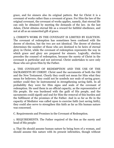grace, and for sinners also its original pattern. But for Christ it is a covenant of works rather than a covenant of grace. For Him the law of the original covenant, the covenant of works applies, namely, that eternal life can only be obtained by meeting the demands of the law. As the last Adam, Christ obtains eternal life as a reward for faithful obedience, and not at all as an unmerited gift of grace.

3. CHRIST'S WORK IN THE COVENANT IS LIMITED BY ELECTION. The covenant of redemption has sometimes been confused with the decree of election, but the two are not identical. The decree of election determines the number of those who are destined to be heirs of eternal glory in Christ, while the covenant of redemption represents the way in which grace and glory are prepared for sinners. Logically, election precedes the counsel of redemption, because the surety of Christ in the covenant is particular and not universal. Christ undertakes to save only those who are given Him by the Father.

4. THE COVENANT OF REDEMPTION AND THE USE OF THE SACRAMENTS BY CHRIST. Christ used the sacraments of both the Old and the New Testament. Clearly they could not mean for Him what they mean for believers; they could not be symbols nor seals of saving grace; neither could they be instrumental in strengthening saving faith. In all probability they were for Him signs and seals of the covenant of redemption. He used them in an official capacity, as the representative of His people. He was burdened with the guilt of His people, and the sacraments could signify and seal for Him the removal of this burden and the fulfilment of the promises of the Father. And in so far as He in the capacity of Mediator was called upon to exercise faith (not saving faith), they could also serve to strengthen this faith as far as His human nature was concerned.

C. Requirements and Promises in the Covenant of Redemption.

1. REQUIREMENTS. The Father required of the Son as the surety and head of His people:

a. That He should assume human nature by being born of a woman, and should assume this nature with its present infirmities, though without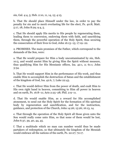sin, Gal. 4:4, 5; Heb. 2:10, 11, 14, 15; 4:15.

b. That He should place Himself under the law, in order to pay the penalty for sin and to merit everlasting life for the elect, Ps. 40:8; Matt. 5:17, 18; John 8:29; 9:4, 5.

c. That He should apply His merits to His people by regenerating them, leading them to conversion, endowing them with faith, and sanctifying them, through the powerful operation of the Holy Spirit, thus securing the consecration of their lives to God, John 16:13–15; 17:19–22.

2. PROMISES. The main promises of the Father, which correspond to the demands of the Son, were:

a. That He would prepare for Him a body uncontaminated by sin, Heb. 10:5, and would anoint Him by giving Him the Spirit without measure, thus qualifying Him for His Messianic offices, Isa. 42:1, 2; 61:1; John 3:34.

b. That He would support Him in the performance of His work, and thus enable Him to accomplish the destruction of Satan and the establishment of the kingdom of God, Isa. 42:6, 7; Luke 22:43.

c. That He would deliver Him from the power of death, and exalt Him to His own right hand in heaven, committing to Him all power in heaven and on earth, Ps. 16:8–11; Acts 2:25–28; Phil. 2:9–11.

d. That He would enable Him, as a reward for His accomplished atonement, to send out the Holy Spirit for the formation of His spiritual body by regeneration and sanctification, and for the instruction, guidance, and protection of the Church, John 14:26; 15:26; 16:13, 14.

e. That through the operation of the Holy Spirit all those given unto the Son would really come unto Him, so that none of them would be lost, John 6:37, 39, 40, 44, 45.

f. That a multitude which no man can number would thus be made partakers of redemption, so that ultimately the kingdom of the Messiah would embrace all the nations of the earth, Ps. 22:27; 72:17.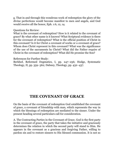g. That in and through this wondrous work of redemption the glory of the divine perfections would become manifest to men and angels, and God would receive all the honor, Eph. 1:6, 12, 14.

Questions for Review:

What is the covenant of redemption? How is it related to the covenant of grace? By what other name is it known? What Scriptural evidence is there for the covenant of redemption? What is the official position of Christ in this covenant? Is it for Christ a covenant of works or a covenant of grace? Whom does Christ represent in this covenant? What was the significance of the use of the sacraments by Christ? What did the Father require of Christ in the covenant of redemption? What did He promise the Son?

References for Further Study:

Berkhof, Reformed Dogmatics, I, pp. 247–256; Hodge, Systematic Theology, II, pp. 359–362; Dabney, Theology, pp. 432–437.

## **THE COVENANT OF GRACE**

On the basis of the covenant of redemption God established the covenant of grace, a covenant of friendship with man, which represents the way in which the blessings of redemption are mediated to the sinner. Under the present heading several particulars call for consideration.

A. The Contracting Parties in the Covenant of Grace. God is the first party in the covenant of grace, the party that takes the initiative and graciously determines the relation in which the second party will stand to Him. He appears in the covenant as a gracious and forgiving Father, willing to pardon sin and to restore sinners to His blessed communion. It is not so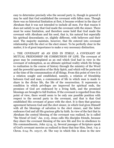easy to determine precisely who the second party is, though in general it may be said that God established the covenant with fallen man. Though there was no historical limitation at first, it became evident in the days of Abraham that it was not intended to include all men. For that reason it does not satisfy to say that God made the covenant with the sinner. There must be some limitation, and therefore some hold that God made the covenant with Abraham and his seed, that is, his natural but especially his spiritual descendants; or, slightly different, with believers and their seed. The majority maintain, however, that He entered into covenant relationship with the elect or the elect sinner. To be perfectly clear in the matter, it is of great importance to make a very necessary distinction.

1. THE COVENANT AS AN END IN ITSELF, A COVENANT OF MUTUAL FRIENDSHIP OR COMMUNION OF LIFE. The covenant of grace may be contemplated as an end which God had in view in the covenant of redemption, as an ultimate spiritual reality which He brings to realization in the course of history through the ministry of the Word and the powerful operation of the Holy Spirit, and which will be perfected at the time of the consummation of all things. From this point of view it is a relation sought and established, namely, a relation of friendship between God and man, a communion of life in which man is made to share in the divine life, the life of the resurrection. It represents a condition in which privileges are improved for spiritual ends, the promises of God are embraced by a living faith, and the promised blessings are brought to full fruition. If the covenant is regarded from this point of view, there would seem to be only one possible position with respect to the second party in the covenant, and that is that God established His covenant of grace with the elect. It is then that gracious agreement between God and the elect sinner, in which God gives Himself with all the blessings of salvation to the elect sinner, and the latter embraces God and all His gracious gifts by faith. In view of the fact that in Abraham the central blessing of the covenant was realized, he is called "the friend of God," Jas. 2:23. Jesus calls His disciples friends, because they share the covenant blessing of the new life and live in obedience to His commandments, John 15:14, 15. Several passages of Scripture speak of God's covenant mercies as realized in those that fear Him, Deut. 7:9; 2 Chron. 6:14; Ps. 103:17, 18. The way in which this is done in the new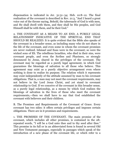dispensation is indicated in Jer. 31:31–34; Heb. 10:8–12. The final realization of the covenant is described in Rev. 21:3, "And I heard a great voice out of the throne saying, Behold, the tabernacle of God is with men, and He shall dwell with them, and they shall be His peoples, and God Himself shall be with them, and be their God."

2. THE COVENANT AS A MEANS TO AN END, A PURELY LEGAL RELATIONSHIP INDICATIVE OF THE SPIRITUAL END THAT SHOULD BE REALIZED. It is quite evident that the Bible also speaks of the covenant in a broader sense, as including many who do not share in the life of the covenant, and even some in whom the covenant promises are never realized. Ishmael and Esau were in the covenant; so were the wicked sons of Eli. The rebellious Israelites, who died in their sins, were covenant people, and even the Scribes and Pharisees, so strongly denounced by Jesus, shared in the privileges of the covenant. The covenant may be regarded as a purely legal agreement, in which God guarantees the blessings of salvation to all those who believe. This agreement may exist as a purely objective arrangement even where nothing is done to realize its purpose. The relation which it represents may exist independently of the attitude assumed by man to his covenant obligations. That is, a man may not meet the covenant requirements, may not believe in the Lord Jesus Christ, and yet stand in covenant relationship to God. If we conceive of the covenant in this broader sense, as a purely legal relationship, as a means by which God realizes the blessings of salvation in the lives of those who meet the covenant requirements,—then we shall have to say that God established the covenant with believers and their children.

B. The Promises and Requirements of the Covenant of Grace. Every covenant has two sides: it offers certain privileges and imposes certain obligations. There are in it promises and requirements.

1. THE PROMISES OF THE COVENANT. The main promise of the covenant, which includes all other promises, is contained in the oftrepeated words, "I will be a God unto thee and to thy seed after thee." This promise in its full or in an abbreviated form is found in several Old and New Testament passages, especially in passages which speak of the introduction of a new phase of the covenant life, or which refer to a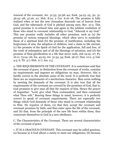renewal of the covenant, Jer. 31:33; 32:38–40; Ezek. 34:23–25, 30, 31; 36:25–28; 37:26, 27; Heb. 8:10; 2 Cor. 6:16–18. The promise is fully realized when at last the new Jerusalem descends out of heaven from God, and the tabernacle of God is pitched among men, Rev. 21:3. This grand promise is re-echoed time and again in the jubilant exultation of those who stand in covenant relationship to God, "Jehovah is my God." This one promise really includes all other promises, such as (a) the promise of various temporal blessings, which often serve to symbolize those of a spiritual kind (b) the promise of justification, including the forgiveness of sins, the adoption of children, and a claim to life eternal; (c) the promise of the Spirit of God for the application, full and free, of the work of redemption and of all the blessings of salvation; and (d) the promise of final glorification in a life that never ends, Job 19:25–27; Ps. 16:11; 73:24–26; Isa. 43:25; Jer. 31:33, 34; Ezek. 36:27; Dan. 12:2, 3; Gal. 4:5, 6; Tit. 3:7; Heb. 11:7; Jas. 2:5.

2. THE REQUIREMENTS OF THE COVENANT. It is sometimes said that the covenant of grace, in distinction from the covenant of works, contains no requirements and imposes no obligations on man. However, this is hardly correct in the absolute sense of the word. It is perfectly true that there are no requirements of a meritorious character. Man earns nothing by meeting the demands of the covenant. It is also true that all the requirements of the covenant are covered by the promises of God, that is, God promises to give man all that He requires of him. Hence the prayer of Augustine: "Lord, give what Thou commandest, and then command what Thou wilt." Bearing these things in mind, however, it is perfectly correct to speak of covenant requirements. There are especially two things which God demands of those who stand in covenant relationship to Him. He requires of them, (a) that they accept the covenant and covenant promises by faith, and thus enter upon the life of the covenant; and (b) that, from the principle of the new life born within them, they consecrate themselves to God in a new obedience.

C. The Characteristics of the Covenant. There are several characteristics of the covenant of grace.

1. IT IS A GRACIOUS COVENANT. This covenant may he called gracious, (a) because in it God allows a surety to meet our obligations; (b) because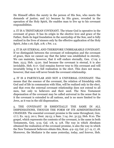He Himself offers the surety in the person of His Son, who meets the demands of justice; and (c) because by His grace, revealed in the operation of the Holy Spirit, He enables man to live up to his covenant responsibilities.

2. IT IS A TRINITARIAN COVENANT. The triune God is operative in the covenant of grace. It has its origin in the elective love and grace of the Father, finds its legal foundation in the suretyship of the Son, and is fully realized in the lives of sinners only by the effective application of the Holy Spirit, John 1:16; Eph. 2:8; 1 Pet. 1:2.

3. IT IS AN ETERNAL AND THEREFORE UNBREAKABLE COVENANT. If we distinguish between the covenant of redemption and the covenant of grace, then we cannot say that the latter was established in eternity. We can maintain, however, that it will endure eternally, Gen. 17:19; 2 Sam. 23:5; Heb. 13:20. And because the covenant is eternal, it is also inviolable, Heb. 6:17. God remains forever true to His covenant and will invariably bring it to full realization in the elect. This does not mean, however, that man will never break the covenant relationship.

4. IT IS A PARTICULAR AND NOT A UNIVERSAL COVENANT. This means that the essence of the covenant, the relation of friendship with God and of life in communion with Him, will be realized only in the elect, and that even the external covenant relationship does not extend to all men, but only to believers and their seed. The New Testament dispensation of the covenant may be called universal in the sense that in it the covenant is extended to all nations, and is no more limited to the Jews, as it was in the old dispensation.

5. THE COVENANT IS ESSENTIALLY THE SAME IN ALL DISPENSATIONS, THOUGH THE FORM OF ITS ADMINISTRATION CHANGES. The essential covenant promise is the same throughout, Gen. 17:7; Ex. 19:5; 20:1; Deut. 29:13; 2 Sam. 7:14; Jer. 31:33; Heb. 8:10. The gospel, which represents the contents of the covenant, is the same in both Testaments, Gen. 3:15; Gal. 1:8, 9; 3:8. The way in which Abraham obtained the realization of the covenant promise, is also the way in which the New Testament believers obtain this, Rom. 4:9–25; Gal. 3:7–9, 17, 18. Moreover, the Mediator is the same yesterday, today, and forever, Heb.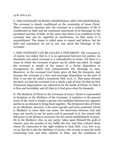13:8; Acts 4:12.

6. THE COVENANT IS BOTH CONDITIONAL AND UNCONDITIONAL. The covenant is clearly conditional on the suretyship of Jesus Christ. Man's conscious entrance into the covenant as a communion of life is conditioned by faith and his continued enjoyment of its blessings by the persistent exercise of faith. At the same time there is no condition in the covenant that can be regarded as meritorious. In that sense it is unconditional. The sinner is called upon to repent and believe, but his faith and repentance do not in any way merit the blessings of the covenant.

7. THE COVENANT CAN BE CALLED A TESTAMENT. The covenant is, of course, two-sided, that is, it is an agreement between two parties. An absolutely one-sided covenant is a contradiction in terms. Yet there is a sense in which the covenant of grace can be called one-sided. In origin the covenant is simply of the nature of a divine disposition or arrangement by which God communicates His blessings to man. Moreover, in the covenant God freely gives all that He demands. And because the covenant is a free and sovereign disposition on the part of God, it can also be called a testament, Heb. 9:16, 17. This name stresses the facts, (a) that the covenant is as a whole a gift of God; (b) that its New Testament dispensation was ushered in by the death of Christ; (c) that it is firm and inviolable; and (d) that in it God gives what He demands.

D. The Relation of Christ to the Covenant of Grace. Christ is represented in Scripture as the Mediator of the Covenant. A mediator in the general sense of the word is simply a person who mediates between two opposite parties in an attempt to bring them together. The Scriptural idea of Christ as our Mediator, however, is far more specific and more profound. Christ is Mediator in more than one sense. He intervenes between God and man, not merely to sue for peace and to persuade to it, but armed with full power to do all that is necessary for the actual establishment of peace. He is the Mediator who, as our surety, takes upon Himself the guilt of sinners, pays the penalty of sin, fulfils the law, and thus restores those whom He represents to the right relation to God, Heb. 7:22; 8:6; 9:15; 12:24. But He is also the Mediator of access, who reveals to men the truth concerning God and their relation to Him, and the conditions of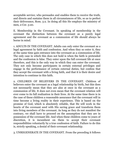acceptable service; who persuades and enables them to receive the truth, and directs and sustains them in all circumstances of life, so as to perfect their deliverance, Rom. 5:2. In doing all this He employs the ministry of men, 2 Cor. 5:20.

E. Membership in the Covenant. In speaking of membership in the covenant the distinction between the covenant as a purely legal agreement and the covenant as a communion of life should always be borne in mind.

1. ADULTS IN THE COVENANT. Adults can only enter the covenant as a legal agreement by faith and confession. And when they so enter it, they at the same time gain entrance into the covenant as a communion of life. The only case in which this does not hold is when the faith is pretended and the confession is false. They enter upon the full covenant life at once therefore, and this is the only way in which they can enter the covenant. They not only become participants in certain external privileges and engage in the performance of certain external duties, but confess that they accept the covenant with a living faith, and that it is their desire and intention to continue in this faith.

2. CHILDREN OF BELIEVERS IN THE COVENANT. Children of believers enter the covenant as a legal relationship by birth, but this does not necessarily mean that they are also at once in the covenant as a communion of life. It does not even mean that the covenant relation will ever come to its full realization in their lives. At the same time there is in the case of these children a reasonable assurance that the covenant will in time become a living reality in their experience. This is based on the promise of God, which is absolutely reliable, that He will work in the hearts of the covenant seed with His saving grace and transform them into living members of the covenant. As long as they do not manifest the contrary, we shall have to proceed on the assumption that they are in possession of the covenant life. And when these children come to years of discretion, it is incumbent on them to accept their covenant responsibilities voluntarily by a true confession of faith. Failure to do this is, strictly speaking, a denial of their covenant relationship.

3. UNREGENERATE IN THE COVENANT. From the preceding it follows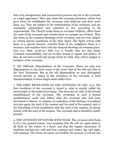that even unregenerate and unconverted persons may be in the covenant as a legal agreement. They may claim the covenant promises, which God gave when He established the covenant with believers and their seed, Rom. 9:4. They are subject to the ministrations of the covenant, and are constantly admonished and exhorted to live according to its requirements. The Church treats them as covenant children, offers them the seals of the covenant and exhorts them to a proper use of these. They also share in the common blessings of the covenant, and are even subject to certain special operations of the Holy Spirit. The Spirit strives with them in a special manner, convicts them of sin, enlightens them in a measure, and enriches them with the choicest blessings of common grace, Gen. 6:3; Matt. 13:18–22; Heb. 6:4, 5. Finally, they are also under covenant responsibility, and are in duty bound to repent and believe. If they do not turn to God and accept Christ by faith, they will be judged as breakers of the covenant.

F. The Different Dispensations of the Covenant. There are only two dispensations in the strict sense of the word, that of the Old and that of the New Testament. But in the old dispensation we may distinguish several periods or stages in the revelation of the covenant. A brief characterization of these stages must suffice here.

1. THE FIRST REVELATION OF THE COVENANT IN GEN. 3:15. The first revelation of the covenant is found in what is usually called the protevangel or the maternal promise. This does not yet refer to the formal establishment of the covenant. The revelation of such a formal establishment could only follow after the covenant idea had been developed in history. It contains an indication of the division of mankind into two parts, the seed of the woman and the seed of the serpent, and of the friendship of God established with the seed of the woman, involving enmity with the seed of the serpent. The covenant idea is therefore clearly present.

2. THE COVENANT OF NATURE WITH NOAH. The covenant with Noah is of a very general nature. God promises that He will not again destroy all flesh by the waters of a flood, and that the regular succession of seedtime and harvest, cold and heat, summer and winter, day and night, will continue. The forces of nature are bridled, the powers of evil are put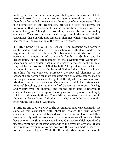under great restraint, and man is protected against the violence of both man and beast. It is a covenant conferring only natural blessings, and is therefore often called the covenant of nature or of common grace. There is no objection to this designation, provided it does not convey the impression that this covenant has no connection whatever with the covenant of grace. Though the two differ, they are also most intimately connected. The covenant of nature also originated in the grace of God. It guarantees those earthly and temporal blessings which were absolutely necessary for the realization of the covenant of grace.

3. THE COVENANT WITH ABRAHAM. The covenant was formally established with Abraham. This transaction with Abraham marked the beginning of the particularistic Old Testament administration of the covenant. It is now limited to a single family, to Abraham and his descendants. In the establishment of the covenant with Abraham it becomes perfectly evident that man is a party in the covenant and must respond to the promises of God by faith. The great central fact in the attitude of Abraham is that he believed God and that this was reckoned unto him for righteousness. Moreover, the spiritual blessings of the covenant now become far more apparent than they were before, such as the forgiveness of sins and the gift of the Spirit. The covenant with Abraham clearly had two sides. On the one hand it had reference to temporal blessings, such as the land of Canaan, a numerous offspring, and victory over the enemies; and on the other hand it referred to spiritual blessings. The temporal blessings served to symbolize and typify spiritual and heavenly things. The spiritual promises are not realized in the natural descendants of Abraham as such, but only in those who also follow in the footsteps of Abraham.

4. THE SINAITIC COVENANT. The covenant at Sinai was essentially the same as that established with Abraham, though the form differed somewhat. It was now established with the nation of Israel, and thus became a truly national covenant. In a large measure Church and State became one. The Sinaitic covenant included a service which contained a positive reminder of the strict demands of the covenant of works. It was not a renewed covenant of works, however; the law was made subservient to the covenant of grace. While the theocratic standing of the Israelite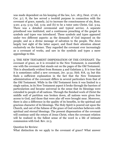was made dependent on his keeping of the law, Lev. 18:5; Deut. 27:26; 2 Cor. 3:7, 8, the law served a twofold purpose in connection with the covenant of grace, namely, (a) to increase the consciousness of sin, Rom. 3:20; 4:15; 5:13; Gal. 3:19; and (b) to be a tutor unto Christ, Gal. 3:24. There was a detailed ceremonial and typical service. A separate priesthood was instituted, and a continuous preaching of the gospel in symbols and types was introduced. These symbols and types appeared under two different aspects: as the demands of God imposed on the people; and as a divine message of salvation to the people. The Jews largely lost sight of the latter aspect, and fixed their attention almost exclusively on the former. They regarded the covenant ever increasingly as a covenant of works, and saw in the symbols and types a mere appendage to this.

5. THE NEW TESTAMENT DISPENSATION OF THE COVENANT. The covenant of grace, as it is revealed in the New Testament, is essentially one with the covenant that stands out on the pages of the Old Testament. This is abundantly evident from Romans 4 and Galatians 3. It is true that it is sometimes called a new covenant, Jer. 31:31; Heb. 8:8, 13; but this finds a sufficient explanation in the fact that the New Testament administration of the covenant differs in several particulars from that of the Old Testament. While in the Old Testament form it was limited to a single nation, in its New Testament aspect it broke through the barriers of particularism and became universal in the sense that its blessings were extended to people of all nations. Through the finished work of Christ the middle wall of partition was broken down, all nations were given free access to God, and those that were afar off were brought near. Moreover, there is also a difference in the quality of its benefits, in the spiritual and gracious character of its blessings. The Holy Spirit is poured out upon the Church, and out of the fulness of the grace of God enriches believers with spiritual and eternal blessings. The present dispensation of the covenant will continue until the return of Jesus Christ, when the covenant relation will be realized in the fullest sense of the word in a life of intimate communion with God. Rev. 21:3.

#### Question for Review:

What distinction do we apply to the covenant of grace? What answer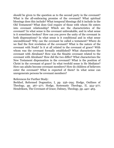should be given to the question as to the second party in the covenant? What is the all-embracing promise of the covenant? What spiritual blessings does this include? What temporal blessings did it include in the Old Testament? What does God require of those with whom He enters into covenant relationship? Which are the characteristics of the covenant? In what sense is the covenant unbreakable, and in what sense is it sometimes broken? How can you prove the unity of the covenant in both dispensations? In what sense is it conditional and in what sense unconditional? Why can the covenant be called a testament? Where do we find the first revelation of the covenant? What is the nature of the covenant with Noah? Is it at all related to the covenant of grace? With whom was the covenant formally established? What characterizes the covenant with Abraham? How was the Sinaitic covenant related to the covenant with Abraham? How did the two differ? What characterizes the New Testament dispensation in the covenant? What is the position of Christ in the covenant of grace? In what twofold sense is He Mediator? How can adults become covenant members? How do children of believers enter the covenant? What is expected of them? In what sense can unregenerate persons be covenant members?

#### References for Further Study:

Berkhof, Reformed Dogmatics, I, pp. 256–294; Hodge, Outlines of Theology, pp. 367–377; Hodge, Systematic Theology, II, 354–377; Hendriksen, The Covenant of Grace; Dabney, Theology, pp. 440–463.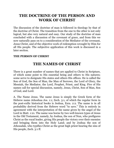### **THE DOCTRINE OF THE PERSON AND WORK OF CHRIST**

The discussion of the doctrine of man is followed in theology by that of the doctrine of Christ. The transition from the one to the other is not only logical, but also very natural and easy. Our study of the doctrine of man concluded with a discussion of the covenant of grace, and from this we now naturally pass on to a consideration of the Mediator of the covenant, Jesus Christ, and of the objective work of redemption wrought by Him for all His people. The subjective application of this work is discussed in a later section.

### **THE PERSON OF CHRIST**

## **THE NAMES OF CHRIST**

There is a great number of names that are applied to Christ in Scripture, of which some point to His essential being and others to His natures; some serve to designate His states and others His offices. He is called the Son of God, the Son of Man, the Man of Sorrows, the Lord of Glory, the Messiah, the Mediator, the Lord, Prophet, Priest, and King. Five of His names call for special discussion, namely, Jesus, Christ, Son of Man, Son of God, and Lord.

A. The Name Jesus. The name Jesus is simply the Greek form of the Hebrew name Jehoshua Jos. 1:1; Zech. 3:1, of which the regular form in the post-exilic historical books is Jeshua, Ezra. 2:2. The name is in all probability derived from the Hebrew word "to save." This is entirely in agreement with the interpretation of the name given by the angel of the Lord in Matt. 1:21. The name was borne by two well-known types of Jesus in the Old Testament, namely, by Joshua, the son of Nun, who prefigures Christ as the royal leader, giving His people the victory over their enemies and bringing them into the Holy Land; and by Joshua the son of Jehozadak, who typifies Christ as the great high priest bearing the sins of His people, Zech. 3:1 ff.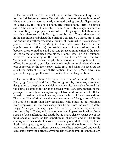B. The Name Christ. The name Christ is the New Testament equivalent for the Old Testament name Messiah, which means "the anointed one." Kings and priests were regularly anointed during the old dispensation, Ex. 29:7; Lev. 4:3; Judg. 9:8; 1 Sam. 9:16; 10:1; 2 Sam. 19:10. The king is called "the anointed of Jehovah," 1 Sam. 24:6. Only a single instance of the anointing of a prophet is recorded, 1 Kings 19:16, but there were probably references to it in Ps. 105:15 and Isa. 61:1. The oil that was used in the anointing symbolized the Spirit of God, Isa. 61:1; Zech. 4:1–6, and the anointing itself represented a transfer of the Spirit to the consecrated person, 1 Sam. 10:1, 6, 10; 16:13, 14. It included three elements: (1) an appointment to office; (2) the establishment of a sacred relationship between the anointed one and God; and (3) a communication of the Spirit of God to the one inducted into office, 1 Sam. 16:13. The Old Testament refers to the anointing of the Lord in Ps. 2:2; 45:7, and the New Testament in Acts 4:27 and 10:38. Christ was set up or appointed to His offices from eternity, but historically His anointing took place when He was conceived by the Holy Spirit, Luke 1:35, and when He received the Spirit, especially at the time of His baptism, Matt. 3:16; Mark 1:10; Luke 3:22; John 1:32; 3:34. It served to qualify Him for His great task.

C. The Name Son of Man. The name "Son of Man" is found in Ps. 8:4; Dan. 7:13; Enoch 46 and 62; 2 Esdras 13, and is, moreover, a frequent designation of the prophet Ezekiel. It is now quite generally admitted that the name, as applied to Christ, is derived from Dan. 7:13, though in that passage it is merely a descriptive appellative, and not yet a title. It had already turned into a title, however, when the book of Enoch was written. The name "Son of Man" was the most common self-designation of Jesus. He used it on more than forty occasions, while others all but refrained from employing it, the only exceptions being those indicated in John 12:34; Acts 7:56; Rev. 1:13; 14:14. The name is, of course, expressive of the humanity of Christ, and is sometimes used in passages in which Jesus speaks of His sufferings and death; but it is also clearly suggestive of the uniqueness of Jesus, of His superhuman character and of His future coming with the clouds of heaven in celestial glory, Matt. 16:27, 28; Mark 8:38; John 3:13, 14; 6:27; 8:28. Some are of the opinion that Jesus preferred this name to others, because it was little understood and would excellently serve the purpose of veiling His Messiahship. It is more likely,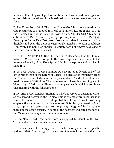however, that He gave it preference, because it contained no suggestion of the misinterpretations of the Messiahship that were current among the Jews.

D. The Name Son of God. The name "Son of God" is variously used in the Old Testament. It is applied to Israel as a nation, Ex. 4:22; Hos. 11:1, to the promised king of the house of David, 2 Sam. 7:14; Ps. 89:27, to angels, Job 1:6; 38:7; Ps. 29:1, and to pious people in general, Gen. 6:2; Ps. 73:15; Prov. 14:26. In the New Testament Jesus appropriated the name, and His disciples and even the demons occasionally ascribe it to Him or address Him by it. The name, as applied to Christ, does not always have exactly the same connotation. It is used:

1. IN THE NATIVISTIC SENSE, that is, to designate that the human nature of Christ owes its origin to the direct supernatural activity of God, more particularly, of the Holy Spirit. It is clearly expressive of that fact in Luke 1:35.

2. IN THE OFFICIAL OR MESSIANIC SENSE, as a description of the office rather than of the nature of Christ. The Messiah is frequently called the Son of God as God's heir and representative. The devils evidently so used the name, Matt. 8:29. The name seems to have this meaning also in Matt. 24:36; Mark 13:32. There are some passages in which it combines this meaning with the following one.

3. IN THE TRINITARIAN SENSE, in which it serves to designate Christ as the second person in the Trinity. This is the most profound sense in which the name is used. In all probability Jesus Himself invariably employs the name in that particular sense. It is clearly so used in Matt. 11:27; 14:28–33; 16:16; 21:33–46; 22:41–46; 26:63, and in the parallel places in the other gospels. In some of the passages indicated the idea of the Messianic sonship also enters more or less.

E. The Name Lord. The name Lord, as applied to Christ in the New Testament, also has several connotations.

1. In some cases it is simply used as a form of polite and respectful address, Matt. 8:2; 20:33. In such cases it means little more than the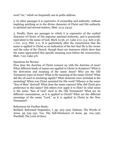word "sir," which we frequently use in polite address.

2. In other passages it is expressive of ownership and authority, without implying anything as to the divine character of Christ and His authority in spiritual and eternal matters, Matt. 21:3; 24:42.

3. Finally, there are passages in which it is expressive of the exalted character of Christ, of His supreme spiritual authority, and is practically equivalent to the name of God, Mark 12:36, 37; Luke 2:11; 3:4; Acts 2:36; 1 Cor. 12:3; Phil. 2:11. It is particularly after the resurrection that the name is applied to Christ as an indication of the fact that He is the owner and the ruler of the Church, though there are instances which show that the name approached this specific meaning even before the resurrection, Matt. 7:22; Luke 5:8.

#### Questions for Review:

How does the doctrine of Christ connect up with the doctrine of man? What different kinds of names are applied to Christ in Scripture? What is the derivation and meaning of the name Jesus? Who are the Old Testament types of Jesus? What is the meaning of the name Christ? What did the oil used in anointing signify? What elements were included in the anointing? When was Christ anointed for His work? Whence is the name "Son of Man" derived? What does the name express? Why did Christ give preference to this name? Did others ever apply it to Him? In what sense is the name "Son of God" used in the Old Testament? What are its different connotations, as it is applied to Christ? What are the different meanings of the name "Lord," as it is applied to Christ in the New Testament?

### References for Further Study:

Berkhof, Reformed Dogmatics, I, pp. 303–309; Dalman, The Words of Jesus, pp 234–331; Vos, The Self-Disclosure of Jesus, pp. 104–256; Warfield, The Lord of Glory.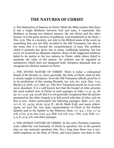# **THE NATURES OF CHRIST**

A. The Distinction of Natures in Christ. While the Bible teaches that there is but a single Mediator between God and man, it represents this Mediator as having two distinct natures, the one divine and the other human. It is the great mystery of godliness, God manifested in the flesh, 1 Tim. 3:16. This is a mystery, not only in the Biblical sense of the word, as something that was not fully revealed in the Old Testament, but also in the sense that it is beyond the comprehension of man. The problem which it presents has given rise to many conflicting opinions, but has never yet received an adequate solution. Some of the suggested solutions failed to do justice to the two natures in Christ, while others failed to maintain the unity of the person. No solution can be regarded as satisfactory which does not safeguard both. Scripture demands that we recognize two distinct natures in Christ.

1. THE DIVINE NATURE OF CHRIST. There is today a widespread denial of the divinity or, more specically, the deity of Christ. And yet this is clearly taught in Scripture. Even the Old Testament affords proof for it in its predictions of the coming Messiah, Isa. 9:6; Jer. 23:6; Dan. 7:13; Micah 5:2; Zech. 13:7; Mal. 3:1. The New Testament proofs for it are even more abundant. It is a well known fact that the Gospel of John presents the most exalted view of Christ in such passages as John 1:1–3, 14, 18, 25–27; 11:41–44; 20:28. But it is not generally recognized that the picture presented by the other Gospels is in full accord with that of John, and yet this is true. Notice particularly the following passages: Matt. 5:17; 9:6; 11:1–6, 27; 14:33; 16:16; 25:31 ff.; 28:18; Mark 8:38, and many others. Again, we have the very same representation of Christ in the Pauline Epistles and in the Epistle to the Hebrews, Rom. 1:7; 9:5; 1 Cor. 1:1–3; 2:8; 2 Cor. 5:10; Gal. 2:20; 4:4; Phil. 2:6; Col. 2:9; 1 Tim. 3:16; Heb. 1:1– 3, 5, 8; 4:14; 5:8, and other passages.

2. THE HUMAN NATURE OF CHRIST. In the early Christian centuries some called the real humanity of Christ in question, but at the present time no one seriously questions this. For a long time there was a onesided emphasis on the deity of Christ, and scant justice was done to His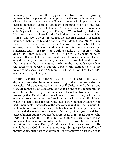humanity, but today the opposite is true: an ever-growing humanitarianism places all the emphasis on the veritable humanity of Christ. The only divinity many still ascribe to Him is simply that of his perfect humanity. There is abundant Scriptural proof for the real humanity of Christ. He calls Himself "man" and is so called by others, John 8:40; Acts 2:22; Rom. 5:15; 1 Cor. 15:21. We are told repeatedly that He came or was manifested in the flesh, that is, in human nature, John 1:14; 1 Tim. 3:16; 1 John 4:2. He had the essential elements of human nature, a material body and a rational soul, Matt. 26:26, 28, 38; Luke 23:46; 24:39; John 11:33; Heb. 2:14. Moreover, He was subject to the ordinary laws of human development, and to human wants and sufferings, Matt. 4:2; 8:24; 9:36; Mark 3:5; Luke 2:40, 52; 22:44; John 4:6; 11:35; 12:27; 19:28, 30; Heb. 2:10, 18; 5:7, 8. It should be noted however, that while Christ was a real man, He was without sin. He not only did no sin, but could not sin, because of the essential bond between the human and the divine natures in Him. In the present day some deny the sinlessness of Christ, but the Bible clearly testifies to it in the following passages: Luke 1:35; John 8:46; 14:30; 2 Cor. 5:21; Heb. 4:15; 9:14; 1 Pet. 2:22; 1 John 3:5.

3. THE NECESSITY OF THE TWO NATURES IN CHRIST. In the present day many consider Jesus as a mere man, and do not recognize the necessity of the two natures in Christ. But if Christ is not both man and God, He cannot be our Mediator. He had to be one of the human race, in order to be able to represent sinners in His redemptive work. It was necessary that He should assume human nature, not only with all its essential properties of body and soul, but also with all the infirmities to which it is liable after the fall. Only such a truly human Mediator, who had experimental knowledge of the woes of mankind and rose superior to all temptations, could enter sympathetically into all the experiences, the trials, and the temptations of man, Heb. 2:17, 18; 4:15–5:2, and be a perfect human example for His followers, Matt. 11:29; Mark 10:39; John 13:13–15; Phil. 2:5–8; Heb. 12:2–4; 1 Pet. 2:21. At the same time He had to be a sinless man, for one who had forfeited His own life surely could not atone for others, Heb. 7:26. Moreover, it was necessary that He should be very God, in order that He might bring a perfect sacrifice of infinite value, might bear the wrath of God redemptively, that is, so as to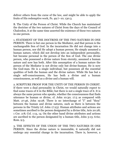deliver others from the curse of the law, and might be able to apply the fruits of His redemptive work, Ps. 49:7–10; 130:3.

B. The Unity of the Person of Christ. While the Church has maintained the doctrine of the two natures of Christ from the days of the Council of Chalcedon, it at the same time asserted the existence of these two natures in one person.

1. STATEMENT OF THE DOCTRINE OF THE TWO NATURES IN ONE PERSON. There is but one person in the Mediator, and that person is the unchangeable Son of God. In the incarnation He did not change into a human person, nor did He adopt a human person; He simply assumed a human nature, which did not develop into an independent personality, but became personal in the person of the Son of God. The one divine person, who possessed a divine nature from eternity, assumed a human nature and now has both. After this assumption of a human nature the person of the Mediator is not divine only but divine-human; He is now the God-man. He is a single individual, but possesses all the essential qualities of both the human and the divine nature. While He has but a single self-consciousness, He has both a divine and a human consciousness, as well as a divine and a human will.

2. SCRIPTURE PROOF FOR THE UNITY OF THE PERSON IN CHRIST. If there were a dual personality in Christ, we would naturally expect to find some traces of it in the Bible; but there is not a single trace of it. It is always the same person who speaks, whether the consciousness that finds utterance be human or divine, cf. John 10:30; 17:5 as compared with Matt. 27:46, John 19:28. There is no interchange of "I" and "thou" between the human and divine natures, such as there is between the persons in the Trinity (cf. John 17:23). Human attributes and actions are sometimes ascribed to the person designated by a divine title, Acts 20:28; 1 Cor. 2:8; Col. 1:13, 14. On the other hand divine attributes and actions are ascribed to the person designated by a human title, John 3:13; 6:62; Rom. 9:5.

3. THE EFFECTS OF THE UNION OF THE TWO NATURES IN ONE PERSON. Since the divine nature is immutable, it naturally did not undergo any essential change in the incarnation. There is, however, a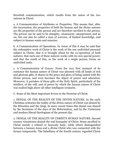threefold communication, which results from the union of the two natures in Christ:

a. A Communication of Attributes or Properties. This means that, after the incarnation, the properties of both the human and the divine natures are the properties of the person and are therefore ascribed to the person. The person can be said to be almighty, omniscient, omnipresent, and so on, but can also be called a man of sorrows, of limited knowledge, and subject to human wants and miseries.

b. A Communication of Operations. In virtue of this it may be said that the redemptive work of Christ is the work of the one undivided personal subject in Christ; that it is brought about by the co-operation of both natures; that each one of these natures works with its own special power; and that the result of this, as the work of a single person, forms an undivided unity.

c. A Communication of Graces. From the very first moment of its existence the human nature of Christ was adorned with all kinds of rich and glorious gifts. It shares in the grace and glory of being united with the divine person, and even becomes the object of prayer and adoration. Moreover, it partakes of those gifts of the Holy Spirit, particularly of the intellect, of the will, and of power by which the human nature of Christ was exalted high above all other intelligent creatures.

C. Some of the Most Important Errors in the Doctrine of Christ.

1. DENIAL OF THE REALITY OF THE DIVINE NATURE. In the early Christian centuries the reality of the divine nature of Christ was denied by the Ebionites and the Alogi. In more recent times this denial was shared by the Socinians of the days of the Reformation, and by the Unitarians and modern liberal theologians of the present day.

2. DENIAL OF THE REALITY OF CHRIST'S HUMAN NATURE. Second century Gnosticism denied the real humanity of Christ. Some ascribed to Christ merely a refined or heavenly body, while others distinguished between a human Jesus and a divine Christ who was connected with the former temporarily. The Sabellians of the fourth century regarded Christ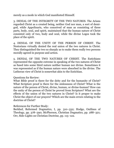merely as a mode in which God manifested Himself.

3. DENIAL OF THE INTEGRITY OF THE TWO NATURES. The Arians regarded Christ as a created being, neither God nor man, a sort of demigod, while Appolinaris, who conceived of man as consisting of three parts, body, soul, and spirit, maintained that the human nature of Christ consisted only of two, body and soul, while the divine Logos took the place of the spirit.

4. DENIAL OF THE UNITY OF THE PERSON OF CHRIST. The Nestorians virtually denied the real union of the two natures in Christ. They distinguished the two so sharply as to make them really two persons morally agreed in purpose and action.

5. DENIAL OF THE TWO NATURES OF CHRIST. The Eutichians represented the opposite extreme in speaking of the two natures of Christ as fused into some third nature neither human nor divine. Sometimes it was represented as if the human nature were absorbed in the divine. The Lutheran view of Christ is somewhat akin to the Eutichian.

Questions for Review:

What Bible proof is there for the deity and for the humanity of Christ? What Scripture proof is there for the sinlessness of Christ? What is the nature of the person of Christ, divine, human, or divine-human? How can the unity of the person of Christ be proved from Scripture? What are the effects of the union of the two natures in Christ? Is it proper to make Christ the object of our prayers? Which are the main errors relating to the doctrine of Christ?

References for Further Study:

Berkhof, Reformed Dogmatics, I, pp. 310–332; Hodge, Outlines of Theology, pp. 378–390; McPherson, Christian Dogmatics, pp. 288–321; Orr, Side-Lights on Christian Doctrine, pp. 115–122.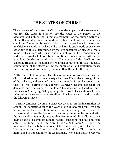# **THE STATES OF CHRIST**

The doctrine of the states of Christ was developed in the seventeenth century. The states in question are the states of the person of the Mediator and not, as the Lutherans maintain, of the human nature of Christ. It should be borne in mind that a state is not exactly the same as a condition. The former is one's position in life and particularly the relation in which one stands to the law, while the latter is one's mode of existence, especially as this is determined by the circumstances of life. One who is found guilty in a court of justice is in a state of guilt or condemnation, and this is usually followed by a condition of incarceration with all its attendant deprivation and shame. The states of the Mediator are generally treated as including the resulting conditions. In fact, the usual enumeration of the stages of Christ's humiliation and exaltation makes the resulting conditions more prominent than the states themselves.

A. The State of Humiliation. The state of humiliation consists in this that Christ laid aside the divine majesty which was His as the sovereign Ruler of the universe, and assumed human nature in the form of a servant; and that He, who is Himself the supreme Lawgiver, became subject to the demands and the curse of the law. This doctrine is based on such passages as Matt. 3:15; Gal. 3:13; 4:4; Phil. 2:6–8. This state of Christ is reflected in the corresponding condition, in which we usually distinguish the following stages:

1. THE INCARNATION AND BIRTH OF CHRIST. In the incarnation the Son of God, sometimes called the Word (John 1), became flesh. This does not mean that He ceased to be what He was and changed into a man. In His essential nature the Son of God is exactly the same before and after the incarnation. It merely means that He assumed, in addition to His divine nature, a complete human nature, consisting of body and soul, John 1:14; Rom. 8:3; 1 Tim. 3:16; 1 John 4:2; 2 John 7. Through the incarnation He really became one of the human race, since He derived His human nature from the substance of Mary. This should be maintained in opposition to the Anabaptists, who claim that He received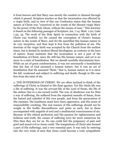it from heaven and that Mary was merely the conduit or channel through which it passed. Scripture teaches us that the incarnation was effected by a virgin birth, and in view of this our Confession states that the human nature of Christ was "conceived in the womb of the blessed virgin Mary by the power of the Holy Ghost, without the means of man." This doctrine is based on the following passages of Scripture, Isa. 7:14; Matt. 1:20; Luke 1:34, 35. The work of the Holy Spirit in connection with the birth of Christ was twofold: (a) He caused the conception of Christ's human nature in the womb of Mary; and (b) He sanctified this human nature in its very inception, and thus kept it free from the pollution of sin. The doctrine of the virgin birth was accepted by the Church from the earliest times, but is denied by modern liberal theologians, as contrary to the laws of nature. Some maintain that the incarnation is not a part of the humiliation of Christ, since He still has His human nature, and yet is no more in a state of humiliation. But we should carefully discriminate here. While an act of great condescension, it was not necessarily a humiliation that the Son of God assumed a human nature; but it was an act of humiliation that He assumed "flesh," that is, human nature as it is since the fall, weakened and subject to suffering and death, though in His case free from the taint of sin.

2. THE SUFFERINGS OF CHRIST. We are often inclined to think of the sufferings of Christ as limited to His final agonies. Yet His whole life was a life of suffering. It was the servant-life of the Lord of Hosts, the life of the sinless One in a sin-cursed world. The way of obedience was for Him a way of suffering. He suffered from the repeated assaults of Satan, from the hatred and unbelief of His own people, and from the persecution of His enemies. His loneliness must have been oppressive, and His sense of responsibility crushing. The real essence of His sufferings should not be sought in His bodily discomfitures and pains as such, but in these accompanied with anguish of soul and a mediatorial consciousness of sin. Because of His ethical perfection and His passion for righteousness and holiness and truth, the causes of suffering were far more numerous for Him than they are for us. No one could feel the poignancy of pain and grief and moral evil as Jesus could. The temptations of Christ also formed a part of His sufferings, and a very essential part. It was only by entering into the very trials of men that Jesus could become a truly sympathetic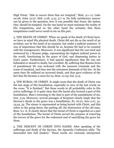High Priest, "able to succor them that are tempted," Matt. 4:1–11; Luke 22:28; John 12:27; Heb. 2:18; 4:15; 5:7–9. No fully satisfactory answer can be given to the question, how it was possible that Jesus, the sinless One, should be tempted. On the one hand we must maintain the reality of His temptations, and on the other hand the certainty that these temptations could never result in sin on His part.

3. THE DEATH OF CHRIST. When we speak of the death of Christ here, we have in mind His physical death. Christ did not die as the result of an accident, nor by the hand of an assassin, but under a judicial sentence. It was of importance that this should be so, because He had to be counted with the transgressors. Moreover, it was significant that He was tried and sentenced by a Roman judge, representing the highest judicial power in the world, functioning by the grace of God, and dispensing justice in God's name. Furthermore, it had special significance that He was not beheaded or stoned to death, but crucified. By suffering that Roman form of punishment He was reckoned with the meanest criminals and the scum of mankind, and thus met the extremest demands of the law. At the same time He suffered an accursed death, and thus gave evidence of the fact that He became a curse for us, Deut. 21:23; Gal. 3:13.

4. THE BURIAL OF CHRIST. It might seem that the death of Christ was the last stage of His humiliation, especially in view of the last words on the cross: "It is finished." But these words in all probability refer to His active sufferings. It is quite clear that His burial also formed a part of His humiliation. Man's returning to the dust is part of the punishment of sin, Gen. 3:19. Moreover, several passages of Scripture clearly imply that the Saviour's abode in the grave was a humiliation, Ps. 16:10; Acts 2:27, 31; 13:34, 35. The sinner is represented as being buried with Christ, and this refers to the going down, the putting off, the destruction of the old man, Rom. 6:1–6. It clearly shows that the burial of Christ is regarded as a part of His humiliation. The burial of Christ served the purpose of removing the terrors of the grave for the redeemed and of sanctifying the grave for them.

5. THE DESCENT OF CHRIST INTO HADES. After speaking of the sufferings and death of the Saviour, the Apostolic Confession adds: "He descended into hell (hades)." These words are variously interpreted.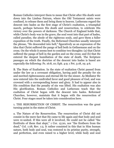Roman Catholics interpret them to mean that Christ after His death went down into the Limbus Patrum, where the Old Testament saints were confined, to release them and bring them to heaven. Lutherans regard the descent into hades as the first stage of Christ's exaltation, a triumphal march, perhaps between His death and resurrection, to celebrate His victory over the powers of darkness. The Church of England holds that, while Christ's body was in the grave, the soul went into that part of hades, called paradise, the abode of the righteous souls, and gave them a fuller exposition of the truth. Finally, the Reformed Churches usually interpret the phrase, "He descended into hell," figuratively as an expression of the idea that Christ suffered the pangs of hell both in Gethsemane and on the cross. On the whole it seems best to combine two thoughts: (a) that Christ suffered the pangs of hell in the garden and on the cross; and (b) that He entered the deepest humiliation of the state of death. The Scripture passages on which the doctrine of the descent into hades is based are especially the following: Ps. 16:8, 10; Eph. 4:9; 1 Pet. 3:18, 19; 4:6.

B. The State of Exaltation. In the state of exaltation Christ passed from under the law as a covenant obligation, having paid the penalty for sin and merited righteousness and eternal life for the sinner. As Mediator He now entered into the undivided favor and good pleasure of God, and was crowned with a corresponding honor and glory. It had to appear also in His condition that the penalty of sin was lifted. His exaltation was also His glorification. Roman Catholics and Lutherans teach that the exaltation of Christ began with the descent into hades. Reformed Churches, however, maintain that it began with the resurrection of Christ. Four stages must be taken into consideration here.

1. THE RESURRECTION OF CHRIST. The resurrection was the great turning-point in the states of Christ.

a. The Nature of the Resurrection. The resurrection of Christ did not consist in the mere fact that He came to life again and that body and soul were re-united. If this were all it involved, He could not be called "the firstfruits of them that slept," 1 Cor. 15:20, nor "the firstborn from the dead," Col. 1:18; Rev. 1:5. It rather consisted in this that in Him human nature, both body and soul, was restored to its pristine purity, strength, and perfection, and even raised to a higher level, while body and soul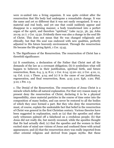were re-united into a living organism. It was quite evident after the resurrection that His body had undergone a remarkable change. It was the same and yet so different that it was not easily recognized. It was a material and real body, and yet one that could suddenly appear and disappear in a surprising manner, a body transformed into a perfect organ of the spirit, and therefore "spiritual," Luke 24:31, 36, 39; John 20:19; 21:7; 1 Cor. 15:50. Evidently there was also a change in the soul life of Christ. This does not mean that He was changed religiously and ethically, but that His soul was endowed with new qualities, perfectly adjusted to His future heavenly environment. Through the resurrection He became the life-giving Spirit, 1 Cor. 15:45.

b. The Significance of the Resurrection. The resurrection of Christ has a threefold significance:

(a) It constitutes, a declaration of the Father that Christ met all the demands of the law as a covenant obligation; (b) it symbolizes what will happen to believers in their justification, spiritual birth, and future resurrection, Rom. 6:4, 5, 9; 8:11; 1 Cor. 6:14; 15:20–22; 2 Cor. 4:10, 11, 14; Col. 2:12; 1 Thess. 4:14; and (c) it is the cause of our justification, regeneration, and final resurrection, Rom. 4:25 5:10; Eph. 1:20; Phil. 3:10; 1 Pet. 1:3.

c. The Denial of the Resurrection. The resurrection of Jesus Christ is a miracle which defies all natural explanation. For that very reason many at present deny the resurrection of Christ, declaring it to be a physical impossibility, since material particles in the course of time enter into the composition of many bodies, and can never be restored to all the bodies of which they once formed a part. But they who deny the resurrection must, of course, explain the undeniable fact that belief in the resurrection of Christ was general in the first Christian century. Various theories have been suggested in explanation, such as (a) that the apostles and other early witnesses palmed off a falsehood on a credulous people; (b) that Jesus did not really die, but merely swooned, while the apostles thought that He had actually died; (c) that the apostles and the women in their excited state of mind saw visions of Jesus and confused these with actual appearances; and (d) that the resurrection story was really imported from other oriental religions and derived from pagan myths. But these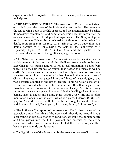explanations fail to do justice to the facts in the case, as they are narrated in Scripture.

2. THE ASCENSION OF CHRIST. The ascension of Christ does not stand out as boldly on the pages of the Bible as the resurrection. The latter was the real turning-point in the life of Jesus, and the ascension may be called its necessary complement and completion. This does not mean that the ascension was devoid of independent significance. The Scriptural proof for it is quite sufficient. Jesus referred to it time and again before His death, John 6:62; 14:2, 12; 16:5, 10, 17, 28; 17:5; 20:17. Luke gives us a double account of it, Luke 24:50–53; Acts 1:6–11. Paul refers to it repeatedly, Eph. 1:20; 4:8–10; 1 Tim. 3:16, and the Epistle to the Hebrews calls attention to its significance, 1:3; 4:14; 9:24.

a. The Nature of the Ascension. The ascension may be described as the visible ascent of the person of the Mediator from earth to heaven, according to His human nature. It was a local transition, a going from place to place. This implies, of course, that heaven is a place as well as earth. But the ascension of Jesus was not merely a transition from one place to another; it also included a further change in the human nature of Christ. That nature now passed into the fulness of heavenly glory, and was perfectly adapted to the life of heaven. Some Christian scholars of recent date consider heaven to be a condition rather than a place, and therefore do not conceive of the ascension locally. Scripture clearly represents heaven as a place, however. It is the dwelling-place of created beings, such as angels and saints, Matt. 18:10; 2 Cor. 5:1, and is often mentioned alongside of the earth, which is a place, 1 Chron. 16:31; Eccl. 5:2; Isa. 66:1. Moreover, the Bible directs our thought upward to heaven and downward to hell, Deut. 30:12; Josh. 2:11; Ps. 139:8; Rom. 10:6, 7.

b. The Lutheran Conception of the Ascension. The Lutheran view of the ascension differs from that of the Reformed. They do not regard it as a local transition but as a change of condition, whereby the human nature of Christ passes into the full enjoyment and exercise of the divine perfections, which were communicated to it at the incarnation, and thus became permanently omnipresent.

c. The Significance of the Ascension. In the ascension we see Christ as our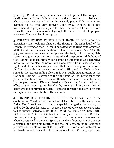great High Priest entering the inner sanctuary to present His completed sacrifice to the Father. It is prophetic of the ascension to all believers, who are even now set with Christ in heavenly places, Eph. 2:6, and are destined to be with Him forever, John 17:24. Finally, it is also instrumental in preparing a place for those that are of Christ. The Lord Himself points to the necessity of going to the Father. in order to prepare a place for His disciples, John 14:2, 3.

3. CHRIST'S SESSION AT THE RIGHT HAND OF GOD. After His ascension Christ took His place on the throne at the right hand of the Father. He predicted that He would be seated at the right hand of power, Matt. 26:64. Peter makes mention of it in his sermons, Acts 2:33–36; 5:31, and several passages in the Epistles refer to it, Eph. 1:20–22; Heb. 10:12; 1 Pet. 3:22; Rev. 3:21; 22:1. Naturally, the expression "right hand of God" cannot be taken literally, but should be understood as a figurative indication of the place of power and glory. That Christ is seated at the right hand of the Father simply means that the reins of government over the Church and the universe are entrusted to Him, and that He is made to share in the corresponding glory. It is His public inauguration as the God-man. During His session at the right hand of God, Christ rules and protects His Church and exercises authority over the universe in behalf of His people; presents His completed sacrifice to the Father, making it effective and securing its benefits by constant intercession for all believers; and continues to teach His people through the Holy Spirit and through the instrumentality of His servants.

4. THE PHYSICAL RETURN OF CHRIST. The highest stage in the exaltation of Christ is not reached until He returns in the capacity of Judge. He Himself refers to this as a special prerogative, John 5:22, 27, and so do the apostles, Acts 10:42; 17:31. Several other passages also refer to His judicial activity, Matt. 19:28; 25:31–34; Luke 3:17; Rom. 2:16; 14:9; 2 Cor. 5:10; 2 Tim. 4:1; Jas. 5:9. Some place the return of Christ in the past, claiming that the promise of His coming again was realized when He returned in the Holy Spirit on the day of Pentecost. But this was a spiritual and invisible return, while the Bible teaches us to look for a physical and visible return of Christ, Acts 1:11. Even after Pentecost we are taught to look forward to the coming of Christ, 1 Cor. 1:7; 4:5; 11:26;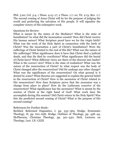Phil. 3:20; Col. 3:4; 1 Thess. 4:15–17; 2 Thess. 1:7–10; Tit. 2:13; Rev. 1:7. The second coming of Jesus Christ will be for the purpose of judging the world and perfecting the salvation of His people. It will signalize the complete victory of His redemptive work.

#### Questions for Review:

What is meant by the states of the Mediator? What is the state of humiliation? In what did the incarnation consist? How did Christ receive His human nature? What Scripture proof have we for the virgin birth? What was the work of the Holy Spirit in connection with the birth of Christ? Was the incarnation a part of Christ's humiliation? Were the sufferings of Christ limited to the end of His life? What was the nature of His sufferings? What significance does it have that Christ died a judicial death, and that He died by crucifixion? What significance did the burial of Christ have? What different views are there of the descent into hades? What is the correct view? What is the state of exaltation? What was the nature of the resurrection of Christ? In what respect was the body of Christ changed after the resurrection? Did He undergo any other change? What was the significance of the resurrection? On what ground is it denied by some? What theories are suggested to explain the general belief in the resurrection of Christ? How is the ascension of Christ related to His resurrection? How does Scripture prove that the ascension was a change from place to place? How do the Lutherans conceive of the resurrection? What significance has the ascension? What is meant by the session of Christ at the right hand of God? What work does He accomplish during His session? Did Christ return in the Holy Spirit? Was this the predicted second coming of Christ? What is the purpose of His second coming?

#### References for Further Study:

Berkhof, Reformed Dogmatics, I, pp. 333–362; Hodge, Systematic Theology, II, pp. 610–638; Hodge, Outlines of Theology, pp. 438–44; McPherson, Christian Theology, pp. 321–330; Dick, Lectures on Theology, Lect. LX–LXIII.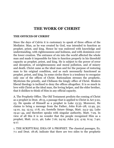# **THE WORK OF CHRIST**

#### **THE OFFICES OF CHRIST**

Since the days of Calvin it is customary to speak of three offices of the Mediator. Man, as he was created by God, was intended to function as prophet, priest, and king. Hence he was endowed with knowledge and understanding, with righteousness and holiness, and with dominion over the lower creation. The entrance of sin into the world affected the whole man and made it impossible for him to function properly in his threefold capacity as prophet, priest, and king. He is subject to the power of error and deception, of unrighteousness and moral pollution, and of misery and death. Christ came as the ideal man and for the purpose of restoring man to his original condition, and as such necessarily functioned as prophet, priest, and king. In some circles there is a tendency to recognize only one of the offices of Christ. Rationalism stresses the prophetic, Mysticism the priestly, and Chiliasm the kingly office of Christ. Modern liberal theology is inclined to deny the offices altogether. It is so much in love with Christ as the ideal man, the loving helper, and the elder brother, that it dislikes to think of Him in any official capacity.

A. The Prophetic Office. The Old Testament predicts the coming of Christ as a prophet in Deut. 18:15, a passage that is applied to Christ in Act 3:22, 23. He speaks of Himself as a prophet in Luke 13:33. Moreover, He claims to bring a message from the Father, John 8:26–28; 12:49, 50; 14:10, 24; 15:15; 17:8, 20, foretells future things, Matt. 24:3–35; Luke 19:41–44, and therefore speaks with singular authority, Matt. 7:29. In view of all this it is no wonder that the people recognized Him as a prophet, Matt. 21:11, 46; Luke 7:16; 24:19; John 3:2; 4:19; 6:14; 7:40; 9:17.

1. THE SCRIPTURAL IDEA OF A PROPHET. The classical passages, Ex. 7:1 and Deut. 18:18, indicate that there are two sides to the prophetic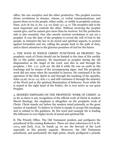office, the one receptive and the other productive. The prophet receives divine revelations in dreams, visions, or verbal communications; and passes these on to the people, either orally, or visibly in prophetic actions, Num. 12:6–8; Isa. 6; Jer. 1:4–10; Ezek. 3:1–4, 17. The receptive side is the most important and controls the other. Without receiving the prophet cannot give, and he cannot give more than he receives. Yet the productive side is also essential. One who merely receives revelations is not yet a prophet. It was the duty of the prophets to reveal the will of God to the people, to interpret the law in its moral and spiritual aspects, to protest against formalism and sin, calling the people back to the path of duty, and to direct attention to the glorious promises of God for the future.

2. THE WAYS IN WHICH CHRIST FUNCTIONS AS PROPHET. The prophetic work of Christ should not be limited to the time of His earthly life or His public ministry. He functioned as prophet during the old dispensation as the Angel of the Lord, and also in and through the prophets, 1 Pet. 1:11; 3:18–20. He did it while He was on earth in His teachings and by means of the accompanying signs. And His prophetic work did not cease when He ascended to heaven. He continued it by the operation of the Holy Spirit in and through the teaching of the apostles, John 14:26; 16:12–14; Acts 1:1; and still continues it through the ministry of the Word and in the spiritual illumination of believers. Even while He is seated at the right hand of the Father, He is ever active as our great Prophet.

3. MODERN EMPHASIS ON THE PROPHETIC WORK OF CHRIST. In so far as there is any recognition of the official work of Christ in modern liberal theology, the emphasis is altogether on the prophetic work of Christ. Christ stands out before the modern mind primarily as the great teacher of mankind. To believe in Christ is simply to accept His teachings and to submit to His guidance. By His word and example He is leading His followers to ever higher levels of moral and spiritual life.

B. The Priestly Office. The Old Testament predicts and prefigures the priesthood of the coming Redeemer. There are clear references to it in Ps. 110:4 and Zech. 6:13. In Isaiah 53 we see the Servant of the Lord especially in His priestly capacity. Moreover, the Old Testament priesthood, and particularly the high priest, clearly prefigured a priestly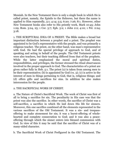Messiah. In the New Testament there is only a single book in which He is called priest, namely, the Epistle to the Hebrews, but there the name is applied to Him repeatedly, 3:1; 4:14; 5:5; 6:20; 7:26; 8:1. However, other New Testament books also refer to His priestly work, Mark 10:45; John 1:29; Rom. 3:24, 25; 1 Cor. 5:7; Eph. 5:2; 1 John 2:2; 4:10; 1 Pet. 2:24; 3:18.

1. THE SCRIPTURAL IDEA OF A PRIEST. The Bible makes a broad but important distinction between a prophet and a priest. The prophet was appointed to be God's representative with the people, and was primarily a religious teacher. The priest, on the other hand, was man's representative with God. He had the special privilege of approach to God, and of speaking and acting in behalf of the people. The Old Testament priests were also teachers, but their teaching differed from that of the prophets. While the latter emphasized the moral and spiritual duties, responsibilities, and privileges, the former stressed the ritual observances involved in the proper approach to God. The characteristics of a priest are given rather fully in Heb. 5:1. The priest (a) is taken from among men to be their representative; (b) is appointed by God (vs. 3); (c) is active in the interest of men in things pertaining to God, that is, religious things; and (d) offers gifts and sacrifices for sins. In addition he also makes intercession for the people.

### 2. THE SACRIFICIAL WORK OF CHRIST.

a. The Nature of Christ's Sacrificial Work. The work of Christ was first of all to bring a sacrifice for sin. The peculiarity in His case was that the priest was also the sacrifice. In other words, the sacrifice of Christ was a self-sacrifice, a sacrifice in which He laid down His life for sinners. Moreover, this one sacrifice combined all the elements represented in the various sacrifices of the Old Testament. It was a sin- and trespassoffering to make atonement for sin; it was a burnt-offering of wholehearted and complete consecration to God; and it was also a peaceoffering through which the sinner enters into blessed communion with God. In view of this it may be said that the sacrifice of Christ was of a many-sided character.

b. The Sacrificial Work of Christ Prefigured in the Old Testament. The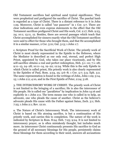Old Testament sacrifices had spiritual aand typical significance. They were prophetical and prefigured the sacrifice of Christ. The paschal lamb is regarded as a type of Christ. There is a distant reference to it in John 1:29. Moreover, Christ is called "our passover" in 1 Cor. 5:7. There are clear indications and even express statements to the effect that the Old Testament sacrifices prefigured Christ and His work, Col. 2:17; Heb. 9:23, 24; 10:1; 13:11, 12. Besides, there are several passages which teach that Christ accomplished for sinners exactly what the Old Testament sacrifices were said to effect for those who brought them, and that He accomplished it in a similar manner, 2 Cor. 5:21; Gal. 3:13; 1 John 1:7.

c. Scripture Proof for the Sacrificial Work of Christ. The priestly work of Christ is most clearly represented in the Epistle to the Hebrews, where the Mediator is described as our only real, eternal, and perfect High Priest, appointed by God, who takes our place vicariously, and by His self-sacrifice obtains a real and perfect redemption, Heb. 5:1–10; 7:1–28; 9:11–15, 24–28; 10:11–14, 19–22; 12:24. While this is the only Epistle in which Christ is called priest, His priestly work is also clearly represented in the Epistles of Paul, Rom. 3:24, 25; 5:6–8; 1 Cor. 5:7; 5:3; Eph. 5:2. The same representation is found in the writings of John, John 1:29; 3:14, 15; 1 John 2:2; 4:10, and in the First Epistle of Peter, 2:24; 3:18.

3. THE INTERCESSORY WORK OF CHRIST. The priestly work of Christ is not limited to the bringing of a sacrifice; He is also the intercessor of His people. He is called our "parakletos" by implication in John 14:16 and explicitly in 1 John 2:2. The term means one who is called in to help, an advocate, one who pleads the cause of another. Christ as the believer's advocate pleads His cause with the Father against Satan, Zech. 3:1; Heb. 7:25; 1 John 2:1; Rev. 12:10.

a. The Nature of Christ's Intercessory Work. The intercessory work of Christ is based on His atoning sacrifice, is but a continuation of His priestly work, and carries this to completion. The nature of the work is indicated by Scripture in Rom. 8:24; Heb. 7:25; 9:24. It is not limited to intercessory prayer, as is often mistakenly thought, but includes much more. As intercessor Christ continuously presents His sacrifice to God as the ground of all necessary blessings for His people, persistently claims these blessings for them according to their need, answers all accusations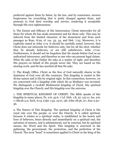preferred against them by Satan, by the law, and by conscience, secures forgiveness for everything that is justly charged against them, and presents to God their worship and service, rendering it acceptable through His own righteousness.

b. The Extent and Efficacy of His Intercession. Christ intercedes for all those for whom He has made atonement and for those only. This may be inferred from the limited character of the atonement and from such passages as Rom. 8:29, cf. vss. 33, 34, and Heb. 7:25. Moreover, it is explicitly stated in John 17:9. It should be carefully noted, however, that Christ does not intercede for believers only, but for all the elect, whether they be already believers, or are still unbelievers, John 17:20. Furthermore, it should not be forgotten that He stands before God as an authorized intercessor, and therefore as one who can present legal claims. What He asks of the Father He asks as a matter of right, and therefore His prayers on behalf of His people never fail. They are based on His atoning work, and He has merited all that He asks.

C. The Kingly Office. Christ as the Son of God naturally shares in the dominion of God over all His creatures. This kingship is rooted in His divine nature and is His by original right. In this connection, however, we are concerned with a kingship with which He as Mediator was invested. We distinguish a twofold Mediatorial kingship of Christ, His spiritual kingship over the Church, and His kingship over the universe.

1. THE SPIRITUAL KINGSHIP OF CHRIST. The Bible speaks of this kingship in many places, Ps. 2:6; 45:6, 7 (cf. Heb. 1:8, 9); 132:11; Isa. 9:6, 7; Micah 5:2; Zech. 6:13; Luke 1:33; 19:27, 38; John 18:36, 37; Acts 2:30– 36.

a. The Nature of This Kingship. The spiritual kingship of Christ is His royal rule over His people, or over the Church. It is called spiritual, because it relates to a spiritual realm, is established in the hearts and lives of believers, bears directly and immediately on a spiritual end, the salvation of sinners, and is administered, not by external, but by spiritual means, the Word and the Spirit. This kingship is exercised in the gathering, the government, the protection, and the perfection of the Church. The term "head" is sometimes applied to Christ as the king of the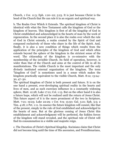Church, 1 Cor. 11:3; Eph. 1:20–22; 5:23. It is just because Christ is the head of the Church that He can rule it in an organic and spiritual way.

b. The Realm Over Which it Extends. The spiritual kingdom of Christ is identical with what the New Testament calls the kingdom of God or the kingdom of heaven. This kingdom is first of all the kingship of God in Christ established and acknowledged in the hearts of man by the work of regeneration. In the second place it is also the realm over which the rule of God in Christ extends, a realm created by the Spirit of God and composed exclusively of those who share in the life of the Spirit. And, finally, it is also a new condition of things which results from the application of the principles of the kingdom of God and which often extends beyond the sphere of the kingdom in the strictest sense of the word. The citizenship of the kingdom is co-extensive with the membership of the invisible Church. Its field of operation, however, is wider than that of the Church and aims at the control of life in all its manifestations. The visible Church is the most important and the only divinely instituted external organization of the kingdom. The term "kingdom of God" is sometimes used in a sense which makes the kingdom practically equivalent to the visible Church, Matt. 8:12; 13:24– 30, 47–50.

The spiritual kingdom of Christ is both present and future. It is on the one hand a present, ever-developing spiritual reality in the hearts and lives of men, and as such exercises influence in a constantly widening sphere, Matt. 12:28; Luke 17:21; Col. 1:13. But on the other hand it is also a future hope, which will not be realized until the return of Jesus Christ. This future aspect of it is the more prominent of the two in Scripture, Matt. 7:21; 19:23; Luke 22:29; 1 Cor. 6:9; 15:50; Gal. 5:21; Eph. 5:5; 2 Tim. 4:18; 2 Pet. 1:11. In essence the future kingdom will consist, like that of the present, simply in the rule of God established and acknowledged in the hearts of men. But at the glorious coming of Jesus Christ this establishment and acknowledgment will be perfected, the hidden forces of the kingdom will stand revealed, and the spiritual rule of Christ will find its consummation in a visible and majestic reign.

c. The Duration of Christ's Spiritual Kingship. Socinians claim that Christ did not become king until the time of His ascension, and Premillenarians,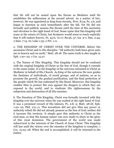that He will not be seated upon the throne as Mediator until He establishes the millennium at the second advent. As a matter of fact, however, He was appointed as king from eternity, Prov. 8:23; Ps. 2:6, and began to function as such immediately after the fall. Yet He did not formally and publicly assume His throne until the time of His ascension and elevation to the right hand of God. Some opine that this kingship will cease at the return of Christ, but Scripture would seem to teach explicitly that it will endure forever, Ps. 45:6; 72:17; 89:36, 37; Isa. 9:7; Dan. 2:44; 2 Sam. 7:13, 16; Luke 1:33; 2 Pet. 1:11.

2. THE KINGSHIP OF CHRIST OVER THE UNIVERSE. Before His ascension Christ said to His disciples: "All authority hath been given unto me in heaven and on earth," Matt. 28:18. The same truth is also taught in Eph. 1:20–22; 1 Cor. 15:27.

a. The Nature of This Kingship. This kingship should not be confused with the original kingship of Christ as the Son of God, though it extends to the same realm. It is the kingship of the universe entrusted to Christ as Mediator in behalf of His Church. As King of the universe He now guides the destinies of individuals, of social groups, and of nations, so as to promote the growth, the gradual purification, and the final perfection of the people which He has redeemed by His blood. Moreover, this kingship enables Him to protect His own against the dangers to which they are exposed in the world, and to vindicate His righteousness by the subjection and destruction of all His enemies.

b. The Duration of This Kingship. Christ was formally invested with this kingship over the universe when He was exalted at the right hand of God. It was a promised reward of His labours, Ps. 2:8, 9; Matt. 28:18; Eph. 1:20–22; Phil. 2:9–11. This investiture did not give Him any power or authority which He did not already possess as the Son of God; neither did it increase His territory. It simply gave this authority to Christ as the God-man, so that His human nature was now made to share in the glory of this royal dominion. The government of the world was made subservient to the interests of the Church of Jesus Christ. This kingship will last until the victory over the enemies of the kingdom is complete, 1 Cor. 15:24–28. When the end is accomplished, it will be returned to the Father.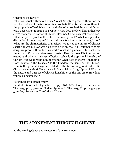Questions for Review:

Why has Christ a threefold office? What Scripture proof is there for the prophetic office of Christ? What is a prophet? What two sides are there to the prophetic office? What are the duties of a prophet? In what different ways does Christ function as prophet? How does modern liberal theology stress the prophetic office of Christ? How was Christ as priest prefigured? What Scripture proof is there for His priestly work? What is a priest in distinction from a prophet? How did their teaching differ among Israel? What are the characteristics of a priest? What was the nature of Christ's sacrificial work? How was this prefigured in the Old Testament? What Scripture proof is there for this work? What is a paraclete? In what does the work of Christ as intercessor consist? How far does His intercession extend and why is it always effective? What is the spiritual kingship of Christ? Over what realm does it extend? What does the term "kingdom of God" denote in the Gospels? Is the kingdom the same as the Church? How is the present kingdom related to the future kingdom? When did Christ become king? How long will His spiritual kingship last? What is the nature and purpose of Christ's kingship over the universe? How long will this kingship last?

References for Further Study:

Berkhof, Reformed Dogmatics, I, pp. 363–388; Hodge, Outlines of Theology, pp. 391–400; Hodge, Systematic Theology, II. pp. 459–479, 592–609; Stevenson, The Office of Christ.

## **THE ATONEMENT THROUGH CHRIST**

A. The Moving Cause and Necessity of the Atonement.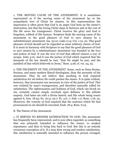1. THE MOVING CAUSE OF THE ATONEMENT. It is sometimes represented as if the moving cause of the atonement lay in the sympathetic love of Christ for sinners. In this representation the impression is often given that God is an angry God bent on the sinner's destruction, but that the loving Christ steps in between and at the cost of His life saves the transgressor. Christ receives the glory and God is forgotten, robbed of His honour. Scripture finds the moving cause of the atonement in the good pleasure of God to save sinners by a substitutionary atonement, Isa. 53:10; Luke 2:14; Col. 1:19, 20. This good pleasure of God should not be regarded as some arbitrary choice of God. It is more in harmony with Scripture to say that the good pleasure of God to save sinners by a substitutionary atonement was founded in the love and justice of God. It was the love of God that offered sinners a way of escape, John 3:16. And it was the justice of God which required that the demands of the law should be met, "that He might be just, and the justified of him which believeth in Jesus," Rom. 3:26; cf. vss. 24, 25.

2. THE NECESSITY OF THE ATONEMENT. Some, such as Duns Scotus, Socinus, and many modern liberal theologians, deny the necessity of the atonement. They do not believe that anything in God required satisfaction for sin before He could pardon the sinner. It is quite evident, however, that atonement was necessary in view of the justice of God. This was violated by man's transgression, and therefore naturally called for satisfaction. The righteousness and holiness of God, which can brook no sin, certainly cannot simply overlook open defiance to His infinite majesty. God hates sin with a divine hatred, and His whole being reacts against it, Gen. 18:25; Ex. 20:5; 23:7; Ps. 5:6, 7; Nah. 1:2; Rom. 1:18, 32. Moreover, the veracity of God required that the sentence which He had pronounced on sin should be executed, Ezek. 18:4; Rom. 6:23.

B. The Nature of the Atonement.

1. IT SERVED TO RENDER SATISFACTION TO GOD. The atonement has frequently been represented, and is now often regarded, as something that was primarily intended to influence the sinner, to awaken repentance, and thus to bring him back to God. But this is an entirely erroneous conception of it. If a man does wrong and renders satisfaction, this satisfaction is naturally intended to influence the person wronged,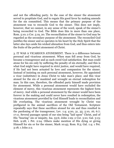and not the offending party. In the case of the sinner the atonement served to propitiate God, and to regain His good favor by making amends for the sin committed. This means that the primary purpose of the atonement was to reconcile God to the sinner. This does not imply, however, that we cannot, in any sense of the word, speak of the sinner's being reconciled to God. The Bible does this in more than one place, Rom. 5:10; 2 Cor. 5:19, 20. The reconciliation of the sinner to God may be regarded as the secondary purpose of the atonement. The reconciled God justifies the sinner and so operates in his heart by the Holy Spirit that the latter also lays aside his wicked alienation from God, and thus enters into the fruits of the perfect atonement of Christ.

3. IT WAS A VICARIOUS ATONEMENT. There is a difference between personal and vicarious atonement. When man fell away from God, he became a transgressor and as such owed God satisfaction. But man could atone for his sin only by suffering the penalty of sin eternally; and this is what God might have required in strict justice, and would have required, if He had not been actuated by love and compassion for the sinner. Instead of insisting on such personal atonement, however, He appointed a vicar (substitute) in Jesus Christ to take man's place; and this vicar atoned for the sin of mankind and wrought an eternal redemption for man. In this case, therefore, the offended party himself made provision for atonement. While a personal atonement would have excluded the element of mercy, this vicarious atonement represents the highest form of mercy. And while a personal atonement by the sinner would have been forever in the making and could never have resulted in redemption, the vicarious atonement provided by God Himself leads to reconciliation and life everlasting. The vicarious atonement wrought by Christ was prefigured in the animal sacrifices of the Old Testament. Scripture repeatedly says that these sacrifices atoned for sin and thus resulted in the pardoning of the transgressor, Lev. 1:4; 4:20, 31, 35; 5:10, 16; 6:7; 17:11. Several passages speak of our sins being "laid upon" Christ, and of His "bearing" sin or iniquity, Isa. 53:6; John 1:29; 2 Cor. 5:21; Gal. 3:13; Heb. 9:28; 1 Pet. 2:24. Others make mention of His dying or giving Himself for sin or for the sinner, Mark 10:45; Rom. 8:3; Gal. 1:4; 1 Pet. 3:18; 1 John 2:2.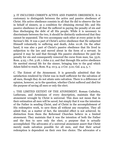3. IT INCLUDED CHRIST'S ACTIVE AND PASSIVE OBEDIENCE. It is customary to distinguish between the active and passive obedience of Christ. His active obedience consists in all that He did to observe the law in behalf of sinners, as a condition for obtaining eternal life; and His passive obedience in all that He suffered in paying the penalty of sin and thus discharging the debt of all His people. While it is necessary to discriminate between the two, it should be distinctly understood that they cannot be separated. The two accompany each other at every point in the Saviour's life. It was a part of Christ's active obedience that He subjected Himself voluntarily to suffering and death, John 10:18. On the other hand, it was also a part of Christ's passive obedience that He lived in subjection to the law and moved about in the form of a servant. In general it may be said that through His passive obedience He paid the penalty for sin and consequently removed the curse from man, Isa. 53:6; Rom. 4:25; 1 Pet. 3:18; 1 John 2:2; and that through His active obedience He merited eternal life for the sinner, bringing him to the goal which Adam failed to reach, Rom. 8:4; 10:3, 4; 2 Cor. 5:21; Gal. 4:4, 5, 7.

C. The Extent of the Atonement. It is generally admitted that the satisfaction rendered by Christ was in itself sufficient for the salvation of all men, though they do not attain unto salvation. There is a difference of opinion, however, as to the question, whether Christ suffered and died for the purpose of saving all men or only the elect.

1. THE LIMITED EXTENT OF THE ATONEMENT. Roman Catholics, Lutherans, and Arminians of every description, maintain that the atonement wrought by Christ is universal. This does not mean that in their estimation all men will be saved, but simply that it was the intention of the Father in sending Christ, and of Christ in the accomplishment of His redemptive work, to save them all without any exception. They all admit that, as a matter of fact, the intended effect is not achieved. In distinction from them the Reformed Churches believe in a limited atonement. They maintain that it was the intention of both the Father and the Son to save only the elect, a purpose that is actually accomplished. The advocates of a universal atonement assert that Christ merely made salvation possible for all men, and that their actual redemption is dependent on their own free choice. The advocates of a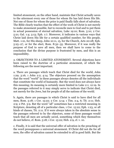limited atonement, on the other hand, maintain that Christ actually saves to the uttermost every one of those for whom He has laid down His life. Not one of those for whom the price is paid finally falls short of salvation. The Bible clearly teaches that the effect of the work of Christ is not merely to make atonement possible, but to reconcile men to God and to put them in actual possession of eternal salvation, Luke 19:10; Rom. 5:10; 2 Cor. 5:21; Gal. 1:4; 3:13; Eph. 1:7. Moreover, it indicates in various ways that Christ laid down His life for a certain qualified number, for His people, Matt. 1:21, for His sheep, John 10:11, 15, for the Church, Acts 20:28; Eph. 5:25–27, or for the elect, Rom. 8:32–35. Moreover, if it was really the purpose of God to save all men, then we shall have to come to the conclusion that the divine purpose is frustrated by men, and this is an impossibility.

2. OBJECTIONS TO A LIMITED ATONEMENT. Several objections have been raised to the doctrine of a particular atonement, of which the following are the most important.

a. There are passages which teach that Christ died for the world, John 1:29; 3:16; 1 John 2:2; 4:14. The objectors proceed on the assumption that the word "world" in these passages always denotes all the individuals that constitute the world of humanity. But the word does not always have this meaning; its meaning is certainly more limited in Luke 2:1; 12:19. In the passages referred to it may simply serve to indicate that Christ died, not merely for the Jews, but for people of all the nations of the world.

b. Again, there are passages in which Christ is said to have died for all men, Rom. 5:18; 1 Cor. 15:22; 2 Cor. 5:14; 1 Tim. 2:4, 6; Tit. 2:11; Heb. 2:9; 2 Pet. 3:9. But the word "all" sometimes has a restricted meaning in Scripture, denoting all of a particular class, 1 Cor. 15:22; Eph. 1:23, or all kinds of classes, Tit. 2:11. If it were always taken in the absolute sense in the passages referred to by the objectors, some of these passages would teach that all men are actually saved, something which they themselves do not believe, cf. Rom. 5:18; 1 Cor. 15:22; Heb. 2:9, cf. v. 10.

c. Finally, it is said that the universal offer of salvation in the preaching of the word presupposes a universal atonement. If Christ did not die for all men, the offer of salvation cannot be extended to all in good faith. But the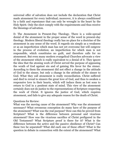universal offer of salvation does not include the declaration that Christ made atonement for every individual; moreover, it is always conditioned by a faith and repentance that can only be wrought in the heart by the Holy Spirit. Only the elect comply with the requirements and thus receive the blessings of salvation.

D. The Atonement in Present-Day Theology. There is a wide-spread denial of the atonement in the proper sense of the word in present-day theology. Modern liberal theology really has no place for a doctrine of the atonement in any sense of the word. It regards sin simply as a weakness or as an imperfection which man has not yet overcome but will outgrow in the process of evolution; an imperfection for which man is not responsible, which constitutes no guilt, and therefore calls for no atonement. But even many modern evangelical Churches advocate a view of the atonement which is really equivalent to a denial of it. They ignore the idea that the atoning work of Christ served the purpose of appeasing the wrath of God against sin and of gaining His favor for the sinner. According to them the atonement did not effect a change in the attitude of God to the sinner, but only a change in the attitude of the sinner to God. What they call atonement is really reconciliation. Christ suffered and died to reveal to sinners the great love of God, and thus to awaken a responsive love in their hearts, which will induce them as lost sons to return to God in a penitent state of mind. This view of the atonement certainly does not do justice to the representations of Scripture respecting the work of Christ. It ignores the justice of God, which requires atonement, and fails to give any adequate reason for the death of Christ.

### Questions for Review:

What was the moving cause of the atonement? Why was the atonement necessary? What erroneous conception do many have of the purpose of the atonement? What was the real purpose? How can this be proved from Scripture? What is the difference between personal and vicarious atonement? How was the vicarious sacrifice of Christ prefigured in the Old Testament? What Scripture proof is there for it? What is the difference between the active and the passive obedience of Christ? Can these two be separated? What did each one of these effect? What is the question in debate in connection with the extent of the atonement? What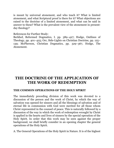is meant by universal atonement, and who teach it? What is limited atonement, and what Scriptural proof is there for it? What objections are raised to the doctrine of a limited atonement, and what can be said in answer to these? What is the prevalent view of the atonement in presentday theology?

References for Further Study:

Berkhof, Reformed Dogmatics, I. pp. 389–427; Hodge, Outlines of Theology, pp. 401–425; Orr, Side-Lights on Christian Doctrine, pp. 125– 139; McPherson, Christian Dogmatics, pp. 329–367, Hodge, The Atonement.

# **THE DOCTRINE OF THE APPLICATION OF THE WORK OF REDEMPTION**

### **THE COMMON OPERATIONS OF THE HOLY SPIRIT**

The immediately preceding division of this work was devoted to a discussion of the person and the work of Christ, by which the way of salvation was opened for sinners and all the blessings of salvation and of eternal life in communion with God were merited for all those whom Christ represented in the counsel of peace. This is naturally followed by a discussion of the way in which the work of redemption wrought by Christ is applied in the hearts and lives of sinners by the special operation of the Holy Spirit. In order that this work may be seen against the proper background, we shall briefly consider in an opening chapter the general operations of the Holy Spirit.

A. The General Operations of the Holy Spirit in Nature. It is of the highest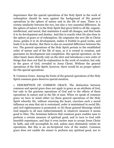importance that the special operations of the Holy Spirit in the work of redemption should be seen against the background of His general operations in the sphere of nature and in the life of man. There is a certain similarity between the two, but also a very essential difference. In the sphere of nature it is the Holy Spirit that gives birth to all life, organic, intellectual, and moral, that maintains it amid all changes, and that leads it to its development and destiny. And this is exactly what He also does in the sphere of grace or of redemption. He originates the new life in Christ Jesus, guides it in its development, makes it fruitful in good works, and leads it to its destiny. But there is also an essential difference between the two. The general operations of the Holy Spirit pertain to the established order of nature and of the life of man, as it is rooted in creation, and guarantee its development and completion. His special operation, on the other hand, bears directly only on the elect and introduces a new order of things that does not find its explanation in the work of creation, but only in the grace of God, revealed in Jesus Christ. Without the general operations of the Holy Spirit, however, there would be no proper sphere for His special operations.

B. Common Grace. Among the fruits of the general operations of the Holy Spirit common grace deserves special mention.

1. DESCRIPTION OF COMMON GRACE. The distinction between common and special grace does not apply to grace as an attribute of God, but only to the gracious operations of God and to the effects of these operations in nature and in the life of man. When we speak of common grace we have in mind either (a) those general operations of the Holy Spirit whereby He, without renewing the heart, exercises such a moral influence on man that sin is restrained, order is maintained in social life, and civil righteousness is promoted; or (b) those general blessings which God imparts to all men indiscriminately in whatever measure it seems good to Him. The Arminian believes that common grace enables man to perform a certain measure of spiritual good, and to turn to God with heartfelt repentance; and that it even incites man to accept Jesus Christ by faith, and will accomplish its end, unless man obstinately resists its operations. But this is an un-Scriptural view of the matter. Common grace does not enable the sinner to perform any spiritual good, nor to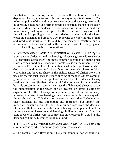turn to God in faith and repentance. It is not sufficient to remove the total depravity of man, nor to lead him in the way of spiritual renewal. The following points of distinction between common and special grace should be carefully noted: (a) The former effects no spiritual change in the heart of man, while the latter does; (b) the former works in a rational and moral way by making men receptive for the truth, presenting motives to the will, and appealing to the natural desires of man, while the latter works in a spiritual and creative way, renewing the whole nature of man and producing spiritual fruits; and (c) the former is resistible and is always more or less resisted, while the latter is irresistible, changing man so that he willingly yields to its operations.

2. COMMON GRACE AND THE ATONING WORK OF CHRIST. By His atoning work Christ merited the blessings of special grace. Did He also by His sacrificial death merit the more common blessings of divine grace which are bestowed on all men, and therefore also on the impenitent and reprobate? If He did not merit them, then what is the legal basis on which God can extend grace and show favor to men who have forfeited everything and have no share in the righteousness of Christ? Now it is possible that no such basis is needed in view of the fact (a) that common grace does not remove the guilt of sin and therefore does not carry pardon with it; and (b) that it does not lift the sentence of condemnation, but only postpones its execution. Perhaps the divine good pleasure to stay the manifestation of the wrath of God against sin offers a sufficient explanation for the blessings of common grace. It is not unlikely, however, that even these blessings must be connected in some way with the death of Christ. This does not necessarily mean that Christ merited these blessings for the impenitent and reprobate, but simply that important benefits accrue to the whole human race from the death of Christ, and that in these benefits the unbelieving, the impenitent, and the reprobate share. These general blessings indirectly resulting from the atoning work of Christ were, of course, not only foreseen by God, but also designed by Him as blessings for all mankind.

3. THE MEANS BY WHICH COMMON GRACE OPERATES. There are several means by which common grace operates, such as:

a. The Light of God's Revelation. This is fundamental, for without it all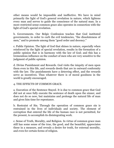other means would be impossible and ineffective. We have in mind primarily the light of God's general revelation in nature, which lightens every man and serves to guide the conscience of the natural man. In a more restricted sense common grace also operates in connection with the light of God's special revelation.

b. Governments. Our Belgic Confession teaches that God instituted governments, in order to curb the evil tendencies, "the dissoluteness of men," and to promote among them "good order and decency."

c. Public Opinion. The light of God that shines in nature, especially when reinforced by the light of special revelation, results in the formation of a public opinion that is in harmony with the law of God; and this has a tremendous influence on the conduct of men who are very sensitive to the judgment of public opinion.

d. Divine Punishment and Rewards. God visits the iniquity of men upon them even in this life, and rewards deeds that are in outward conformity with the law. The punishments have a deterring effect, and the rewards serve as incentives. Thus whatever there is of moral goodness in the world is greatly encouraged.

### 4. THE EFFECTS OF COMMON GRACE.

a. Execution of the Sentence Stayed. It is due to common grace that God did not at once fully execute the sentence of death upon the sinner, and does not do so now, but maintains and prolongs the natural life of man and gives him time for repentance.

b. Restraint of Sin. Through the operation of common grace sin is restrained in the lives of individuals and society. The element of corruption that entered the life of the human race is not permitted, for the present, to accomplish its disintegrating work.

c. Sense of Truth, Morality, and Religion. In virtue of common grace man still has some sense of the true, the good, and the beautiful, appreciates these in a measure, and reveals a desire for truth, for external morality, and even for certain forms of religion.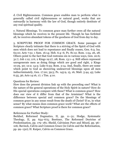d. Civil Righteousness. Common grace enables man to perform what is generally called civil righteousness or natural good, works that are outwardly in harmony with the law of God, though entirely destitute of any real spiritual quality.

e. Natural Blessings. To common grace man further owes all the natural blessings which he receives in the present life. Though he has forfeited all, he receives abundant tokens of the goodness of God from day to day.

5. SCRIPTURE PROOF FOR COMMON GRACE. Some passages of Scripture clearly intimate that there is a striving of the Spirit of God with men which does not lead to repentance and finally ceases, Gen. 6:3; Isa. 63:10; Acts 7:51; 1 Sam. 16:14; Heb. 6:4–6; Ps. 81:12; Rom. 1:24, 26, 28. Others point to the fact that God restrains sin in various ways, Gen. 20:6; 31:7; Job 1:12; 2:6; 2 Kings 19:27, 28; Rom. 13:1–4. Still others represent unregenerate men as doing things which are good and right, 2 Kings 10:29, 30; 12:2; 14:3; Luke 6:33; Rom. 2:14. And, finally, there are some which point to God as showering undeserved blessings upon all men indiscriminately, Gen. 17:20; 39:5; Ps. 145:9, 15, 16; Matt. 5:44, 45; Luke 6:35, 36; Acts 14:16, 17; 1 Tim. 4:10.

### Questions for Review:

How does the present division link up with the preceding one? What is the nature of the general operations of the Holy Spirit in nature? How do His special operations compare with these? What is common grace? How does our view of it differ from that of the Arminian? What is the difference between special and common grace? Do the blessings of common grace in any sense result from the death of Christ? If so, in what sense? By what means does common grace work? What are the effects of common grace? What Scripture proof is there for common grace?

### References for Further Study:

Berkhof, Reformed Dogmatics, II, pp. 11–31; Hodge, Systematic Theology, II, pp. 654–675; Boettner, The Reformed Doctrine of Predestination, pp. 179–181; Shedd, Calvinism Pure and Mixed, pp. 96– 106; Bavinck, Calvin and Common Grace (in Calvin and the Reformation, pp. 99–130); H. Kuiper, Calvin on Common Grace.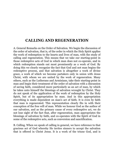### **CALLING AND REGENERATION**

A. General Remarks on the Order of Salvation. We begin the discussion of the order of salvation, that is, of the order in which the Holy Spirit applies the work of redemption to the hearts and lives of man, with the study of calling and regeneration. This means that we take our starting-point in those redemptive acts of God in which man does not co-operate, and in which redemption stands out most prominently as a work of God. By doing this we clearly recognize the fact that God and not man begins the redemptive process, and that salvation is altogether a work of divine grace, a work of which we become partakers only in union with Jesus Christ, with whom we are united by the work of regeneration. Many others, such as the Lutherans and Arminians, take their starting-point in man and begin their treatment of the order of salvation with a discussion of saving faith, considered more particularly as an act of man, by which he takes unto himself the blessings of salvation wrought by Christ. They do not speak of the application of the work of redemption by the Holy Spirit, but of its appropriation by man. And in this appropriation everything is made dependent on man's act of faith. It is even by faith that man is regenerated. This representation clearly fits in with their conception of the free will of man. While we honour God as the author of our salvation, and as the primary cause of every redemptive act, we do not lose sight of the fact that, after regeneration, man appropriates the blessings of salvation by faith, and co-operates with the Spirit of God in some of the redemptive acts, such as conversion and sanctification.

B. Calling. When we speak of calling in general, we have reference to that gracious act of God whereby He invites sinners to accept the salvation that is offered in Christ Jesus. It is a work of the triune God, and is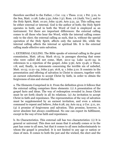therefore ascribed to the Father, 1 Cor. 1:9; 1 Thess. 2:12; 1 Pet. 5:10, to the Son, Matt. 11:28; Luke 5:32; John 7:37; Rom. 1:6 (Auth. Ver.), and to the Holy Spirit, Matt. 10:20; John 15:26; Acts 5:31, 32. This calling may be either external or internal. God is the author of both; the Holy Spirit operates in both; and in both the Word of God is employed as an instrument. Yet there are important differences: the external calling comes to all those who hear the Word, while the internal calling comes only to the elect; the external calling as such, that is, without the special operation of the Holy Spirit, affects only the natural life, while the internal calling affects the internal or spiritual life. It is the external calling made effective unto salvation.

1. EXTERNAL CALLING. The Bible speaks of external calling in the great commission, Matt. 28:19; Mark 16:15; in passages showing that some who were called did not come, Matt. 22:2–14; Luke 14:16–24; in references to a rejection of the gospel, John 3:36; Acts 13:46; 2 Thess. 1:8; and, finally, in statements concerning the terrible sin of unbelief, Matt. 10:15; 11:21–24; John 5:40; 16:8, 9; 1 John 5:10. It consists in the presentation and offering of salvation in Christ to sinners, together with an earnest exhortation to accept Christ by faith, in order to obtain the forgiveness of sins and eternal life.

a. The Elements Comprised in it. From the definition given it follows that the external calling comprises three elements: (1) A presentation of the gospel facts and ideas. The way of redemption revealed in Jesus Christ must be set forth clearly in all its relations. (2) An invitation to accept Christ in faith and repentance. The representation of the way of salvation must be supplemented by an earnest invitation, and even a solemn command to repent and believe, John 6:28, 29; Acts 19:4; 2 Cor. 5:11, 20. (3) A promise of forgiveness and salvation. This promise, however, is never absolute but always conditional. No one can expect its fulfilment, except in the way of true faith and repentance.

b. Its Characteristics. This external call has two characteristics: (1) It is general or universal. This does not mean that it actually comes or in the past has come to all men, but that it comes to all men indiscriminately to whom the gospel is preached. It is not limited to any age or nation or class of men. It comes to both the just and the wicked, the elect and the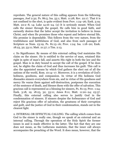reprobate. The general nature of this calling appears from the following passages, Joel 2:32; Ps. 86:5; Isa. 55:1; Matt. 11:28; Rev. 22:17. That it is not confined to the elect, is quite evident from Prov. 1:24–26; Ezek. 3:19; Matt. 22:2–8, 14; Luke 14:16–24. (2) It is seriously meant. When God calls the sinner through the gospel, He calls him in good faith, and earnestly desires that the latter accept the invitation to believe in Jesus Christ; and when He promises those who repent and believe eternal life, His promise is dependable. This follows from the very nature, from the truthfulness and faithfulness of God, and also from such passages of Scripture as Num. 23:19; Ps. 81:13–16; Prov. 1:24; Isa. 1:18–20; Ezek. 18:23, 32; 33:11; Matt. 21:37; 2 Tim. 2:13.

c. Its Significance. By means of this external calling God maintains His claim on the sinner. He is entitled to the service of man, retained this right in spite of man's fall, and asserts His right in both the law and the gospel. Man is in duty bound to accept the call of the gospel. If he does not, he slights the claim of God and thus increases his guilt. This call is also the appointed means by which God gathers the elect out of all the nations of the world, Rom. 10:14–17. Moreover, it is a revelation of God's holiness, goodness, and compassion. In virtue of His holiness God dissuades sinners everywhere from sin, and in virtue of His goodness and mercy He warns them against self-destruction, postpones the execution of the sentence of death, and blesses them with the offer of salvation. This gracious call is represented as a blessing for sinners, Ps. 81:13; Prov. 1:24; Ezek. 3:18, 19; 18:23, 32; 33:11; Amos 8:11; Matt. 11:20–24; 23:37. Finally, this external calling also serves to justify God in the condemnation of sinners. If sinners despise the forbearance of God and reject His gracious offer of salvation, the greatness of their corruption and guilt, and the justice of God in their condemnation, stands out in the clearest light.

2. INTERNAL OR EFFECTUAL CALLING. The calling which comes from God to the sinner is really one, though we speak of an external and an internal calling. Through the operation of the Holy Spirit the former issues in and is made effective in the latter. The fact that they are one does not mean, as the Lutherans maintain, that the inner call always accompanies the preaching of the Word. It does mean, however, that the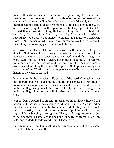inner call is always mediated by the word of preaching. The same word that is heard in the external call, is made effective in the heart of the sinner in the internal calling through the operation of the Holy Spirit. The internal call has certain distinctive marks: (a) It is a calling by the Word of God, savingly applied by the operation of the Holy Spirit, 1 Cor. 1:23, 24. (b) It is a powerful calling, that is, a calling that is effectual unto salvation, Acts  $13:48$ ; 1 Cor.  $1:23$ , 24. (c) It is a calling without repentance, one that is not subject to change and is never withdrawn, Rom. 11:29. The person who is called will surely be saved. With respect to this calling the following particulars should be noted:

a. It Works by Means of Moral Persuasion. In the internal calling the Spirit of God does not work through the Word in a creative way but in a persuasive manner. God does sometimes work creatively through the word, Gen. 1:3; Ps. 33:6; Ps. 147:15, but in these cases the word referred to is the word of God's power, and not the word of preaching, which is instrumental in calling the sinner. The Spirit of God operates through the preaching of the Word by making its persuasions effective, so that man listens to the voice of his God.

b. It Operates in the Conscious Life of Man. If the word of preaching does not operate creatively but only in a moral and persuasive way, then it follows that it can only work in the conscious life of man. It addresses the understanding enlightened by the Holy Spirit, and through the understanding influences the will effectively, so that the sinner turns to God.

c. It is Always Directed to an End. Internal calling is always directed to a certain end, that is, to the salvation to which the Spirit of God is leading the elect, and consequently also to the intermediate stages on the way to this final destiny. It is a calling to the fellowship of Jesus Christ, 1 Cor. 1:9, to inherit blessing, 1 Pet. 3:9; to liberty, Gal. 5:13, to peace, 1 Cor. 7:15, to holiness, 1 Thess. 4:7, to one hope, Eph. 4:4, to eternal life, 1 Tim. 6:12, and to God's kingdom and glory, 1 Thess. 2:12.

C. Regeneration. The divine calling and regeneration stand in the closest possible relation to each other.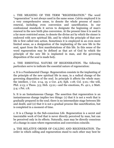1. THE MEANING OF THE TERM "REGENERATION." The word "regeneration" is not always used in the same sense. Calvin employed it in a very comprehensive sense, to denote the whole process of man's renewal, including even conversion and sanctification. In our confessional standards it serves to designate the beginning of man's renewal in the new birth plus conversion. At the present time it is used in a far more restricted sense, to denote the divine act by which the sinner is endowed with new spiritual life, and by which the principle of that new life is first called into action. Sometimes it is employed in an even more limited sense, as a designation of the implanting of the new life in the soul, apart from the first manifestations of this life. In this sense of the word regeneration may be defined as that act of God by which the principle of the new life is implanted in man, and the governing disposition of the soul is made holy.

2. THE ESSENTIAL NATURE OF REGENERATION. The following particulars serve to indicate the essential nature of regeneration:

a. It is a Fundamental Change. Regeneration consists in the implanting of the principle of the new spiritual life in man, in a radical change of the governing disposition of the soul. In principle it affects the whole man: the intellect, 1 Cor. 2:14, 15; 2 Cor. 4:6; Eph. 1:18; Col. 3:10,—the will, Phil. 2:13; 2 Thess. 3:5; Heb. 13:21;—and the emotions, Ps. 42:1, 2 Matt. 5:4; 1 Pet. 1:8.

b. It is an Instantaneous Change. The assertion that regeneration is an instantaneous change implies two things: (1) that it is not a work that is gradually prepared in the soul; there is no intermediate stage between life and death; and (2) that it is not a gradual process like sanctification, but is completed in a moment of time.

c. It is a Change in the Sub-conscious Life. Regeneration is a secret and inscrutable work of God that is never directly perceived by man, but can be perceived only in its effects. Naturally, man may be directly conscious of a change in cases where regeneration and conversion coincide.

3. THE RELATIVE ORDER OF CALLING AND REGENERATION. The order in which calling and regeneration stand to each other may best be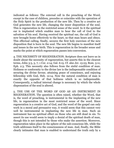indicated as follows: The external call in the preaching of the Word, except in the case of children, precedes or coincides with the operation of the Holy Spirit in the production of the new life. Then by a creative act God generates the new life, changing the inner disposition of the soul. This is regeneration in the restricted sense of the word. In it the spiritual ear is implanted which enables man to hear the call of God to the salvation of his soul. Having received the spiritual ear, the call of God is now brought home effectively to the heart, so that man hears and obeys. This effectual calling, finally, secures the first holy exercises of the new disposition that is born in the soul. The new life begins to manifest itself and issues in the new birth. This is regeneration in the broader sense and marks the point at which regeneration passes into conversion.

4. THE NECESSITY OF REGENERATION. Scripture does not leave us in doubt about the necessity of regeneration, but asserts this in the clearest terms, John 3:3, 5, 7; 1 Cor. 2:14; Gal. 6:15. Cf. also Jer. 13:23; Rom. 3:11; Eph. 2:3. This necessity also follows from the sinful condition of man. Holiness or conformity to the divine law is the indispensable condition of securing the divine favour, attaining peace of conscience, and enjoying fellowship with God, Heb. 12:14. Now the natural condition of man is exactly the opposite of that holiness which is so indispensable. Consequently, a radical internal change is necessary by which the whole dispensation of the soul is altered.

5. THE USE OF THE WORD OF GOD AS AN INSTRUMENT IN REGENERATION. The question is often raised, whether the Word, that is, the word of preaching, is instrumental in the implanting of the new life, in regeneration in the most restricted sense of the word. Since regeneration is a creative act of God, and the word of the gospel can only work in a moral and persuasive way, it would seem that this cannot very well be instrumental in implanting the new life in man. Such an instrument has no spiritual effect on those who are still dead in sin. To assert its use would seem to imply a denial of the spiritual death of man, though this is not intended by those who make the assertion. Moreover, regeneration takes place in the sphere of the sub-conscious life, while the truth addresses itself to the consciousness of man. And, finally, the Bible clearly intimates that man is enabled to understand the truth only by a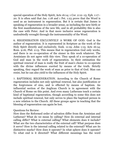special operation of the Holy Spirit, Acts 16:14; 1 Cor. 2:12–15; Eph. 1:17– 20. It is often said that Jas. 1:18 and 1 Pet. 1:23 prove that the Word is used as an instrument in regeneration. But it is certain that James is speaking of regeneration in a broader sense, as including the new birth or the first manifestations of the new life, and in all probability this is also the case with Peter. And in that more inclusive sense regeneration is undoubtedly wrought through the instrumentality of the Word.

6. REGENERATION EXCLUSIVELY A WORK OF GOD. God is the author of regeneration. It is represented in Scripture as the work of the Holy Spirit directly and exclusively, Ezek. 11:19; John 1:13; Acts 16:14; Rom. 9:16; Phil. 2:13. This means that in regeneration God only works, and there is no co-operation of the sinner in this work whatever. The Arminians do not agree with this view. They speak of a co-operation of God and man in the work of regeneration. In their estimation the spiritual renewal of man is really the fruit of man's choice to co-operate with the divine influences exerted by means of the truth. Strictly speaking, they regard the work of man as prior to that of God. Man can resist, but he can also yield to the influences of the Holy Spirit.

7. BAPTISMAL REGENERATION. According to the Church of Rome regeneration includes not only spiritual renewal, but also justification or the forgiveness of sins, and is effected by means of baptism. An influential section of the Anglican Church is in agreement with the Church of Rome on this point. And even many Lutherans teach a certain kind of baptismal regeneration, though according to some this does not include spiritual renewal, but only serves to place the baptized person in a new relation to the Church. All these groups agree in teaching that the blessing of regeneration can again be lost.

### Questions for Review:

How does the Reformed order of salvation differ from the Arminian and Lutheran? What do we mean by calling? How do external and internal calling differ? What is external calling? What elements does it include? What are the two characteristics of the external call? What purpose does it serve? How is the internal calling related to the external? What are its distinctive marks? How does it operate? In what sphere does it operate? To what end is it directed? What different meanings has the word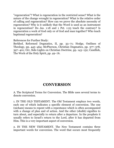"regeneration"? What is regeneration in the restricted sense? What is the nature of the change wrought in regeneration? What is the relative order of calling and regeneration? How can we prove the absolute necessity of regeneration? Why is it unlikely that the Word is used as an instrument in regeneration? Do Jas. 1:18 and 1 Pet. 1:23 teach the contrary? Is regeneration a work of God only or of God and man together? Who teach baptismal regeneration?

References for Further Study:

Berkhof, Reformed Dogmatics, II, pp. 33–71; Hodge, Outlines of Theology, pp. 445–464; McPherson, Christian Dogmatics, pp. 377–378, 397–401; Orr, Side-Lights on Christian Doctrine, pp. 143–152; Candlish, The Work of the Holy Spirit, pp. 49–76.

## **CONVERSION**

A. The Scriptural Terms for Conversion. The Bible uses several terms to denote conversion.

1. IN THE OLD TESTAMENT. The Old Testament employs two words, each one of which indicates a specific element of conversion. The one (nicham) means to repent with a repentance which is often accompanied with a change of plan and of action. And the other (shubh) signifies to turn about, and especially to return after a departure. In the prophets it usually refers to Israel's return to the Lord, after it has departed from Him. This is a very important aspect of conversion.

2. IN THE NEW TESTAMENT. The New Testament contains three important words for conversion. The word that occurs most frequently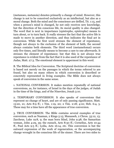(metanoeo, metanoia) denotes primarily a change of mind. However, this change is not to be conceived exclusively as an intellectual, but also as a moral change. Both the mind and the conscience are defiled, Tit. 1:15, and when a person's mind is changed, he not only receives new knowledge, but the direction of his conscious life, its moral quality is also changed. The word that is next in importance (epistrepho, epistrophe) means to turn about, or to turn back. It really stresses the fact that the active life is made to move in another direction, and thus indicates the final act in conversion. While the first word stresses the element of repentance, though not always to the exclusion of the element of faith, the second always contains both elements. The third word (metamelomai) occurs only five times, and literally means to become a care to one afterwards. It stresses the element of repentance; but that this is not always true repentance is evident from the fact that it is also used of the repentance of Judas, Matt. 27:3. The emotional element is uppermost in this word.

B. The Biblical Idea for Conversion. The Scriptural doctrine of conversion is based not merely on the passages in which the terms referred to are found, but also on many others in which conversion is described or concretely represented in living examples. The Bible does not always speak of conversion in the same sense.

1. NATIONAL CONVERSION. It makes mention repeatedly of national conversions, as, for instance, of Israel in the days of the judges, of Judah in the time of the kings, and of the Ninevites, Jonah 3:10.

2. TEMPORARY CONVERSION. It also speaks of conversions that represent no change of heart, and are of only passing significance, Matt. 13:20, 21; Acts 8:9 ff.; 1 Tim. 1:19, 20; 2 Tim. 2:18; 4:10; Heb. 6:4, 5. These may for a time have all the appearance of true conversion.

3. TRUE CONVERSION. The Bible contains several examples of true conversion, such as Naaman, 2 Kings 5:15; Manasseh, 2 Chron. 33:12, 13; Zaccheus, Luke 19:8, 9; the man born blind, John 9:38; the Samaritan woman, John 4:29, 39; the eunuch, Acts 8:30 ff.; Cornelius, Acts 10:44 ff., Paul Acts 9:5 ff.; Lydia, Acts 16:14, etc. This conversion is but the outward expression of the work of regeneration, or the accompanying change wrought in the conscious life of the sinner. There are two sides to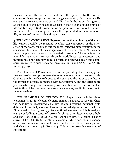this conversion, the one active and the other passive. In the former conversion is contemplated as the change wrought by God in which He changes the conscious course of man's life. And in the latter it is regarded as the result of this divine action as seen in man's changing his course of life and turning to God. From the former point of view it may be defined as that act of God whereby He causes the regenerated, in their conscious life, to turn to Him for faith and repentance.

4. REPEATED CONVERSION. Regeneration as the implanting of the new life cannot possibly be repeated. Neither can conversion in the strict sense of the word, for this is but the initial outward manifestation, in the conscious life of man, of the change wrought in regeneration. At the same time it is possible to speak of a repeated conversion. The activity of the new life may suffer eclipse through worldliness, carelessness, and indifference, and then may be called forth and renewed again and again. Scripture refers to such repeated conversion in Luke 22:32; Rev. 2:5, 16, 21, 22; 3:3, 19.

C. The Elements of Conversion. From the preceding it already appears that conversion comprises two elements, namely, repentance and faith. Of these the former has reference to the past, and the latter to the future, the former is directly connected with sanctification, and the latter more particularly, though not exclusively, with justification. In view of the fact that faith will be discussed in a separate chapter, we limit ourselves to repentance here.

1. THE ELEMENTS OF REPENTANCE. Repentance includes three elements: (a) An intellectual element, namely, a change of view in which the past life is recognized as a life of sin, involving personal guilt, defilement, and helplessness. This is the knowledge of sin of which the Bible speaks, Rom. 3:20. (b) An emotional element, which is really a change of feeling, a sense of sorrow for sin as committed against a holy and just God. If this issues in a real change of life, it is called a godly sorrow, 2 Cor. 7:9, 10. (c) A volitional element, which consists in a change of purpose, an inward turning from sin, and a disposition to seek pardon and cleansing, Acts 2:38; Rom. 2:4. This is the crowning element of repentance.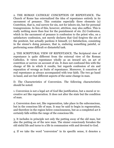2. THE ROMAN CATHOLIC CONCEPTION OF REPENTANCE. The Church of Rome has externalized the idea of repentance entirely in its sacrament of penance. This contains especially three elements (a) Contrition, that is, real sorrow for sin, not for inborn sin, but for personal transgressions. In lieu of this, however, attrition, may also suffice. This is really nothing more than fear for the punishment of sin. (b) Confession, which in the sacrament of penance is confession to the priest who, on a satisfactory confession, not merely declares that God forgives the sin of the penitent, but actually pardons it himself, (c) Satisfaction, consisting in the sinner's doing penance, that is, enduring something painful, or performing some difficult or distasteful task.

3. THE SCRIPTURAL VIEW OF REPENTANCE. The Scriptural view of repentance is quite different from the external view of the Roman Catholics. It views repentance wholly as an inward act, an act of contrition or sorrow on account of sin. It does not confound this with the change of life in which it results, but regards confession of sin and reparation of wrongs as fruits of repentance. Moreover, it conceives of real repentance as always accompanied with true faith. The two go hand in hand, and are but different aspects of the same change in man.

D. The Characteristics of Conversion. The following characteristics should be noted:

1. Conversion is not a legal act of God like justification, but a moral or recreative act like regeneration. It does not alter the state but the condition of man.

2. Conversion does not, like regeneration, take place in the subconscious, but in the conscious life of man. It may be said to begin in regeneration, and therefore in the region below consciousness, but as a completed act it certainly falls within the range of the conscious life.

3. It includes in principle not only the putting away of the old man, but also the putting on of the new man. The sinner consciously forsakes the old sinful life and turns to a life in communion with and devoted to God.

4. If we take the word "conversion" in its specific sense, it denotes a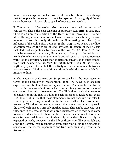momentary change and not a process like sanctification. It is a change that takes place but once and cannot be repeated. In a slightly different sense, however, it is possible to speak of repeated conversion.

E. The Author of Conversion. God only can be called the author of conversion. This is the clear teaching of Scripture, Acts 11:18; 2 Tim. 2:25. There is an immediate action of the Holy Spirit in conversion. The new life of the regenerate man does not issue in conscious action by its own inherent power, but only through the illuminating and fructifying influence of the Holy Spirit, John 6:44; Phil. 2:13. There is also a mediate operation through the Word of God, however. In general it may be said that God works repentance by means of the law, Ps. 19:7; Rom. 3:20, and faith by means of the gospel, Rom. 10:17; 2 Cor. 5:11. But while God works alone in regeneration and man is entirely passive, man co-operates with God in conversion. That man is active in conversion is quite evident from such passages as Isa. 55:7; Jer. 18:11; Ezek. 18:23, 32; 33:11; Acts 2:38; 17:30, and others. But this activity of man always results from a previous work of God in man. Man works only with the power which God imparts to him.

F. The Necessity of Conversion. Scripture speaks in the most absolute terms of the necessity of regeneration, John 3:3, 5. No such absolute expression can be found respecting conversion. This may be due to the fact that in the case of children which die in infancy we cannot speak of conversion, but only of regeneration. The Bible does teach the necessity of conversion in the case of adults in such passages as Ezek. 33:11; Matt. 18:3, though it is true that these statements are not absolute but refer to specific groups. It may be said that in the case of all adults conversion is necessary. This does not mean, however, that conversion must appear in the life of each one as a strongly marked crisis. This can be expected, as a rule, only in the case of those who are regenerated after they have come to years of discretion. In them the life of conscious enmity to God is at once transformed into a life of friendship with God. It can hardly be expected as such, however, in the life of those who, like Jeremiah and John the Baptist, were regenerated from early youth. Yet the elements of conversion, that is, real repentance and true faith, must be present in the lives of all.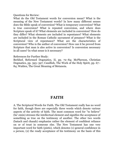Questions for Review:

What do the Old Testament words for conversion mean? What is the meaning of the New Testament words? In how many different senses does the Bible speak of conversion? What is temporary conversion? What is true conversion? What is repeated conversion, and where does Scripture speak of it? What elements are included in conversion? How do they differ? What elements are included in repentance? What elements are included in the Roman Catholic sacrament of penance? What is the Scriptural view of repentance? What are the characteristics of conversion? Who is the author of conversion? How can it be proved from Scripture that man is also active in conversion? Is conversion necessary in all cases? In what sense is it necessary?

References for Further Study:

Berkhof, Reformed Dogmatics, II, pp. 72–84; McPherson, Christian Dogmatics, pp. 393–397; Candlish, The Work of the Holy Spirit, pp. 67– 84; Walden, The Great Meaning of Metanoia.

## **FAITH**

A. The Scriptural Words for Faith. The Old Testament really has no word for faith, though there are especially three words which denote various aspects of the activity of faith. The most common word for "to believe" (he' emin) stresses the intellectual element and signifies the acceptance of something as true on the testimony of another. The other two words (batach and chasah) emphasize rather the element of confident reliance on or of trust in someone else. The New Testament has one very important word for faith (pistis), which denotes (1) general confidence in a person, (2) the ready acceptance of his testimony on the basis of this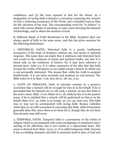confidence, and (3) the trust reposed in him for the future. As a designation of saving faith it denotes a conviction respecting the veracity of God, a believing acceptance of His Word, and a heartfelt trust in Him for the salvation of the soul. The corresponding word for "to believe" is used with various shades of meaning, in some cases stressing the element of knowledge, and in others the element of trust.

B. Different Kinds of Faith Mentioned in the Bible. Scripture does not always speak of faith in the same sense, and this has given occasion for the following distinctions:

1. HISTORICAL FAITH. Historical faith is a purely intellectual acceptance of the truth of Scripture without any real moral or spiritual response. The name does not imply that it embraces only historical facts and events to the exclusion of moral and spiritual truths; nor that it is based only on the testimony of history, for it may have reference to present facts, John 3:2. It is rather expressive of the idea that this faith accepts the truths of Scripture as one might accept a history in which one is not personally interested. This means that, while the truth is accepted intellectually, it is not taken seriously and awakens no real interest. The Bible refers to it in Matt. 7:26; Acts 26:27, 28; Jas. 2:19.

2. FAITH OF MIRACLES. Faith of miracles consists in a person's conviction that a miracle will be wrought by him or in his behalf. If he is persuaded that he himself can or will work a miracle, he has this faith in the active sense, Matt. 17:20; Mark 16:17, 18, while he has it in the passive sense, if he is satisfied that a miracle will be performed on him or in his behalf, Matt. 8:11–13; John 11:22 (comp. 25–27), 40; Acts 14:9. This faith may or may not be accompanied with saving faith. Roman Catholics claim that we are still warranted in exercising this faith, while Protestants generally deny this, since there is no basis for it, though they do not deny that miracles may still occur.

3. TEMPORAL FAITH. Temporal faith is a persuasion of the truths of religion which is accompanied with some promptings of conscience and a stirring of the affections, but is not rooted in a regenerated heart. The name is derived from Matt. 13:20, 21. It is called temporary faith, because it has no abiding character and fails to maintain itself in days of trial and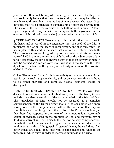persecution. It cannot be regarded as a hypocritical faith, for they who possess it really believe that they have true faith, but it may be called an imaginary faith, seemingly genuine but of an evanescent character. Great difficulty may be experienced in distinguishing it from true saving faith. Christ says of the one who so believes: "he hath no root in himself," Matt. 13:21. In general it may be said that temporal faith is grounded in the emotional life and seeks personal enjoyment rather than the glory of God.

4. TRUE SAVING FAITH. True saving faith is a faith that has its seat in the heart and is rooted in the regenerate life. The seed of the faith is implanted by God in the heart in regeneration, and it is only after God has implanted this seed in the heart that man can actively exercise faith. The conscious exercise of it gradually forms a habit, and this becomes a powerful aid in the further exercise of faith. When the Bible speaks of this faith it generally, though not always, refers to it as an activity of man. It may be defined as a certain conviction, wrought in the heart by the Holy Spirit, as to the truth of the gospel, and a hearty reliance on the promises of God in Christ.

C. The Elements of Faith. Faith is an activity of man as a whole. As an activity of the soul it appears simple, and yet on closer scrutiny it is found to be rather intricate and complex. Several elements should be distinguished.

1. AN INTELLECTUAL ELEMENT (KNOWLEDGE). While saving faith does not consist in a mere intellectual acceptance of the truth, it does include a positive recognition of the truth revealed in the Word of God. This knowledge of faith should not be regarded as a complete comprehension of the truth; neither should it be considered as a mere taking notice of the things believed, without the conviction that they are true. It is a spiritual insight into the truths of the Christian religion, so that these find response in the heart of the sinner. It is an absolutely certain knowledge, based on the promises of God, and therefore having its divine warrant in God Himself. It need not be very comprehensive, though it should be sufficient to give the believer some idea of the fundamental truths of the gospel. In general it may be said that, if all other things are equal, one's faith will become richer and fuller in the measure in which one's knowledge increases in fulness and clarity.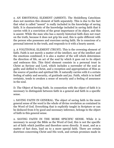2. AN EMOTIONAL ELEMENT (ASSENT). The Heidelberg Catechism does not mention this element of faith separately. This is due to the fact that what is called "assent" is really included in the knowledge of saving faith. It is characteristic of the knowledge included in saving faith that it carries with it a conviction of the great importance of its object, and this is assent. While the man who has a merely historical faith does not react on the truth, because it does not grip his soul, this is quite different with the person who possesses and exercises saving faith. He is conscious of a personal interest in the truth, and responds to it with a hearty assent.

3. A VOLITIONAL ELEMENT (TRUST). This is the crowning element of faith. Faith is not merely a matter of the intellect, nor of the intellect and the emotions combined; it is also a matter of the will which determines the direction of life, an act of the soul by which it goes out to its object and embraces this. This third element consists in a personal trust in Christ as Saviour and Lord, which includes a surrender of the soul as guilty and defiled to Christ, and a reception and appropriation of Him as the source of pardon and spiritual life. It naturally carries with it a certain feeling of safety and security, of gratitude and joy. Faith, which is in itself certainty, tends to awaken a sense of security and a feeling of assurance in the soul.

D. The Object of Saving Faith. In connection with the object of faith it is necessary to distinguish between faith in a general and faith in a specific sense.

1. SAVING FAITH IN GENERAL. The object of saving faith in the more general sense of the word is the whole of divine revelation as contained in the Word of God. Everything that is explicitly taught in Scripture or can be deduced from it by good and necessary inference, belongs to the object of faith in this general sense.

2. SAVING FAITH IN THE MORE SPECIFIC SENSE. While it is necessary to accept the Bible as the Word of God, this is not the specific act of faith which justifies and therefore saves directly. It must, and as a matter of fact does, lead on to a more special faith. There are certain doctrines concerning Christ and His work, and certain promises made in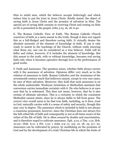Him to sinful men, which the believer accepts believingly and which induce him to put his trust in Jesus Christ. Briefly stated, the object of saving faith is Jesus Christ and the promise of salvation in Him. The special act of saving faith consists in receiving Christ and resting on Him as He is presented in the gospel, John 3:15, 16, 18; 6:40.

E. The Roman Catholic View of Faith. The Roman Catholic Church conceives of faith as a mere assent to the truth, though it does not regard this as a full-fledged and therefore saving faith. It virtually denies the absolute necessity of the element of knowledge in faith. If one is only ready to assent to the teachings of the Church, without really knowing what these are, one can be considered as a true believer. Faith will be fuller and richer, however, if it includes the element of knowledge. But this assent to the truth, with or without knowledge, becomes real saving faith only when it becomes operative through love in the performance of good works.

F. Faith and Assurance. The question arises, whether faith always carries with it the assurance of salvation. Opinions differ very much as to the relation of assurance to faith. Roman Catholics and the Arminians of the seventeenth century teach that believers cannot, except in very rare cases, be sure of their salvation. Moreover, they hold that such assurance is on the whole undesirable. Wesleyan Arminians or Methodists maintain that conversion carries immediate certainty with it. He who believes is at once sure that he is redeemed. This does not mean, however, that he is also certain of ultimate salvation. This is a certainty to which the consistent Methodist cannot attain, since he is always liable to fall from grace. The correct view would seem to be that true faith, including, as it does, trust in God, naturally carries with it a sense of safety and security, though this may vary in degree. The assurance which is included in faith is not always a conscious possession, however, since the Christian does not always live the full-orbed life of faith and consequently is not at all times aware of the riches of the life of faith. He is often swayed by doubts and uncertainties, and is therefore urged to cultivate assurance, Eph. 3:12; 2 Tim. 1:12; Heb. 10:22;—Heb. 6:11; 2 Pet. 1:10; 1 John 2:9–11; 3:9, 10, 18, 19; 4:7, 20. Assurance can be cultivated by prayer, by meditating on the promises of God and by the development of a truly Christian life in which the fruits of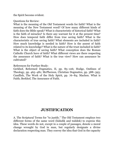the Spirit become evident.

#### Questions for Review:

What is the meaning of the Old Testament words for faith? What is the meaning of the New Testament word? Of how many different kinds of faith does the Bible speak? What is characteristic of historical faith? What is the faith of miracles? Is there any warrant for it at the present time? How does temporal faith differ from true saving faith? What is the characteristic of true saving faith? What elements are included in faith? How much knowledge is needed in faith? How is the assent of faith related to its knowledge? What is the nature of the trust included in faith? What is the object of saving faith? What conception does the Roman Catholic Church have of faith? What different views are there respecting the assurance of faith? What is the true view? How can assurance be cultivated?

### References for Further Study:

Gerkhof, Reformed Dogmatics, II, pp. 85–106; Hodge, Outlines of Theology, pp. 465–481; McPherson, Christian Dogmatics, pp. 388–393; Candlish, The Work of the Holy Spirit, pp. 76–84; Machen. What is Faith; Berkhof, The Assurance of Faith.

## **JUSTIFICATION**

A. The Scriptural Terms for "to justify." The Old Testament employs two different forms of the same word (hidsdik and tsiddek) to express this idea. These words do not, except in a couple of passages, denote a moral change wrought by God in man, but regularly designate a divine declaration respecting man. They convey the idea that God in the capacity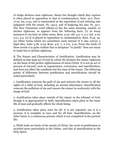of Judge declares man righteous. Hence the thought which they express is often placed in opposition to that of condemnation, Deut. 25:1; Prov. 17:15; Isa. 5:23, and is represented as the equivalent of not entering into judgment with the sinner, Ps. 143:2, and of forgiving his sins, Ps. 32:1. The New Testament word (dikaio-o) has the same meaning, namely, to declare righteous, as appears from the following facts: (1) In many instances it can bear no other sense, Rom. 3:20–28; 4:5–7; 5:1; Gal. 2:16; 3:11; 5:4. (2) It is placed in opposition to condemnation, Rom. 8:33, 34. (3) Other terms which are sometimes used instead of it also convey a legal idea, John 3:18; 5:24; Rom. 4:6, 7; 2 Cor. 5:19. From the study of these words it is quite evident that in Scripture "to justify" does not mean to make but to declare righteous.

B. The Nature and Characteristics of Justification. Justification may be defined as that legal act of God by which He declares the sinner righteous on the basis of the perfect righteousness of Jesus Christ. It is not an act or process of renewal, such as regeneration, conversion, and sanctification, and does not affect the condition but the state of the sinner. The following points of difference between justification and sanctification should be noted particularly:

1. Justification removes the guilt of sin and restores the sinner to all the rights of a child of God, including an eternal inheritance. Sanctification removes the pollution of sin and renews the sinner in conformity with the image of God.

2. Justification takes place outside of the sinner in the tribunal of God, though it is appropriated by faith. Sanctification takes place in the inner life of man and gradually affects his whole being.

3. Justification takes place once for all: it is not repeated, nor is it a process; it is complete at once and for all time. Sanctification, on the other hand, is a continuous process which is not completed in the present life.

4. While both are fruits of the merits of Christ, the work of justification is ascribed more particularly to the Father, and that of sanctification to the Holy Spirit.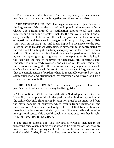C. The Elements of Justification. There are especially two elements in justification, of which the one is negative, and the other positive.

1. THE NEGATIVE ELEMENT. The negative element of justification is the forgiveness of sins on the basis of the imputed righteousness of Jesus Christ. The pardon granted in justification applies to all sins, past, present, and future, and therefore includes the removal of all guilt and of every penalty This follows from the fact that justification does not admit of repetition, and from such passages as Rom. 5:21; 8:1, 32–34; Heb. 10:14; Ps. 103:12; Isa. 44:22, and is also implied in the answer to the 60th question of the Heidelberg Catechism. It may seem to be contradicted by the fact that Christ taught His disciples to pray for the forgiveness of sins, and that Bible saints are often found pleading for pardon and obtaining it, Matt. 6:12; Ps. 32:5; 51:1–4; 130:3, 4. The explanation for this lies in the fact that the sins of believers in themselves still constitute guilt (though it is guilt already covered), and as such call for confession; that the consciousness of guilt still remains and naturally urges the believer to confess his sin and to seek the comforting assurance of forgiveness; and that the consciousness of pardon, which is repeatedly obscured by sin, is again quickened and strengthened by confession and prayer, and by a renewed exercise of faith.

2. THE POSITIVE ELEMENT. There is also a positive element in justification, in which two parts may be distinguished:

a. The Adoption of Children. In justification God adopts the believer as His child, that is, places him in the position of a child and gives him all the rights of a child. This sonship by adoption must be distinguished from the moral sonship of believers, which results from regeneration and sanctification. Believers are not only children of God by adoption and therefore in a legal sense, but also by virtue of the new birth and therefore in a spiritual sense. This twofold sonship is mentioned together in John 1:12, 13; Rom. 8:15, 16; Gal. 4:5, 6.

b. The Title to Eternal Life. This privilege is virtually included in the preceding one. When sinners are adopted to be children of God, they are invested with all the legal rights of children, and become heirs of God and co-heirs with Christ, Rom. 8:17. They are constituted heirs of all the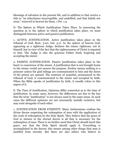blessings of salvation in the present life, and in addition to that receive a title to "an inheritance incorruptible, and undefiled, and that fadeth not away," reserved in heaven for them. 1 Pet. 1:4.

D. The Sphere in Which Justification Takes Place. In answering the question as to the sphere in which justification takes place, we must distinguish between active and passive justification.

1. ACTIVE JUSTIFICATION. Active justification takes place in the tribunal of God, Rom. 3:20; Gal. 3:11. In the sphere of heaven God, appearing as a righteous Judge, declares the sinner righteous, not in himself, but in view of the fact that the righteousness of Christ is imputed to him. The Judge is also the gracious Father freely forgiving and accepting the sinner.

2. PASSIVE JUSTIFICATION. Passive justification takes place in the heart or conscience of the sinner. A justification that is not brought home to the sinner would not answer the purpose. Pardon means nothing to a prisoner unless the glad tidings are communicated to him and the doors of the prison are opened. The sentence of acquittal, pronounced in the tribunal of God; is communicated to the sinner and accepted by faith. When the Bible speaks of justification by faith, it usually refers to this aspect of it.

E. The Time of Justification. Opinions differ somewhat as to the time of justification. In some cases, however, the differences are due to the fact that the term "justification" is not always used in the same sense. In such cases the different opinions are not necessarily mutally exclusive, but may exist alongside of each other.

1. JUSTIFICATION FROM ETERNITY. Many Antinomians confuse the divine decree respecting the redemption of men with the application of the work of redemption by the Holy Spirit. They believe that the grace of God to sinners in the eternal decree is all that is necessary for the redemption of man. There is no further need that Christ should merit this grace, nor that the Holy Spirit should apply it. Everything is accomplished in the decree; this means among other things that man is justified from eternity. But there are also others who believe in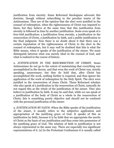justification from eternity. Some Reformed theologians advocate this doctrine, though without subscribing to the peculiar tenets of the Antinomians. They are of the opinion that the elect were justified in the counsel of redemption, when the righteousness of Christ was imputed to them; but they believe at the same time that this justification from eternity is followed in time by another justification. Some even speak of a four-fold justification: a justification from eternity, a justification in the resurrection of Christ, a justification by faith, and a public justification in the final judgment. Now there is no doubt about it that there was a certain imputation of the righteousness of Christ to the elect in the counsel of redemption, but it may well be doubted that this is what the Bible means, when it speaks of the justification of the sinner. We must distinguish between what was merely ideal in the counsel of God, and what is realized in the course of history.

2. JUSTIFICATION IN THE RESURRECTION OF CHRIST. Some Antinomians do not go to the extent of maintaining that everything was accomplished in the decree, and that even the work of Christ was, strictly speaking, unnecessary; but they do hold that, after Christ has accomplished His work, nothing further is required, and thus ignore the application of the work of redemption by the Holy Spirit. The elect were justified in the resurrection of Jesus Christ. Those Reformed scholars who also speak of a justification in the resurrection of Christ, naturally do not regard this as the whole of the justification of the sinner. They also believe in justification by faith. It may be said that, while we can speak of a justification of the body of Christ as a whole in the resurrection of Christ, this is something purely objective and should not be confused with the personal justification of the sinner.

3. JUSTIFICATION BY FAITH. When the Bible speaks of the justification of the sinner, it usually refers to the subjective application and appropriation of the justifying grace of God. It speaks of this as justification by faith, because it is by faith that we appropriate the merits of Christ as the basis of our justification and thus come into possession of the justifying grace of God. The relation of faith to justification is not always represented in the same way. There are especially two significant representations of it. (a) In the Protestant Confessions it is usually called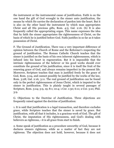the instrument or the instrumental cause of justification. Faith is on the one hand the gift of God wrought in the sinner unto justification, the means by which He carries the declaration of pardon into the heart. But it is also on the other hand the instrument by which man appropriates Christ and all His precious gifts, Rom. 4:5; Gal. 2:16. (b) It is also frequently called the appropriating organ. This name expresses the idea that by faith the sinner appropriates the righteousness of Christ, on the basis of which he is justified before God. Faith justifies in so far as it takes possession of Christ.

F. The Ground of Justification. There was a very important difference of opinion between the Church of Rome and the Reformer's respecting the ground of justification. The Roman Catholic Church teaches that the sinner is justified on the basis of his own inherent righteousness, which is infused into his heart in regeneration. But it is impossible that the intrinsic righteousness of the believer or his good works should ever constitute the ground of his justification, since it is itself the fruit of the renewing grace of God, and always remains imperfect in the present life. Moreover, Scripture teaches that man is justified freely by the grace of God, Rom. 3:24, and cannot possibly be justified by the works of the law, Rom. 3:28; Gal. 2:16; 3:11. The real ground of justification can be found only in the perfect righteousness of Jesus Christ, which is imputed to the sinner in justification. This is plainly taught in several passages of Scripture, Rom. 3:24; 5:9, 19; 8:1; 10:4; 1 Cor. 1:30; 6:11; 2 Cor. 5:21; Phil. 3:9.

G. Objections to the Doctrine of Justification. Three objections are frequently raised against the doctrine of justification:

1. It is said that justification is a legal transaction, and therefore excludes grace, while Scripture teaches that the sinner is saved by grace. But justification, with all that it includes, is a gracious work of God. The gift of Christ, the imputation of His righteousness, and God's dealing with believers as righteous,—it is all grace from start to finish.

2. Some speak of justification as a procedure unworthy of God, because it declares sinners righteous, while as a matter of fact they are not righteous. The objection does not hold, however, because it does not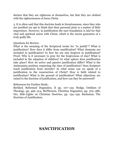declare that they are righteous in themselves, but that they are clothed with the righteousness of Jesus Christ.

3. It is often said that this doctrine leads to licentiousness, since they who are justified are apt to think that their personal piety is a matter of little importance. However, in justification the sure foundation is laid for that vital and spiritual union with Christ, which is the surest guarantee of a truly godly life.

### Questions for Review:

What is the meaning of the Scriptural terms for "to justify"? What is justification? How does it differ from santification? What elements are included in justification? In how far are sins forgiven in justification? Proof. Why is it necessary to pray for the forgiveness of sins? What is included in the adoption of children? In what sphere does justification take place? How do active and passive justification differ? What is the Antinomian position respecting the time of justification? Does Scripture teach justification from eternity? In what sense can we speak of a justification in the resurrection of Christ? How is faith related to justification? What is the ground of justification? What objections are raised to the doctrine of justification, and how can they be answered?

### References for Further Study:

Berkhof, Reformed Dogmatics, II pp. 107–125; Hodge, Outlines of Theology, pp. 496–514; McPherson, Christian Dogmatics, pp. 379–386; Orr, Side-Lights on Christian Doctrine, pp. 154–159; Buchanan, The Doctrine of Justification.

# **SANCTIFICATION**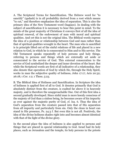A. The Scriptural Terms for Sanctification. The Hebrew word for "to sanctify" (qadash) is in all probability derived from a root which means "to cut," and therefore emphasizes the idea of separation. This is also the primary idea of the New Testament word (hagiazo). In dealing with the subject of sanctification it is necessary to bear this point in mind. To the minds of the great majority of Christians it conveys first of all the idea of spiritual renewal, of the endowment of man with moral and spiritual qualities. And yet this is not the original idea. The Biblical words express the idea of a position or relationship between God and man rather than that of spiritual qualities wrought in the heart. The man who is sanctified is in principle lifted out of the sinful relations of life and placed in a new relation to God, in which he is consecrated to Him and to His service. The Old Testament speaks repeatedly of holy persons and holy things, referring to persons and things which are externally set aside or consecrated to the service of God. This external consecration to the service of God symbolized the deeper and inner devotion of the heart. But while the Scriptural words are first of all indicative of a relationship, they also denote that operation of God by which He, through the Holy Spirit, works in man the subjective quality of holiness, John 17:17; Acts 20:32; 26:18; 1 Cor. 1:2; 1 Thess. 5:23.

B. The Biblical Idea of Holiness and Sanctification. In Scripture the idea of holiness is applied first of all to God. It denotes primarily that God is absolutely distinct from the creature, is exalted far above it in heavenly majesty, and is therefore the unapproachable One. Out of this first idea a second gradually developed. Since sinful man is more keenly conscious of the majesty of God than a sinless being, he becomes aware of his impurity as over against the majestic purity of God, cf. Isa. 6. Thus the idea of God's separation from the creature passed into that of His separation from all impurity and particularly from sin. Only the clean in heart can stand in His presence, Ps. 24:3 f. But even this is not all. Positively, the idea of the divine holiness shades right into and becomes almost identical with that of the light of the divine glory.

In the second place the idea of holiness is also applied to persons and things that are placed in special relationship to God. Israel had its holy places, such as Jerusalem and the temple, its holy persons in the priests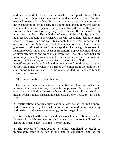and levites, and its holy rites in sacrifices and purifications. These persons and things were separated unto the service of God. But this external consecration of certain persons merely served to symbolize the inner consecration of the heart, and did not necessarily carry this with it. One might be a sacred person, and yet be entirely devoid of the grace of God in the heart. And yet only they who possessed the latter were truly holy unto the Lord. Through the influence of the Holy Spirit ethical qualities are wrought in their heart. This Old Testament idea of holiness passed right over into the New Testament. It is of great importance to observe that this Biblical idea of holiness is never that of mere moral goodness, considered in itself, but always that of ethical goodness seen in relation to God. A man may boast of great moral improvement, and yet be an utter stranger to the work of sanctification. The Bible does not urge moral improvement pure and simple, but moral improvement in relation to God, for God's sake, and with a view to the service of God.

Sanctification may be defined as that gracious and continuous operation of the Holy Spirit by which He purifies the sinner from the pollution of sin, renews his whole nature in the image of God, and enables him to perform good works.

C. The Characteristics of Sanctification.

1. God and not man is the author of sanctification. This does not mean, however, that man is entirely passive in the process. He can and should co-operate with God in the work of sanctification by a diligent use of the means which God has placed at his disposal, 2 Cor. 7:1; Col. 3:5–14; 1 Pet. 1:22.

2. Sanctification is not, like justification, a legal act of God, but a moral and re-creative activity, by which the sinner is renewed in his inner being and made to conform ever-increasingly to the image of God.

3. It is usually a lengthy process and never reaches perfection in this life. In cases in which regeneration and conversion are soon followed by death, the process may, of course, be very short.

4. The process of sanctification is either completed at death or immediately after it as far as the soul is concerned, and at the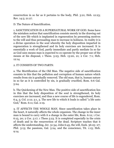resurrection in so far as it pertains to the body, Phil. 3:21; Heb. 12:23; Rev. 14:5; 21:27.

D. The Nature of Sanctification.

1. SANCTIFICATION IS A SUPERNATURAL WORK OF GOD. Some have the mistaken notion that sanctification consists merely in the drawing out of the new life which is implanted in regeneration by presenting motives to the will and thus persuading man to increase in holiness. In reality it is a divine operation in the soul whereby the holy disposition imparted in regeneration is strengthened and its holy exercises are increased. It is essentially a work of God, partly immediate and partly mediate In so far as God uses means man is expected to co-operate by the proper use of the means at his disposal, 1 Thess. 5:23; Heb. 13:20, 21; 2 Cor. 7:1; Heb. 12:14.

### 2. IT CONSISTS OF TWO PARTS:

a. The Mortification of the Old Man. The negative side of sanctification consists in this that the pollution and corruption of human nature which results from sin is gradually removed. The old man, that is, human nature in so far as it is controlled by sin, is gradually crucified, Rom. 6:6 Gal. 5:24.

b. The Quickening of the New Man. The positive side of sanctification lies in this that the holy disposition of the soul is strengthened, its holy exercises are increased, and thus a new course of life is engendered, Rom. 6:4, 5; Col. 2:12; 3:1, 3. The new life to which it leads is called "a life unto God," Rom. 6:11; Gal. 2:19.

3. IT AFFECTS THE WHOLE MAN. Since sanctification takes place in the heart, it naturally affects the whole organism. The change in the inner man is bound to carry with it a change in the outer life, Rom. 6:12; 1 Cor. 6:15, 20; 2 Cor. 5:17; 1 Thess 5:23. It is completed especially in the crisis of death and in the resurrection of the dead. Scripture teaches that it affects the understanding, Jer. 31:34; John 6:45, the will, Ezek. 36:25–27; Phil. 3:13; the passions, Gal. 5:24, and the conscience, Tit. 1:15; Heb. 9:14.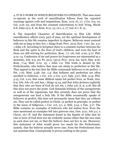4. IT IS A WORK IN WHICH BELIEVERS CO-OPERATE. That man must co-operate in the work of sanctification follows from the repeated warnings against evils and temptations, Rom. 12:9, 16, 17; 1 Cor. 6:9, 10; Gal. 5:16–23; and from the constant exhortations to holy living, Micah 6:8; John 15:2, 8, 16; Rom. 8:12, 13; 12:1, 2, 17; Gal. 6:7, 8, 15.

E. The Imperfect Character of Sanctification in This Life. While sanctification affects every part of man, yet the spiritual development of believers in this life remains imperfect in degree. Believers must contend with sin as long as they live, 1 Kings 8:46; Prov. 20:9; Eccl. 7:20; Jas. 3:2; 1 John 1:8. According to Scripture there is a constant warfare between the flesh and the spirit in the lives of God's children, and even the best of them are still striving for perfection, Rom. 7:7–26; Gal. 2:20; 5:17; Phil. 3:12–14. Confession of sin and prayer for forgiveness are represented as a necessity, Job. 9:3, 20; Ps. 32:5; 130:3; Prov. 20:9; Isa. 64:6; Dan. 9:16; Rom. 7:14; Matt. 6:12, 13; 1 John 1:9. This truth is denied by the Perfectionists, who believe that man can attain to perfection in this life. They appeal to the fact that the Bible commands believers to be perfect, 1 Pet. 1:16; Matt. 5:48; Jas. 1:4; that holiness and perfection are often ascribed to believers, 1 Cor. 2:6; 2 Cor. 5:17; Eph. 5:27; Heb. 5:14; Phil. 3:15; Col. 2:10; that some Biblical saints led perfect lives, as Noah, Gen. 6:9; Job, Job 1:8; and Asa, 1 Kings 15:14; and that John declares explicitly that they who are born of God do not sin, 1 John 3:6, 8, 9; 5:18. But all this does not prove the point. God demands holiness of the unregenerate as well as of the regenerate, but this certainly does not prove that the unregenerate can lead a holy life. If the Bible occasionally speaks of believers as perfect, this does not necessarily mean that they are without sin. They can be called perfect in Christ, or perfect in principle, or perfect in the sense of fullgrown, 1 Cor. 2:6; 3:1, 2; Heb. 5:14; 2 Tim. 3:17. The Bible contains no examples of believers who led sinless lives. Even the men mentioned as examples fell into grievous sins, Gen. 9:21; Job 3:1; 2 Chron. 16:7 ff. And the statement found in the Epistle of John that he who is born of God does not sin evidently means either that the new man as such does not sin, or that the believer does not live in sin. Moreover, this statement of John would prove too much for the Perfectionist, namely, that the believer actually never sins. Even the Perfectionist does not maintain that. Consequently it proves nothing to the point.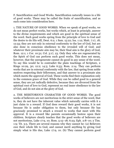F. Sanctification and Good Works. Sanctification naturally issues in a life of good works. These may be called the fruits of sanctification, and as such come into consideration here.

1. THE NATURE OF GOOD WORKS. When we speak of good works, we do not mean perfect works, but works which, at least in principle, answer to the divine requirements and which are good in the spiritual sense of the word. Such good works spring from the principle of love to God and the desire to do His will, Deut. 6:2; 1 Sam. 15:22; Isa. 1:12; Matt. 7:17, 18; 12:33; they are not only in external conformity to the law of God, but are also done in conscious obedience to the revealed will of God; and whatever their proximate aim may be, their final aim is the glory of God, Rom. 12:1; 1 Cor. 10:31; Col. 3:17, 23. Only they who are regenerated by the Spirit of God can perform such good works. This does not mean, however, that the unregenerate cannot do good in any sense of the word. To say this would be to contradict the plain teachings of Scripture, 2 Kings 10:29, 30; 12:2; 14:3; Luke 6:33; Rom. 2:14. They can perform works that are in external conformity with the law, that spring from noble motives respecting their fellowmen, and that answer to a proximate aim which meets the approval of God. These works find their explanation only in the common grace of God. While they can be called good in a general sense, they are yet radically defective, because they are divorced from the spiritual root of love to God, represent no real inner obedience to the law of God, and do not aim at the glory of God.

2. THE MERITORIOUS CHARACTER OF GOOD WORKS. The good works of believers are not meritorious in the strict sense of the word, that is, they do not have the inherent value which naturally carries with it a just claim to a reward. If God does reward their good works, it is not because He is under obligation to them, but only because He has graciously promised to attach a reward to works that meet with His approval. It is a reward like parents occasionally bestow upon their children. Scripture clearly teaches that the good works of believers are not meritorious, Luke 17:9, 10; Rom. 5:15–18; 6:23; Eph. 2:8–10; 2 Tim. 1:9; Tit. 3:5. There are several reasons why they cannot be: (a) Believers owe their whole life to God, and cannot merit anything by giving God simply what is His due, Luke 17:9, 10. (b) They cannot perform good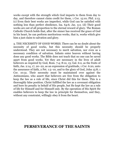works except with the strength which God imparts to them from day to day, and therefore cannot claim credit for them, 1 Cor. 15:10; Phil. 2:13. (c) Even their best works are imperfect, while God can be satisfied with nothing less than perfect obedience, Isa. 64:6; Jas. 3:2. (d) Their good works are out of all proportion to the eternal reward of glory. The Roman Catholic Church holds that, after the sinner has received the grace of God in his heart, he can perform meritorious works, that is, works which give him a just claim to salvation and glory.

3. THE NECESSITY OF GOOD WORKS. There can be no doubt about the necessity of good works, but this necessity should be properly understood. They are not necessary to merit salvation, nor even as a necessary condition of salvation. Infants enter heaven without having done any good works. The Bible does not teach that no one can be saved apart from good works. Yet they are necessary in the lives of adult believers as required by God, Rom. 7:4; 8:12, 13; Gal. 6:2, as the fruits of faith, Jas. 2:14, 17, 20–22, as an expression of gratitude, 1 Cor. 6:20, unto the assurance of faith, 2 Pet. 1:5–10, and to the glory of God, John 15:8; 1 Cor. 10:31. Their necessity must be maintained over against the Antinomians, who assert that believers are free from the obligation to keep the law as a rule of life, since Christ did this for them. This is a thoroughly false position. Christ fulfilled the law as a covenant obligation and bore its penalty in behalf of His people, but He kept the law as a rule of life for Himself and for Himself only. By the operation of His Spirit He enables believers to keep the law in principle for themselves, and they, without any constraint, willingly obey it from the heart.

### **PERSEVERANCE OF THE SAINTS**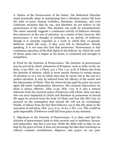A. Nature of the Perseverance of the Saints. The Reformed Churches stand practically alone in maintaining that a Christian cannot fall from the state of grace. Roman Catholics, Socinians, Arminians, and even Lutherans maintain that he can, and therefore do not believe in the perseverance of the saints. This doctrine can easily be misunderstood. The name naturally suggests a continuous activity of believers whereby they persevere in the way of salvation. As a matter of fact, however, this perseverance is not thought of primarily as an activity of believers, though it is certainly regarded as a work in which they co-operate. Believers would fall away, if they were left to themselves. Strictly speaking, it is not man but God that perseveres. Perseverance is that continuous operation of the Holy Spirit in the believer, by which the work of divine grace that is begun in the heart, is continued and brought to completion.

B. Proof for the Doctrine of Perseverance. The doctrine of perseverance may be proved by direct statements of Scripture, such as John 10:28, 29; Rom. 11:29; Phil. 1:6; 2 Thess. 3:3; 2 Tim. 1:12; 4:18. It follows also from the doctrine of election, which is never merely election to certain means of salvation or to a way in which man may be saved, but to the end of a perfect salvation. It may be inferred from the efficacy of the merits and the intercession of Christ. They for whom He has paid the price can never again fall under condemnation. Moreover, His constant intercession for them is always effective, John 11:42; Heb. 7:25. It is also a natural inference from the mystical union of believers with Christ. How can they who are once implanted in Christ and therefore in possession of eternal life again be severed from the body of Christ and lose this life? Can we proceed on the assumption that eternal life will not be everlasting? Finally, it follows from the fact that believers can in this life attain to the assurance of salvation, Heb. 3:14; 6:11; 10:22; 2 Pet. 1:10. This would be quite impossible, if believers could fall from grace at any moment.

C. Objections to the Doctrine of Perseverance. It is often said that the doctrine of perseverance leads to false security and to indolence, license, and immorality. But this is not true. While the Bible tells us that we are kept by the grace of God, it does not encourage the idea that God keeps us without constant watchfulness, diligence, and prayer on our part.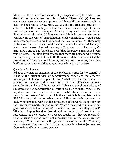Moreover, there are three classes of passages in Scripture which are declared to be contrary to this doctrine. These are: (1) Passages containing warnings against apostasy which would be unnecessary, if the believer could not fall away, Matt. 24:12; Col. 1:23; Heb. 2:1; 3:14; 6:11; 1 John 2:6. But these only prove that the believer must co-operate in the work of perseverance. Compare Acts 27:22–25 with verse 31 for an illustration of this point. (2) Passages in which believers are exhorted to continue in the way of sanctification. Such exhortations would seem unnecessary, if there is no doubt about their continuance. But these only go to show that God uses moral means to attain His end. (3) Passages which record cases of actual apostasy, 1 Tim. 1:19, 20; 2 Tim. 2:17, 18; 4:10; 2 Pet. 2:1, 2. But there is no proof that the persons mentioned were true believers. The Bible itself teaches that there are persons who profess the faith and yet are not of the faith, Rom. 9:6; 1 John 2:9; Rev. 3:1. John says of some: "They went out from us, but they were not of us; for if they had been of us, they would have continued with us," 1 John 2:19.

#### Questions for Review:

What is the primary meaning of the Scriptural words for "to sanctify"? What is the original idea of sanctification? What are the different meanings of holiness as applied to God? What does it mean, when it is applied to persons and things? What is the difference between sanctification and moral improvement? What are the characteristics of sanctification? Is sanctification a work of God or of man? What is the negative and the positive side of sanctification? How far does sanctification extend? What proof is there that it is incomplete in this life? Who deny this and on what grounds? How can their arguments be met? What are good works in the strict sense of the word? In how far can the unregenerate perform good works? What is meant when it is said that good works are not meritorious? How can we prove that they are not? Why is it impossible that they should be meritorious? Are they not represented as meritorious when we are taught that they are rewarded? In what sense are good works not necessary, and in what sense are they necessary? What is meant by the perserverance of the saints? Who deny this doctrine? How can this doctrine be proved? What objections are there to it, and how can these be met?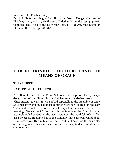References for Further Study:

Berkhof, Reformed Dogmatics, II, pp. 126–151; Hodge, Outlines of Theology, pp. 520–547; McPherson, Christian Dogmatics, pp. 404–408; Candlish. The Work of the Holy Spirit, pp. 89–96; Orr, Side-Lights on Christian Doctrine, pp. 159–162.

## **THE DOCTRINE OF THE CHURCH AND THE MEANS OF GRACE**

### **THE CHURCH**

### **NATURE OF THE CHURCH**

A. Different Uses of the Word "Church" in Scripture. The principal designation of the Church in the Old Testament is derived from a root which means "to call." It was applied especially to the assembly of Israel as it met for worship. The most common word for "church" in the New Testament, which is also the most important, comes from a verb meaning, "to call out." Both words contemplate the Church as an assembly called by God. In the New Testament the word "church" is first used by Jesus. He applied it to the company that gathered round about Him, recognized Him publicly as their Lord, and accepted the principles of the kingdom of heaven. Later on the word acquired several different connotations.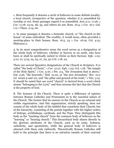1. Most frequently it denotes a circle of believers in some definite locality, a local church, irrespective of the question, whether it is assembled for worship or not. Some passages regard it as assembled, Acts 5:11; 11:26; 1 Cor. 11:18; 14:19, 28, 35, and others do not, Rom. 16:4; 1 Cor. 16:1; Gal. 1:2; 1 Thess. 2:14, etc.

2. In some passages it denotes a domestic church, or "the church in the house" of some individual. The wealthy, it would seem, often provided a meeting-place in their homes, Rom. 16:5, 23 1 Cor. 16:19; Col. 4:15; Philemon 2.

3. In its most comprehensive sense the word serves as a designation of the whole body of believers, whether in heaven or on earth, who have been or shall be spiritually united to Christ as their Saviour, Eph. 1:22; 3:10, 21; 5:23, 24, 25, 27, 29, 32; Col. 1:18, 24.

There are several figurative designations of the Church in Scripture. It is called "the body of Christ," 1 Cor. 12:27; Eph. 1:23; Col. 1:18, "the temple of the Holy Spirit," 1 Cor. 3:16; 1 Pet. 2:5, "the Jerusalem that is above," Gal. 4:26, "the heavenly," Heb. 12:22, or "the new Jerusalem," Rev. 21:2 (cf. verses 9 and 10), and "the pillar and ground of the truth," 1 Tim. 3:15. It should be noted that our word "church" is derived from a word which means "belonging to the Lord," and thus stresses the fact that the Church is the property of God.

B. The Essence of the Church. There is quite a difference of opinion between Roman Catholics and Protestants as to the essential nature of the Church. The former find its essence in the Church as an external and visible organization. And this organization, strictly speaking, does not consist of the whole body of the faithful that constitute their Church, but of the hierarchy, consisting of the priests together with the higher orders of bishops, archbishops, cardinals, and the Pope. They distinguish this body as the "teaching church" from the common body of believers as the "learning" or "hearing church." This hierarchical body shares directly in the glorious attributes of the Church, such as its unity, holiness, catholicity, and apostolicity, while the general body of believers is adorned with these only indirectly. Theoretically Roman Catholics still hold to the principle that there is no salvation outside of their external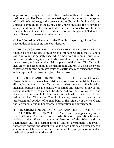organization, though the facts often constrain them to modify it in various ways. The Reformation reacted against this external conception of the Church and sought the essence of the Church in the invisible and spiritual communion of the saints. This Church includes the believers of all ages and no one else, and outside of it there is no salvation. It is the spiritual body of Jesus Christ, destined to reflect the glory of God as this is manifested in the work of redemption.

C. The Many-sided Character of the Church. In speaking of the Church several distinctions come into consideration.

1. THE CHURCH MILITANT AND THE CHURCH TRIUMPHANT. The Church as she now exists on earth is a militant Church, that is, she is called unto and is actually engaged in a holy war. She must carry on an incessant warfare against the hostile world in every form in which it reveals itself, and against the spiritual powers of darkness. The Church in heaven, on the other hand, is the triumphant Church, in which the sword is exchanged for the palm of victory, the battle-cries are turned into songs of triumph, and the cross is replaced by the crown.

2. THE VISIBLE AND THE INVISIBLE CHURCH. The one Church of Jesus Christ is on the one hand visible and on the other invisible. This is a distinction applied to the Church as it exists on earth. She is called invisible, because she is essentially spiritual and cannot, as far as her essential nature is concerned, be discerned by the physical eye, and because it is impossible to determine precisely who do and who do not belong to her. This same Church, however, becomes visible in the profession and conduct of its members, in the ministry of the Word and the Sacraments, and in her external organization and government.

3. THE CHURCH AS AN ORGANISM AND THE CHURCH AS AN INSTITUTION OR ORGANIZATION. This distinction applies only to the visible Church. The Church as an institution or organization becomes visible in the offices, in the administration of the Word and the sacraments, and in a certain form of Church government. But even if these were absent, the Church would still be visible as an organism, as a communion of believers, in their communal life and profession, and in their joint opposition to the world.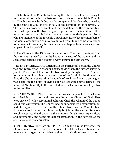D. Definition of the Church. In defining the Church it will be necessary to bear in mind the distinction between the visible and the invisible Church. (1) The former may be defined as the company of the elect who are called by the Spirit of God, or briefer still, as the communion of believers. (2) The latter is a broader concept, and may be defined as the community of those who profess the true religion together with their children. It is important to bear in mind that these two are not entirely parallel. Some who are members of the invisible Church may never become members of the visible organization or may be shut out from it; and some who belong to the visible Church may be unbelievers and hypocrites and as such form no part of the body of Christ.

E. The Church in the Different Dispensations. The Church existed from the moment that God set enmity between the seed of the woman and the seed of the serpent, but it did not always assume the same form.

1. IN THE PATRIARCHAL PERIOD. In the patriarchal period the Church was best represented in the pious households, where the fathers served as priests. There was at first no collective worship, though Gen. 4:26 seems to imply a public calling upon the name of the Lord. At the time of the flood the Church was saved in the family of Noah. And when true religion was again on the point of dying out God separated unto Himself the family of Abraham. Up to the time of Moses the fear of God was kept alive in the families.

2. IN THE MOSAIC PERIOD. After the exodus the people of Israel were organized into a nation and also constituted the Church of God. They were enriched with a ceremonial cultus in which the religion of the nation could find expression. The Church had no independent organization, but had its organized existence in the State. Israel was a Church-State. Foreigners could enter the Church only by joining the nation. Religious worship was regulated down to the minutest details, was largely ritual and ceremonial, and found its highest expression in the services at the central sanctuary at Jerusalem.

3. IN THE NEW TESTAMENT PERIOD. On the day of Pentecost the Church was divorced from the national life of Israel and obtained an independent organization. What had up to this time been a national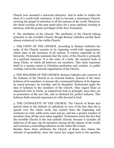Church now assumed a universal character. And in order to realize the ideal of a world-wide extension, it had to become a missionary Church, carrying the gospel of salvation to all the nations of the world. Moreover, the ritual worship of the past made place for a more spiritual worship in harmony with the greater privileges of the New Testament.

F. The Attributes of the Church. The attributes of the Church belong primarily to the invisible Church, though Roman Catholics ascribe them almost exclusively to the visible Church.

1. THE UNITY OF THE CHURCH. According to Roman Catholics the unity of the Church consists in its imposing world-wide organization, which aims at the inclusion of all nations. It centers especially in the hierarchy. Protestants maintain that the unity of the Church is primarily of a spiritual character. It is the unity of a body, the mystical body of Jesus Christ, of which all believers are members. This unity expresses itself to a certain extent in Christian profession and conduct, in public worship, and in the external organization of the Church.

2. THE HOLINESS OF THE CHURCH. Roman Catholics also conceive of the holiness of the Church in an external fashion. Instead of the inner holiness of its members, it stresses the ceremonial holiness of its dogmas, its moral precepts, its worship, and its discipline. Protestants apply the idea of holiness to the members of the Church. They regard these as objectively holy in Christ, as subjectively holy in principle, since they are in possession of the new life, and as destined for perfect holiness. This holiness finds external expression in a life devoted to God.

3. THE CATHOLICITY OF THE CHURCH. The Church of Rome lays special claim to the attitude of catholicity in view of the fact that she is spread over the whole earth, has existed from the beginning and continues to exist, while sects come and go, and has a greater number of members than all the sects taken together. Protestants stress the fact that the invisible Church is the real catholic Church, because it includes all believers of all ages, has its members among all the nations of the world, and exercises a controlling influence on the entire life of man.

Besides these three attributes the Church of Rome also claims the attitude of apostolicity, since she traces her origen back to the apostles,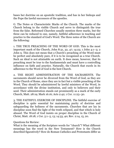bases her doctrine on an apostolic tradition, and has in her bishops and the Pope the lawful successors of the apostles.

G. The Notes or Characteristic Marks of the Church. The marks of the Church belong to the visible Church and serve to distinguish the true from the false. Reformed Churches usually mention three marks, but the three can be reduced to one, namely, faithful adherence in teaching and practice to the standard of God's Word. The three notes of the Church are the following:

1. THE TRUE PREACHING OF THE WORD OF GOD. This is the most important mark of the Church, John 8:31, 32, 47; 14:23; 1 John 4:1–3; 2 John 9. This does not mean that a Church's preaching of the Word must be perfect and absolutely pure, if it is to be recognized as a true Church. Such an ideal is not attainable on earth. It does mean, however, that its preaching must be true to the fundamentals and must have a controlling influence on faith and practice. Naturally, the Church that excels in its adherence to the Word of God is the best Church.

2. THE RIGHT ADMINISTRATION OF THE SACRAMENTS. The sacraments should never be divorced from the Word of God, as they are in the Church of Rome, since they are in fact but a visible preaching of the Word. They should be administered by lawful ministers of the Word, in accordance with the divine institution, and only to believers and their seed. Their administration stands out prominently as a mark of the early Church, Matt. 28:19; Mark 16:16; Acts 2:42; 1 Cor. 11:23–30.

3. THE FAITHFUL EXERCISE OF DISCIPLINE. The faithful exercise of discipline is quite essential for maintaining purity of doctrine and safeguarding the holiness of the sacraments. Churches that are lax in discipline soon find the light of the truth eclipsed, and that which is holy abused. The Word of God insists on proper discipline in the Church of Christ, Matt. 18:18; 1 Cor. 5:1–5, 13; 14:33, 40; Rev. 2:14, 15, 20.

Questions for Review:

What is the meaning of the Scripture words for "church"? What different meanings has the word in the New Testament? How is the Church described figuratively? How do Roman Catholics and Protestants differ as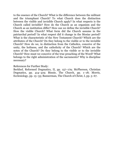to the essence of the Church? What is the difference between the militant and the triumphant Church? To what Church does the distinction between the visible and invisible Church apply? In what respects is the Church called invisible? How do the Church as an organism and the Church as an institution differ? How can we define the invisible Church? How the visible Church? What form did the Church assume in the patriarchal period? In what respect did it change in the Mosiac period? What is the characteristic of the New Testament Church? Which are the attributes of the Church? Do they belong to the visible or to the invisible Church? How do we, in distinction from the Catholics, conceive of the unity, the holiness, and the catholicity of the Church? Which are the notes of the Church? Do they belong to the visible or to the invisible Church? How must we conceive of the true preaching of the Word? What belongs to the right administration of the sacraments? Why is discipline necessary?

References for Further Study:

Berkhof, Reformed Dogmatics, II, pp. 157–179; McPherson, Christian Dogmatics, pp. 414–419; Binnie, The Church, pp. 1–18; Morris, Ecclesiology, pp. 13–33; Bannerman, The Church of Christ, I, pp. 5–67.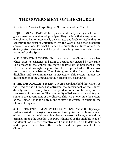# **THE GOVERNMENT OF THE CHURCH**

A. Different Theories Respecting the Government of the Church.

1. QUAKERS AND DARBYITES. Quakers and Darbyites reject all Church government as a matter of principle. They believe that every external church organization necessarily degenerates and leads to results that are contrary to the spirit of Christianity. For the Word of God they substitute special revelations, for what they call the humanly instituted offices, the divinely given charisms, and for public preaching, words of exhortation prompted by the Spirit.

2. THE ERASTIAN SYSTEM. Erastians regard the Church as a society which owes its existence and form to regulations enacted by the State. The officers in the Church are merely instructors or preachers of the Word, without any right or power to rule, except that which they derive from the civil magistrate. The State governs the Church, exercises discipline, and excommunicates, if necessary. This system ignores the independence of the Church and the headship of Jesus Christ.

3. THE EPISCOPALIAN SYSTEM. The Episcopalians hold that Christ, as the Head of the Church, has entrusted the government of the Church directly and exclusively to an independent order of bishops, as the successors of the apostles. The community of believers has absolutely no share in the government of the Church. This was at one time the system of the Roman Catholic Church, and is now the system in vogue in the Church of England.

4. THE PRESENT ROMAN CATHOLIC SYSTEM. This is the Episcopal system carried to its logical conclusion. It recognizes not only successors of the apostles in the bishops, but also a successor of Peter, who had the primacy among the apostles. The Pope is honored as the infallible head of the Church. As the representative of Christ he has the right to determine and regulate the doctrine, the worship, and the government of the Church.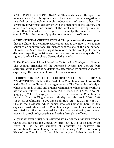5. THE CONGREGATIONAL SYSTEM. This is also called the system of independency. In this system each local church or congregation is regarded as a complete church, independent of every other. The governing power rests exclusively with the members of the Church. The officers are simple functionaries of the local church, having no other power than that which is delegated to them by the members of the church. This is the theory of popular government in the Church.

6. THE NATIONAL CHURCH SYSTEM. This proceeds on the assumption that the Church is a voluntary association just as the State. The separate churches or congregations are merely subdivisions of the one national Church. The State has the right to reform public worship, to decide disputes respecting doctrine and practice, and to convene synods. The rights of the local church are disregarded altogether.

B. The Fundamental Principles of the Reformed or Presbyterian System. The general principles of the Reformed system are derived from Scripture, while many of its details are determined by human wisdom or expediency. Its fundamental principles are as follows:

1. CHRIST THE HEAD OF THE CHURCH AND THE SOURCE OF ALL ITS AUTHORITY. Christ is the Head of the Church in a twofold sense. He is the Head of the Church in an organic sense. The Church is the body to which He stands in vital and organic relationship, which He fills with His life and controls by His Spirit, John 15:1–8; Eph. 1:10, 22, 23; 2:20–22; 4:15; 5:30; Col. 1:18; 2:19; 3–11. He is also the Head of the Church in the sense that He is its King who has authority and rule over it, Matt. 16:18, 19; 23:8, 10; John 13:13; 1 Cor. 12:5; Eph. 1:20–23; 4:4, 5, 11, 12; 5:23, 24. This is the Headship which comes into consideration here. In this capacity Christ established the Church, made provision for its ordinances, instituted its offices and clothed its officers with authority, and is ever present in the Church, speaking and acting through its officers.

2. CHRIST EXERCISES HIS AUTHORTY BY MEANS OF THE WORD. Christ does not rule the Church by force, but by His Spirit and by the Word of God as its standard of authority. All believers are unconditionally bound to obey the word of the King. As Christ is the only King of the Church, so His word is the only word that is law in the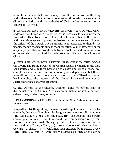absolute sense, and that must be obeyed by all. It is the word of the King and is therefore binding on the conscience. All those who have rule in the Church are clothed with the authority of Christ and must submit to the control of His Word.

3. CHRIST AS KING ENDOWED HIS CHURCH WITH POWER. Christ endowed the Church with the power that is necessary for carrying on the work which He entrusted to it. He invests all the members of the Church with a certain measure of power, but bestows a special measure of it upon the officers of the Church. Their authority is not delegated to them by the people, though the people choose them for office. While they share in the original power, they receive directly from Christ that additional measure of power which is required for their work as officers in the Church of Christ.

4. THE RULING POWER RESIDES PRIMARILY IN THE LOCAL CHURCH. The ruling power of the Church resides primarily in the local consistories and is by these passed on to classes and synods. Every local church has a certain measure of autonomy or independence, but this is naturally restricted in various ways as soon as it is affiliated with other local churches. The interests of the Church in general may not be sacrificed to those of any local church.

C. The Officers of the Church. Different kinds of officers may be distinguished in the Church. A very common distinction is that between extraordinary and ordinary officers.

1. EXTRAORDINARY OFFICERS. Of these the New Testament mentions three classes:

a. Apostles. Strictly speaking, the name apostle applies only to the Twelve chosen by Jesus and Paul; but it is also given to some apostolic men, Acts 14:4, 14; 1 Cor. 9:5, 6; 2 Cor. 8:23; Gal. 1:19. The apostles had certain special qualifications. They: (1) received their commission directly from God or from Jesus Christ, Mark 3:14; Gal. 1:1; (2) were witnesses of the resurrection of Christ, 1 Cor. 9:1; (3) were conscious of being inspired, 1 Cor. 2:13; 1 Thess. 4:8 (4) confirmed their message by miracles, 2 Cor. 12:12; Heb. 2:4; and (5) were richly blessed as a sign of the divine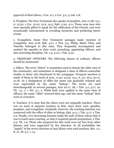approval of their labors, 1 Cor. 9:1; 2 Cor. 3:2, 3; Gal. 2:8.

b. Prophets. The New Testament also speaks of prophets, Acts 11:28; 13:1, 2; 15:32; 1 Cor. 12:10; 13:2; 14:3; Eph. 2:20; 4:11. These were men who were specially gifted to speak for the edification of the Church, and were occasionally instrumental in revealing mysteries and predicting future events.

c. Evangelists. Some New Testament passages make mention of evangelists, Acts 21:8; Eph. 4:11; 2 Tim. 4:5. Philip, Mark, Titus, and Timothy belonged to this class. They frequently accompanied and assisted the apostles in their work, preaching, appointing officers, and also exercising discipline, Tit. 1:5; 3:10; 1 Tim. 5:22.

2. ORDINARY OFFICERS. The following classes of ordinary officers should be mentioned.

a. Elders. The term "elders" is sometimes used to denote the older men of the community, and sometimes to designate a class of officers somewhat similar to those who functioned in the synagogue. Frequent mention is made of them in the book of Acts, 11:30; 14:23; 15:2, 6, 22; 16:5; 20:17; 21:18. As a designation of office the name was gradually eclipsed and even superseded by the name "bishop." The terms are used interchangeably in several passages, Acts 20:17, 28; 1 Tim. 3:1; 5:17, 19; Tit. 1:5, 7; 1 Pet. 5:1, 2. While both were applied to the same class of officers, the name "elder" stressed their age, and the name "bishop" their work as overseers.

b. Teachers. It is clear that the elders were not originally teachers. There was no need of separate teachers at first, since there were apostles, prophets, and evangelists. Gradually, however, the teaching function was connected with the office of elder or bishop, Eph. 4:11; 1 Tim. 5:17; 2 Tim. 2:2. Finally, ever increasing heresies made the task of those whose duty it was to teach more exacting, so that it required special preparation, 2 Tim. 2:2; Tit. 1:9. Those who prepared for this work were set free from other labours and were supported by the churches. In all probability the "angels" of the seven churches of Asia Minor were such teachers, Rev. 2:1, 8, 12, 18; 3:1, 7, 14.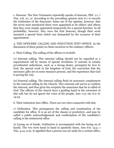c. Deacons. The New Testament repeatedly speaks of deacons, Phil. 1:1; 1 Tim. 3:8, 10, 12. According to the prevailing opinion Acts 6:1–6 records the institution of the diaconate. Some are of the opinion, however, that the seven men mentioned there were appointed to be elders; and others that they were simply appointed temporarily for a special function. In all probability, however, they were the first deacons, though their work assumed a special form which was demanded by the occasion of their appointment.

3. THE OFFICERS' CALLING AND INDUCTION INTO OFFICE. In the discussion of these points we limit ourselves to the ordinary officers.

a. Their Calling. The calling of the officers is twofold:

(1) Internal calling. This internal calling should not be regarded as a supernatural call by means of special revelation. It consists in certain providential indications, such as a strong desire, prompted by love to God, the special work in the kingdom of God, the conviction that the necessary gifts are in some measure present, and the experience that God is paving the way.

(2) External calling. The internal calling finds its necessary complement in the external calling by the Church. This external call serves to confirm the internal, and thus gives the recipient the assurance that he is called of God. The officers of the church have a guiding hand in the extension of this call, but do not ignore the voice of the people, Acts 1:15–26; 6:2–6; 14:23.

b. Their Induction Into Office. There are two rites connected with this:

1) Ordination. This presupposes the calling and examination of the candidate for office. It is an act of the classes or presbytery, and may be called a public acknowledgement and confirmation of the candidate's calling to the ministerial office.

2) Laying on of hands. Ordination is accompanied with the laying on of hands. The two went hand in hand in apostolic times, Acts 6:6; 13:3; 1 Tim. 4:14; 5:22. It signified that a person was set aside for a certain office,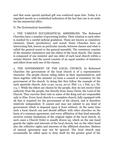and that some special spiritual gift was conferred upon him. Today it is regarded merely as a symbolical indication of the fact that one is set aside for the ministerial office.

D. The Ecclesiastical Assemblies.

1. THE VARIOUS ECCLESIASTICAL ASSEMBLIES. The Reformed Churches have a number of governing bodies. Their relation to each other is marked by a careful judicial gradation. These are known as consistory (session), classis (presbytery), and synod. Some Churches have an intervening link, known as particular synods, between classes and what is called the general synod or the general assembly. The consistory consists of the minister (ministers) and the elders of the local church. The classis is composed of one minister and one elder of each local church within a certain district. And the synod consists of an equal number of ministers and elders from each one of the classes.

2. THE GOVERNMENT OF THE LOCAL CHURCH. In Reformed Churches the government of the local church is of a representative character. The people choose ruling elders as their representatives, and these together with the minister (s) form a council or consistory for the government of the church. In doing this they follow the example of the early apostolic church, Acts 11:30; 14:23; 20:17; Phil. 1:1; 1 Tim. 3:1; Tit. 1:5, 7. While the elders are chosen by the people, they do not receive their authority from the people, but directly from Jesus Christ, the Lord of the Church. They exercise their rule in name of the King and are responsible only to Him. Every local church is a complete church, fully equipped with all that is required for the government of the church, and is therefore relatively independent. It cannot and may not submit to any kind of government which is imposed upon it from without. At the same time such a local church can and should affiliate with other churches on the basis of a common agreement, and every affiliation of that kind naturally involves certain limitations of the original rights of the local church. In such cases a Church Order is usually drawn up, which on the one hand guards the rights and interests of the local church, but on the other hand also the collective rights and interests of the affiliated churches. Matters of mutual agreement may not be ignored. The local church may occasionally be called upon to deny itself for the greater good of the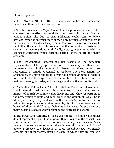Church in general.

3. THE MAJOR ASSEMBLIES. The major assemblies are classes and synods, and these call for a few remarks.

a. Scripture Warrant for Major Assemblies. Scripture contains no explicit command to the effect that local churches must affiiliate and form an organic union. The duty of such affiliation would seem to follow, however, from the spiritual unity of the Church, which certainly ought to find some sort of external expression. Moreover, there are reasons to think that the church of Jerusalem and that of Antioch consisted of several local congregations. And, finally, Acts 15 acquaints us with the council of Jerusalem, which certainly partook of the nature of a major assembly.

b. The Representative Character of Major Assemblies. The immediate representatives of the people, who form the consistory, are themselves represented by a limited number in classes, and these, in turn, are represented in synods or general as semblies. The more general the assembly is, the more remote it is from the people; yet none of them is too remote for the expression of the unity of the Church, for the maintenance of good order, and for the general effectiveness of its work.

c. The Matters Falling Under Their Jurisdiction. Ecclesiastical assemblies should naturally deal only with church matters, matters of doctrine and morals, of church government and discipline, and whatever pertains to the preservation of unity and good order in the Church of Jesus Christ. More particularly, they deal with matters which (a) as to their nature belong to the province of a minor assembly, but for some reason cannot be settled there; and (b) as to their nature belong to the province of a major assembly, because they pertain to the churches in general.

d. The Power and Authority of These Assemblies. The major assemblies do not represent a higher kind of power than is vested in the consistories. It is the same kind of power, but represented in a greater measure. Since several churches are represented, there is naturally an accumulation of power. Moreover, the decisions of these assemblies are not merely advisory but authoritative, except in cases in which they are explicitly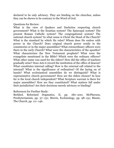declared to be only advisory. They are binding on the churches, unless they can be shown to be contrary to the Word of God.

Questions for Review:

What is the view of Quakers and Darbyites respecting church government? What is the Erastian system? The Episcopal system? The present Roman Catholic system? The congregational system? The national church system? In what sense is Christ the Head of the Church? What is the standard by which He rules? Whom does He endow with power in the Church? Does original church power reside in the consistories or in the major assemblies? What extraordinary officers were there in the early Church? What were the characteristics of the apostles? What characterizes the New Testament prophets? What were the evangelists mentioned in the Bible? Which were the ordinary officers? What other name was used for the elders? How did the office of teachers gradually arise? Does Acts 6 record the institution of the office of deacon? What constitutes internal calling? How is the external call related to the internal? What is the significance of ordination? Of the laying on of hands? What ecclesiastical assemblies do we distinguish? What is representative church government? How are the elders chosen? In how far is the local church independent? What Scripture warrant is there for major assemblies? How are they constituted? What matters fall under their jurisdiction? Are their decisions merely advisory or binding?

References for Further Study:

Berkhof, Reformed Dogmatics, II, pp. 180–200; McPherson, Presbyterianism, pp. 37–151; Morris, Ecclesiology, pp. 98–151; Binnie, The Church, pp. 111–146.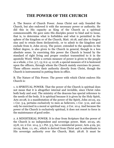### **THE POWER OF THE CHURCH**

A. The Source of Church Power. Jesus Christ not only founded the Church, but also endowed it with the necessary power or authority. He did this in His capacity as King of the Church as a spiritual commonwealth. He gave unto His disciples power to bind and to loose, that is, to determine what is forbidden and what is permitted in the sphere of the kingdom or of the Church, Matt. 16:18, and also to forgive sins and to retain them declaratively, or to admit to the kingdom and exclude from it, John 20:23. The power, extended to the apostles in the fullest degree, is also given to the Church in general, though in a less absolute sense. In exercising this power the Church is bound by the standard of right living and proper conduct transmitted to it in the apostolic Word. While a certain measure of power is given to the people as a whole, 1 Cor. 5:7, 13; 6:2–4; 12:28, a special measure of it is bestowed upon the officers, through whom the Church mainly exercises its power. These officers receive their authority directly from Christ, though the Church is instrumental in putting them in office.

B. The Nature of This Power. The power with which Christ endows His Church is:

1. A SPIRITUAL POWER. That the power of the Church is spiritual does not mean that it is altogether internal and invisible, since Christ rules both body and soul. The ministry of the deacons has special reference to the needs of the body. It is spiritual because it is given by the Holy Spirit, Acts 20:28, is a manifestation of the power of the Spirit, John 20:22, 23; 1 Cor. 5:4, pertains exclusively to men as believers, 1 Cor. 5:12, and can only be exercised in a moral or spiritual way, 2 Cor. 10:4. And because the power of the Church is exclusively spiritual, it does not resort to force in the maintenance of good order.

2. A MINISTERIAL POWER. It is clear from Scripture that the power of the Church is no independent and sovereign power, Matt. 20:25, 26; 23:8, 10; 2 Cor. 10:4, 5; 1 Pet. 5:3, but a ministerial power, Acts 4:29, 30; 20:24; Rom. 1:1, etc., which is derived from Christ and is subordinate to His sovereign authority over the Church, Matt. 28:18. It must be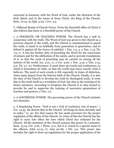exercised in harmony with the Word of God, under the direction of the Holy Spirit, and in the name of Jesus Christ, the King of the Church, Rom. 10:14, 15; Eph. 5:23; 1 Cor. 5:4.

C. Different Bonds of Church Power. From the threefold office of Christ it also follows that there is a threefold power of the Church.

1. A DOGMATIC OR TEACHING POWER. The Church has a task in connection with the truth. The Word of God was given to the Church as a precious deposit of the truth, and the Church is commissioned to guard the truth, to hand it on faithfully from generation to generation, and to defend it against all the forces of unbelief, 1 Tim. 1:3, 4; 2 Tim. 1:13; Tit. 1:9–11. It has the further duty of preaching the Word for the conversion of sinners and for the edification of the saints, and to provide translations of it, so that the work of preaching may be carried on among all the nations of the world, Isa. 3:10, 11; 2 Cor. 5:20; 1 Tim. 4:13; 2 Tim. 2:15; 4:2; Tit. 2:1–10. Furthermore, it must draw up creeds and confessions, in which it formulates its faith, so that the world may know exactly what it believes. The need of such creeds is felt especially in times of defection, when many depart from the historic faith of the Church. Finally, it is also the duty of the Church to develop the truth by theological study. It owes this to the truth itself as a revelation of God, but also to the training of its future ministers. According to Scripture the Church is in duty bound to provide for and to supervise the training of successive generations of teachers and pastors, 2 Tim. 2:2.

2. A GOVERNING POWER. The governing power of the Church includes two elements:

a. A Regulating Power. "God is not a God of confusion, but of peace," 1 Cor. 14:33. He desires that in the Church "all things be done decently and in order," vs. 40. For that reason He has made provision for the proper regulation of the affairs of the Church. In virtue of this the Church has the right to carry into effect the laws which Christ has ordained for the Church. All the members of the Church possess this power in a measure, Rom. 15:14; Col. 3:16; 1 Thess. 5:11, but it is vested in a special sense in the officers, John 21:15–17; Acts 20:28; 1 Pet. 5:2. This power also includes the right to draw up regulations for the proper application of the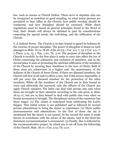law, such as canons or Church Orders. These serve to stipulate who can be recognized as members in good standing, on what terms persons are permitted to bear office in the Church, how public worship should be conducted, and how discipline should be exercised. While these regulations must be based on general principles found in the Word of God, their details will always be dictated in part by considerations respecting the special needs, the well-being, and the edification of the Church.

b. A Judicial Power. The Church is in duty bound to guard its holiness by the exercise of proper discipline. The power of discipline is based on such passages as Matt. 16:19; 18:18; John 20:23; 1 Cor. 5:2, 7, 13; 2 Cor. 2:5–7; 2 Thess. 3:14, 15; 1 Tim. 1:20; Tit. 3:10. The purpose of discipline in the Church is twofold. In the first place it seeks to carry into effect the law of Christ concerning the admission and exclusion of members; and in the second place it aims at promoting the spiritual edification of the members of the Church by securing their obedience to the laws of Christ. Both of these aims are subservient to a higher end, the maintenance of the holiness of the Church of Jesus Christ. If there are diseased members, the Church will first of all seek to effect a cure, but if this proves impossible, it will put away the diseased member for the protection of the other members. While all the members of the Church are in duty bound to warn and admonish the wayward, only the officers of the Church can apply Church censures. The latter can deal with private sins only when these are brought to their attention according to the rule given in Matt. 18:15–17, but are in duty bound to deal with public sins even when no formal accusation is brought. The disciplinary action of the consistory has three stages: (1) The sinner is restrained from celebrating the Lord's Supper. This initial action is not published and is followed by several private admonitions to bring the sinner to repentance. (2) Three public announcements and admonitions. In the first of these the sin is mentioned but the sinner is not named. In the second the name is made known in accordance with the advice of the classis. And in the third the imminent excommunication is announced. (3) Finally, this is followed by the excommunication proper, by which one is cut off from the fellowship of the Church, Matt. 18:17; 1 Cor. 5:13; Tit. 3:10.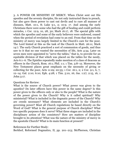3. A POWER OR MINISTRY OF MERCY. When Christ sent out His apostles and the seventy disciples, He not only instructed them to preach, but also gave them power to cast out devils and to cure all manner of diseases, Matt. 10:1, 8; Luke 9:1, 2; 10:9. 17. And among the early Christians there were some who had the gift of healing and could perform miracles, 1 Cor. 12:9, 10, 28, 30; Mark 16:17, 18. The special gifts with which the apostles and some of the early believers were endowed, ceased when the period of revelation had come to an end. From that time on the ministry of mercy was largely limited to the Church's care for the poor. The Lord hinted at this as the task of the Church in Matt. 26:11; Mark 14:7. The early Church practiced a sort of communion of goods, and thus saw to it that no one wanted the necessities of life, Acts 4:34. Later on seven men were appointed to "serve the tables," that is, to provide for an equitable division of that which was placed on the tables for the needy, Acts 6:1–6. The Epistles repeatedly make mention of a class of deacons as officers in the Church, Rom. 16:1; Phil. 1:1; 1 Tim. 3:8–12. Moreover, the New Testament places great emphasis on the necessity of giving or collecting for the poor, Acts 11:29; 20:35; 1 Cor. 16:1, 2; 2 Cor. 9:1, 6, 7, 12–14; Gal. 2:10; 6:10; Eph. 4:28; 1 Tim. 5:10, 16; Jas. 1:27; 2:15, 16; 1 John 3:17.

### Questions for Review:

What is the source of Church power? What power was given to the apostles? Do later officers have this power in the same degree? Is this power given to the officers only or also to the people? What is the nature of the power given to the Church? Why is it called spiritual? Why ministerial? What is included in the dogmatic power of the Church? Why are creeds necessary? What elements are included in the Church's governing power? Must all Church regulations be based directly on the Word of God? What is the general purpose of Church discipline? What two specific purposes does it serve? What three stages are included in the disciplinary action of the consistory? How are matters of discipline brought to its attention? What was the nature of the ministry of mercy in the apostolic Church? What is its main function at present?

References for Further Study:

Berkhof, Reformed Dogmatics, II, pp. 201–213; McPherson, Christian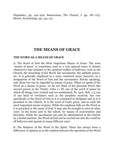Dogmatics, pp. 419–422; Bannerman, The Church, I. pp. 187–275; Morris, Ecclesiology, pp. 143–151.

### **THE MEANS OF GRACE**

#### **THE WORD AS A MEANS OF GRACE**

A. The Word of God the Most Important Means of Grace. The term "means of grace" is sometimes used in a very general sense to denote whatsoever may minister to the spiritual welfare of believers, such as the Church, the preaching of the Word, the sacraments, the sabbath prayer, etc. It is generally employed in a more restricted sense, however, as a designation of the Word of God and the sacraments. Strictly speaking, only these two can be regarded as means of grace. When we speak of the Word as a means of grace, we do not think of the personal Word (the second person in the Trinity, John 1:1 ff), nor of the word of power by which all things were created and are maintained, Ps. 33:6; Heb. 1:3, nor of any kind of revelation such as the prophets received; but very specifically of the Word of God as it is contained in Scripture and as it is preached to the Church. It is the word of God's grace, and as such the most important means of grace. While the emphasis falls on the Word as it is preached in the name of God, it may also be brought to men in other ways: in the home and in the school, by means of conversation and literature. While the sacraments can only be administered in the Church by a lawful minister, the Word of God can be carried out into the world by all believers and operate in many different ways.

B. The Relation of the Word to the Spirit. There has always been a difference of opinion as to the relation between the operation of the Word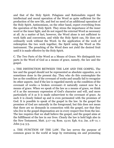and that of the Holy Spirit. Pelagians and Rationalists regard the intellectual and moral operation of the Word as quite sufficient for the production of the new life, and feel no need of an additional operation of the Holy Spirit. Antinomians, on the other hand, expect everything from the operation of the Holy Spirit. They stress the importance of the inner word or the inner light, and do not regard the external Word as necessary at all. As a matter of fact, however, the Word alone is not sufficient to work faith and conversion, and while the Holy Spirit can, He does not ordinarily work without the Word. In the application of the work of redemption the two work together, the Spirit using the Word as His instrument. The preaching of the Word does not yield the desired fruit until it is made effective by the Holy Spirit.

C. The Two Parts of the Word as a Means of Grace. We distinguish two parts in the Word of God as a means of grace, namely, the law and the gospel.

1. THE DISTINCTION BETWEEN THE LAW AND THE GOSPEL. The law and the gospel should not be represented as absolute opposites, as is sometimes done in the present day. They who do this contemplate the law as the condition of the covenant of works and usually fail to recognize its other aspects. And if the law is regarded merely as the condition of the covenant of works—a broken covenant—it naturally cannot now be a means of grace. When we speak of the law as a means of grace, we think of it as the necessary expression of God's character and will, and more particularly of it as it is made subservient to the covenant of grace. As such it is closely linked up and is even permeated with the promises of God. It is possible to speak of the gospel in the law. In the gospel the promises of God are naturally in the foreground, but this does not mean that there are no demands in connection with the gospel, nor that they who live in the gospel dispensation are in every respect free from the law. The law requires that we shall believe the gospel, and the gospel aims at the fulfillment of the law in our lives. Clearly the law is held high also in the New Testament, Matt. 5:17–19; Rom. 13:10; Eph. 6:2; Jas. 2:8–11; 1 John 3:4; 5:3.

2. THE FUNCTION OF THE LAW. The law serves the purpose of common grace in the world at large by restraining sin and promoting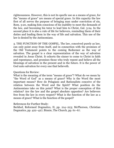righteousness. However, this is not its specfic use as a means of grace, for the "means of grace" are means of special grace. In this capacity the law first of all serves the purpose of bringing man under conviction of sin, Rom. 3:20, making him conscious of his inability to meet the demands of the law, and becoming his tutor to lead him to Christ, Gal. 3:24. In the second place it is also a rule of life for believers, reminding them of their duties and leading them in the way of life and salvation. This use of the law is denied by the Antinomians.

3. THE FUNCTION OF THE GOSPEL. The law, conceived purely as law, can only point away from itself, and in connection with the promises of the Old Testament points to the coming Redeemer as the way of salvation. The gospel is a clear representation of the way of salvation revealed in Jesus Christ. It exhorts the sinner to come to Christ in faith and repentance, and promises those who truly repent and believe all the blessings of salvation in the present and in the future. It is the power of God unto salvation for every one that believeth.

Questions for Review:

What is the meaning of the term "means of grace"? What do we mean by "the Word of God" as a means of grace? Why is the Word the most important means? How do Pelagians and Rationalists conceive of the relation between the Word and the Spirit? What position do the Antinomians take on this point? What is the proper conception of this relation? Are the law and the gospel absolute opposites? Are believers free from the law in every respect? What is the function of the law as a means of grace? What is the function of the gospel?

References for Further Study:

Berkhof, Reformed Dogmatics, II, pp. 214–223; McPherson, Christian Dogmatics, pp. 422–427; Binnie, The Church, pp. 61–67.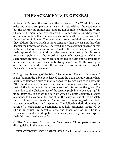# **THE SACRAMENTS IN GENERAL**

A. Relation Between the Word and the Sacraments. The Word of God can exist and is also complete as a means of grace without the sacraments, but the sacraments cannot exist and are not complete without the Word. This must be maintained over against the Roman Catholics, who proceed on the assumption that the sacraments contain all that is necessary for the salvation of sinners. The sacraments are a special aid for man, since they address the eye which is more sensuous than the ear and therefore deepen the impression made. The Word and the sacraments agree in that both have God for their author and Christ as their central content, and in their appropriation by faith. At the same time they differ in some important points: (1) the Word is absolutely necessary, while the sacraments are not; (2) the Word is intended to beget and to strengthen faith, while the sacraments can only strengthen it; and (3) the Word goes out into all the world, while the sacraments are administered only to those who are in the covenant.

B. Origin and Meaning of the Word "Sacraments." The word "sacrament" is not found in the Bible. It is derived from the Latin sacramentum, which originally denoted a sum of money deposited by two parties in a lawsuit. After the decision of the court the winner's money was returned, while that of the loser was forfeited as a sort of offering to the gods. The transition to the Christian use of the term is probably to be sought (1) in its military use to denote the oath by which a soldier solemnly pledged obedience to his commander; and (2) in the Vulgate's use of it to translate the Greek word for mystery. The sacraments were regarded as both pledges of obedience and mysteries. The following definition may be given of a sacrament: A sacrament is a holy ordinance instituted by Christ, in which by sensible signs the grace of God in Christ is represented, sealed, and applied to believers, and they, in turn, express their faith and obedience to God.

C. The Component Parts of the Sacraments. Three parts must be distinguished in the sacraments:

1. THE OUTWARD AND VISIBLE SIGN. Each one of the sacraments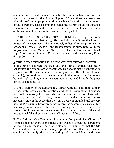contains an external element, namely, the water in baptism, and the bread and wine in the Lord's Supper. Where these elements are administered and appropriated, there we have the entire external matter of the sacrament. This is sometimes called the sacrament as, for instance, when unbelievers are said to receive the sacrament; but it is not the whole of the sacrament, nor even the most important part of it.

2. THE INWARD SPIRITUAL GRACE SIGNIFIED. A sign naturally points to something that is signified, and this constitutes the internal matter of the sacrament. This is variously indicated in Scripture, as the covenant of grace, Gen. 17:11, the righteousness of faith, Rom. 4:11, the forgiveness of sins, Mark 1:4; Matt. 26:28, faith and repentance, Mark 1:4; 16:16, communion with Christ in His death and resurrection, Rom. 6:3, 4; Col. 2:11, 12.

3. THE UNION BETWEEN THE SIGN AND THE THING SIGNIFIED. It is this union between the sign and the thing signified that really constitutes the essence of the sacrament. This should not be conceived as physical, as if the external matter naturally included the internal (Roman Catholic), nor local, as if both were present in the same space (Lutheran), but spiritual, so that, where the sacrament is received in faith, the grace of God accompanies it.

D. The Necessity of the Sacraments. Roman Catholics hold that baptism is absolutely necessary unto salvation, and that the sacrament of penance is equally necessary for those who have committed a mortal sin after baptism; but that confirmation, the eucharist, and extreme unction are necessary only in the sense that they have been commanded and are very helpful. Protestants, however, do not regard the sacraments as absolutely necessary unto salvation, but yet as binding in virtue of the divine precept. Wilful neglect of their use results in the destruction of the soul, just as all wilful and persistent disobedience to God does.

E. The Old and New Testament Sacraments Compared. The Church of Rome claims that there is an essential difference between the sacraments of the Old and those of the New Testament. It maintains that the Old Testament sacraments were merely typical, did not affect the spiritual condition, but only the legal standing of the recipient, and were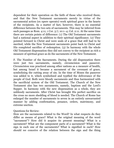dependent for their operation on the faith of those who received them; and that the New Testament sacraments merely in virtue of the sacramental action (ex opere operato) work spiritual grace in the hearts of the recipients. As a matter of fact, however, there is no essential difference between the two sets of sacraments. This may be inferred from such passages as Rom. 4:11; 1 Cor. 5:7; 10:1–4; Col. 2:11. At the same time there are certain points of difference: (1) The Old Testament sacraments had a national aspect in addition to their spiritual significance. (2) They pointed forward to Christ and were seals of a grace that still had to be merited, while the New Testament sacraments point back to Christ and His completed sacrifice of redemption. (3) In harmony with the whole Old Testament dispensation they did not convey to the recipient as rich a measure of spiritual grace as do the sacraments of the New Testament.

F. The Number of the Sacraments. During the old dispensation there were just two sacraments, namely, circumcision and passover. Circumcision was practiced among other nations as a measure of health, but among Israel it became a sacrament of the covenant of grace, symbolizing the cutting away of sin. In the time of Moses the passover was added to it, which symbolized and typified the deliverance of the people of God. Both were bloody sacraments and thus harmonized with the sacrificial system of the Old Testament. The Church of the New Testament also has two sacraments, namely, baptism and the Lord's Supper. In harmony with the new dispensation as a whole, they are unbloody sacraments. After Christ has brought His perfect sacrifice on the cross no more shedding of blood is needed. The Church of Rome has enlarged the number of sacraments to seven in an entirely unwarranted manner by adding confirmation, penance, orders, matrimony, and extreme unction.

### Questions for Review:

How are the sacraments related to the Word? In what respects do they differ as means of grace? What is the original meaning of the word "sacrament"? How did it acquire its present meaning? What is a sacrament? What are the component parts of a sacrament? What is the sign in each one of the sacraments? What is signified in each? How should we conceive of the relation between the sign and the thing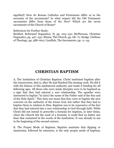signified? How do Roman Catholics and Protestants differ as to the necessity of the sacraments? In what respect did the Old Testament sacraments differ from those of the New? Which are the seven sacraments of the Church of Rome?

References for Further Study:

Berkhof, Reformed Dogmatics, II, pp. 224–231; McPherson, Christian Dogmatics, pp. 427–431; Binnie, The Church, pp. 68–71; Hodge, Outlines of Theology, pp. 588–602; Candlish, The Sacraments, pp. 11–44.

### **CHRISTIAN BAPTISM**

A. The Institution of Christian Baptism. Christ instituted baptism after the resurrection, that is, after He had finished His atoning work. He did it with the fulness of His mediatorial authority and made it binding for all following ages. All those who were made disciples were to be baptized as a sign that they had entered a new relationship. The apostles were instructed to baptize "in (into) the name of the Father and of the Son and of the Holy Spirit." This does not mean that they were to baptize the new converts on the authority of the triune God, but rather that they had to baptize them in relation to Him. Baptism was to be expressive of the fact that they had entered into a new relationship to God through faith. While Christ did not intend to prescribe a formula for baptism, in later times, when the Church felt the need of a formula, it could find no better one than that contained in the words of the institution. It was already in use in the beginning of the second century.

B. The Proper Mode of Baptism. Baptists maintain that dipping or immersion, followed by emersion, is the only proper mode of baptism,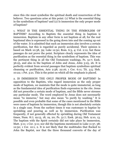since this rite must symbolize the spiritual death and resurrection of the believer. Two questions arise at this point: (1) What is the essential thing in the symbolism of baptism? and (2) Is immersion the only proper mode of baptism?

1. WHAT IS THE ESSENTIAL THING IN THE SYMBOLISM OF BAPTISM? According to Baptists the essential thing in baptism is immersion. Baptism in any other form is not baptism at all, for the real baptismal idea is expressed in the going down into and the coming up out of the water. It is admitted that such an immersion also involves a certain purification, but this is regarded as purely accidental. Their opinion is based on Mark 10:38, 39; Luke 12:50; Rom. 6:3, 4; Col. 2:12, but these passages do not prove the point. Scripture clearly represents the idea of purification as the essential thing in the symbolism of baptism. This was the pertinent thing in all the Old Testament washings, Ps. 51:7; Ezek. 36:25, and also in the baptism of John and Jesus, John 3:25, 26. It is perfectly evident from several passages that baptism symbolizes spiritual cleansing or purification, Acts 2:38; 22:16; 1 Cor. 6:11; Tit. 3:5; Heb. 10:22; 1 Pet. 3:21. This is the point on which all the emphasis is placed.

2. IS IMMERSION THE ONLY PROPER MODE OF BAPTISM? In opposition to the Baptists, who regard immersion as the only proper mode of baptism, we maintain that the mode is quite immaterial, as long as the fundamental idea of purification finds expression in the rite. Jesus did not prescribe a certain mode of baptism, and the Bible never stresses any particular mode. The word employed by Jesus does not necessarily mean "to immerse," but may also mean "to purify by washing." It is possible and even probable that some of the cases mentioned in the Bible were cases of baptism by immersion, though this is not absolutely certain in a single case. From the earliest times it was customary to baptize by sprinkling and pouring as well as by immersion. Purification was frequently, if not generally effected by sprinkling during Old Testament times, Num. 8:7; 19:13, 18, 19, 20; Ps. 51:7; Ezek. 36:25; Heb. 9:10, 13. The baptism with the Spirit certainly did not take place by immersion, Matt. 3:11; 1 Cor. 3:11; nor did the baptisms mentioned in Luke 11:37, 38; 12:50; 1 Cor. 10:1, 2. It is not likely that the multitudes that flocked to John the Baptist, nor that the three thousand converts of the day of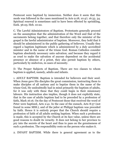Pentecost were baptized by immersion. Neither does it seem that this mode was followed in the cases mentioned in Acts 9:18; 10:47; 16:33. 34. Spiritual renewal is sometimes said to have been effected by sprinkling, Ezek. 36:25; Heb. 10:22.

C. The Lawful Administrators of Baptism. Protestants generally proceed on the assumption that the administration of the Word and that of the sacraments belong together, and that therefore only the minister of the gospel is the lawful administrator of baptism. Moreover, they hold that it should be administered in the public gathering of believers. Usually they regard a baptism legitimate which is administered by a duly accredited minister and in the name of the triune God. Roman Catholics consider baptism absolutely necessary unto salvation; and because they regard it as cruel to make the salvation of anyone dependent on the accidental presence or absence of a priest, they also permit baptism by others, particularly by midwives, in cases of necessity.

D. The Proper Subjects of Baptism. There are two classes to whom baptism is applied, namely, adults and infants.

1. ADULT BAPTISM. Baptism is intended for believers and their seed. When Jesus gave His disciples the great commission, instructing them to make disciples of all nations and to baptize them in the name of the triune God, He undoubtedly had in mind primarily the baptism of adults, for it was only with these that they could begin in their missionary labours. His instruction also implies, though it does not explicitly state, that in the case of adults baptism had to be preceded by a profession of faith, Mark 16:16. On the day of Pentecost those that received the word of Peter were baptized, Acts 2:41. In the case of the eunuch, Acts 8:37 (not found in some MSS.), and of the jailor at Philippi baptism was preceded by faith. Hence it is entirely proper that the Church should require a profession of faith of all adults seeking baptism. When such a profession is made, this is accepted by the Church at its face value, unless there are good reasons to doubt its veracity. It does not belong to her province to pry into the secrets of the heart and thus to pass on the genuineness of such a profession. The responsibility rests on the person who makes it.

2. INFANT BAPTISM. While there is general agreement as to the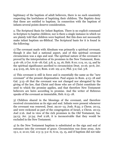legitimacy of the baptism of adult believers, there is no such unanimity respecting the lawfulness of baptizing their children. The Baptists deny that these are entitled to baptism. In connection with the baptism of infants several points deserve consideration.

a. The Scriptural Basis for Infant Baptism. There is no explicit command in Scripture to baptize children; nor is there a single instance in which we are plainly told that children were baptized. But this does not necessarily make infant baptism un-Biblical. The Scriptural basis for it is found in the following:

1) The covenant made with Abraham was primarily a spiritual covenant, though it also had a national aspect, and of this spiritual covenant circumcision was a sign and seal. The spiritual nature of the covenant is proved by the interpretation of its promises in the New Testament, Rom. 4:16–18; 2 Cor. 6:16–18; Gal. 3:8, 9, 14, 16; Heb. 8:10; 11:9, 10, 13, and by the spiritual significance ascribed to circumcision Deut. 10:16; 30:6; Jer. 4:4; 9:25, 26; Acts 15:1; Rom. 2:26–29; 4:11; Phil. 3:2; Gal. 3:8.

2) This covenant is still in force and is essentially the same as the "new covenant" of the present dispensation. Paul argues in Rom. 4:13–18 and Gal. 3:15–18 that the covenant was not changed nor abrogated by the giving of the law, that Christ and those who are of Christ constitute the seed to which the promise applies, and that therefore New Testament believers are heirs according to promise. And the writer of Hebrews speaks of the covenant as immutable, Heb. 6:13–18.

3) Children shared in the blessings of the covenant, and therefore received circumcision as its sign and seal. Infants were present whenever the covenant was renewed, Deut. 29:10–13; Josh. 8:35; 2 Chron. 20:13, and were reckoned as part of the congregation of Israel, 2 Chron. 20:13; Joel 2:16. And in view of the rich promises in the Old Testament, Isa. 54:13; Jer. 31:34; Joel 2:28, it is inconceivable that they would be excluded in the New Testament.

4) In the New Testament baptism is substituted as the sign and seal of entrance into the covenant of grace. Circumcision was done away, Acts 15:1, 2; 21:21; Gal. 2:3–5; 5:2–6; 6:12, 13, 15, and if baptism did not take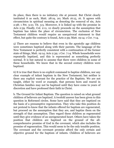its place, then there is no initiatory rite at present. But Christ clearly instituted it as such, Matt. 28:19, 20; Mark 16:15, 16. It agrees with circumcision in spiritual meaning as denoting the removal of sin, Acts 2:38; 1 Pet. 3:21; Tit. 3:5. Moreover, it is linked up with the promise in Acts 2:39. Finally, Col. 2:11, 12 clearly proceeds on the assumption that baptism has taken the place of circumcision. The exclusion of New Testament children would require an unequivocal statement to that effect, but quite the contrary is found, Acts 2:39; Matt. 19:14; 1 Cor. 7:14.

5) There are reasons to believe that even in the apostolic age children were sometimes baptized along with their parents. The language of the New Testament is perfectly consistent with a continuation of the former state of things, Matt. 19:14; Acts 2:39; 1 Cor. 7:14. Whole households were repeatedly baptized, and this is represented as something perfectly normal. It is but natural to assume that there were children in some of these households. We know that in the second century children were baptized.

6) It is true that there is no explicit command to baptize children, nor any clear example of infant baptism in the New Testament; but neither is there any explicit warrant for the practice of the Baptists. We are not taught, either by word or example, that persons born and reared in Christian families may not be baptized until they have come to years of discretion and have professed their faith in Christ.

b. The Ground for Infant Baptism. The question is raised on what ground children of believers are baptized. A twofold answer has been given to this question in Reformed circles. Some have said that they are baptized on the basis of a presumptive regeneration. They who take this position do not pretend to know that the infants offered for baptism are regenerated, but proceed on the assumption that they are, and baptize them on the strength of that assumption. They regard these children as regenerated until they give evidence of an unregenerated heart. Others have taken the position that children are baptized on the ground of the allcomprehensive promise of God in the covenant, which also includes the promise of regeneration. This would seem to be the only tenable position. The covenant and the covenant promise afford the only certain and objective ground for the baptism of infants. Children of believers are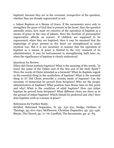baptized, because they are in the covenant, irrespective of the question, whether they are already regenerated or not.

c. Infant Baptism as a Means of Grace. If the sacraments serve only to strengthen the grace of God that is present in the heart, then the question naturally arises, how must we conceive of the operation of baptism as a means of grace in the case of infants. Here the doctrine of presumptive regeneration affords an answer. If children are supposed to be regenerated, when they are baptized, then it may be assumed that the beginnings of grace present in the heart are strengthened in some mystical way. But it is not necessary to assume that the operation of baptism as a means of grace is limited to the very moment of its administration. It may be instrumental in strengthening faith later on, when the significance of baptism is clearly understood.

Questions for Review:

When did Christ institute baptism? What is the meaning of the words, "in (into) the name of the Father and of the Son and of the Holy Spirit"? Were the words of Christ intended as a formula? What do Baptists regard as the essential thing in the symbolism of baptism? What is the essential thing in it? Did Christ prescribe a certain mode of baptism? Can the necessity of immersion be proved from Scripture? Who are the proper administrators of baptism? What position does Rome take on this point and why? What is the condition of adult baptism? How can infant baptism be proved from Scripture? What different views are there as to the ground of infant baptism? Which should be preferred and why? How does baptism work as a means of grace?

References for Further Study:

Berkhof, Reformed Dogmatics, II, pp. 232–251; Hodge, Outlines of Theology, pp. 601–630; McPherson, Christian Dogmatics, pp. 431–436; Binnie, The Church, pp. 71–76; Candlish, The Sacraments, pp. 47–83.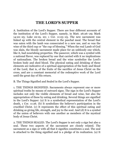# **THE LORD'S SUPPER**

A. Institution of the Lord's Supper. There are four different accounts of the institution of the Lord's Supper, namely, in Matt. 26:26–29; Mark 14:22–25; Luke 22:19, 20; 1 Cor. 11:23–25. The new sacrament was linked up with the central element in the paschal meal. The bread that was eaten with the lamb was consecrated to a new use, and so was the wine of the third cup or "the cup of blessing." When the real Lamb of God was slain, the bloody sacrament made place for an unbloody one which, like it, had nourishing properties. The passover, which was a symbol with a national flavor, was replaced by one that carried with it no implications of nationalism. The broken bread and the wine symbolize the Lord's broken body and shed blood. The physical eating and drinking of these elements are indicative of a spiritual appropriation of the body and blood of the Lord, that is, of the fruits of the sacrifice of Jesus Christ on the cross, and are a constant memorial of the redemptive work of the Lord until the great day of His return.

B. The Things Signified and Sealed in the Lord's Supper.

1. THE THINGS SIGNIFIED. Sacraments always represent one or more spiritual truths by means of outward signs. The sign in the Lord's Supper includes not only the visible elements of bread and wine, but also the appropriation of these by eating and drinking. Several things are signified in the Lord's Supper: (a) It is a symbolical representation of the Lord's death, 1 Cor. 11:26. (b) It symbolizes the believer's participation in the crucified Christ. (c) It represents the effect of this spiritual eating and drinking as giving life, strength, and joy to the soul. And (d) It is a symbol of the union of believers with one another as members of the mystical body of Jesus Christ.

2. THE THINGS SEALED. The Lord's Supper is not only a sign but also a seal. These two aspects of the sacrament are closely related. The sacrament as a sign or with all that it signifies constitutes a seal. The seal is attached to the thing signified and is a pledge of its realization. (a) It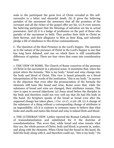seals to the participant the great love of Christ revealed in His selfsurrender to a bitter and shameful death. (b) It gives the believing partaker of the sacrament the assurance that all the promises of the covenant and all the riches of the gospel offer are his. (c) It even assures the believing participant that the blessings of salvation are his in actual possession. And (d) it is a badge of profession on the part of those who partake of the sacrament in faith. They profess their faith in Christ as their Saviour, and their allegiance to Him as their King, and solemnly pledge a life of obedience to His divine commandments.

C. The Question of the Real Presence in the Lord's Supper. The question as to the nature of the presence of Christ in the Lord's Supper is one that has long been debated, and one on which there is still considerable difference of opinion. There are four views that come into consideration here.

1. THE VIEW OF ROME. The Church of Rome conceives of the presence of Christ in the sacrament in a physical sense. It maintains that, when the priest utters the formula, "this is my body," bread and wine change into the body and blood of Christ. This view is based primarily on a literal interpretation of the words of the institution, "this is my body." In answer to the objection that even after the pronunciation of the formula the elements still taste like bread and wine, Rome avers that, while the substance of bread and wine are changed, their attributes remain. This view is open to several objections: (a) Jesus stood before the disciples in the body and therefore could not very well say that He had His body in His hand. (b) Scripture speaks of the bread as bread even after the supposed change has taken place, 1 Cor. 10:17; 11:26–28. (c) A change of the substance of a thing without a corresponding change of attributes is an impossibility. (d) It is contrary to common sense to believe that what looks and smells and tastes like bread and wine is indeed flesh and blood.

2. THE LUTHERAN VIEW. Luther rejected the Roman Catholic doctrine of transsubstantiation and substituted for it the doctrine of consubstantiation. This avers that, while bread and wine remain what they are, the whole person of Christ, body and blood, is present in, under, and along with the elements. When Christ had the bread in His hand, He held His body along with it, and therefore could say, "this is my body." On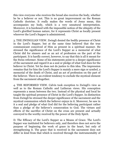this view everyone who receives the bread also receives the body, whether he be a believer or not. This is no great improvement on the Roman Catholic doctrine. It really makes the words of Jesus mean, this accompanies my body, which is a very unnatural interpretation. Moreover, it is burdened with the impossible notion of the ubiquity of the Lord's glorified human nature, for it represents Christ as locally present wherever the Lord's Supper is administered.

3. THE ZWINGLIAN VIEW. Zwingli denied the bodily presence of Christ in the Lord's Supper, but at the same time believed that the true communicant conceived of Him as present in a spiritual manner. He stressed the significance of the Lord's Supper as a memorial of what Christ did for sinners and as an act of profession on the part of the participant. It is hardly correct, however, to say that this is all it meant for the Swiss reformer. Some of his statements point to a deeper significance of the sacrament and regard it as a seal or pledge of what God does for the believer in Christ. Yet he does not do justice to this idea. The impression remains that for him the Lord's Supper is mainly a mere sign or symbol, a memorial of the death of Christ, and an act of profession on the part of the believer. There is an evident tendency to exclude the mystical element from the sacrament altogether.

4. THE REFORMED VIEW. Calvin took exception to Zwingli's view as well as to the Roman Catholic and Lutheran views. His conception represents a mean between the two. Instead of the physical and local he taught the spiritual presence of Christ in the Lord's Supper. In distinction from Zwingli he stressed the deeper significance of the sacrament and the mystical communion which the believer enjoys in it. Moreover, he saw in it a seal and pledge of what God did for the believing participant rather than a pledge of the believer's consecration to God. The virtues and effects of the sacrifice of Christ on the cross are present and actually conveyed to the worthy received by the power of the Holy Spirit.

D. The Efficacy of the Lord's Supper as a Means of Grace. The Lord's Supper was instituted for believers only, and therefore does not serve the purpose of beginning the work of grace in the heart, but only of strengthening it. The grace that is received in the sacrament does not differ in kind from that which is received through the instrumentality of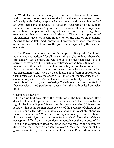the Word. The sacrament merely adds to the effectiveness of the Word and to the measure of the grace received. It is the grace of an ever closer fellowship with Christ, of spiritual nourishment and quickening, and of an ever increasing assurance of salvation. According to the Roman Catholics, and also many Anglicans and Lutherans, all those who partake of the Lord's Supper by that very act also receive the grace signified, except when they put an obstacle in the way. The gracious operation of the sacrament does not depend in any way on the faith of the recipient. According to the Reformed conception, however, only those who partake of the sacrament in faith receive the grace that is signified by the external elements.

E. The Person for whom the Lord's Supper is Designed. The Lord's Supper was not instituted for all indiscriminately, but only for those who can actively exercise faith, and who are able to prove themselves as to a correct estimation of the spiritual significance of the Lord's Supper. This means that children who have not yet come to years of discretion are not fit to partake of this sacrament. And even true believers are entitled to participation in it only when their conduct is not in flagrant opposition to their profession. Hence the apostle Paul insists on the necessity of selfexamination, 1 Cor. 11:28–32. Unbelievers are naturally excluded from the table of the Lord, and professing Christians cannot be admitted, if they consciously and persistently depart from the truth or lead offensive lives.

### Questions for Review:

Where do we find accounts of the institution of the Lord's Supper? How does the Lord's Supper differ from the passover? What belongs to the sign in the Lord's Supper? What does this sacrament signify? What does it seal? What is the Roman Catholic view of the presence of Christ in the Lord's Supper? How do the Lutherans conceive of it? What objections are there to these views? What is the Zwinglian conception of the Lord's Supper? What objections are there to this view? How does Calvin's conception differ from it? How does he conceive of the presence of the Lord in the sacrament? Does the grace received through the sacrament differ from that received through the Word? Does the reception of this grace depend in any way on the faith of the recipent? For whom was the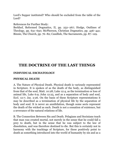Lord's Supper instituted? Who should be excluded from the table of the Lord?

References for Further Study:

Berkhof, Reformed Dogmatics, II, pp. 252–267; Hodge, Outlines of Theology, pp. 631–650; McPherson, Christian Dogmatics, pp. 436–441; Binnie, The Church, pp. 76–82; Candlish, The Sacraments, pp. 87–129.

### **THE DOCTRINE OF THE LAST THINGS**

### **INDIVIDUAL ESCHATOLOGY**

### **PHYSICAL DEATH**

A. The Nature of Physical Death. Physical death is variously represented in Scripture. It is spoken of as the death of the body, as distinguished from that of the soul, Matt. 10:28; Luke 12:4, as the termination or loss of animal life, Luke 6:9; John 12:25, and as a separation of body and soul, Eccl. 12:7; Jas. 2:26. On the basis of these Scripture representations it may be described as a termination of physical life by the separation of body and soul. It is never an annihilation, though some sects represent the death of the wicked as such. Death is not a cessation of existence, but a severance of the natural relations of life.

B. The Connection Between Sin and Death. Pelagians and Socinians teach that man was created mortal, not merely in the sense that he could fall a prey to death, but in the sense that he was subject to the law of dissolution, and was therefore destined to die. But this is certainly not in harmony with the teachings of Scripture, for these positively point to death as something introduced into the world of humanity by sin and as a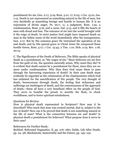punishment for sin, Gen. 2:17; 3:19; Rom. 5:12, 17; 6:23; 1 Cor. 15:21; Jas. 1:15. Death is not represented as something natural in the life of man, but very decidedly as something foreign and hostile to human life. It is an expression of divine anger, Ps. 90:7, 11, a judgment, Rom. 1:32, a condemnation, Rom. 5:16, and a curse, Gal. 3:13, and it fills the hearts of men with dread and fear. The entrance of sin into the world brought with it the reign of death. In strict justice God might have imposed death on man in the fullest sense of the word immediately after his transgression, Gen. 2:17. But by His common grace He restrained the operation of sin and death, and by His special grace in Christ Jesus He conquered these hostile forces, Rom. 5:17; 1 Cor. 15:45; 2 Tim. 1:10; Heb. 2:14; Rev. 1:18; 20:14.

C. The Significance of the Death of Believers. The Bible speaks of physical death as a punishment, as "the wages of sin." Since believers are set free from the guilt of sin, the question naturally arises, Why must they die? It is evident that death cannot be a punishment for them, since they are no more under condemnation. Why then does God cause them to pass through the harrowing experience of death? In their case death must evidently be regarded as the culmination of the chastisements which God has ordained for the sanctification of His people. The very thought of death, bereavement through death, the feeling that sicknesses and sufferings are harbingers of death, and the consciousness of the approach of death,—these all have a very beneficial effect on the people of God. They serve to humble the proud, to mortify the flesh, to check worldliness, and to foster spiritual-mindedness.

### Questions for Review:

How is physical death represented in Scripture? How may it be described? Who teach that man was created mortal, that is, subject to the law of death? How can it be proved that death is not something natural in the life of man? What is the connection between sin and death? Is physical death a punishment for believers? What purpose does it serve in their case?

#### References for Further Study:

Berkhof, Reformed Dogmatics, II, pp. 276–280; Dahle, Life After Death, pp. 24–58; Mackintosh, Immortality and the Future, pp. 149–152.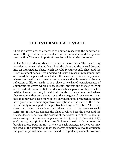### **THE INTERMEDIATE STATE**

There is a great deal of difference of opinion respecting the condition of man in the period between the death of the individual and the general resurrection. The most important theories call for a brief discussion.

A. The Modern Idea of Man's Existence in Sheol-Hades. The idea is very prevalent at present that at death both the pious and the wicked descend into an intermediate place, which the Old Testament calls sheol and the New Testament hades. This underworld is not a place of punishment nor of reward, but a place where all share the same fate. It is a dreary abode, where the dead are doomed to an existence that is merely a dreamy reflection of life on earth. It is a place of weakened consciousness, of slumbrous inactivity, where life has lost its interests and the joys of living are turned into sadness. But the idea of such a separate locality, which is neither heaven nor hell, in which all the dead are gathered and where they remain, either permanently or until some general resurrection, is an idea that may have been more or less current in popular thought and may have given rise to some figurative descriptions of the state of the dead, but certainly is not a part of the positive teachings of Scripture. The terms sheol and hades are evidently not always used in the same sense in Scripture. If it always denotes the place to which both the pious and the wicked descend, how can the descent of the wicked into sheol be held up as a warning, as it is in several places, Job 21:13; Ps. 9:17; Prov. 5:5; 7:27; 9:18; 15:24; 23:14? And how can Scripture speak of God's anger as burning there, Deut. 32:22? In view of such passages as these we may proceed on the assumption that these terms sometimes serve to designate the place of punishment for the wicked. It is perfectly evident, however,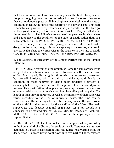that they do not always have this meaning, since the Bible also speaks of the pious as going down into or as being in sheol. In several instances they do not denote a place at all, but simply serve to designate the state or condition of death, the state of the separation of body and soul. This state is sometimes figuratively represented as the place whither all the dead go, be they great or small, rich or poor, pious or wicked. They are all alike in the state of death. The following are some of the passages in which sheol and hades refer to the condition or the state of death rather than to a place: Job 14:13, 14; 17:13, 14; Ps. 89:48; Hos. 13:14; 1 Cor. 15:55; Rev. 1:18; 6:8. Finally, there are also passages in which sheol and hades designate the grave, though it is not always easy to determine, whether in any particular place the words refer to the grave or to the state of death, Gen. 42:38; 44:29, 31; Num. 16:30, 33; John 17:13; Ps. 16:10; 49:14, 15.

B. The Doctrine of Purgatory, of the Limbus Patrum and of the Limbus Infantum.

1. PURGATORY. According to the Church of Rome the souls of those who are perfect at death are at once admitted to heaven or the beatific vision of God, Matt. 25:46; Phil. 1:23, but those who are not perfectly cleansed, but are still burdened with the guilt of venial sins—and this is the condition of most believers at death—must undergo a process of cleansing before they can enter into the supreme blessedness and joys of heaven. This purification takes place in purgatory, where the souls are oppressed with a sense of deprivation, but also suffer positive pains. The length of their stay in purgatory as well as the intensity of their sufferings varies according to the need of individual cases. The time can be shortened and the suffering alleviated by the prayers and the good works of the faithful and especially by the sacrifice of the Mass. The main support for this doctrine is found in 2 Macc.  $12:42-45$ , though it is supposed to be favored also by Isa. 4:4; Mic. 7:8; Zech. 9:11; Mal. 3:2; Matt. 12:32; 1 Cor. 3:13–15; 15:29. However, these passages do not support it at all.

2. LIMBUS PATRUM. The Limbus Patrum is the place where, according to the Roman Catholic Church, the souls of the Old Testament saints were detained in a state of expectation until the Lord's resurrection from the dead. After His death Christ went down into this part of hades, released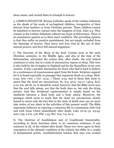these saints, and carried them in triumph to heaven.

3. LIMBUS INFANTUM. Roman Catholics speak of the Limbus Infantum as the abode of the souls of un-baptized children, irrespective of their descent from heathen or from Christian parents. These children cannot be admitted to heaven, cannot enter the kingdom of God, John 3:5. They remain in the Limbus Infantum without any hope of deliverance. There is no unanimous opinion as to their exact condition. The prevailing opinion is that they suffer no positive punishment, but are simply excluded from the blessings of heaven. They know and love God by the use of their natural powers, and have full natural happiness.

C. The Doctrine of the Sleep of the Soul. Certain sects in the early Christian centuries, in the Middle Ages, and also at the time of the Reformation, advocated the notion that, after death, the soul indeed continues to exist, but in a state of unconscious repose or sleep. This view is also held by the Irvingites in England and by the Russellites of our own country. It has a peculiar fascination for those who find it hard to believe in a continuance of consciousness apart from the brain. Scripture support for it is found especially in passages that represent death as a sleep, Matt. 9:24; Acts 7:60; 1 Cor. 15:51; 1 Thess. 4:13, and in those that seem to assert that the dead are unconscious, Ps. 6:5; 30:9; 115:17; 146:4; Eccl. 9:10; Isa. 38:18, 19. It should be noted, however, that the Bible never says that the soul falls asleep, nor that the body does so, but only the dying person. And this Scriptural representation is simply based on the similarity between a dead body and a body asleep. Moreover, the passages which seem to teach that the dead are unconscious clearly intend to stress only the fact that in the state of death man can no more take notice of nor share in the activities of this present world. The Bible represents believers as enjoying a conscious life in communion with God and with Jesus Christ immediately after death, Luke 16:19–31; 23:43; Acts 7:59; 2 Cor. 5:8; Phil. 1:23; Rev. 6:9; 7:9; 20:4.

D. The Doctrine of Annihilation and of Conditional Immortality. According to these doctrines there is no conscious existence, if any existence at all, of the wicked after death. These two views agree in their conception of the ultimate condition of the wicked, but differ in a couple of fundamental points. Annihilationism teaches that man was created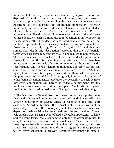immortal, but that they who continue in sin are by a positive act of God deprived of the gift of immortality and ultimately destroyed or—what amounts to practically the same thing—bereft forever of consciousness. According to the doctrine of conditional immortality, however, immortality is not a natural endowment of man, but a gift of God in Christ to those that believe. The person that does not accept Christ is ultimately annihilated or loses all consciousness. Some of the advocates of these doctrines teach a limited duration of conscious suffering for the wicked after death. These doctrines are based primarily on the fact that the Bible represents eternal life as a gift of God to those who are in Christ Jesus, John 10:27, 28; 17:3; Rom. 2:7; 6:22; Gal. 6:8, and threatens sinners with "death" and "destruction," asserting that they will "perish," terms which are taken to mean that they will be reduced to non-existence. These arguments are not conclusive. Eternal life is indeed a gift of God in Jesus Christ, but this is something far greater and richer than bare immortality. Moreover, it is arbitrary to assume that the terms "death," "destruction," and "perish" denote annihilation. The Bible teaches that sinners as well as saints will continue to exist forever, Eccl. 12:7; Matt. 25:46; Rom. 2:8–10; Rev. 14:11; 20:10, and that there will be degrees in the punishment of the wicked, Luke 12:47, 48; Rom. 2:12. Extinction of either being or consciousness precludes the possibility of such degrees. Moreover, annihilation can hardly be called a punishment, for this implies a consciousness of ill desert and pain. People who have grown tired of life often consider extinction of being as a very desirable thing

E. The Doctrine of a Second Probation. Several scholars adopt the theory that in the intermediate state those who died in their sins will have another opportunity to accept Christ in repentance and faith unto salvation. According to them the eternal state of man will not be irrevocably fixed until the day of judgment. The salvation of many will depend on their decision between death and the resurrection. No man will perish without having been offered a favorable opportunity to know and to accept Jesus. One is condemned only for the obstinate refusal to accept the salvation that is offered in Christ Jesus. The advocates of this theory appeal to such passages as Eph. 4:8, 9; 1 Cor. 15:24–28; Phil. 2:9– 11; Col. 1:19, 20; Matt. 12:31, 32; and 1 Pet. 3:19; 4:6. But these passages fail to carry conviction. Moreover, Scripture represents the state of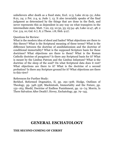unbelievers after death as a fixed state, Eccl. 11:3; Luke 16:19–31; John 8:21, 24; 2 Pet. 2:4, 9; Jude 7, 13. It also invariably speaks of the final judgment as determined by the things that are done in the flesh, and never represents this as dependent in any way on what transpires in the intermediate state, Matt. 7:22, 23; 10:32, 33; 25:34–46; Luke 12:47, 48; 2 Cor. 5:9, 10; Gal. 6:7, 8; 2 Thess. 1:8; Heb. 9:27.

#### Questions for Review:

What is the modern idea of sheol and hades? What objections are there to this theory? What is the Scriptural meaning of these terms? What is the difference between the doctrine of annihilationism and the doctrine of conditional immortality? What is the supposed Scripture basis for these doctrines? What objections are there to them? What is the Roman Catholic doctrine of purgatory? Is there any Scriptural basis for it? What is meant by the Limbus Patrum and the Limbus Infantum? What is the doctrine of the sleep of the soul? On what Scriptural data does it rest? What objections are there to it? What is the doctrine of a second probation? Is there any Scripture ground for it? What objections are there to this view?

References for Further Study:

Berkhof, Reformed Dogmatics, II, pp. 291–308; Hodge, Outlines of Theology, pp. 548–558; Mackintosh, Immortality and the Future, pp. 152–163; Shedd, Doctrine of Endless Punishment, pp. 12–74; Morris, Is There Salvation After Death?; Hovey, Eschatology, pp. 79–145.

# **GENERAL ESCHATOLOGY**

### **THE SECOND COMING OF CHRIST**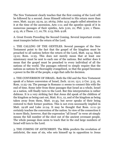The New Testament clearly teaches that the first coming of the Lord will be followed by a second. Jesus Himself referred to His return more than once, Matt. 24:30; 25:19, 31; 26:64; John 14:3; angels called attention to it at the time of the ascension, Acts 1:11; and the apostles speak of it in numerous passages of their epistles, Acts 3:20, 21; Phil. 3:20; 1 Thess. 4:15, 16; 2 Thess. 1:7, 10; Tit. 2:13; Heb. 9:28.

A. Great Events Preceding the Second Coming. Several important events must transpire before the return of the Lord.

1. THE CALLING OF THE GENTILES. Several passages of the New Testament point to the fact that the gospel of the kingdom must be preached to all nations before the return of the Lord, Matt. 24:14; Mark 13:10; Rom. 11:25. This does not merely mean that at least one missionary must be sent to each one of the nations. But neither does it mean that the gospel must be preached to every individual of all the nations of the world. The passages referred to simply require that the nations as nations be thoroughly evangelized, so that the gospel becomes a power in the life of the people, a sign that calls for decision.

2. THE CONVERSION OF ISRAEL. Both the Old and the New Testament speak of a future conversion of Israel, Zech. 12:10; 13:1; 2 Cor. 3:15, 16; Rom. 11:25–29. The passage in Romans 11 seems to connect this with the end of time. Some infer from these passages that Israel as a whole, Israel as a nation, will finally turn to the Lord. But this interpretation is rather dubious. It is a very striking fact that Jesus did speak of the children of the kingdom as being cast out, Matt. 8:11, 12, and of the kingdom as being taken away from them, Matt. 21:43, but never speaks of their being restored to their former position. This is not even necessarily implied in Matt. 19:28 and Luke 21:24. It may be thought that Rom.  $11:11-32$ certainly teaches the conversion of the nation. In view of the connection it is more likely, however, that the expression "all Israel" in verse 26 simply means the full number of the elect out of the ancient covenant people. The whole passage does seem to teach that in the end large numbers of Israel will turn to the Lord.

3. THE COMING OF ANTICHRIST. The Bible predicts the revelation of antichrist, the man of sin, who sets himself up in opposition to Jesus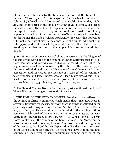Christ, but will be slain by the breath of the Lord at the time of His return, 2 Thess. 2:3–10. Scripture speaks of antichrists in the plural, 1 John 2:18 ("false Christs," Matt. 24:24), of the spirit of antichrist, 1 John 4:3, and of antichrist in the singular, 1 John 2:22; 2 John 7, also called the man of sin, 2 Thess. 2:3. The explanation for this lies in the fact that the spirit of antichrist, of opposition to Jesus Christ, was already apparent in the days of the apostles in the efforts of those who were bent on destroying the work of Christ, Apparently, however, this opposition will finally reach its climax in the appearance of a single individual, who will oppose and exalt himself "against all that is called God or that is worshipped; so that he sitteth in the temple of God, setting himself forth as God."

4. SIGNS AND WONDERS. Several signs are spoken of as harbingers of the end of the world and of the coming of Christ. Scripture speaks (a) of wars, famines, and earthquakes in divers places, which are called the beginning of travail, to be followed by the rebirth of the universe; (b) of the great tribulation during which some of the righteous will suffer persecution and martyrdom for the sake of Christ; (c) of the coming of false prophets and false Christs, who will lead many astray; and (d) of fearful portents in heaven, when the powers of the heavens will be shaken, Matt. 24:29, 30; Mark 13:24, 25; Luke 21:25, 26.

B. The Second Coming Itself. After the signs just mentioned the Son of Man will be seen coming on the clouds of heaven.

1. THE TIME OF THE SECOND COMING. Premillenarians believe that the coming of Christ is imminent, which means that it may now occur at any time. Scripture teaches us, however, that the things mentioned in the preceding must transpire before the Lord's return, Matt. 24:14; 2 Thess. 2:2, 3; 2 Pet. 3:9. This should be borne in mind in the reading of those passages which speak of the coming of Christ or of the last day as near, Matt. 16:28; 24:34; Heb. 10:25; Jas. 5:9; 1 Pet. 4:5; 1 John 2:18. From God's point of view the coming of the Lord is always near. Moreover, the apostles considered it as near, because Pentecost marked the beginning of the last days, that is, of the last dispensation. Besides, when they speak of the Lord's coming as near, they do not always have in mind the final coming, but may refer to some preliminary coming, such as at the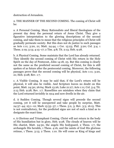destruction of Jerusalem.

2. THE MANNER OF THE SECOND COMING. The coming of Christ will be:

a. A Personal Coming. Many Rationalists and liberal theologians of the present day deny the personal return of Jesus Christ. They give a figurative interpretation to the glowing descriptions of the second coming, and take them to mean that the religious principles of Christ will gradually permeate society. But this does not do justice to such passages as Acts 1:11; 3:20, 21; Matt. 24:44; 1 Cor. 15:23; Phil. 3:20; Col. 3:4; 1 Thess. 2:19; 3:13; 4:15–17; 2 Tim. 4:8; Tit. 2:13; Heb. 9:28.

b. A Physical Coming. Some maintain that the Lord has already returned. They identify the second coming of Christ with His return in the Holy Spirit on the day of Pentecost, John 14:18, 23. But this coming is clearly not the same as the predicted second coming of Christ, for this is still spoken of as future after the pentecostal coming. Moreover, the following passages prove that the second coming will be physical, Acts 1:11; 3:20, 21; Heb. 9:28; Rev. 1:7.

c. A Visible Coming. It may be said that, if the Lord's return will be physical, it will also be visible. And Scripture leaves no doubt on this point, Matt. 24:30; 26:64; Mark 13:26; Luke 21:27; Acts 1:11; Col. 3:4; Tit. 2:13 Heb. 9:28; Rev. 1:7. Russellites are mistaken when they claim that the Lord returned invisibly in 1914 and now dwells in the air.

d. A Sudden Coming. Though several signs will precede the second coming, yet it will be unexpected and take people by surprise, Matt. 24:37–44; 25:1–12; Mark 13:33–37; 1 Thess. 5:2, 3; Rev. 3:3; 16:15. This is not contradictory, for the predicted signs are not of such a kind as to designate the exact time.

e. A Glorious and Triumphant Coming. Christ will not return in the body of His humiliation but in glory, Heb. 9:28. The clouds of heaven will be His chariot, Matt. 24:30, the angels His bodyguard, 2 Thess. 1:7, the archangels His heralds, 1 Thess. 4:16, and the saints of God His glorious retinue, 1 Thess. 3:13; 2 Thess. 1:10. He will come as King of kings and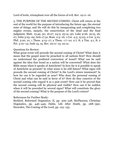Lord of lords, triumphant over all the forces of evil, Rev. 19:11–16.

3. THE PURPOSE OF THE SECOND COMING. Christ will return at the end of the world for the purpose of introducing the future age, the eternal state of things, and He will do this by inaugurating and completing two mighty events, namely, the resurrection of the dead and the final judgment, Matt. 13:49, 50; 16:27; 24:3; 25:14–30; Luke 9:26; 19:15, 26, 27; John 5:25–29; Acts 17:31; Rom. 2:3–16; 1 Cor. 4:5; 15:23; 2 Cor. 5:10; Phil. 3:20, 21; 1 Thess. 4:13–17; 2 Thess. 1:7–10; 2:7, 8; 2 Tim. 4:1, 8; 2 Pet. 3:10–13; Jude 14, 15; Rev. 20:11–15; 22:12.

### Questions for Review:

What great event will precede the second coming of Christ? What does it mean that the gospel must be preached to all nations first? How should we understand the predicted conversion of Israel? What can be said against the idea that Israel as a nation will be converted? What does the Bible mean when it speaks of Antichrist? In how far is it possible to speak of Antichrist as present? In what sense is he still future? What signs will precede the second coming of Christ? Is the Lord's return imminent? In how far can it be regarded as near? Who deny the personal coming of Christ and what can be said in favor of it? How do they conceive of the second coming who regard it as a past event? How can it be proved that the second coming will be physical and visible? How can it be sudden when it will be preceded by several signs? What will constitute the glory of the second coming? What is the purpose of the Lord's return?

## References for Further Study:

Berkhof, Reformed Dogmatics, II, pp. 309–318; McPherson, Christian Dogmatics, pp. 446–449; Dahle, Life After Death, pp. 268–390; Snowden, The Coming of the Lord, pp. 123–155.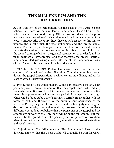## **THE MILLENNIUM AND THE RESURRECTION**

A. The Question of the Millennium. On the basis of Rev. 20:1–6 some believe that there will be a millennial kingdom of Jesus Christ, either before or after His second coming. Others, however, deny that Scripture warrants the expectation of such a millennial kingdom in any sense of the word. Consequently, there are three theories with respect to this matter, namely, the a-millennial, the post millennial, and the pre-millennial theory. The first is purely negative and therefore does not call for any separate discussion. It is the view adopted in this work, and holds that the second coming of Christ, the general resurrection of the dead, and the final judgment all synchronize; and that therefore the present spiritual kingdom of God passes right over into the eternal kingdom of Jesus Christ. The other two views call for a brief discussion.

1. POST-MILLENNIALISM. Post-millennialism teaches that the second coming of Christ will follow the millennium. The millennium is expected during the gospel dispensation, in which we are now living, and at the close of which Christ will appear.

a. Two Kinds of Post-Millennialism. Some conservative scholars, both past and present, are of the opinion that the gospel, which will gradually permeate the entire world, will in the end become much more effective than it is at present and will usher in a period of rich spiritual blessings, which will be followed by a brief apostasy, a terrible final conflict with the forces of evil, and thereafter by the simultaneous occurrence of the advent of Christ, the general resurrection, and the final judgment. A great deal of present-day post-millennialism, however, is of an entirely different type. It does not believe that the preaching of the gospel and the accompanying work of the Holy Spirit will bring the millennium, but that this will be the grand result of a perfectly natural process of evolution. Man himself will usher in the new era by education, improved legislation, and social reforms.

b. Objections to Post-Millennialism. The fundamental idea of this doctrine, namely, that the whole world will gradually be won for Christ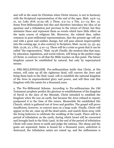and will in the main be Christian when Christ returns, is not in harmony with the Scriptural representation of the end of the ages, Matt. 24:6–14, 21, 22; Luke 18:8; 21:25–28; 2 Thess. 2:3–12; 2 Tim. 3:1–13; Rev. 13. Some Post-Millennialists feel this and therefore introduce the idea of an apostasy and a tribulation just previous to the return of Christ, but they minimize these and represent them as events which have little effect on the main course of religious life. Moreover, the related idea, rather common in post-millennial representations, that the present age will not end with a great and sudden change, but will pass almost imperceptibly into the coming age, is also contrary to Scripture, Matt. 24:29–31, 35–44; Heb. 12:26, 27; 2 Pet. 3:10–13. There will be a crisis so great that it can be called "the regeneration," Matt. 19:28. Finally, the modern idea that man, by education, legislation, and social reform, will bring in the perfect reign of Christ, is contrary to all that the Bible teaches on this point. The future kingdom cannot be established by natural, but only by supernatural means.

2. PRE-MILLENNIALISM. Pre-millennialism holds that Christ, at His return, will raise up all the righteous dead, will convert the Jews and bring them back to the Holy Land, will re-establish the national kingdom of the Jews in unprecedented glory and power, and will then rule this kingdom with His saints for a thousand years.

a. The Pre-Millennial Scheme. According to Pre-millenarians the Old Testament prophets predict the glorious re-establishment of the kingdom of David in the days of the Messiah. Christ intended to establish the kingdom when He was on earth, but because the Jews refused to repent, postponed it to the time of His return. Meanwhile He established His Church, which is gathered out of Jews and gentiles. The gospel will prove insufficient, however, to convert men on a large scale. Finally, Christ will appear in the air, raise up all the dead saints, and snatch them away with the living believers to celebrate the wedding of the Lamb. There will be a period of tribulation on the earth, during which Israel will be converted and brought back to the Holy Land. At the end of the period of tribulation Christ will come down to earth and judge the nations. The sheep and the goats are separated, Satan is bound for a thousand years, antichrist is destroyed, the tribulation saints are raised up, and the millennium is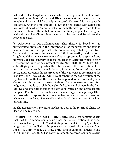ushered in. The kingdom now established is a kingdom of the Jews with world-wide dominion. Christ and His saints rule at Jerusalem, and the temple and its sacrificial worship is restored. The world is now speedily converted. After the millennium follows the final battle with Satan and his hosts, after which Satan is cast into the bottomless pit. Then follows the resurrection of the unbelievers and the final judgment at the great white throne. The Church is transferred to heaven, and Israel remains forever on earth.

b. Objections to Pre-Millennialism. This theory is based on an unwarranted literalism in the interpretation of the prophets and fails to take account of the spiritual interpretation suggested by the New Testament. It makes the kingdom of God an earthly and national kingdom, while the New Testament clearly represents it as spiritual and universal. It goes contrary to those passages of Scripture which clearly represent the kingdom as a present reality, Matt. 11:12; 12:28; Luke 17:21; John 18:36, 37; Col. 1:13. While the Bible speaks of the resurrection of the just and the unjust in a single breath, Dan. 12:2; John 5:28, 29; Acts 24:15, and represents the resurrection of the righteous as occurring at the last day, John 6:39, 40, 44, 54; 11:24, it separates the resurrection of the righteous from that of the wicked by a period of a thousand years. Contrary to Scripture, it speaks of three (four) resurrections and four judgments. It fails to explain how glorified saints and sinners in the flesh can live and associate together in a world in which sin and death are still rampant. Finally, it erroneously seeks its main support in a passage (Rev. 20:1–6) which represents a scene in heaven and makes no mention whatever of the Jews, of an earthly and national kingdom, nor of the land of Palestine.

B. The Resurrection. Scripture teaches us that at the return of Christ the dead will be raised up.

1. SCRIPTURE PROOF FOR THE RESURRECTION. It is sometimes said that the Old Testament contains no proof for the resurrection of the dead; but this is hardly correct. Christ finds proof for it in Ex. 3:6, cf. Matt. 22:31, 32. It is implied in the passages that speak of deliverance from sheol, Ps. 49:15; 73:24, 25; Prov. 23:14, and is expressly taught in Isa. 26:19, and in Dan. 12:2. The New Testament, however, contains clearer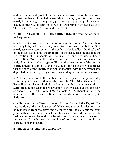and more abundant proof. Jesus argues the resurrection of the dead over against the denial of the Sadducees, Matt. 22:23–33, and teaches it very clearly in John 5:25–29; 6:39, 40, 44; 11:24, 25; 14:3; 17:24. The classical passage of the New Testament is 1 Cor. 15. Other important passages are 1 Thess. 4:13–17; 2 Cor. 5:1–10; and Rev. 20:13.

2. THE CHARACTER OF THE RESURRECTION. The resurrection taught in Scripture is:

a. A Bodily Resurrection. There were some in the days of Paul, and there are many today, who believe only in a spiritual resurrection. But the Bible clearly teaches a resurrection of the body. Christ is called "the firstfruits" of the resurrection, and "the firstborn" of the dead. This implies that the resurrection of His people will be like His, and this was a bodily resurrection. Moreover, the redemption in Christ is said to include the body, Rom. 8:23; 1 Cor. 6:13–20. Finally, the resurrection of the body is clearly taught in Rom. 8:11; and in 1 Cor. 15. In this chapter Paul argues that the body of the resurrection will be identical with the body that was deposited in the earth, though it will have undergone important changes.

b. A Resurrection of Both the Just and the Unjust. Some present-day sects deny the resurrection of the ungodly. The Adventists and the Russellites both believe in their total extinction. It is sometimes said that Scripture does not teach the resurrection of the wicked, but this is clearly erroneous, Dan. 12:2; John 5:28, 29; Acts 24:15, though it must be admitted that their resurrection does not stand out prominently in Scripture.

c. A Resurrection of Unequal Import for the Just and the Unjust. The resurrection of the just is an act of deliverance and of glorification. The body is raised from the grave and re-united with the soul, but the great point in their resurrection is that their bodies are now endowed with a life that is glorious and blessed. This transformation is wanting in the case of the wicked. In their case the re-union of body and soul issues in the extreme penalty of death.

3. THE TIME OF THE RESURRECTION.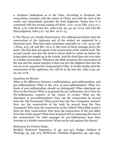a. Scripture Indications as to the Time. According to Scripture the resurrection coincides with the return of Christ, and with the end of the world, and immediately precedes the final judgment. Notice how it is connected with the second coming of Christ, 1 Cor. 15:23; Phil. 3:20, 21; 1 Thess. 4:16; with the last day, John 6:39, 40, 44, 54; 11:24, and with the final judgment, John 5:27–29; Rev. 20:11–15.

b. The Theory of a Double Resurrection. Pre-millenarians believe that the resurrection of the righteous and of the wicked are separated by a thousand years. They base their contention especially on 1 Cor. 15:23–28; 1 Thess. 4:13–18; and Rev. 20:4–6. But none of these passages prove the point. The first does not speak of the resurrection of the wicked at all. The second merely says that the dead in Christ shall be raised up before the living saints are caught up in the clouds. And the third does not even refer to a bodily resurrection. Whenever the Bible mentions the resurrection of the just and the unjust together it does not give the slightest hint that the two are to be separated by a long period of time. It clearly teaches that the resurrection of the righteous, too, will be at the last day, John 6:39, 40, 44, 54; 11:24.

## Questions for Review:

What is the difference between a-millennialism, post-millennialism, and pre-millennialism? What is the view of post-millennialism? What two kinds of post-millennialism should we distinguish? What objections are there to this theory? What is in general the pre-millenarian view? How do Pre-millenarians conceive of the course of events? What are the objections to pre-millennialism? How can the resurrection be proved from the Old Testament? What proof does the New Testament contain? How can the resurrection of the body be proved from the New Testament? Who deny the resurrection of the wicked? What Bible proof is there for their resurrection? How does the resurrection of the just differ from that of the unjust? What does Scripture tell us respecting the time of the resurrection? On what passages do pre-millenarians base their doctrine of a double resurrection? What can be said against this theory?

## References for Further Study:

Berkhof, Reformed Dogmatics, II, pp. 319–337; Hodge, Outlines of Theology, pp. 559–573; McPherson, Christian Dogmatics, pp. 446–454;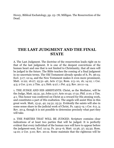Hovey, Biblical Eschatology, pp. 23–78; Milligan. The Resurrection of the Dead.

# **THE LAST JUDGMENT AND THE FINAL STATE**

A. The Last Judgment. The doctrine of the resurrection leads right on to that of the last judgment. It is one of the deepest convictions of the human heart and one that is not limited to Christianity, that all men will be judged in the future. The Bible teaches the coming of a final judgment in no uncertain terms. The Old Testament already speaks of it, Ps. 96:13; Eccl. 3:17; 12:14, and the New Testament makes it even more prominent, Matt. 11:22; 16:27; 25:31-46; Acts 17:31; Rom. 2:5-10, 16; 14:12; 1 Cor. 4:5; 2 Cor. 5:10; 2 Tim. 4:1; Heb. 9:27; 1 Pet. 4:5; Rev. 20:11–14.

1. THE JUDGE AND HIS ASSISTANTS. Christ, as the Mediator, will be the Judge, Matt. 25:31, 32; John 5:27; Acts 10:42; 17:31; Phil. 2:10; 2 Tim. 4:1. This honor was conferred on Christ as a reward for His atoning work, and constitutes a part of His exaltation. The angels will assist Him in this great work. Matt, 13:41, 42; 24:31; 25:31. Evidently the saints will also in some sense share in the judicial work of Christ, Ps. 149:5–9; 1 Cor. 6:2, 3; Rev. 20:4, though it is not possible to determine precisely what part they will take.

2. THE PARTIES THAT WILL BE JUDGED. Scripture contains clear indications of at least two parties that will be judged. It is perfectly evident that every individual of the human race will have to appear before the judgment-seat, Eccl. 12:14; Ps. 50:4–6; Matt. 12:36, 37; 25:32; Rom. 14:10; 2 Cor. 5:10; Rev. 20:12. Some maintain that the righteous will be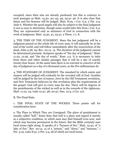excepted, since their sins are already pardoned, but this is contrary to such passages as Matt. 13:30, 40–43, 49; 25:31–46. It is also clear that Satan and his demons will be judged, Matt. 8:29; 1 Cor. 6:3; 2 Pet. 2:4; Jude 6. Whether the good angels will also be subject to the final judgment is not so easy to determine, though some would infer this from 1 Cor. 6:4. They are represented only as ministers of God in connection with the work of judgment, Matt. 13:30, 41; 25:31; 2 Thess. 1:7, 8.

3. THE TIME OF THE JUDGMENT. Since the last judgment will be a judgment passed on the whole life of every man, it will naturally be at the end of the world, and will follow immediately after the resurrection of the dead, John 5:28, 29; Rev. 20:12, 13. The duration of the judgment cannot be determined precisely. Scripture speaks of "the day of judgment," Matt. 11:22; 12:36, and "the day of wrath," Rom. 2:5. It is necessary to infer from these and other similar passages that it will be a day of exactly twenty-four hours. At the same time there is no warrant to conceive of the day of judgment as a day of a thousand years, as the Pre-millenarians do.

4. THE STANDARD OF JUDGMENT. The standard by which saints and sinners will be judged will evidently be the revealed will of God. Gentiles will be judged by the law of nature, Jews by the Old Testament revelation, and New Testament believers by this revelation plus the requirements of the gospel. God will give to every man his due. There will be degrees in the punishments of the wicked as well as in the rewards of the righteous, Matt. 11:22, 24; Luke 12:47, 48; 20:47; Dan. 12:3; 2 Cor. 9:6.

B. The Final State.

1. THE FINAL STATE OF THE WICKED. Three points call for consideration here:

a. The Place to Which They are Consigned. The place of punishment is usually called "hell." Some deny that hell is a place and regard it merely as a subjective condition, in which man may find himself even now, and which may become permanent in the future. But the Bible certainly uses local terms right along. It speaks of a "furnace of fire," Matt. 13:42, of "a lake of fire," Rev. 20:14, 15 of a "prison," and "abyss," and "tartarus," 1 Pet. 3:19; Luke 8:31; 2 Pet. 2:4, all of which are local terms.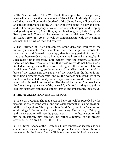b. The State in Which They Will Exist. It is impossible to say precisely what will constitute the punishment of the wicked. Positively, it may be said that they will be totally deprived of the divine favor, will experience an endless disturbance of life, will suffer positive pains in body and soul, and will be subject to pangs of conscience, anguish, despair, and weeping and gnashing of teeth, Matt. 8:12; 13:50; Mark 9:47, 48; Luke 16:23, 28; Rev. 14:10; 21:8. There will be degrees in their punishment, Matt. 11:22, 24; Luke 12:47, 48; 20:47. It will be commensurate with their sinning against the light which they had received.

c. The Duration of Their Punishment. Some deny the eternity of the future punishment. They maintain that the Scriptural words for "everlasting" and "eternal" may simply denote a long period of time. It is true that these words do have a limited meaning in some instances, but in such cases this is generally quite evident from the context. Moreover, there are positive reasons to think that these words do not have such a limited meaning, when they serve to designate the duration of future punishment. In Matt. 25:46 the same word describes the duration of the bliss of the saints and the penalty of the wicked. If the latter is not unending, neither is the former, and yet the everlasting blessedness of the saints is not doubted. Finally, other expressions are used, which do not admit of a limited interpretation. The fire of hell is an "unquenchable fire," Mark 9:43, the worm of the wicked "dieth not," Mark 9:48; and the gulf that separates saints and sinners is fixed and impassable, Luke 16:26.

## 2. THE FINAL STATE OF THE RIGHTEOUS.

a. The New Creation. The final state of believers will be preceded by the passing of the present world and the establishment of a new creation, Matt. 19:28 speaks of "the regeneration," and Acts 3:21 of the "restoration of all things." Heaven and earth will pass away, Heb. 12:27; 2 Pet. 3:13, and a new creation will take its place, Rev. 21:1. The future creation will not be an entirely new creation, but rather a renewal of the present creation, Ps. 102:26, 27; Heb. 12:26–28.

b. The Eternal Abode of the Righteous. Many conceive of heaven also as a condition which men may enjoy in the present and which will become permanent in the future. But the Bible teaches us to think of heaven as a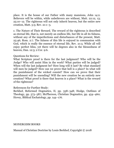place. It is the house of our Father with many mansions, John 14:2. Believers will be within, while unbelievers are without, Matt. 22:12, 13; 25:10–12. The righteous will not only inherit heaven, but the entire new creation, Matt. 5:5; Rev. 21:1–3.

c. The Nature of Their Reward. The reward of the righteous is described as eternal life, that is, not merely an endless life, but life in all its fulness, without any of the imperfections and disturbances of the present, Matt. 25:46; Rom. 2:7. The fulness of this life is enjoyed in communion with God, which is really the essence of eternal life, Rev. 21:3. While all will enjoy perfect bliss, yet there will be degrees also in the blessedness of heaven, Dan. 12:3; 2 Cor. 9:6.

### Questions for Review:

What Scripture proof is there for the last judgment? Who will be the Judge? Who will assist Him in the work? What parties will be judged? When will the last judgment be? How long will it last? By what standard will men be judged? How can we prove that hell is a place? In what will the punishment of the wicked consist? How can we prove that their punishment will be unending? Will the new creation be an entirely new creation? What proof is there that heaven is a place? What is the reward of the righteous?

### References for Further Study:

Berkhof, Reformed Dogmatics, II, pp. 338–348; Hodge, Outlines of Theology, pp. 573–587; McPherson, Christian Dogmatics, pp. 454–460; Hovey, Biblical Eschatology, pp. 144–176.

### MONERGISM BOOKS

Manual of Christian Doctrine by Louis Berkhof, Copyright © 2018